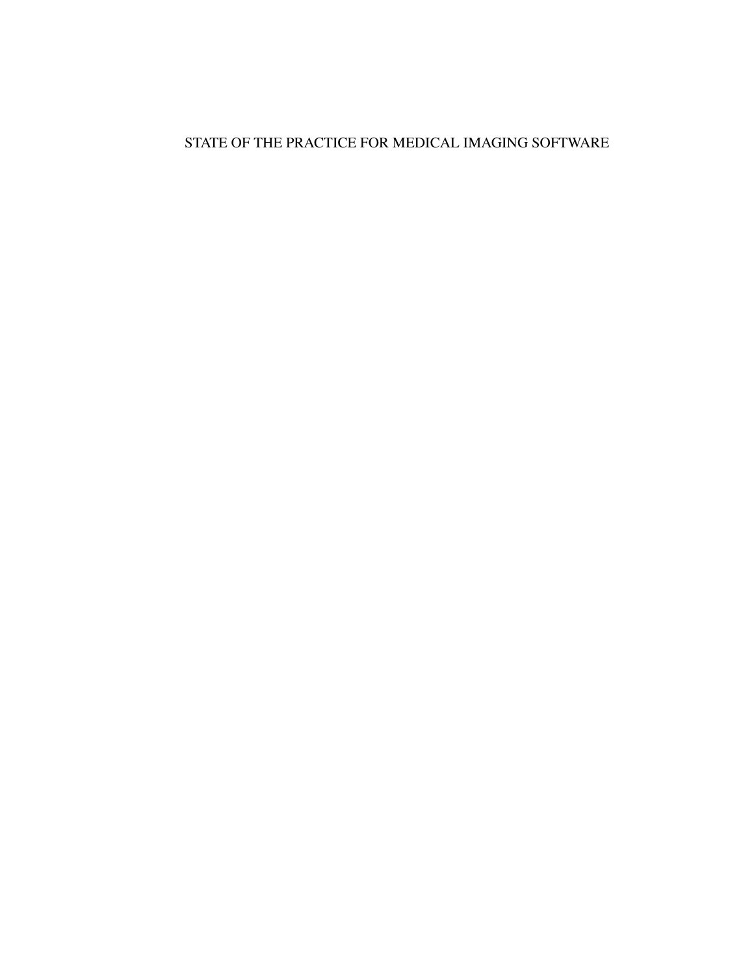### <span id="page-0-1"></span><span id="page-0-0"></span>STATE OF THE PRACTICE FOR MEDICAL IMAGING SOFTWARE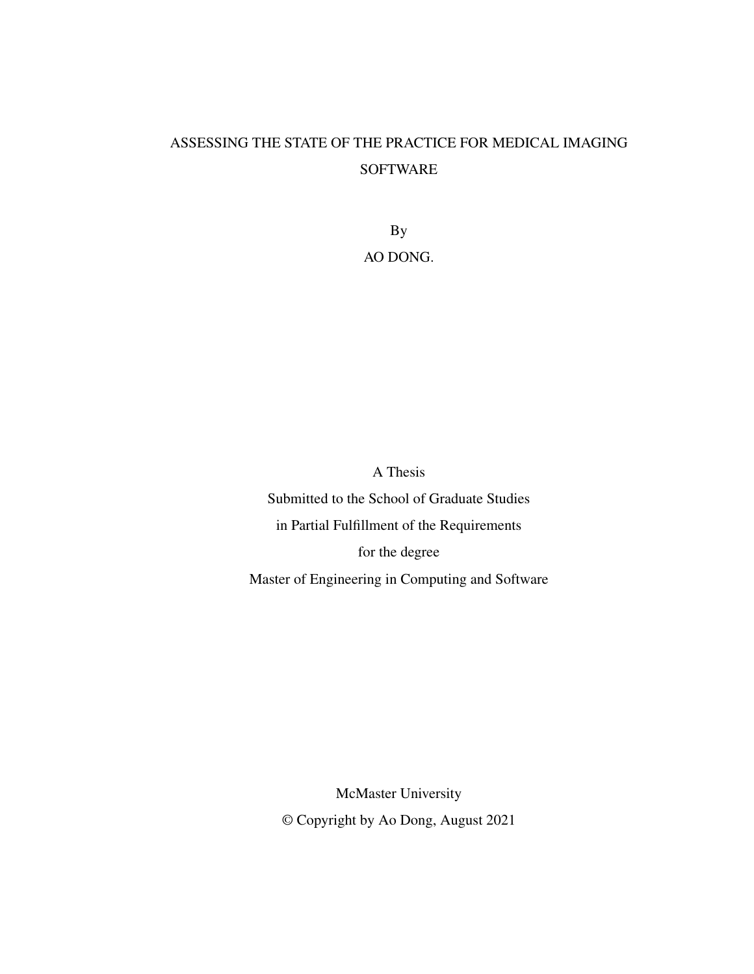# ASSESSING THE STATE OF THE PRACTICE FOR MEDICAL IMAGING SOFTWARE

By AO DONG.

A Thesis

Submitted to the School of Graduate Studies in Partial Fulfillment of the Requirements for the degree Master of Engineering in Computing and Software

> McMaster University © Copyright by Ao Dong, August 2021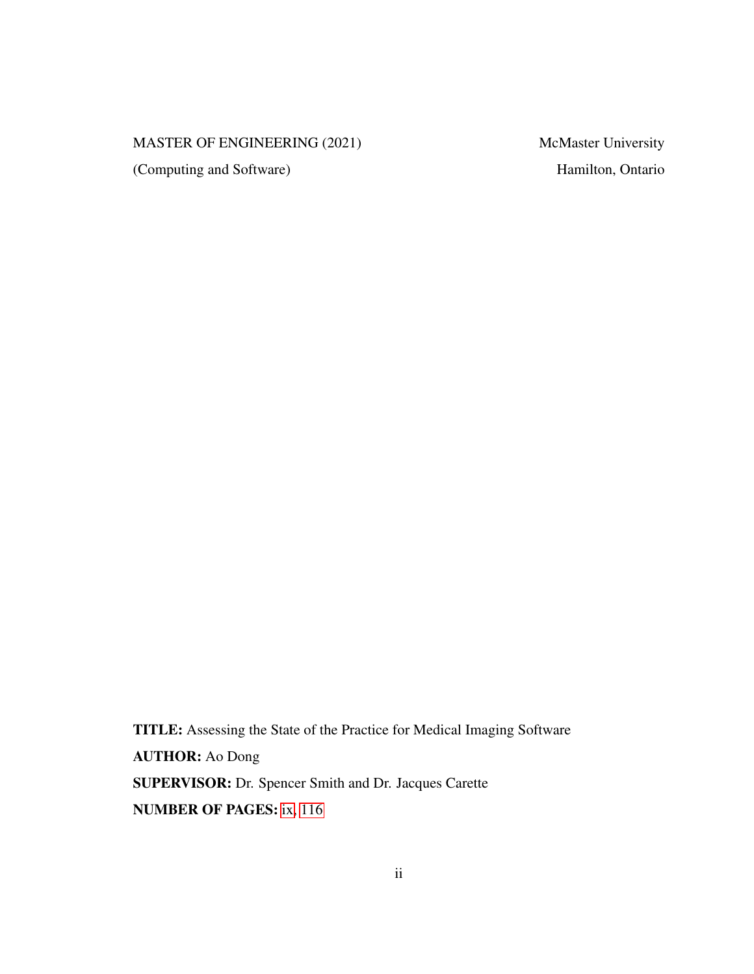### MASTER OF ENGINEERING (2021) McMaster University

(Computing and Software) Hamilton, Ontario

TITLE: Assessing the State of the Practice for Medical Imaging Software AUTHOR: Ao Dong SUPERVISOR: Dr. Spencer Smith and Dr. Jacques Carette NUMBER OF PAGES: [ix,](#page-6-0) [116](#page-125-0)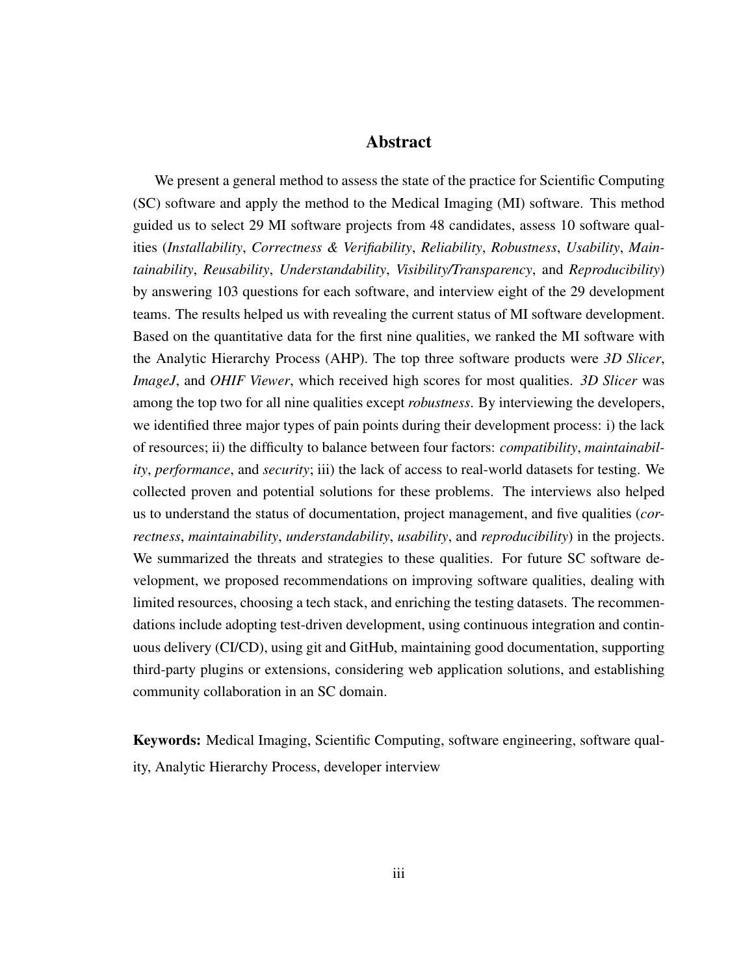### Abstract

We present a general method to assess the state of the practice for Scientific Computing (SC) software and apply the method to the Medical Imaging (MI) software. This method guided us to select 29 MI software projects from 48 candidates, assess 10 software qualities (*Installability*, *Correctness & Verifiability*, *Reliability*, *Robustness*, *Usability*, *Maintainability*, *Reusability*, *Understandability*, *Visibility/Transparency*, and *Reproducibility*) by answering 103 questions for each software, and interview eight of the 29 development teams. The results helped us with revealing the current status of MI software development. Based on the quantitative data for the first nine qualities, we ranked the MI software with the Analytic Hierarchy Process (AHP). The top three software products were *3D Slicer*, *ImageJ*, and *OHIF Viewer*, which received high scores for most qualities. *3D Slicer* was among the top two for all nine qualities except *robustness*. By interviewing the developers, we identified three major types of pain points during their development process: i) the lack of resources; ii) the difficulty to balance between four factors: *compatibility*, *maintainability*, *performance*, and *security*; iii) the lack of access to real-world datasets for testing. We collected proven and potential solutions for these problems. The interviews also helped us to understand the status of documentation, project management, and five qualities (*correctness*, *maintainability*, *understandability*, *usability*, and *reproducibility*) in the projects. We summarized the threats and strategies to these qualities. For future SC software development, we proposed recommendations on improving software qualities, dealing with limited resources, choosing a tech stack, and enriching the testing datasets. The recommendations include adopting test-driven development, using continuous integration and continuous delivery (CI/CD), using git and GitHub, maintaining good documentation, supporting third-party plugins or extensions, considering web application solutions, and establishing community collaboration in an SC domain.

Keywords: Medical Imaging, Scientific Computing, software engineering, software quality, Analytic Hierarchy Process, developer interview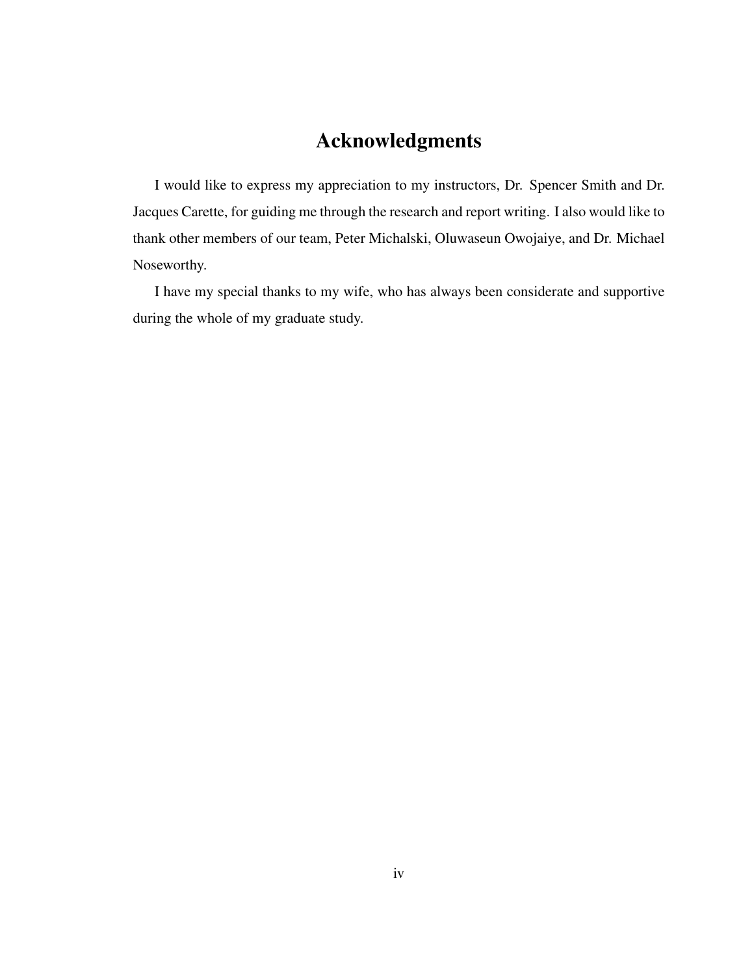# Acknowledgments

I would like to express my appreciation to my instructors, Dr. Spencer Smith and Dr. Jacques Carette, for guiding me through the research and report writing. I also would like to thank other members of our team, Peter Michalski, Oluwaseun Owojaiye, and Dr. Michael Noseworthy.

I have my special thanks to my wife, who has always been considerate and supportive during the whole of my graduate study.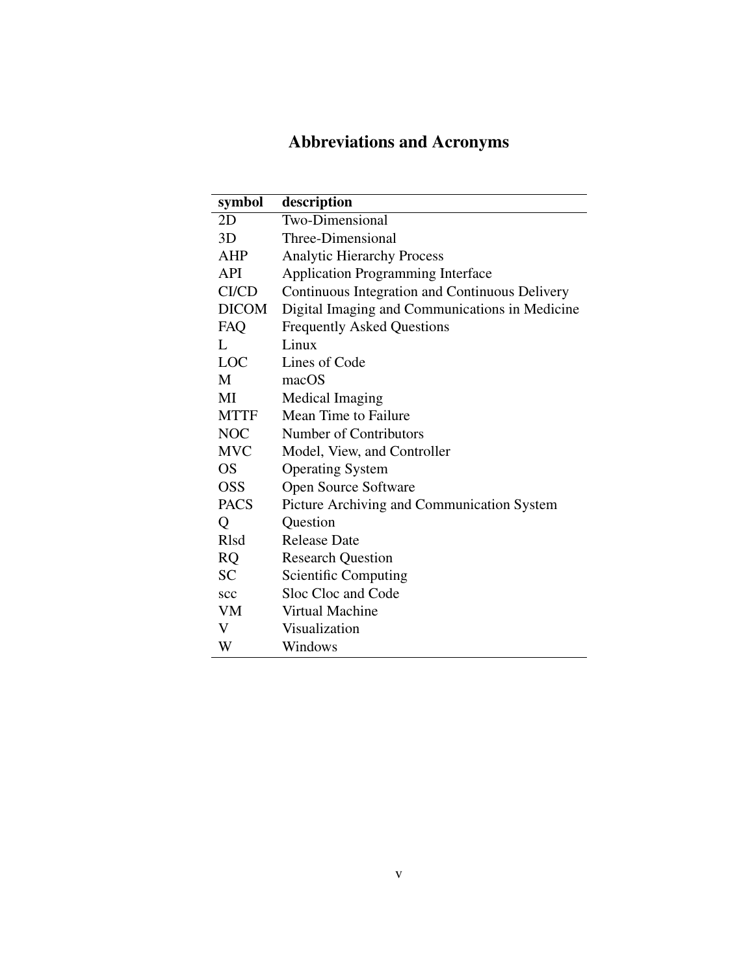# Abbreviations and Acronyms

| symbol       | description                                    |
|--------------|------------------------------------------------|
| 2D           | <b>Two-Dimensional</b>                         |
| 3D           | Three-Dimensional                              |
| AHP          | <b>Analytic Hierarchy Process</b>              |
| <b>API</b>   | <b>Application Programming Interface</b>       |
| CI/CD        | Continuous Integration and Continuous Delivery |
| <b>DICOM</b> | Digital Imaging and Communications in Medicine |
| FAQ          | <b>Frequently Asked Questions</b>              |
| L            | Linux                                          |
| <b>LOC</b>   | Lines of Code                                  |
| M            | macOS                                          |
| МI           | Medical Imaging                                |
| <b>MTTF</b>  | Mean Time to Failure                           |
| <b>NOC</b>   | Number of Contributors                         |
| <b>MVC</b>   | Model, View, and Controller                    |
| <b>OS</b>    | <b>Operating System</b>                        |
| <b>OSS</b>   | Open Source Software                           |
| <b>PACS</b>  | Picture Archiving and Communication System     |
| Q            | Question                                       |
| <b>R</b> lsd | <b>Release Date</b>                            |
| <b>RQ</b>    | <b>Research Question</b>                       |
| <b>SC</b>    | <b>Scientific Computing</b>                    |
| scc          | Sloc Cloc and Code                             |
| VM           | Virtual Machine                                |
| V            | Visualization                                  |
| W            | Windows                                        |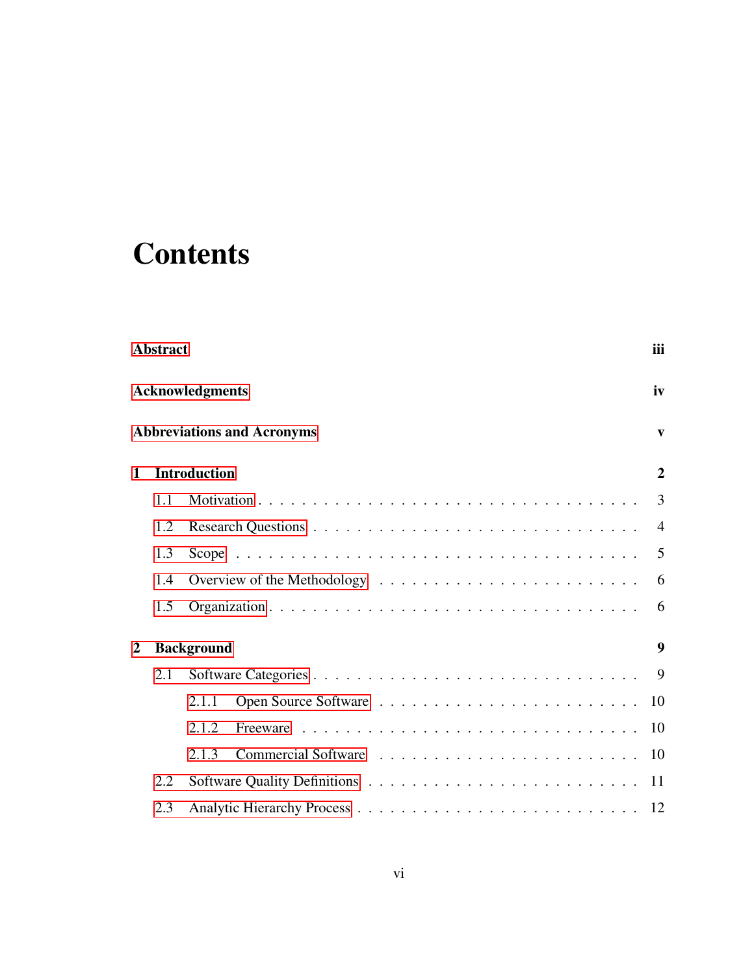# <span id="page-6-0"></span>**Contents**

|                                  | <b>Abstract</b> |                                   | iii              |
|----------------------------------|-----------------|-----------------------------------|------------------|
|                                  |                 | <b>Acknowledgments</b>            | iv               |
|                                  |                 | <b>Abbreviations and Acronyms</b> | $\mathbf{v}$     |
| 1                                |                 | <b>Introduction</b>               | $\overline{2}$   |
|                                  | 1.1             |                                   | 3                |
|                                  | 1.2             |                                   | $\overline{4}$   |
|                                  | 1.3             |                                   | $\overline{5}$   |
|                                  | 1.4             |                                   | 6                |
|                                  | 1.5             |                                   | 6                |
| <b>Background</b><br>$\mathbf 2$ |                 |                                   | $\boldsymbol{9}$ |
|                                  | 2.1             |                                   |                  |
|                                  |                 | 2.1.1                             | 10               |
|                                  |                 | 2.1.2                             | 10               |
|                                  |                 | 2.1.3                             | 10               |
|                                  | 2.2             |                                   | 11               |
|                                  | 2.3             |                                   |                  |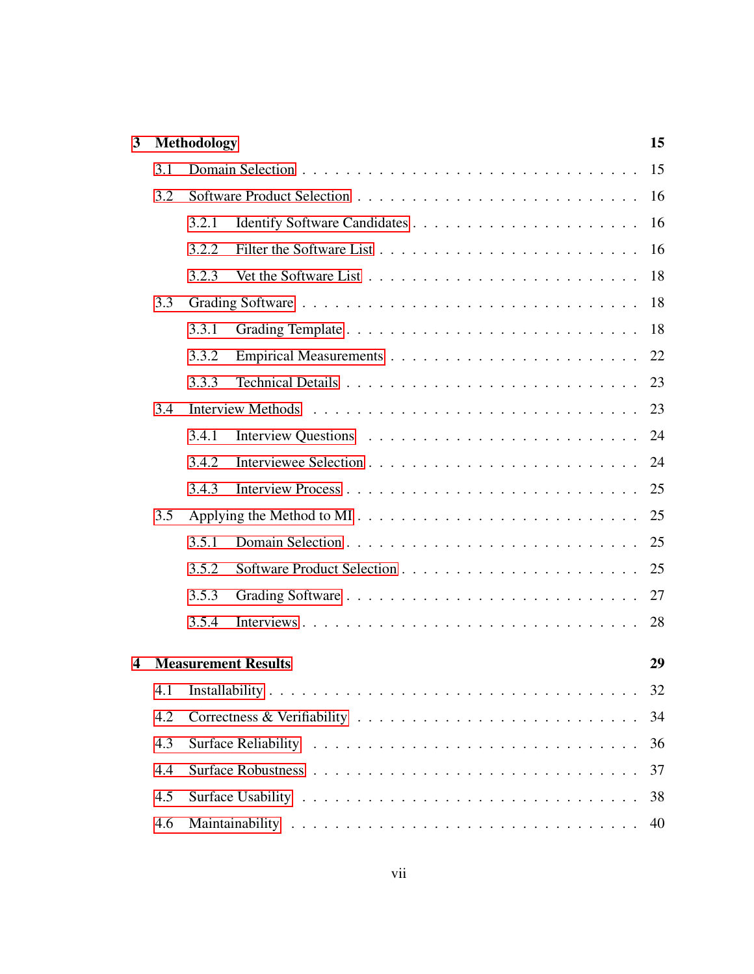| $\overline{3}$ |     | <b>Methodology</b> |                            |          |  |  |
|----------------|-----|--------------------|----------------------------|----------|--|--|
|                | 3.1 |                    |                            | 15       |  |  |
|                | 3.2 |                    |                            | 16       |  |  |
|                |     | 3.2.1              |                            | 16       |  |  |
|                |     | 3.2.2              |                            | 16       |  |  |
|                |     | 3.2.3              |                            | 18       |  |  |
|                | 3.3 |                    |                            |          |  |  |
|                |     | 3.3.1              |                            | 18       |  |  |
|                |     | 3.3.2              |                            | 22       |  |  |
|                |     | 3.3.3              |                            | 23       |  |  |
|                | 3.4 |                    |                            | 23       |  |  |
|                |     | 3.4.1              |                            | 24       |  |  |
|                |     | 3.4.2              |                            | 24       |  |  |
|                |     | 3.4.3              |                            | 25       |  |  |
|                | 3.5 |                    |                            | 25       |  |  |
|                |     | 3.5.1              |                            | 25       |  |  |
|                |     | 3.5.2              |                            | 25       |  |  |
|                |     | 3.5.3              |                            | 27       |  |  |
|                |     | 3.5.4              |                            | 28       |  |  |
| 4              |     |                    | <b>Measurement Results</b> | 29       |  |  |
|                |     |                    |                            | 32       |  |  |
|                | 4.2 |                    |                            |          |  |  |
|                | 4.3 |                    |                            | 36       |  |  |
|                | 4.4 |                    |                            | 37       |  |  |
|                |     |                    |                            |          |  |  |
|                | 4.5 |                    |                            | 38<br>40 |  |  |
|                | 4.6 |                    |                            |          |  |  |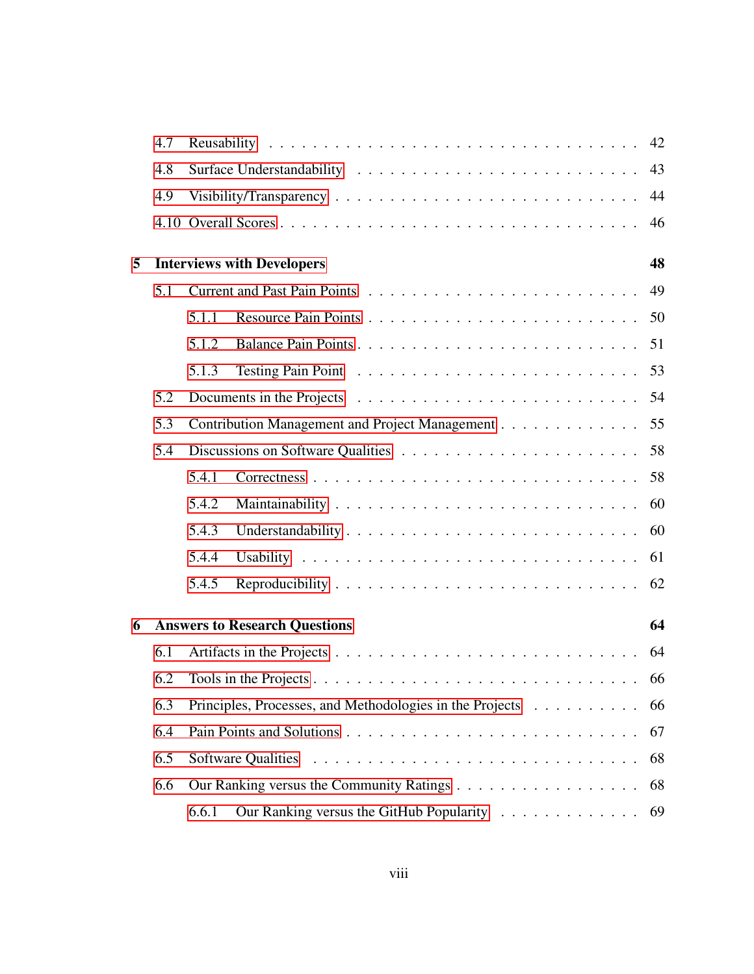|     | 4.7 |       |                                                          |    |  |  |
|-----|-----|-------|----------------------------------------------------------|----|--|--|
|     | 4.8 |       |                                                          |    |  |  |
|     | 4.9 |       |                                                          |    |  |  |
|     |     |       |                                                          | 46 |  |  |
| 5   |     |       | <b>Interviews with Developers</b>                        | 48 |  |  |
|     | 5.1 |       |                                                          |    |  |  |
|     |     | 5.1.1 |                                                          |    |  |  |
|     |     | 5.1.2 |                                                          |    |  |  |
|     |     | 5.1.3 |                                                          |    |  |  |
|     | 5.2 |       |                                                          |    |  |  |
|     | 5.3 |       | Contribution Management and Project Management 55        |    |  |  |
| 5.4 |     |       |                                                          |    |  |  |
|     |     | 5.4.1 |                                                          |    |  |  |
|     |     | 5.4.2 |                                                          |    |  |  |
|     |     | 5.4.3 |                                                          |    |  |  |
|     |     | 5.4.4 |                                                          | 61 |  |  |
|     |     | 5.4.5 |                                                          |    |  |  |
| 6   |     |       | <b>Answers to Research Questions</b>                     | 64 |  |  |
|     | 6.1 |       |                                                          |    |  |  |
|     | 6.2 |       |                                                          |    |  |  |
| 6.3 |     |       | Principles, Processes, and Methodologies in the Projects | 66 |  |  |
|     | 6.4 |       |                                                          | 67 |  |  |
|     | 6.5 |       |                                                          | 68 |  |  |
|     | 6.6 |       |                                                          | 68 |  |  |
|     |     | 6.6.1 | Our Ranking versus the GitHub Popularity                 | 69 |  |  |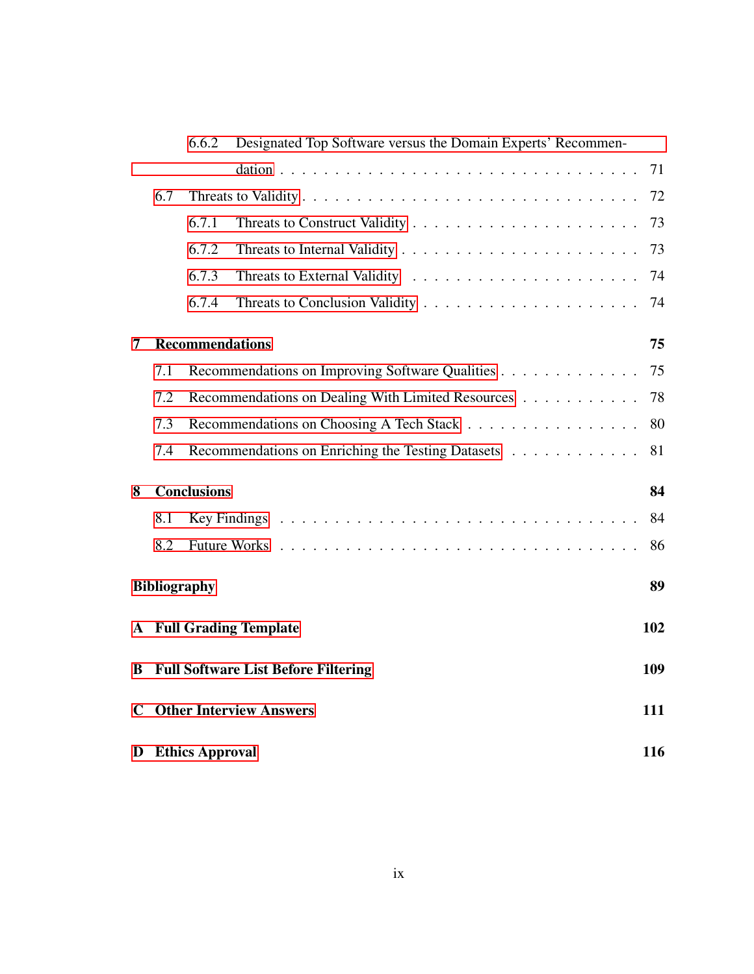|             |     | 6.6.2                  | Designated Top Software versus the Domain Experts' Recommen- |     |
|-------------|-----|------------------------|--------------------------------------------------------------|-----|
|             |     |                        |                                                              | 71  |
|             | 6.7 |                        |                                                              | 72  |
|             |     | 6.7.1                  |                                                              | 73  |
|             |     | 6.7.2                  |                                                              | 73  |
|             |     | 6.7.3                  |                                                              | 74  |
|             |     | 6.7.4                  |                                                              | 74  |
| 7           |     | <b>Recommendations</b> |                                                              | 75  |
|             | 7.1 |                        | Recommendations on Improving Software Qualities              | 75  |
|             | 7.2 |                        | Recommendations on Dealing With Limited Resources            | 78  |
|             | 7.3 |                        | Recommendations on Choosing A Tech Stack                     | 80  |
|             | 7.4 |                        | Recommendations on Enriching the Testing Datasets            | 81  |
| 8           |     | <b>Conclusions</b>     |                                                              | 84  |
|             | 8.1 |                        |                                                              | 84  |
|             | 8.2 |                        |                                                              | 86  |
|             |     | <b>Bibliography</b>    |                                                              | 89  |
|             |     |                        | <b>A</b> Full Grading Template                               | 102 |
| B           |     |                        | <b>Full Software List Before Filtering</b>                   | 109 |
| $\mathbf C$ |     |                        | <b>Other Interview Answers</b>                               | 111 |
| D           |     | <b>Ethics Approval</b> |                                                              | 116 |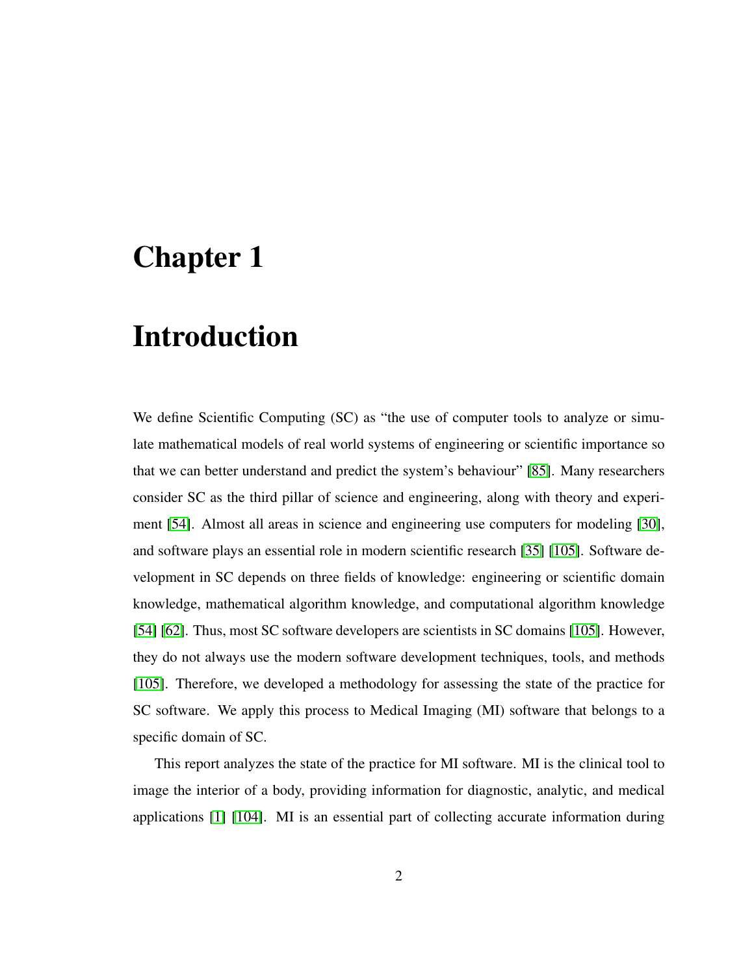# <span id="page-11-0"></span>Chapter 1

# Introduction

We define Scientific Computing (SC) as "the use of computer tools to analyze or simulate mathematical models of real world systems of engineering or scientific importance so that we can better understand and predict the system's behaviour" [\[85\]](#page-107-0). Many researchers consider SC as the third pillar of science and engineering, along with theory and experiment [\[54\]](#page-104-0). Almost all areas in science and engineering use computers for modeling [\[30\]](#page-101-0), and software plays an essential role in modern scientific research [\[35\]](#page-101-1) [\[105\]](#page-110-0). Software development in SC depends on three fields of knowledge: engineering or scientific domain knowledge, mathematical algorithm knowledge, and computational algorithm knowledge [\[54\]](#page-104-0) [\[62\]](#page-105-0). Thus, most SC software developers are scientists in SC domains [\[105\]](#page-110-0). However, they do not always use the modern software development techniques, tools, and methods [\[105\]](#page-110-0). Therefore, we developed a methodology for assessing the state of the practice for SC software. We apply this process to Medical Imaging (MI) software that belongs to a specific domain of SC.

This report analyzes the state of the practice for MI software. MI is the clinical tool to image the interior of a body, providing information for diagnostic, analytic, and medical applications [\[1\]](#page-98-0) [\[104\]](#page-110-1). MI is an essential part of collecting accurate information during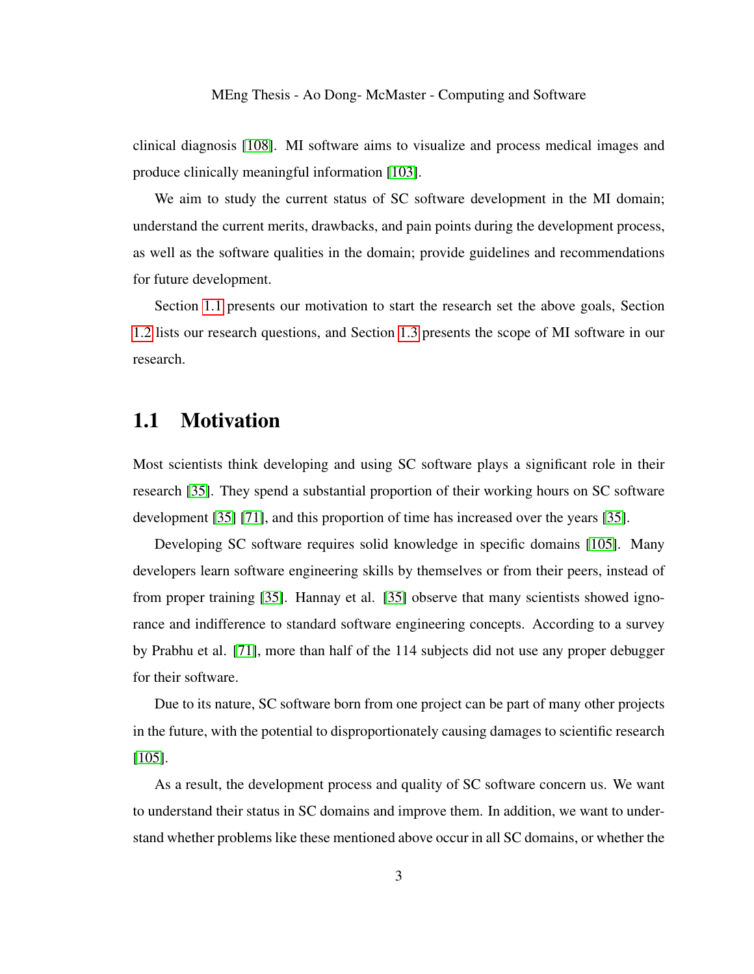clinical diagnosis [\[108\]](#page-110-2). MI software aims to visualize and process medical images and produce clinically meaningful information [\[103\]](#page-109-0).

We aim to study the current status of SC software development in the MI domain; understand the current merits, drawbacks, and pain points during the development process, as well as the software qualities in the domain; provide guidelines and recommendations for future development.

Section [1.1](#page-12-0) presents our motivation to start the research set the above goals, Section [1.2](#page-13-0) lists our research questions, and Section [1.3](#page-14-0) presents the scope of MI software in our research.

## <span id="page-12-0"></span>1.1 Motivation

Most scientists think developing and using SC software plays a significant role in their research [\[35\]](#page-101-1). They spend a substantial proportion of their working hours on SC software development [\[35\]](#page-101-1) [\[71\]](#page-106-0), and this proportion of time has increased over the years [\[35\]](#page-101-1).

Developing SC software requires solid knowledge in specific domains [\[105\]](#page-110-0). Many developers learn software engineering skills by themselves or from their peers, instead of from proper training [\[35\]](#page-101-1). Hannay et al. [\[35\]](#page-101-1) observe that many scientists showed ignorance and indifference to standard software engineering concepts. According to a survey by Prabhu et al. [\[71\]](#page-106-0), more than half of the 114 subjects did not use any proper debugger for their software.

Due to its nature, SC software born from one project can be part of many other projects in the future, with the potential to disproportionately causing damages to scientific research [\[105\]](#page-110-0).

As a result, the development process and quality of SC software concern us. We want to understand their status in SC domains and improve them. In addition, we want to understand whether problems like these mentioned above occur in all SC domains, or whether the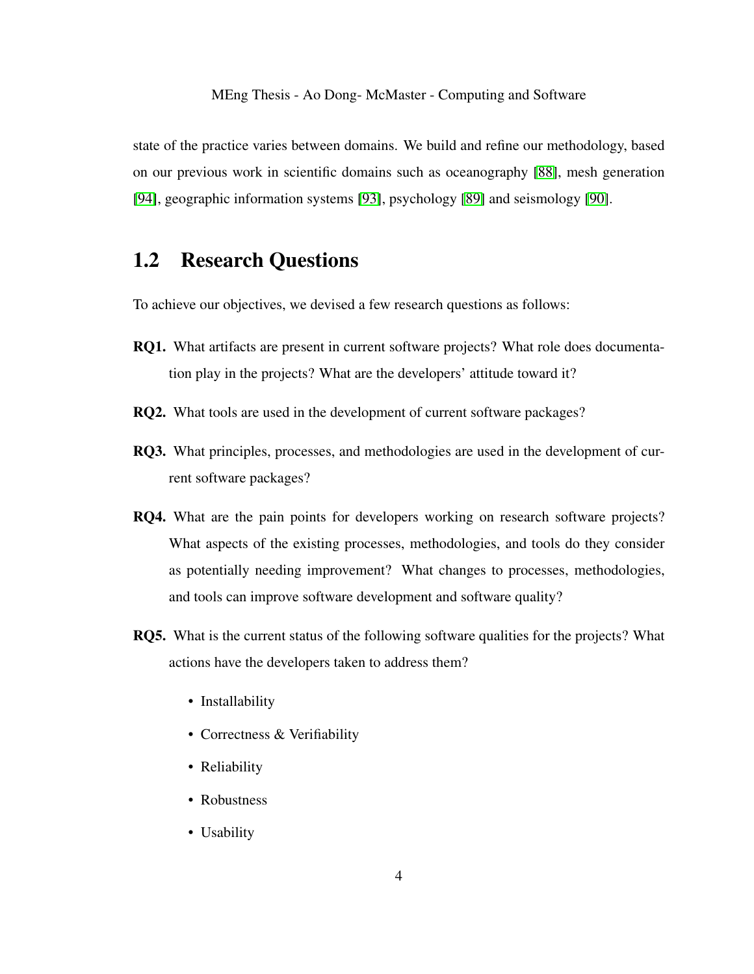state of the practice varies between domains. We build and refine our methodology, based on our previous work in scientific domains such as oceanography [\[88\]](#page-108-0), mesh generation [\[94\]](#page-109-1), geographic information systems [\[93\]](#page-108-1), psychology [\[89\]](#page-108-2) and seismology [\[90\]](#page-108-3).

# <span id="page-13-0"></span>1.2 Research Questions

To achieve our objectives, we devised a few research questions as follows:

- RQ1. What artifacts are present in current software projects? What role does documentation play in the projects? What are the developers' attitude toward it?
- RQ2. What tools are used in the development of current software packages?
- RQ3. What principles, processes, and methodologies are used in the development of current software packages?
- RQ4. What are the pain points for developers working on research software projects? What aspects of the existing processes, methodologies, and tools do they consider as potentially needing improvement? What changes to processes, methodologies, and tools can improve software development and software quality?
- RQ5. What is the current status of the following software qualities for the projects? What actions have the developers taken to address them?
	- Installability
	- Correctness & Verifiability
	- Reliability
	- Robustness
	- Usability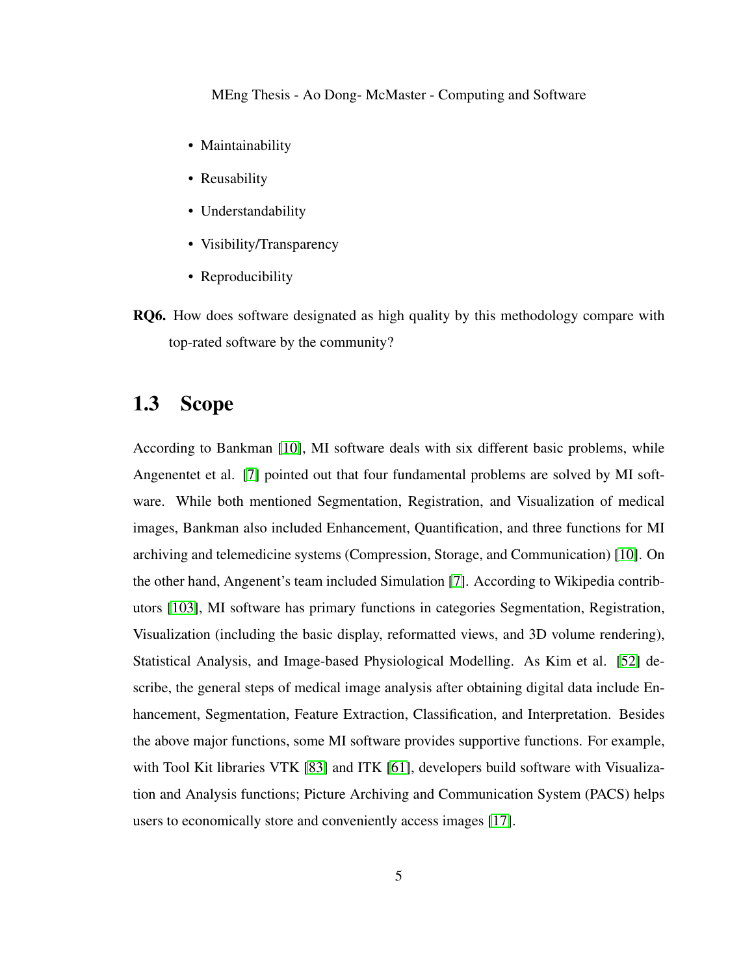- Maintainability
- Reusability
- Understandability
- Visibility/Transparency
- Reproducibility
- RQ6. How does software designated as high quality by this methodology compare with top-rated software by the community?

# <span id="page-14-0"></span>1.3 Scope

According to Bankman [\[10\]](#page-99-0), MI software deals with six different basic problems, while Angenentet et al. [\[7\]](#page-99-1) pointed out that four fundamental problems are solved by MI software. While both mentioned Segmentation, Registration, and Visualization of medical images, Bankman also included Enhancement, Quantification, and three functions for MI archiving and telemedicine systems (Compression, Storage, and Communication) [\[10\]](#page-99-0). On the other hand, Angenent's team included Simulation [\[7\]](#page-99-1). According to Wikipedia contributors [\[103\]](#page-109-0), MI software has primary functions in categories Segmentation, Registration, Visualization (including the basic display, reformatted views, and 3D volume rendering), Statistical Analysis, and Image-based Physiological Modelling. As Kim et al. [\[52\]](#page-104-1) describe, the general steps of medical image analysis after obtaining digital data include Enhancement, Segmentation, Feature Extraction, Classification, and Interpretation. Besides the above major functions, some MI software provides supportive functions. For example, with Tool Kit libraries VTK [\[83\]](#page-107-1) and ITK [\[61\]](#page-105-1), developers build software with Visualization and Analysis functions; Picture Archiving and Communication System (PACS) helps users to economically store and conveniently access images [\[17\]](#page-100-0).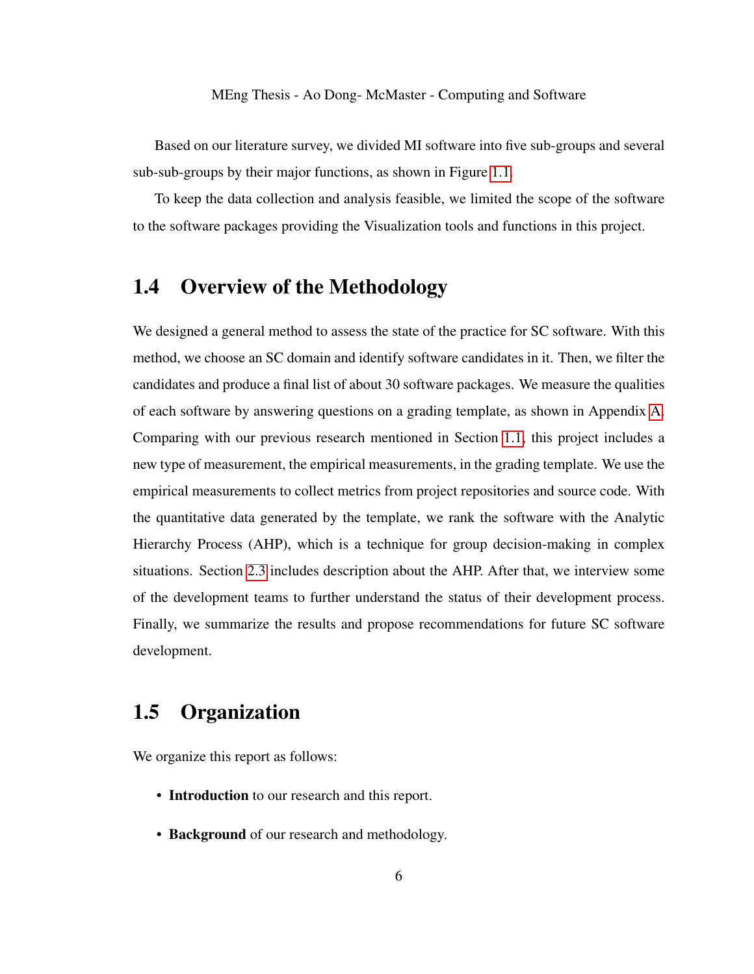Based on our literature survey, we divided MI software into five sub-groups and several sub-sub-groups by their major functions, as shown in Figure [1.1.](#page-17-0)

To keep the data collection and analysis feasible, we limited the scope of the software to the software packages providing the Visualization tools and functions in this project.

## <span id="page-15-0"></span>1.4 Overview of the Methodology

We designed a general method to assess the state of the practice for SC software. With this method, we choose an SC domain and identify software candidates in it. Then, we filter the candidates and produce a final list of about 30 software packages. We measure the qualities of each software by answering questions on a grading template, as shown in Appendix [A.](#page-111-0) Comparing with our previous research mentioned in Section [1.1,](#page-12-0) this project includes a new type of measurement, the empirical measurements, in the grading template. We use the empirical measurements to collect metrics from project repositories and source code. With the quantitative data generated by the template, we rank the software with the Analytic Hierarchy Process (AHP), which is a technique for group decision-making in complex situations. Section [2.3](#page-21-0) includes description about the AHP. After that, we interview some of the development teams to further understand the status of their development process. Finally, we summarize the results and propose recommendations for future SC software development.

# <span id="page-15-1"></span>1.5 Organization

We organize this report as follows:

- Introduction to our research and this report.
- Background of our research and methodology.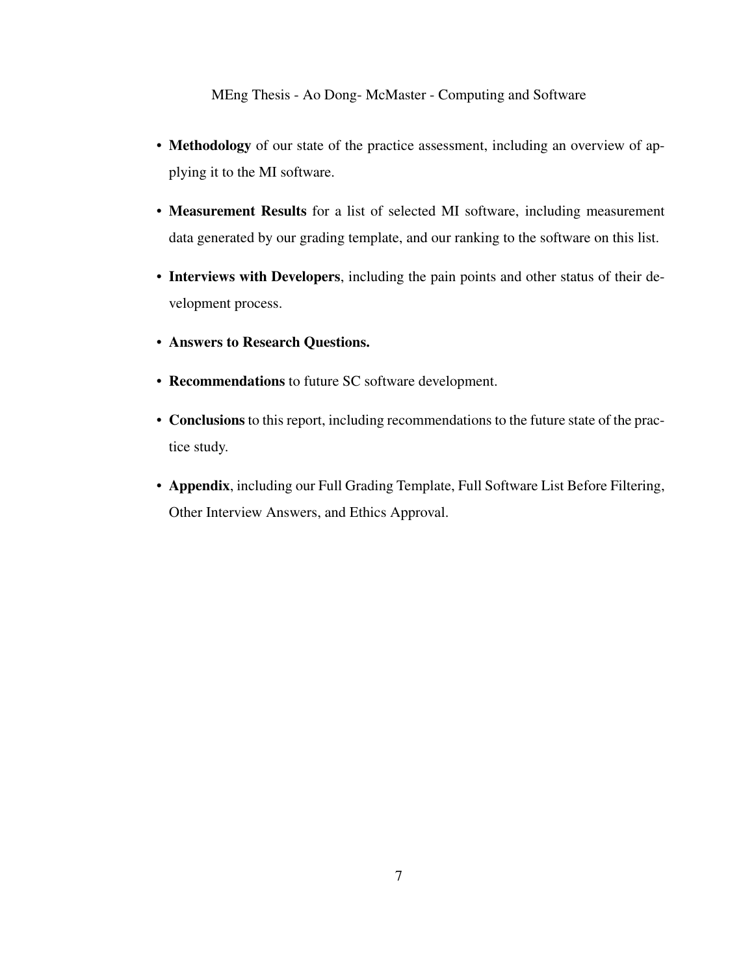- Methodology of our state of the practice assessment, including an overview of applying it to the MI software.
- Measurement Results for a list of selected MI software, including measurement data generated by our grading template, and our ranking to the software on this list.
- Interviews with Developers, including the pain points and other status of their development process.
- Answers to Research Questions.
- Recommendations to future SC software development.
- Conclusions to this report, including recommendations to the future state of the practice study.
- Appendix, including our Full Grading Template, Full Software List Before Filtering, Other Interview Answers, and Ethics Approval.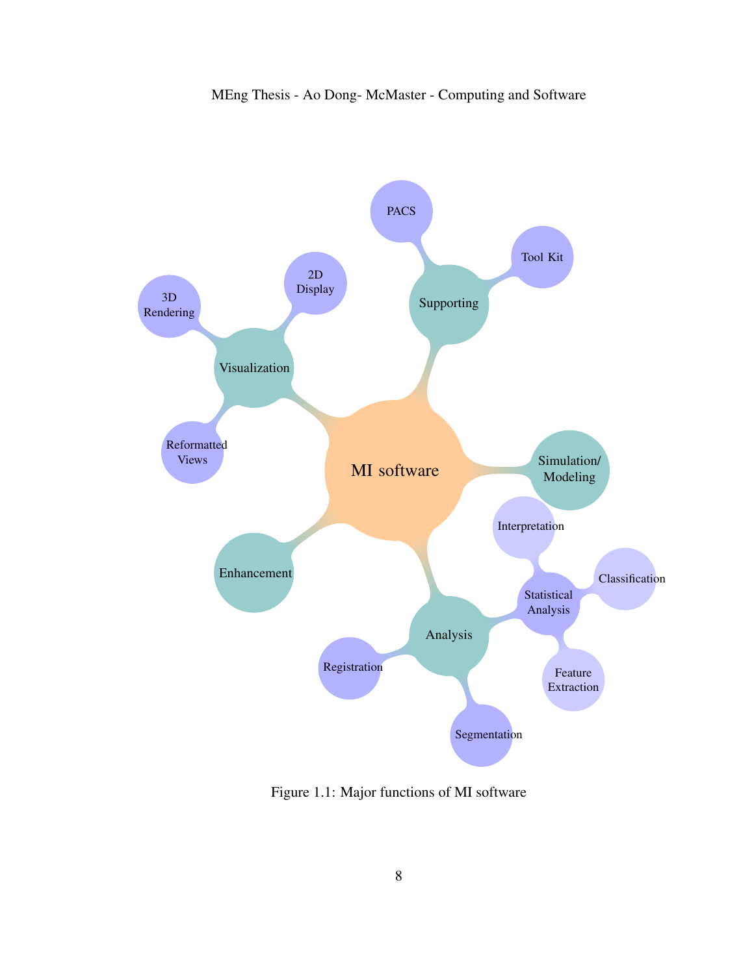

<span id="page-17-0"></span>Figure 1.1: Major functions of MI software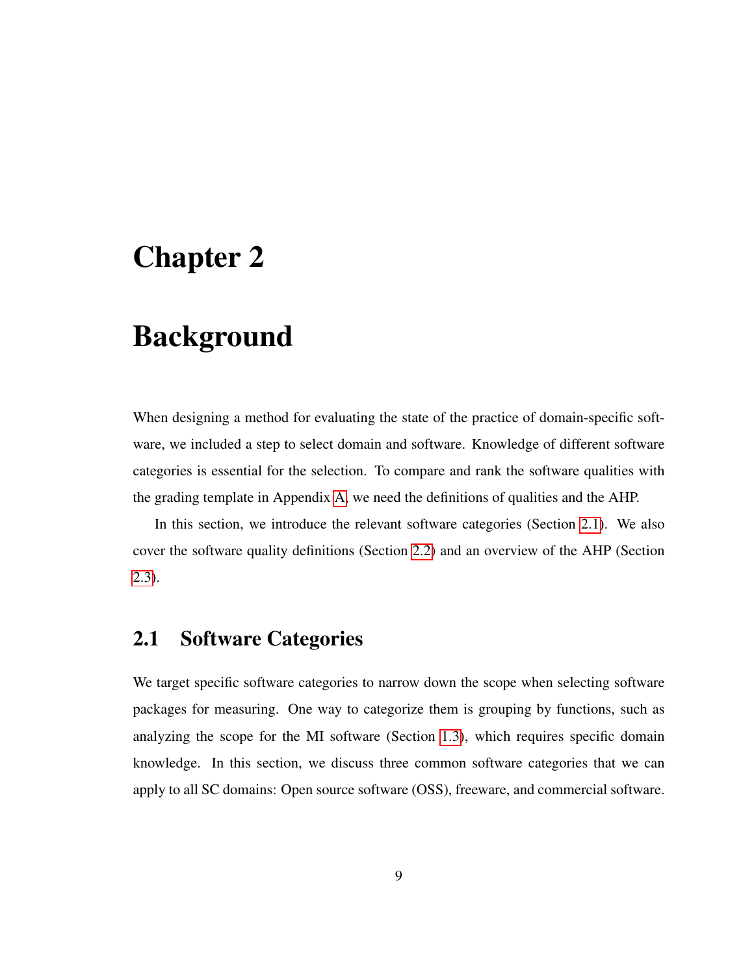# <span id="page-18-0"></span>Chapter 2

# Background

When designing a method for evaluating the state of the practice of domain-specific software, we included a step to select domain and software. Knowledge of different software categories is essential for the selection. To compare and rank the software qualities with the grading template in Appendix [A,](#page-111-0) we need the definitions of qualities and the AHP.

In this section, we introduce the relevant software categories (Section [2.1\)](#page-18-1). We also cover the software quality definitions (Section [2.2\)](#page-20-0) and an overview of the AHP (Section [2.3\)](#page-21-0).

## <span id="page-18-1"></span>2.1 Software Categories

We target specific software categories to narrow down the scope when selecting software packages for measuring. One way to categorize them is grouping by functions, such as analyzing the scope for the MI software (Section [1.3\)](#page-14-0), which requires specific domain knowledge. In this section, we discuss three common software categories that we can apply to all SC domains: Open source software (OSS), freeware, and commercial software.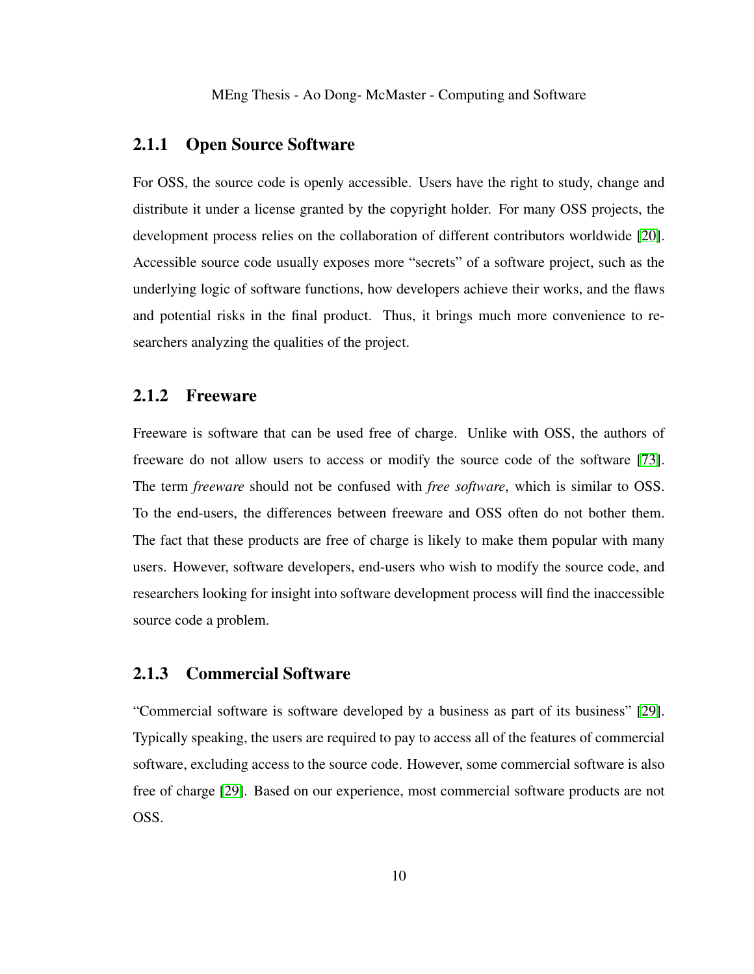### <span id="page-19-0"></span>2.1.1 Open Source Software

For OSS, the source code is openly accessible. Users have the right to study, change and distribute it under a license granted by the copyright holder. For many OSS projects, the development process relies on the collaboration of different contributors worldwide [\[20\]](#page-100-1). Accessible source code usually exposes more "secrets" of a software project, such as the underlying logic of software functions, how developers achieve their works, and the flaws and potential risks in the final product. Thus, it brings much more convenience to researchers analyzing the qualities of the project.

### <span id="page-19-1"></span>2.1.2 Freeware

Freeware is software that can be used free of charge. Unlike with OSS, the authors of freeware do not allow users to access or modify the source code of the software [\[73\]](#page-106-1). The term *freeware* should not be confused with *free software*, which is similar to OSS. To the end-users, the differences between freeware and OSS often do not bother them. The fact that these products are free of charge is likely to make them popular with many users. However, software developers, end-users who wish to modify the source code, and researchers looking for insight into software development process will find the inaccessible source code a problem.

### <span id="page-19-2"></span>2.1.3 Commercial Software

"Commercial software is software developed by a business as part of its business" [\[29\]](#page-101-2). Typically speaking, the users are required to pay to access all of the features of commercial software, excluding access to the source code. However, some commercial software is also free of charge [\[29\]](#page-101-2). Based on our experience, most commercial software products are not OSS.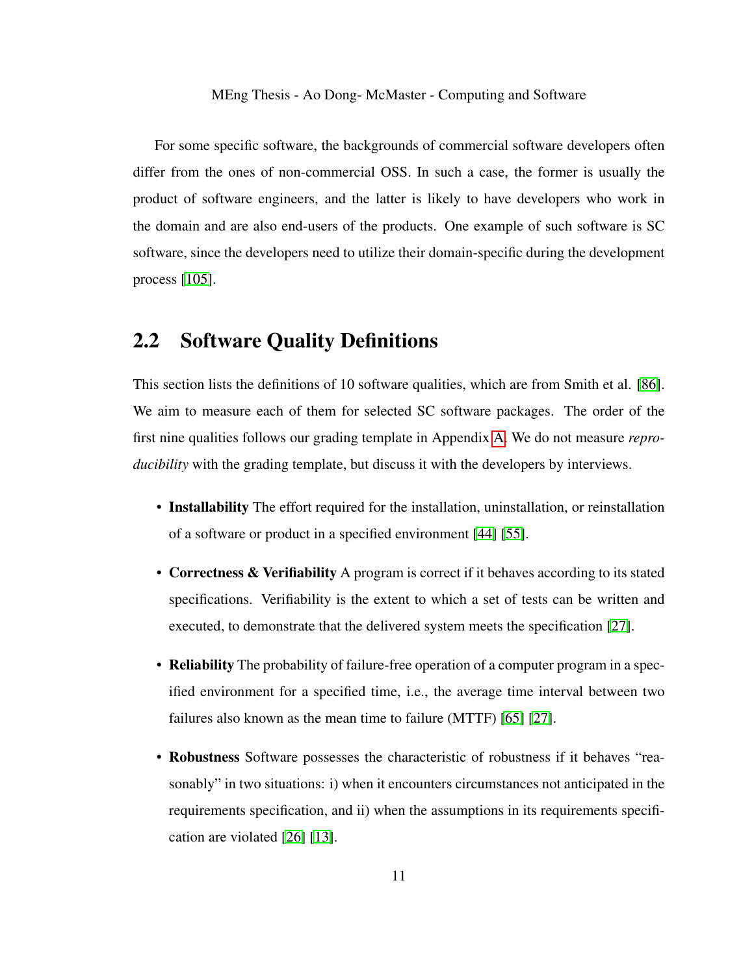For some specific software, the backgrounds of commercial software developers often differ from the ones of non-commercial OSS. In such a case, the former is usually the product of software engineers, and the latter is likely to have developers who work in the domain and are also end-users of the products. One example of such software is SC software, since the developers need to utilize their domain-specific during the development process [\[105\]](#page-110-0).

## <span id="page-20-0"></span>2.2 Software Quality Definitions

This section lists the definitions of 10 software qualities, which are from Smith et al. [\[86\]](#page-107-2). We aim to measure each of them for selected SC software packages. The order of the first nine qualities follows our grading template in Appendix [A.](#page-111-0) We do not measure *reproducibility* with the grading template, but discuss it with the developers by interviews.

- Installability The effort required for the installation, uninstallation, or reinstallation of a software or product in a specified environment [\[44\]](#page-102-0) [\[55\]](#page-104-2).
- Correctness & Verifiability A program is correct if it behaves according to its stated specifications. Verifiability is the extent to which a set of tests can be written and executed, to demonstrate that the delivered system meets the specification [\[27\]](#page-101-3).
- **Reliability** The probability of failure-free operation of a computer program in a specified environment for a specified time, i.e., the average time interval between two failures also known as the mean time to failure (MTTF) [\[65\]](#page-105-2) [\[27\]](#page-101-3).
- Robustness Software possesses the characteristic of robustness if it behaves "reasonably" in two situations: i) when it encounters circumstances not anticipated in the requirements specification, and ii) when the assumptions in its requirements specification are violated [\[26\]](#page-101-4) [\[13\]](#page-99-2).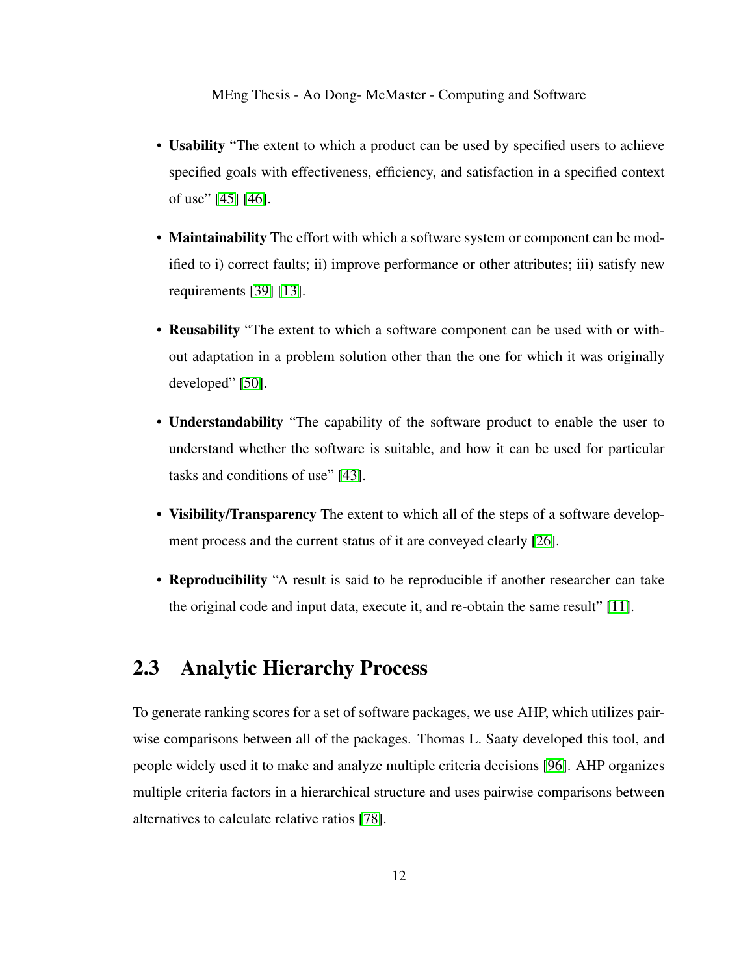- Usability "The extent to which a product can be used by specified users to achieve specified goals with effectiveness, efficiency, and satisfaction in a specified context of use" [\[45\]](#page-103-0) [\[46\]](#page-103-1).
- Maintainability The effort with which a software system or component can be modified to i) correct faults; ii) improve performance or other attributes; iii) satisfy new requirements [\[39\]](#page-102-1) [\[13\]](#page-99-2).
- Reusability "The extent to which a software component can be used with or without adaptation in a problem solution other than the one for which it was originally developed" [\[50\]](#page-103-2).
- Understandability "The capability of the software product to enable the user to understand whether the software is suitable, and how it can be used for particular tasks and conditions of use" [\[43\]](#page-102-2).
- Visibility/Transparency The extent to which all of the steps of a software development process and the current status of it are conveyed clearly [\[26\]](#page-101-4).
- Reproducibility "A result is said to be reproducible if another researcher can take the original code and input data, execute it, and re-obtain the same result" [\[11\]](#page-99-3).

## <span id="page-21-0"></span>2.3 Analytic Hierarchy Process

To generate ranking scores for a set of software packages, we use AHP, which utilizes pairwise comparisons between all of the packages. Thomas L. Saaty developed this tool, and people widely used it to make and analyze multiple criteria decisions [\[96\]](#page-109-2). AHP organizes multiple criteria factors in a hierarchical structure and uses pairwise comparisons between alternatives to calculate relative ratios [\[78\]](#page-107-3).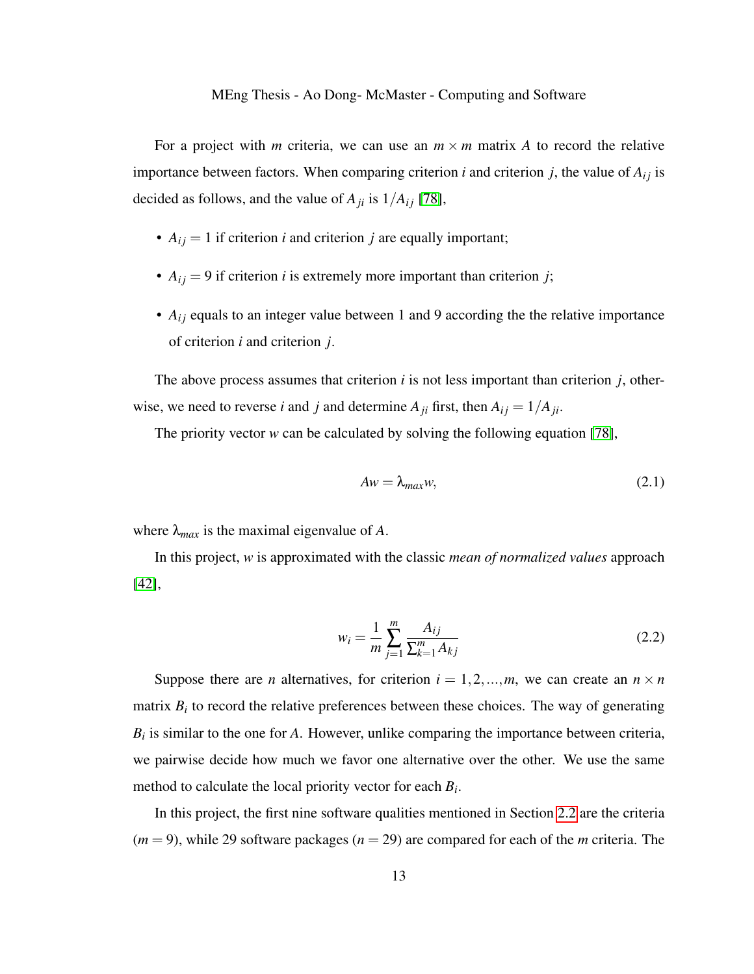For a project with *m* criteria, we can use an  $m \times m$  matrix *A* to record the relative importance between factors. When comparing criterion *i* and criterion *j*, the value of  $A_{ij}$  is decided as follows, and the value of  $A_{ji}$  is  $1/A_{ij}$  [\[78\]](#page-107-3),

- $A_{ij} = 1$  if criterion *i* and criterion *j* are equally important;
- $A_{ij} = 9$  if criterion *i* is extremely more important than criterion *j*;
- $A_{ij}$  equals to an integer value between 1 and 9 according the the relative importance of criterion *i* and criterion *j*.

The above process assumes that criterion *i* is not less important than criterion *j*, otherwise, we need to reverse *i* and *j* and determine  $A_{ji}$  first, then  $A_{ij} = 1/A_{ji}$ .

The priority vector *w* can be calculated by solving the following equation [\[78\]](#page-107-3),

$$
Aw = \lambda_{max}w,\tag{2.1}
$$

where  $\lambda_{max}$  is the maximal eigenvalue of A.

In this project, *w* is approximated with the classic *mean of normalized values* approach [\[42\]](#page-102-3),

$$
w_i = \frac{1}{m} \sum_{j=1}^{m} \frac{A_{ij}}{\sum_{k=1}^{m} A_{kj}}
$$
 (2.2)

Suppose there are *n* alternatives, for criterion  $i = 1, 2, ..., m$ , we can create an  $n \times n$ matrix  $B_i$  to record the relative preferences between these choices. The way of generating  $B_i$  is similar to the one for  $A$ . However, unlike comparing the importance between criteria, we pairwise decide how much we favor one alternative over the other. We use the same method to calculate the local priority vector for each *B<sup>i</sup>* .

In this project, the first nine software qualities mentioned in Section [2.2](#page-20-0) are the criteria  $(m = 9)$ , while 29 software packages  $(n = 29)$  are compared for each of the *m* criteria. The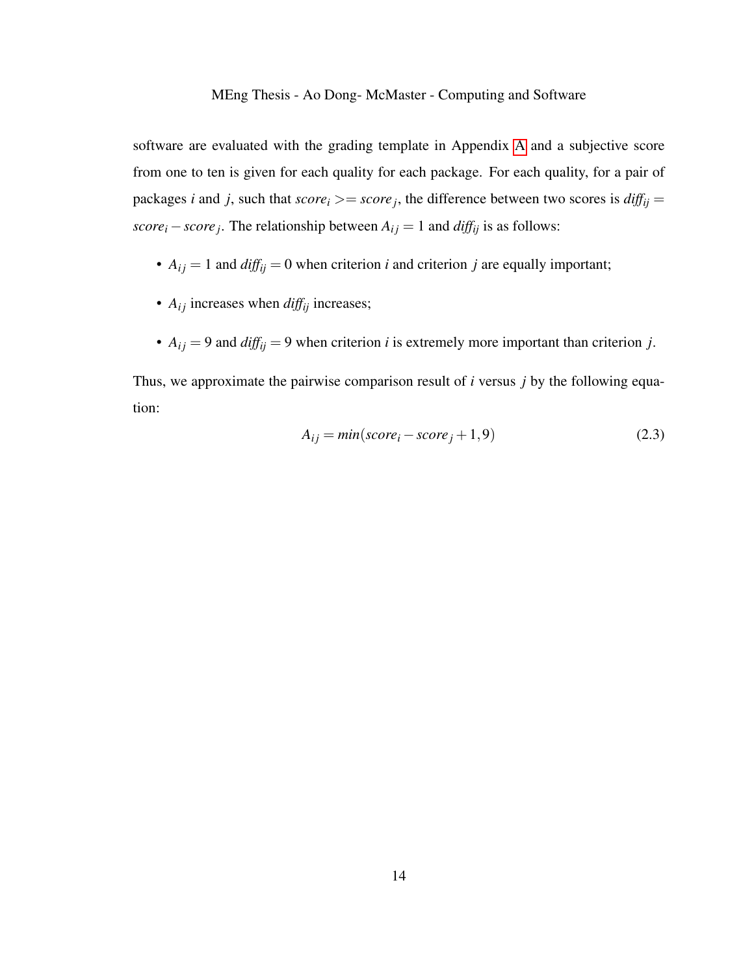software are evaluated with the grading template in Appendix [A](#page-111-0) and a subjective score from one to ten is given for each quality for each package. For each quality, for a pair of packages *i* and *j*, such that  $score_i \geq -score_j$ , the difference between two scores is  $diff_{ij} =$ *score*<sup>*i*</sup> − *score j*. The relationship between  $A_{ij} = 1$  and  $diff_{ij}$  is as follows:

- $A_{ij} = 1$  and  $diff_{ij} = 0$  when criterion *i* and criterion *j* are equally important;
- $A_{ij}$  increases when  $diff_{ij}$  increases;
- $A_{ij} = 9$  and  $diff_{ij} = 9$  when criterion *i* is extremely more important than criterion *j*.

Thus, we approximate the pairwise comparison result of *i* versus *j* by the following equation:

$$
A_{ij} = min(score_i - score_j + 1, 9)
$$
\n<sup>(2.3)</sup>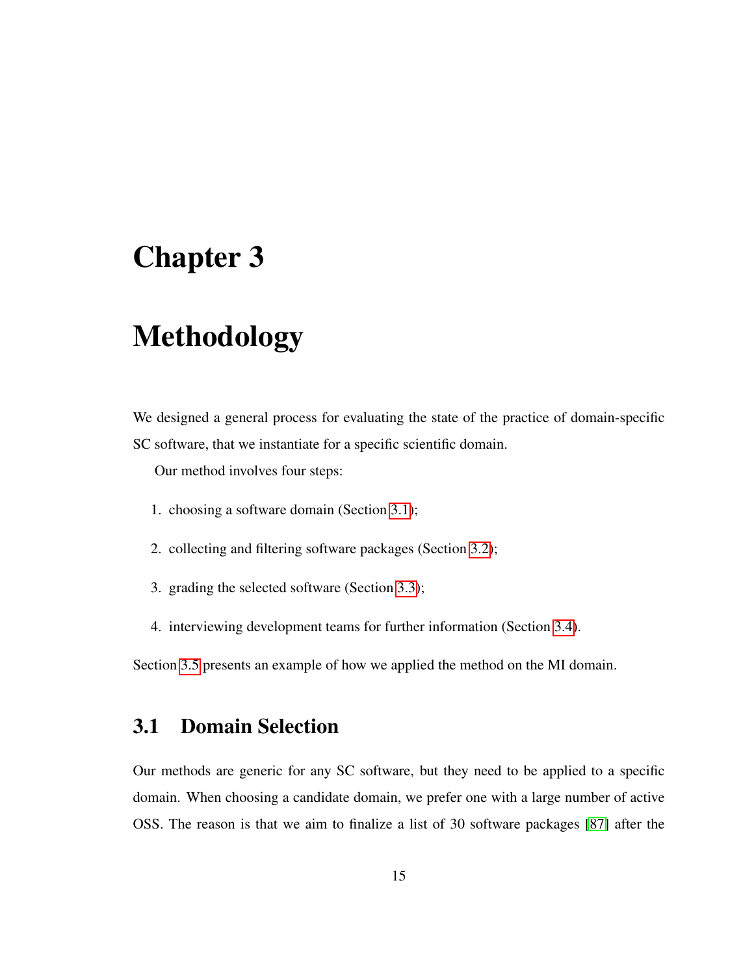# <span id="page-24-0"></span>Chapter 3

# Methodology

We designed a general process for evaluating the state of the practice of domain-specific SC software, that we instantiate for a specific scientific domain.

Our method involves four steps:

- 1. choosing a software domain (Section [3.1\)](#page-24-1);
- 2. collecting and filtering software packages (Section [3.2\)](#page-25-0);
- 3. grading the selected software (Section [3.3\)](#page-27-1);
- 4. interviewing development teams for further information (Section [3.4\)](#page-32-1).

Section [3.5](#page-34-1) presents an example of how we applied the method on the MI domain.

# <span id="page-24-1"></span>3.1 Domain Selection

Our methods are generic for any SC software, but they need to be applied to a specific domain. When choosing a candidate domain, we prefer one with a large number of active OSS. The reason is that we aim to finalize a list of 30 software packages [\[87\]](#page-108-4) after the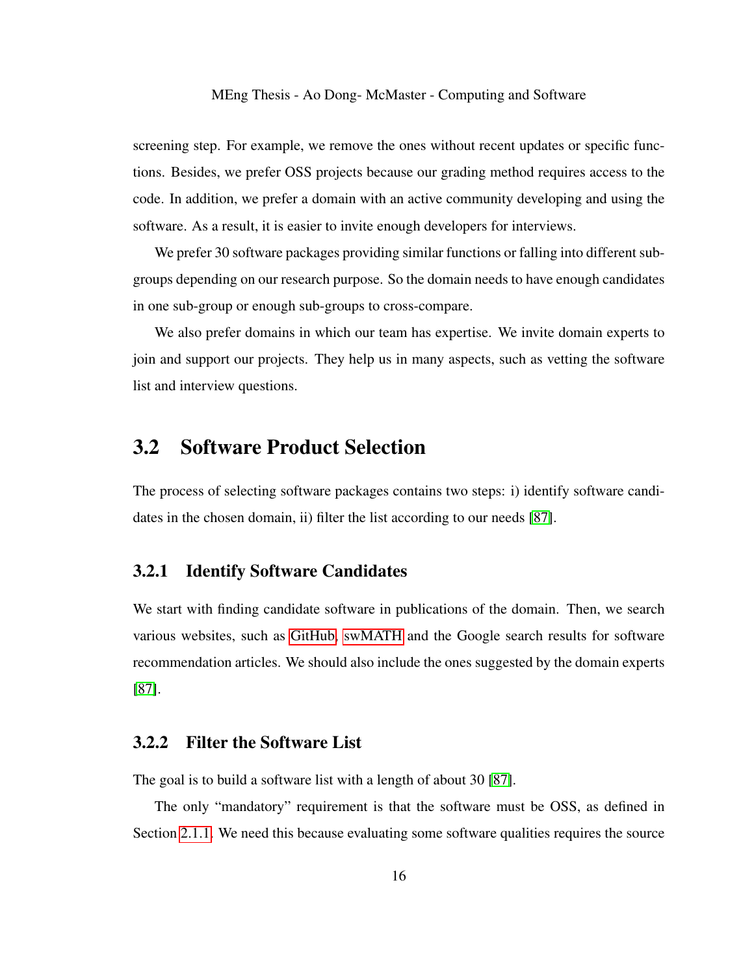screening step. For example, we remove the ones without recent updates or specific functions. Besides, we prefer OSS projects because our grading method requires access to the code. In addition, we prefer a domain with an active community developing and using the software. As a result, it is easier to invite enough developers for interviews.

We prefer 30 software packages providing similar functions or falling into different subgroups depending on our research purpose. So the domain needs to have enough candidates in one sub-group or enough sub-groups to cross-compare.

We also prefer domains in which our team has expertise. We invite domain experts to join and support our projects. They help us in many aspects, such as vetting the software list and interview questions.

## <span id="page-25-0"></span>3.2 Software Product Selection

The process of selecting software packages contains two steps: i) identify software candidates in the chosen domain, ii) filter the list according to our needs [\[87\]](#page-108-4).

### <span id="page-25-1"></span>3.2.1 Identify Software Candidates

We start with finding candidate software in publications of the domain. Then, we search various websites, such as [GitHub, swMATH](#page-0-1) and the Google search results for software recommendation articles. We should also include the ones suggested by the domain experts [\[87\]](#page-108-4).

### <span id="page-25-2"></span>3.2.2 Filter the Software List

The goal is to build a software list with a length of about 30 [\[87\]](#page-108-4).

The only "mandatory" requirement is that the software must be OSS, as defined in Section [2.1.1.](#page-19-0) We need this because evaluating some software qualities requires the source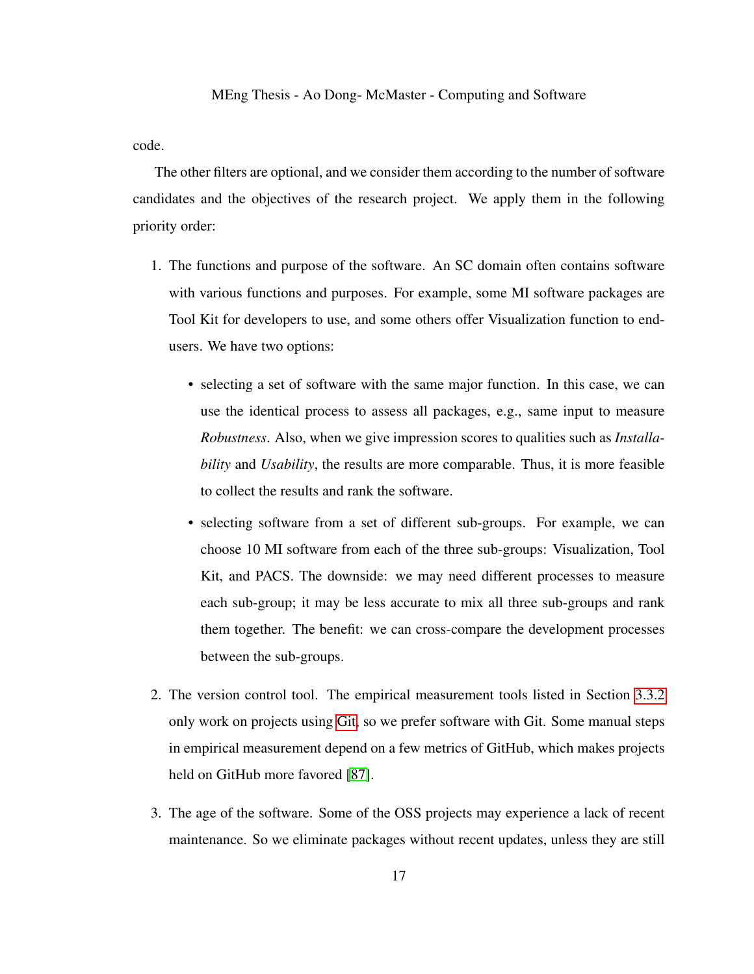#### code.

The other filters are optional, and we consider them according to the number of software candidates and the objectives of the research project. We apply them in the following priority order:

- 1. The functions and purpose of the software. An SC domain often contains software with various functions and purposes. For example, some MI software packages are Tool Kit for developers to use, and some others offer Visualization function to endusers. We have two options:
	- selecting a set of software with the same major function. In this case, we can use the identical process to assess all packages, e.g., same input to measure *Robustness*. Also, when we give impression scores to qualities such as *Installability* and *Usability*, the results are more comparable. Thus, it is more feasible to collect the results and rank the software.
	- selecting software from a set of different sub-groups. For example, we can choose 10 MI software from each of the three sub-groups: Visualization, Tool Kit, and PACS. The downside: we may need different processes to measure each sub-group; it may be less accurate to mix all three sub-groups and rank them together. The benefit: we can cross-compare the development processes between the sub-groups.
- 2. The version control tool. The empirical measurement tools listed in Section [3.3.2](#page-31-0) only work on projects using [Git,](#page-0-1) so we prefer software with Git. Some manual steps in empirical measurement depend on a few metrics of GitHub, which makes projects held on GitHub more favored [\[87\]](#page-108-4).
- 3. The age of the software. Some of the OSS projects may experience a lack of recent maintenance. So we eliminate packages without recent updates, unless they are still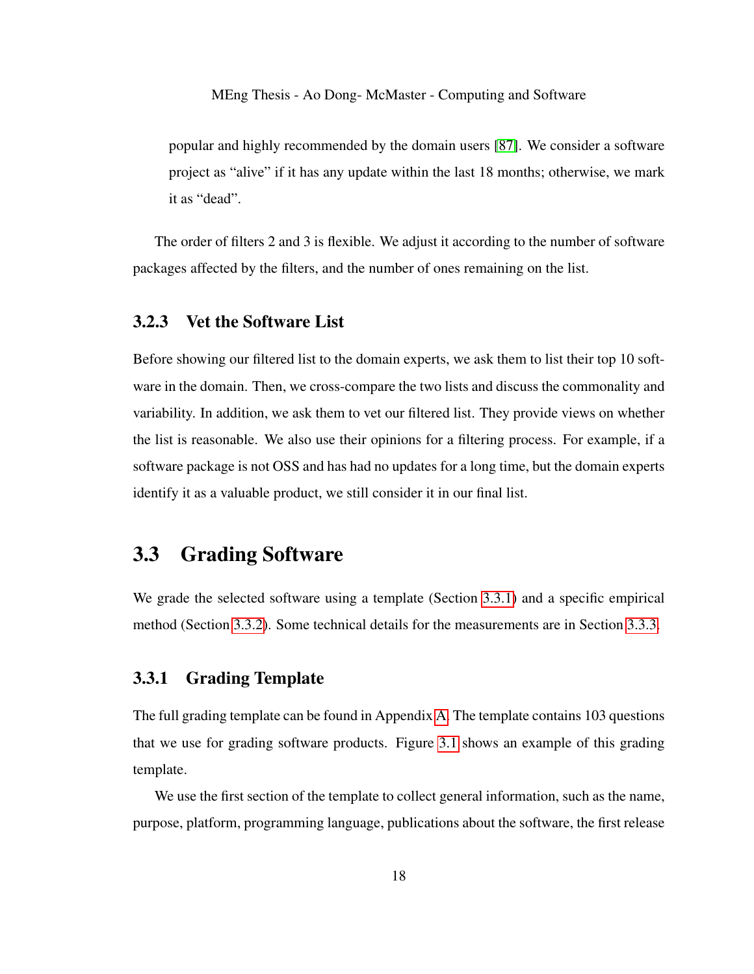popular and highly recommended by the domain users [\[87\]](#page-108-4). We consider a software project as "alive" if it has any update within the last 18 months; otherwise, we mark it as "dead".

The order of filters 2 and 3 is flexible. We adjust it according to the number of software packages affected by the filters, and the number of ones remaining on the list.

### <span id="page-27-0"></span>3.2.3 Vet the Software List

Before showing our filtered list to the domain experts, we ask them to list their top 10 software in the domain. Then, we cross-compare the two lists and discuss the commonality and variability. In addition, we ask them to vet our filtered list. They provide views on whether the list is reasonable. We also use their opinions for a filtering process. For example, if a software package is not OSS and has had no updates for a long time, but the domain experts identify it as a valuable product, we still consider it in our final list.

## <span id="page-27-1"></span>3.3 Grading Software

We grade the selected software using a template (Section [3.3.1\)](#page-27-2) and a specific empirical method (Section [3.3.2\)](#page-31-0). Some technical details for the measurements are in Section [3.3.3.](#page-32-0)

### <span id="page-27-2"></span>3.3.1 Grading Template

The full grading template can be found in Appendix [A.](#page-111-0) The template contains 103 questions that we use for grading software products. Figure [3.1](#page-28-0) shows an example of this grading template.

We use the first section of the template to collect general information, such as the name, purpose, platform, programming language, publications about the software, the first release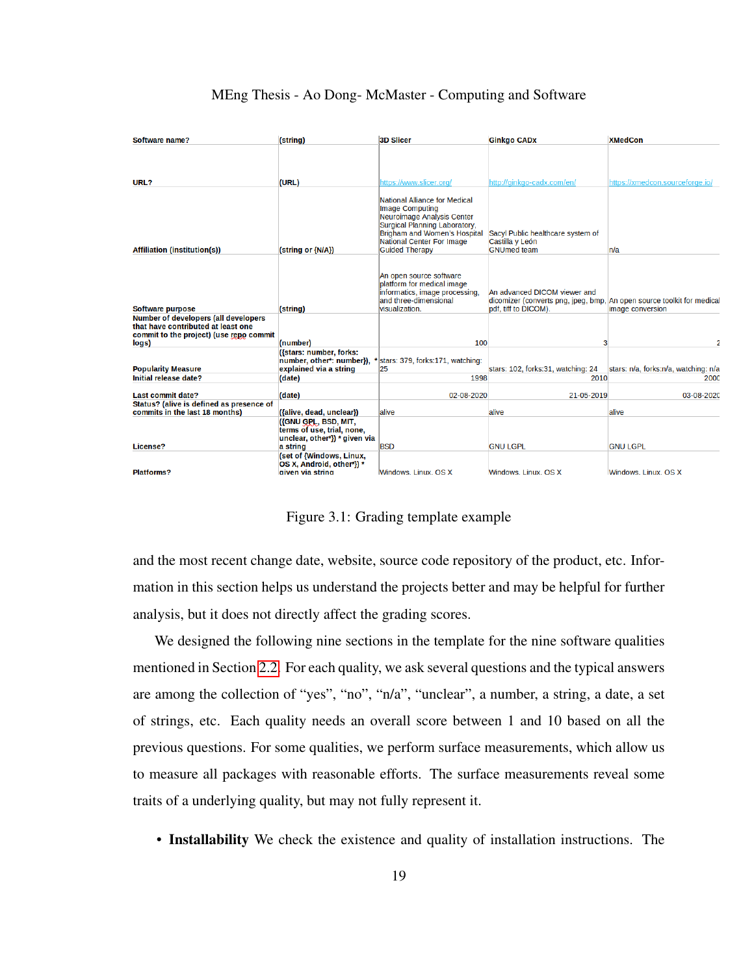| Software name?                                                                                                                        | (string)                                                                                        | <b>3D Slicer</b>                                                                                                                                                                                                    | <b>Ginkgo CADx</b>                                                                                    | <b>XMedCon</b>                       |
|---------------------------------------------------------------------------------------------------------------------------------------|-------------------------------------------------------------------------------------------------|---------------------------------------------------------------------------------------------------------------------------------------------------------------------------------------------------------------------|-------------------------------------------------------------------------------------------------------|--------------------------------------|
|                                                                                                                                       |                                                                                                 |                                                                                                                                                                                                                     |                                                                                                       |                                      |
|                                                                                                                                       |                                                                                                 |                                                                                                                                                                                                                     |                                                                                                       |                                      |
| URL?                                                                                                                                  | (URL)                                                                                           | https://www.slicer.org/                                                                                                                                                                                             | http://ginkgo-cadx.com/en/                                                                            | https://xmedcon.sourceforge.jo/      |
| <b>Affiliation (institution(s))</b>                                                                                                   | (string or {N/A})                                                                               | National Alliance for Medical<br><b>Image Computing</b><br>Neuroimage Analysis Center<br>Surgical Planning Laboratory,<br>Brigham and Women's Hospital<br><b>National Center For Image</b><br><b>Guided Therapy</b> | Sacyl Public healthcare system of<br>Castilla y León<br><b>GNUmed team</b>                            | n/a                                  |
|                                                                                                                                       |                                                                                                 | An open source software<br>platform for medical image<br>informatics, image processing,<br>and three-dimensional                                                                                                    | An advanced DICOM viewer and<br>dicomizer (converts png, jpeg, bmp, An open source toolkit for medica |                                      |
| <b>Software purpose</b>                                                                                                               | (string)                                                                                        | visualization.                                                                                                                                                                                                      | pdf, tiff to DICOM).                                                                                  | image conversion                     |
| <b>Number of developers (all developers</b><br>that have contributed at least one<br>commit to the project) (use repo commit<br>logs) | (number)                                                                                        | 100                                                                                                                                                                                                                 | 3                                                                                                     |                                      |
| <b>Popularity Measure</b>                                                                                                             | ({stars: number, forks:<br>number, other*: number}),<br>explained via a string                  | stars: 379, forks:171, watching:<br>25                                                                                                                                                                              | stars: 102, forks:31, watching: 24                                                                    | stars: n/a, forks:n/a, watching: n/a |
| <b>Initial release date?</b>                                                                                                          | (date)                                                                                          | 1998                                                                                                                                                                                                                | 2010                                                                                                  | 2000                                 |
| <b>Last commit date?</b>                                                                                                              | (date)                                                                                          | 02-08-2020                                                                                                                                                                                                          | 21-05-2019                                                                                            | 03-08-2020                           |
| Status? (alive is defined as presence of<br>commits in the last 18 months)                                                            | ({alive, dead, unclear})                                                                        | alive                                                                                                                                                                                                               | alive                                                                                                 | alive                                |
| License?                                                                                                                              | ({GNU GPL, BSD, MIT,<br>terms of use, trial, none,<br>unclear, other*}) * given via<br>a string | <b>BSD</b>                                                                                                                                                                                                          | <b>GNU LGPL</b>                                                                                       | <b>GNU LGPL</b>                      |
| <b>Platforms?</b>                                                                                                                     | (set of {Windows, Linux,<br>OS X, Android, other*}) *<br>given via string                       | Windows, Linux, OS X                                                                                                                                                                                                | Windows, Linux, OS X                                                                                  | Windows, Linux, OS X                 |



<span id="page-28-0"></span>and the most recent change date, website, source code repository of the product, etc. Information in this section helps us understand the projects better and may be helpful for further analysis, but it does not directly affect the grading scores.

We designed the following nine sections in the template for the nine software qualities mentioned in Section [2.2.](#page-20-0) For each quality, we ask several questions and the typical answers are among the collection of "yes", "no", "n/a", "unclear", a number, a string, a date, a set of strings, etc. Each quality needs an overall score between 1 and 10 based on all the previous questions. For some qualities, we perform surface measurements, which allow us to measure all packages with reasonable efforts. The surface measurements reveal some traits of a underlying quality, but may not fully represent it.

• Installability We check the existence and quality of installation instructions. The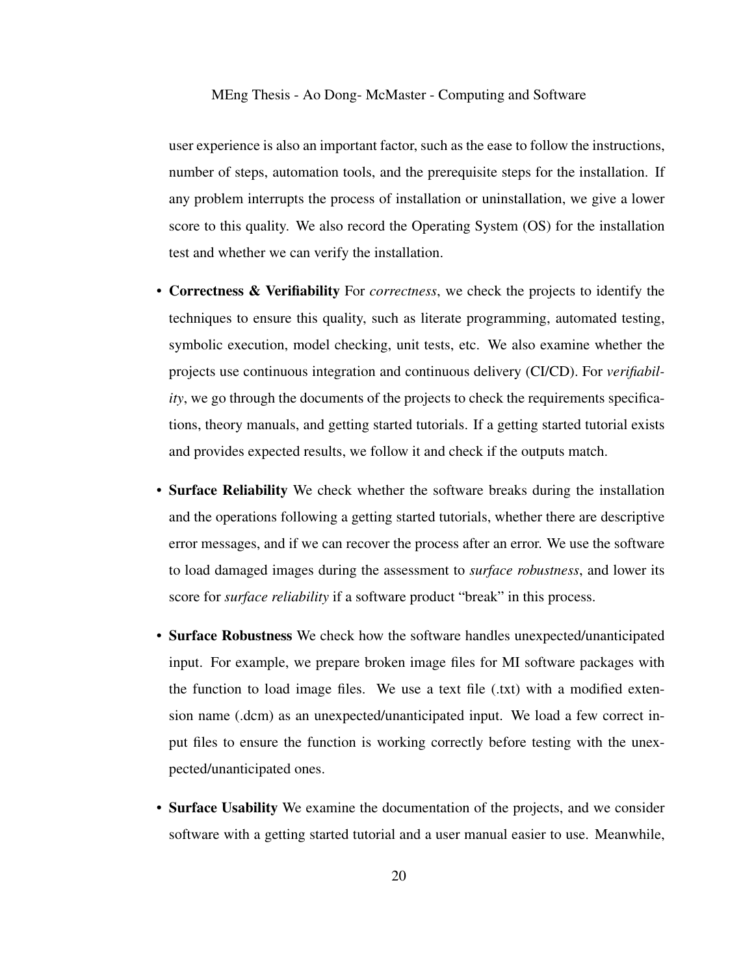user experience is also an important factor, such as the ease to follow the instructions, number of steps, automation tools, and the prerequisite steps for the installation. If any problem interrupts the process of installation or uninstallation, we give a lower score to this quality. We also record the Operating System (OS) for the installation test and whether we can verify the installation.

- Correctness & Verifiability For *correctness*, we check the projects to identify the techniques to ensure this quality, such as literate programming, automated testing, symbolic execution, model checking, unit tests, etc. We also examine whether the projects use continuous integration and continuous delivery (CI/CD). For *verifiability*, we go through the documents of the projects to check the requirements specifications, theory manuals, and getting started tutorials. If a getting started tutorial exists and provides expected results, we follow it and check if the outputs match.
- Surface Reliability We check whether the software breaks during the installation and the operations following a getting started tutorials, whether there are descriptive error messages, and if we can recover the process after an error. We use the software to load damaged images during the assessment to *surface robustness*, and lower its score for *surface reliability* if a software product "break" in this process.
- Surface Robustness We check how the software handles unexpected/unanticipated input. For example, we prepare broken image files for MI software packages with the function to load image files. We use a text file (.txt) with a modified extension name (.dcm) as an unexpected/unanticipated input. We load a few correct input files to ensure the function is working correctly before testing with the unexpected/unanticipated ones.
- Surface Usability We examine the documentation of the projects, and we consider software with a getting started tutorial and a user manual easier to use. Meanwhile,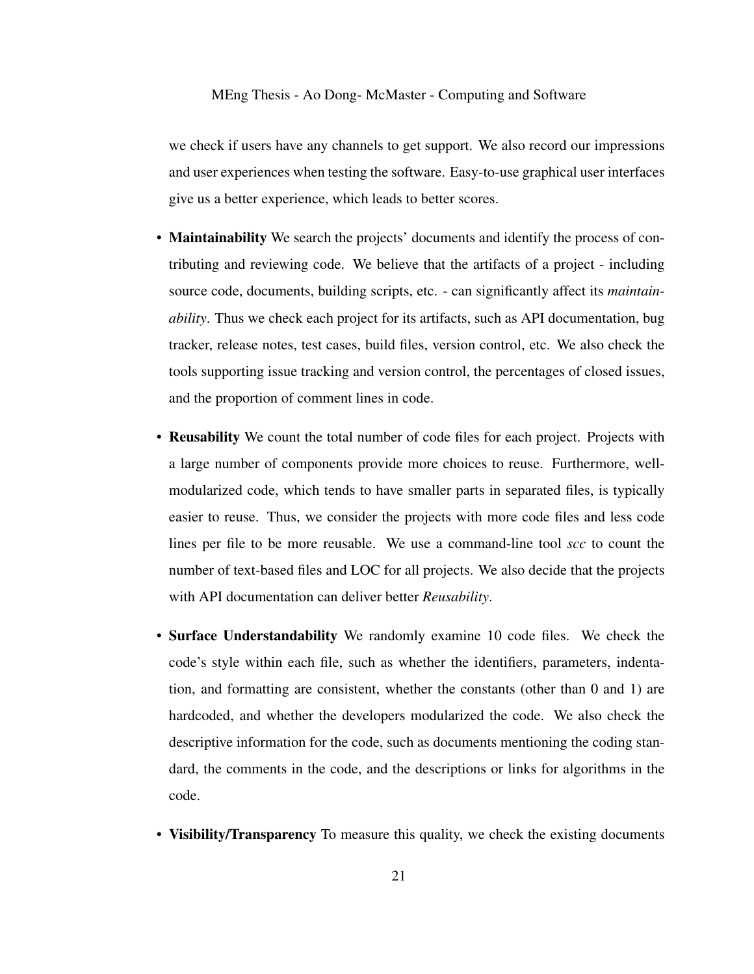we check if users have any channels to get support. We also record our impressions and user experiences when testing the software. Easy-to-use graphical user interfaces give us a better experience, which leads to better scores.

- Maintainability We search the projects' documents and identify the process of contributing and reviewing code. We believe that the artifacts of a project - including source code, documents, building scripts, etc. - can significantly affect its *maintainability*. Thus we check each project for its artifacts, such as API documentation, bug tracker, release notes, test cases, build files, version control, etc. We also check the tools supporting issue tracking and version control, the percentages of closed issues, and the proportion of comment lines in code.
- Reusability We count the total number of code files for each project. Projects with a large number of components provide more choices to reuse. Furthermore, wellmodularized code, which tends to have smaller parts in separated files, is typically easier to reuse. Thus, we consider the projects with more code files and less code lines per file to be more reusable. We use a command-line tool *scc* to count the number of text-based files and LOC for all projects. We also decide that the projects with API documentation can deliver better *Reusability*.
- Surface Understandability We randomly examine 10 code files. We check the code's style within each file, such as whether the identifiers, parameters, indentation, and formatting are consistent, whether the constants (other than 0 and 1) are hardcoded, and whether the developers modularized the code. We also check the descriptive information for the code, such as documents mentioning the coding standard, the comments in the code, and the descriptions or links for algorithms in the code.
- Visibility/Transparency To measure this quality, we check the existing documents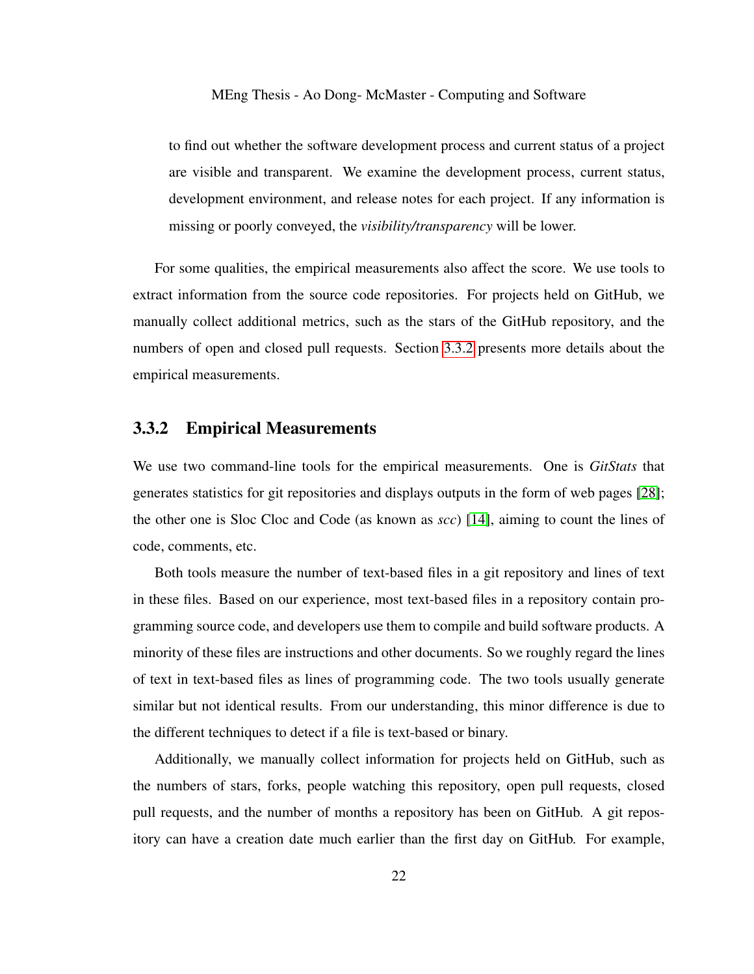to find out whether the software development process and current status of a project are visible and transparent. We examine the development process, current status, development environment, and release notes for each project. If any information is missing or poorly conveyed, the *visibility/transparency* will be lower.

For some qualities, the empirical measurements also affect the score. We use tools to extract information from the source code repositories. For projects held on GitHub, we manually collect additional metrics, such as the stars of the GitHub repository, and the numbers of open and closed pull requests. Section [3.3.2](#page-31-0) presents more details about the empirical measurements.

### <span id="page-31-0"></span>3.3.2 Empirical Measurements

We use two command-line tools for the empirical measurements. One is *GitStats* that generates statistics for git repositories and displays outputs in the form of web pages [\[28\]](#page-101-5); the other one is Sloc Cloc and Code (as known as *scc*) [\[14\]](#page-99-4), aiming to count the lines of code, comments, etc.

Both tools measure the number of text-based files in a git repository and lines of text in these files. Based on our experience, most text-based files in a repository contain programming source code, and developers use them to compile and build software products. A minority of these files are instructions and other documents. So we roughly regard the lines of text in text-based files as lines of programming code. The two tools usually generate similar but not identical results. From our understanding, this minor difference is due to the different techniques to detect if a file is text-based or binary.

Additionally, we manually collect information for projects held on GitHub, such as the numbers of stars, forks, people watching this repository, open pull requests, closed pull requests, and the number of months a repository has been on GitHub. A git repository can have a creation date much earlier than the first day on GitHub. For example,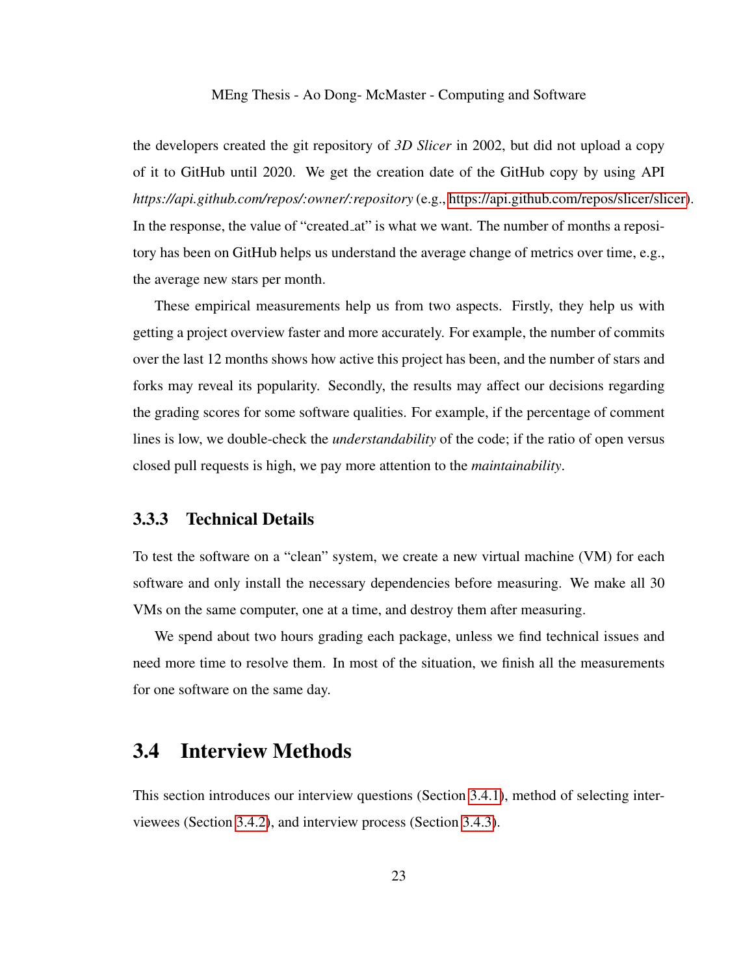the developers created the git repository of *3D Slicer* in 2002, but did not upload a copy of it to GitHub until 2020. We get the creation date of the GitHub copy by using API *https://api.github.com/repos/:owner/:repository* (e.g., [https://api.github.com/repos/slicer/slicer\)](#page-0-1). In the response, the value of "created at" is what we want. The number of months a repository has been on GitHub helps us understand the average change of metrics over time, e.g., the average new stars per month.

These empirical measurements help us from two aspects. Firstly, they help us with getting a project overview faster and more accurately. For example, the number of commits over the last 12 months shows how active this project has been, and the number of stars and forks may reveal its popularity. Secondly, the results may affect our decisions regarding the grading scores for some software qualities. For example, if the percentage of comment lines is low, we double-check the *understandability* of the code; if the ratio of open versus closed pull requests is high, we pay more attention to the *maintainability*.

#### <span id="page-32-0"></span>3.3.3 Technical Details

To test the software on a "clean" system, we create a new virtual machine (VM) for each software and only install the necessary dependencies before measuring. We make all 30 VMs on the same computer, one at a time, and destroy them after measuring.

We spend about two hours grading each package, unless we find technical issues and need more time to resolve them. In most of the situation, we finish all the measurements for one software on the same day.

## <span id="page-32-1"></span>3.4 Interview Methods

This section introduces our interview questions (Section [3.4.1\)](#page-33-0), method of selecting interviewees (Section [3.4.2\)](#page-33-1), and interview process (Section [3.4.3\)](#page-34-0).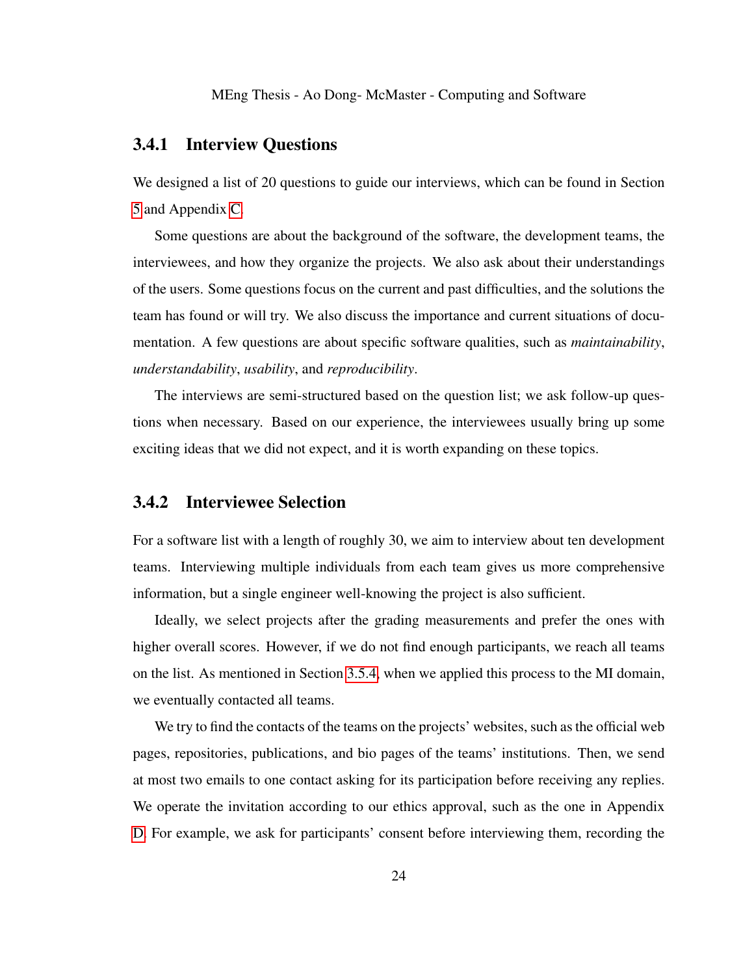### <span id="page-33-0"></span>3.4.1 Interview Questions

We designed a list of 20 questions to guide our interviews, which can be found in Section [5](#page-57-0) and Appendix [C.](#page-120-0)

Some questions are about the background of the software, the development teams, the interviewees, and how they organize the projects. We also ask about their understandings of the users. Some questions focus on the current and past difficulties, and the solutions the team has found or will try. We also discuss the importance and current situations of documentation. A few questions are about specific software qualities, such as *maintainability*, *understandability*, *usability*, and *reproducibility*.

The interviews are semi-structured based on the question list; we ask follow-up questions when necessary. Based on our experience, the interviewees usually bring up some exciting ideas that we did not expect, and it is worth expanding on these topics.

### <span id="page-33-1"></span>3.4.2 Interviewee Selection

For a software list with a length of roughly 30, we aim to interview about ten development teams. Interviewing multiple individuals from each team gives us more comprehensive information, but a single engineer well-knowing the project is also sufficient.

Ideally, we select projects after the grading measurements and prefer the ones with higher overall scores. However, if we do not find enough participants, we reach all teams on the list. As mentioned in Section [3.5.4,](#page-37-0) when we applied this process to the MI domain, we eventually contacted all teams.

We try to find the contacts of the teams on the projects' websites, such as the official web pages, repositories, publications, and bio pages of the teams' institutions. Then, we send at most two emails to one contact asking for its participation before receiving any replies. We operate the invitation according to our ethics approval, such as the one in Appendix [D.](#page-125-1) For example, we ask for participants' consent before interviewing them, recording the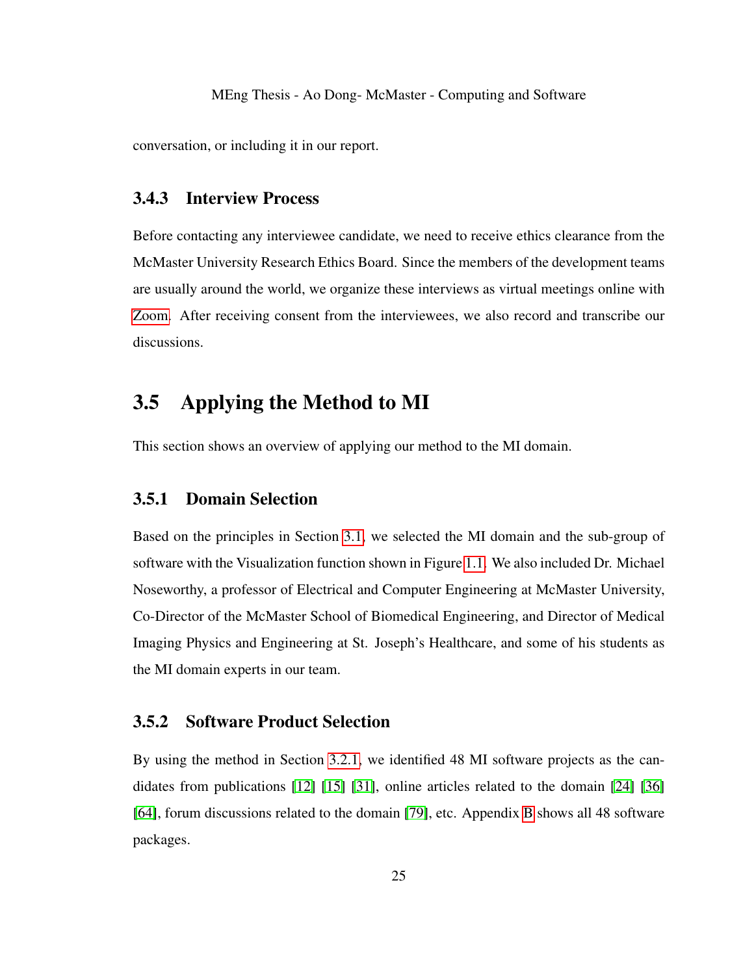conversation, or including it in our report.

### <span id="page-34-0"></span>3.4.3 Interview Process

Before contacting any interviewee candidate, we need to receive ethics clearance from the McMaster University Research Ethics Board. Since the members of the development teams are usually around the world, we organize these interviews as virtual meetings online with [Zoom.](#page-0-1) After receiving consent from the interviewees, we also record and transcribe our discussions.

# <span id="page-34-1"></span>3.5 Applying the Method to MI

This section shows an overview of applying our method to the MI domain.

### <span id="page-34-2"></span>3.5.1 Domain Selection

Based on the principles in Section [3.1,](#page-24-1) we selected the MI domain and the sub-group of software with the Visualization function shown in Figure [1.1.](#page-17-0) We also included Dr. Michael Noseworthy, a professor of Electrical and Computer Engineering at McMaster University, Co-Director of the McMaster School of Biomedical Engineering, and Director of Medical Imaging Physics and Engineering at St. Joseph's Healthcare, and some of his students as the MI domain experts in our team.

### <span id="page-34-3"></span>3.5.2 Software Product Selection

By using the method in Section [3.2.1,](#page-25-1) we identified 48 MI software projects as the candidates from publications [\[12\]](#page-99-5) [\[15\]](#page-99-6) [\[31\]](#page-101-6), online articles related to the domain [\[24\]](#page-100-2) [\[36\]](#page-102-4) [\[64\]](#page-105-3), forum discussions related to the domain [\[79\]](#page-107-4), etc. Appendix [B](#page-118-0) shows all 48 software packages.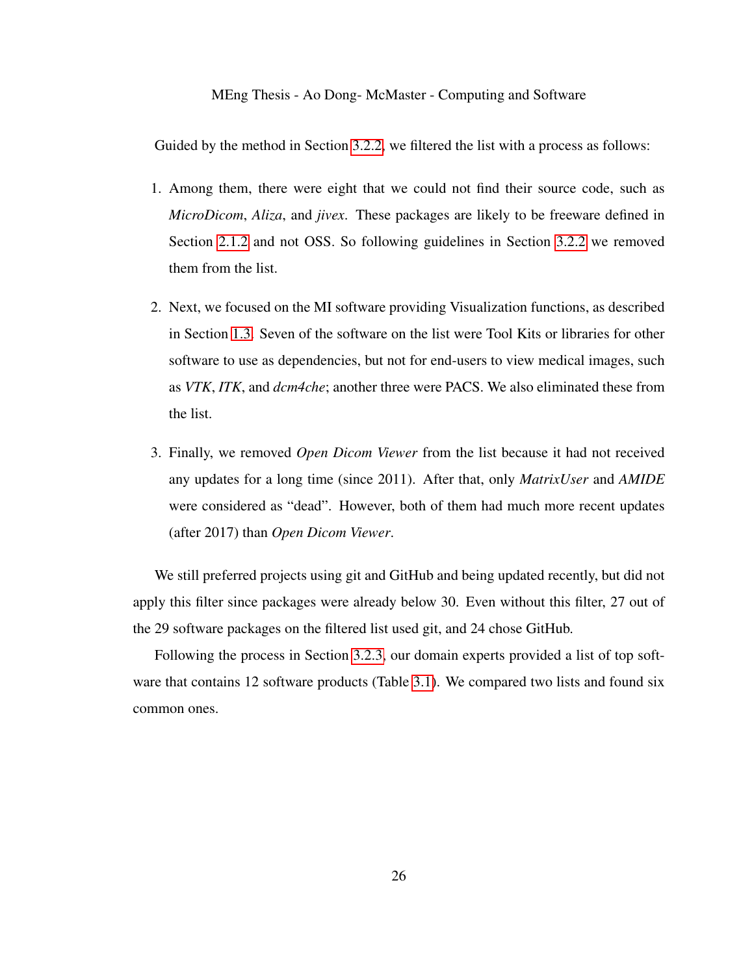Guided by the method in Section [3.2.2,](#page-25-2) we filtered the list with a process as follows:

- 1. Among them, there were eight that we could not find their source code, such as *MicroDicom*, *Aliza*, and *jivex*. These packages are likely to be freeware defined in Section [2.1.2](#page-19-1) and not OSS. So following guidelines in Section [3.2.2](#page-25-2) we removed them from the list.
- 2. Next, we focused on the MI software providing Visualization functions, as described in Section [1.3.](#page-14-0) Seven of the software on the list were Tool Kits or libraries for other software to use as dependencies, but not for end-users to view medical images, such as *VTK*, *ITK*, and *dcm4che*; another three were PACS. We also eliminated these from the list.
- 3. Finally, we removed *Open Dicom Viewer* from the list because it had not received any updates for a long time (since 2011). After that, only *MatrixUser* and *AMIDE* were considered as "dead". However, both of them had much more recent updates (after 2017) than *Open Dicom Viewer*.

We still preferred projects using git and GitHub and being updated recently, but did not apply this filter since packages were already below 30. Even without this filter, 27 out of the 29 software packages on the filtered list used git, and 24 chose GitHub.

Following the process in Section [3.2.3,](#page-27-0) our domain experts provided a list of top software that contains 12 software products (Table [3.1\)](#page-36-1). We compared two lists and found six common ones.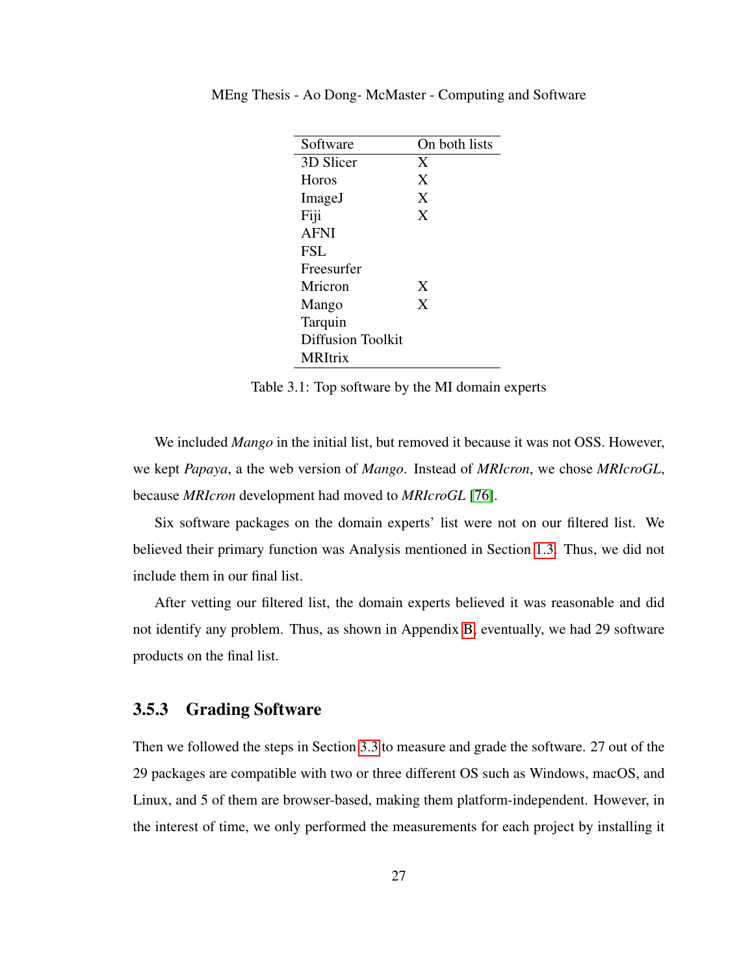| Software                 | On both lists |
|--------------------------|---------------|
| 3D Slicer                | X             |
| Horos                    | X             |
| ImageJ                   | X             |
| Fiji                     | X             |
| <b>AFNI</b>              |               |
| FSL.                     |               |
| Freesurfer               |               |
| Mricron                  | X             |
| Mango                    | X             |
| Tarquin                  |               |
| <b>Diffusion Toolkit</b> |               |
| <b>MRItrix</b>           |               |

MEng Thesis - Ao Dong- McMaster - Computing and Software

Table 3.1: Top software by the MI domain experts

We included *Mango* in the initial list, but removed it because it was not OSS. However, we kept *Papaya*, a the web version of *Mango*. Instead of *MRIcron*, we chose *MRIcroGL*, because *MRIcron* development had moved to *MRIcroGL* [\[76\]](#page-106-0).

Six software packages on the domain experts' list were not on our filtered list. We believed their primary function was Analysis mentioned in Section [1.3.](#page-14-0) Thus, we did not include them in our final list.

After vetting our filtered list, the domain experts believed it was reasonable and did not identify any problem. Thus, as shown in Appendix [B,](#page-118-0) eventually, we had 29 software products on the final list.

#### <span id="page-36-0"></span>3.5.3 Grading Software

Then we followed the steps in Section [3.3](#page-27-0) to measure and grade the software. 27 out of the 29 packages are compatible with two or three different OS such as Windows, macOS, and Linux, and 5 of them are browser-based, making them platform-independent. However, in the interest of time, we only performed the measurements for each project by installing it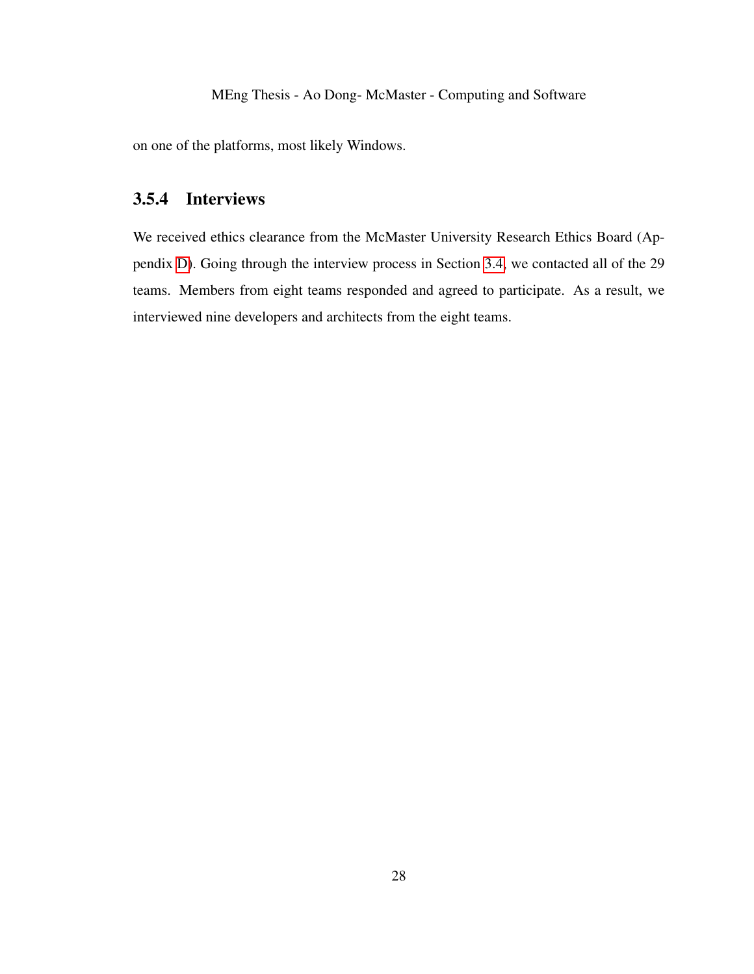on one of the platforms, most likely Windows.

### <span id="page-37-0"></span>3.5.4 Interviews

We received ethics clearance from the McMaster University Research Ethics Board (Appendix [D\)](#page-125-0). Going through the interview process in Section [3.4,](#page-32-0) we contacted all of the 29 teams. Members from eight teams responded and agreed to participate. As a result, we interviewed nine developers and architects from the eight teams.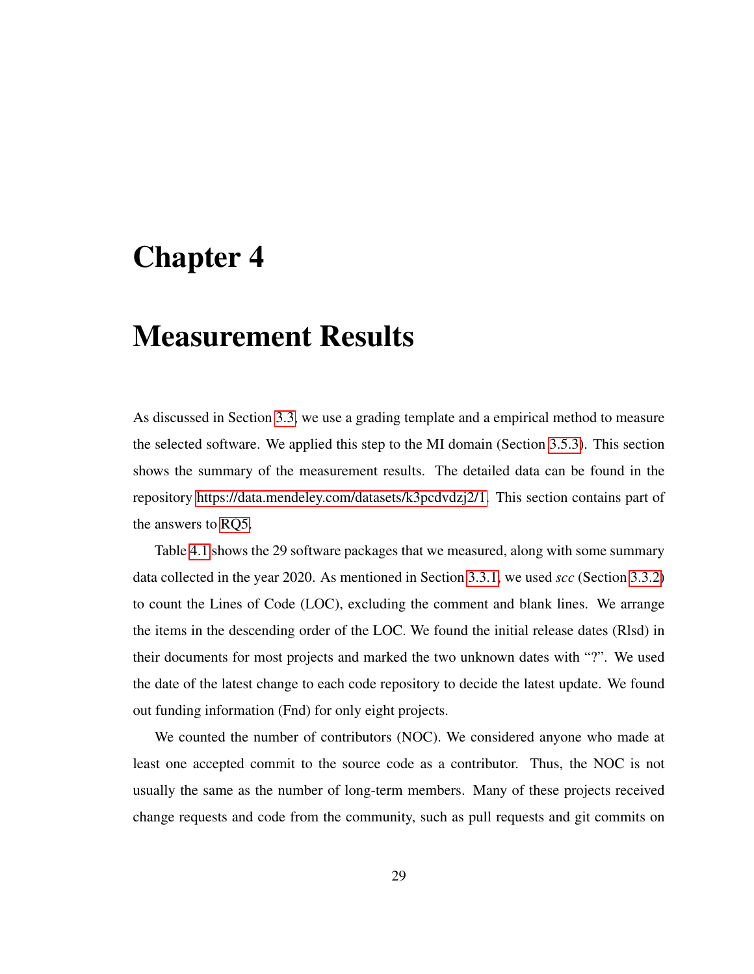# <span id="page-38-0"></span>Chapter 4

# Measurement Results

As discussed in Section [3.3,](#page-27-0) we use a grading template and a empirical method to measure the selected software. We applied this step to the MI domain (Section [3.5.3\)](#page-36-0). This section shows the summary of the measurement results. The detailed data can be found in the repository [https://data.mendeley.com/datasets/k3pcdvdzj2/1.](#page-0-0) This section contains part of the answers to [RQ5.](#page-13-0)

Table [4.1](#page-40-0) shows the 29 software packages that we measured, along with some summary data collected in the year 2020. As mentioned in Section [3.3.1,](#page-27-1) we used *scc* (Section [3.3.2\)](#page-31-0) to count the Lines of Code (LOC), excluding the comment and blank lines. We arrange the items in the descending order of the LOC. We found the initial release dates (Rlsd) in their documents for most projects and marked the two unknown dates with "?". We used the date of the latest change to each code repository to decide the latest update. We found out funding information (Fnd) for only eight projects.

We counted the number of contributors (NOC). We considered anyone who made at least one accepted commit to the source code as a contributor. Thus, the NOC is not usually the same as the number of long-term members. Many of these projects received change requests and code from the community, such as pull requests and git commits on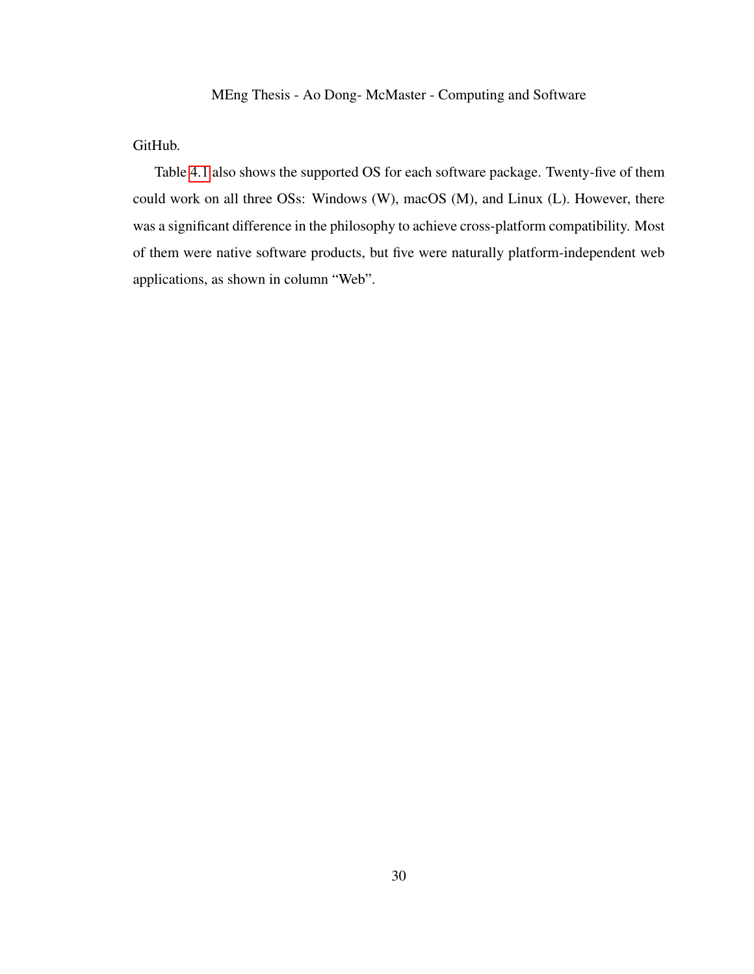GitHub.

Table [4.1](#page-40-0) also shows the supported OS for each software package. Twenty-five of them could work on all three OSs: Windows (W), macOS (M), and Linux (L). However, there was a significant difference in the philosophy to achieve cross-platform compatibility. Most of them were native software products, but five were naturally platform-independent web applications, as shown in column "Web".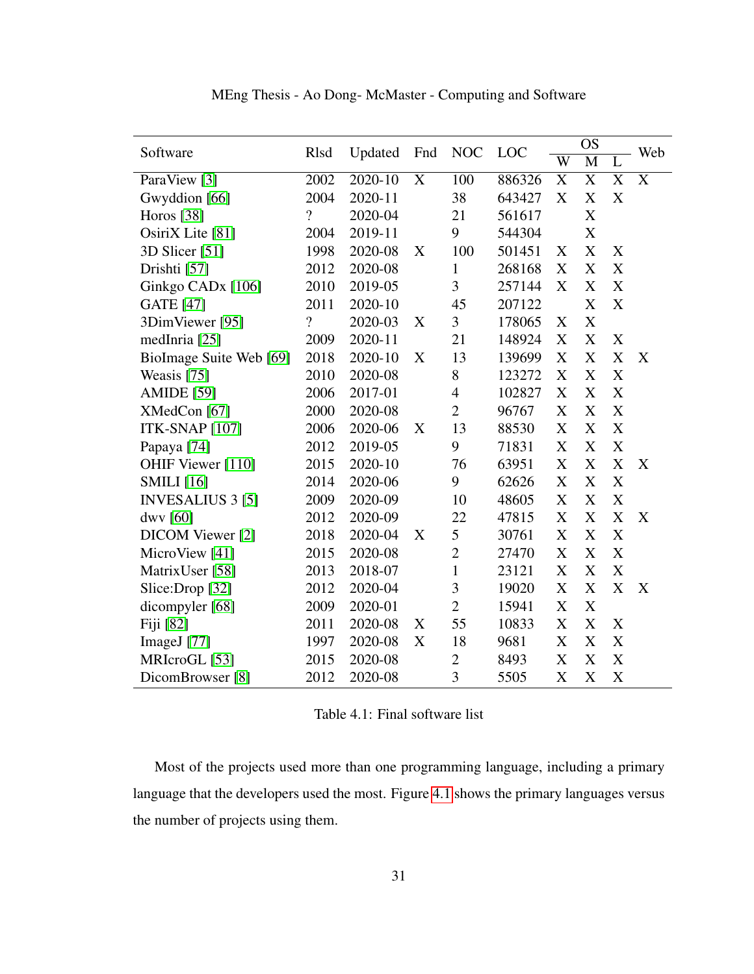| Software                      | <b>NOC</b><br><b>R</b> lsd<br>Updated<br>Fnd |         | LOC | <b>OS</b>      |        | Web                   |                         |   |   |
|-------------------------------|----------------------------------------------|---------|-----|----------------|--------|-----------------------|-------------------------|---|---|
|                               |                                              |         |     |                |        | $\overline{\text{W}}$ | $\overline{\mathbf{M}}$ |   |   |
| ParaView [3]                  | 2002                                         | 2020-10 | X   | 100            | 886326 | X                     | X                       | X | X |
| Gwyddion [66]                 | 2004                                         | 2020-11 |     | 38             | 643427 | X                     | X                       | X |   |
| Horos [38]                    | $\overline{?}$                               | 2020-04 |     | 21             | 561617 |                       | X                       |   |   |
| OsiriX Lite [81]              | 2004                                         | 2019-11 |     | 9              | 544304 |                       | X                       |   |   |
| 3D Slicer [51]                | 1998                                         | 2020-08 | X   | 100            | 501451 | X                     | X                       | X |   |
| Drishti [57]                  | 2012                                         | 2020-08 |     | 1              | 268168 | X                     | X                       | X |   |
| Ginkgo CAD <sub>x</sub> [106] | 2010                                         | 2019-05 |     | 3              | 257144 | X                     | X                       | X |   |
| <b>GATE</b> [47]              | 2011                                         | 2020-10 |     | 45             | 207122 |                       | X                       | X |   |
| 3DimViewer [95]               | $\overline{?}$                               | 2020-03 | X   | 3              | 178065 | X                     | X                       |   |   |
| medInria [25]                 | 2009                                         | 2020-11 |     | 21             | 148924 | X                     | X                       | X |   |
| BioImage Suite Web [69]       | 2018                                         | 2020-10 | X   | 13             | 139699 | X                     | X                       | X | X |
| Weasis [75]                   | 2010                                         | 2020-08 |     | 8              | 123272 | X                     | X                       | X |   |
| <b>AMIDE</b> [59]             | 2006                                         | 2017-01 |     | $\overline{4}$ | 102827 | X                     | X                       | X |   |
| XMedCon [67]                  | 2000                                         | 2020-08 |     | $\overline{2}$ | 96767  | X                     | X                       | X |   |
| <b>ITK-SNAP [107]</b>         | 2006                                         | 2020-06 | X   | 13             | 88530  | X                     | X                       | X |   |
| Papaya <sup>[74]</sup>        | 2012                                         | 2019-05 |     | 9              | 71831  | X                     | X                       | X |   |
| OHIF Viewer [110]             | 2015                                         | 2020-10 |     | 76             | 63951  | X                     | X                       | X | X |
| <b>SMILI</b> [16]             | 2014                                         | 2020-06 |     | 9              | 62626  | X                     | X                       | X |   |
| <b>INVESALIUS 3 [5]</b>       | 2009                                         | 2020-09 |     | 10             | 48605  | $\mathbf X$           | X                       | X |   |
| $d$ wy [60]                   | 2012                                         | 2020-09 |     | 22             | 47815  | X                     | X                       | X | X |
| DICOM Viewer [2]              | 2018                                         | 2020-04 | X   | 5              | 30761  | X                     | X                       | X |   |
| MicroView [41]                | 2015                                         | 2020-08 |     | $\overline{2}$ | 27470  | X                     | X                       | X |   |
| MatrixUser [58]               | 2013                                         | 2018-07 |     | $\mathbf{1}$   | 23121  | X                     | X                       | X |   |
| Slice:Drop [32]               | 2012                                         | 2020-04 |     | 3              | 19020  | X                     | X                       | X | X |
| dicompyler [68]               | 2009                                         | 2020-01 |     | $\overline{2}$ | 15941  | X                     | X                       |   |   |
| Fiji [82]                     | 2011                                         | 2020-08 | X   | 55             | 10833  | X                     | X                       | X |   |
| ImageJ $[77]$                 | 1997                                         | 2020-08 | X   | 18             | 9681   | X                     | X                       | X |   |
| MRIcroGL [53]                 | 2015                                         | 2020-08 |     | $\overline{2}$ | 8493   | X                     | X                       | X |   |
| DicomBrowser [8]              | 2012                                         | 2020-08 |     | 3              | 5505   | X                     | X                       | X |   |

MEng Thesis - Ao Dong- McMaster - Computing and Software

<span id="page-40-0"></span>Table 4.1: Final software list

Most of the projects used more than one programming language, including a primary language that the developers used the most. Figure [4.1](#page-41-0) shows the primary languages versus the number of projects using them.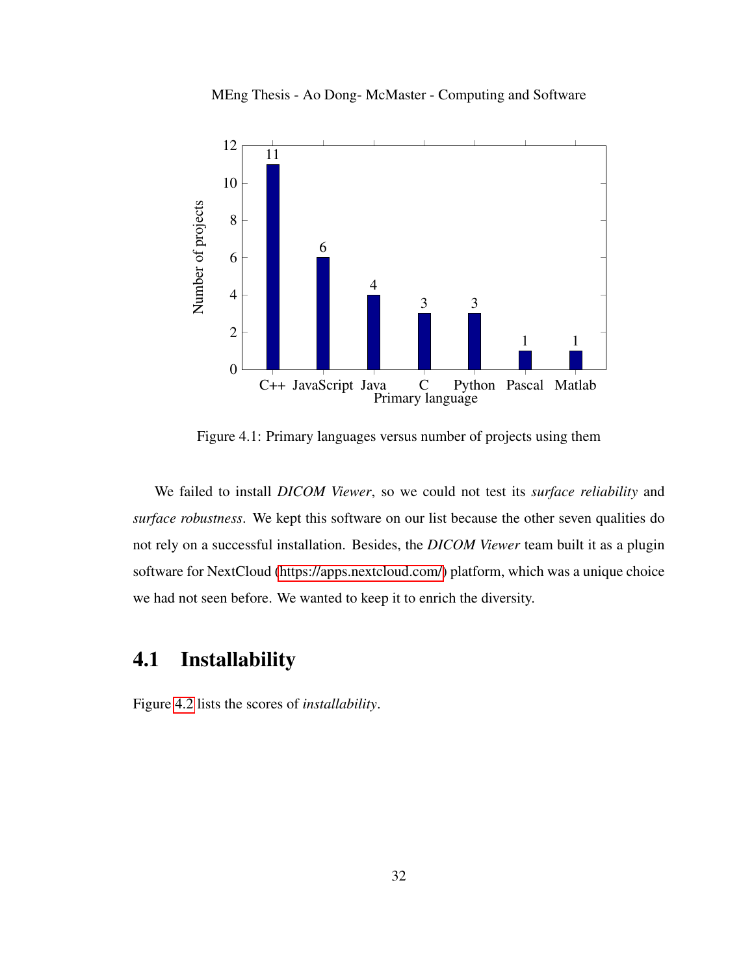

MEng Thesis - Ao Dong- McMaster - Computing and Software

<span id="page-41-0"></span>Figure 4.1: Primary languages versus number of projects using them

We failed to install *DICOM Viewer*, so we could not test its *surface reliability* and *surface robustness*. We kept this software on our list because the other seven qualities do not rely on a successful installation. Besides, the *DICOM Viewer* team built it as a plugin software for NextCloud [\(https://apps.nextcloud.com/\)](#page-0-0) platform, which was a unique choice we had not seen before. We wanted to keep it to enrich the diversity.

## <span id="page-41-1"></span>4.1 Installability

Figure [4.2](#page-42-0) lists the scores of *installability*.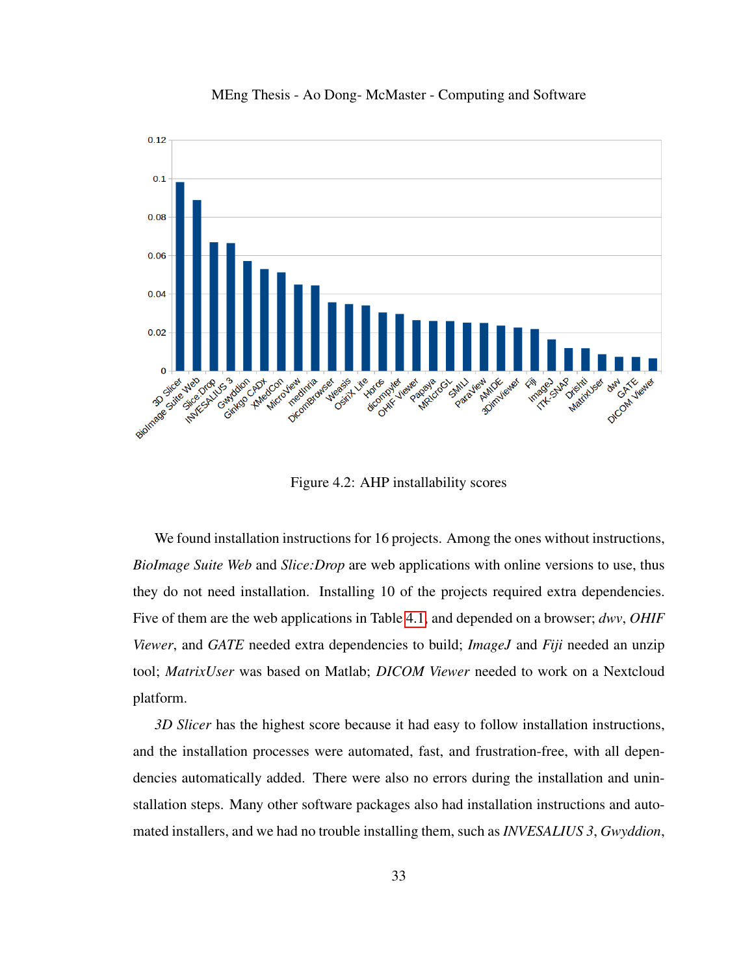

MEng Thesis - Ao Dong- McMaster - Computing and Software

Figure 4.2: AHP installability scores

<span id="page-42-0"></span>We found installation instructions for 16 projects. Among the ones without instructions, *BioImage Suite Web* and *Slice:Drop* are web applications with online versions to use, thus they do not need installation. Installing 10 of the projects required extra dependencies. Five of them are the web applications in Table [4.1,](#page-40-0) and depended on a browser; *dwv*, *OHIF Viewer*, and *GATE* needed extra dependencies to build; *ImageJ* and *Fiji* needed an unzip tool; *MatrixUser* was based on Matlab; *DICOM Viewer* needed to work on a Nextcloud platform.

*3D Slicer* has the highest score because it had easy to follow installation instructions, and the installation processes were automated, fast, and frustration-free, with all dependencies automatically added. There were also no errors during the installation and uninstallation steps. Many other software packages also had installation instructions and automated installers, and we had no trouble installing them, such as *INVESALIUS 3*, *Gwyddion*,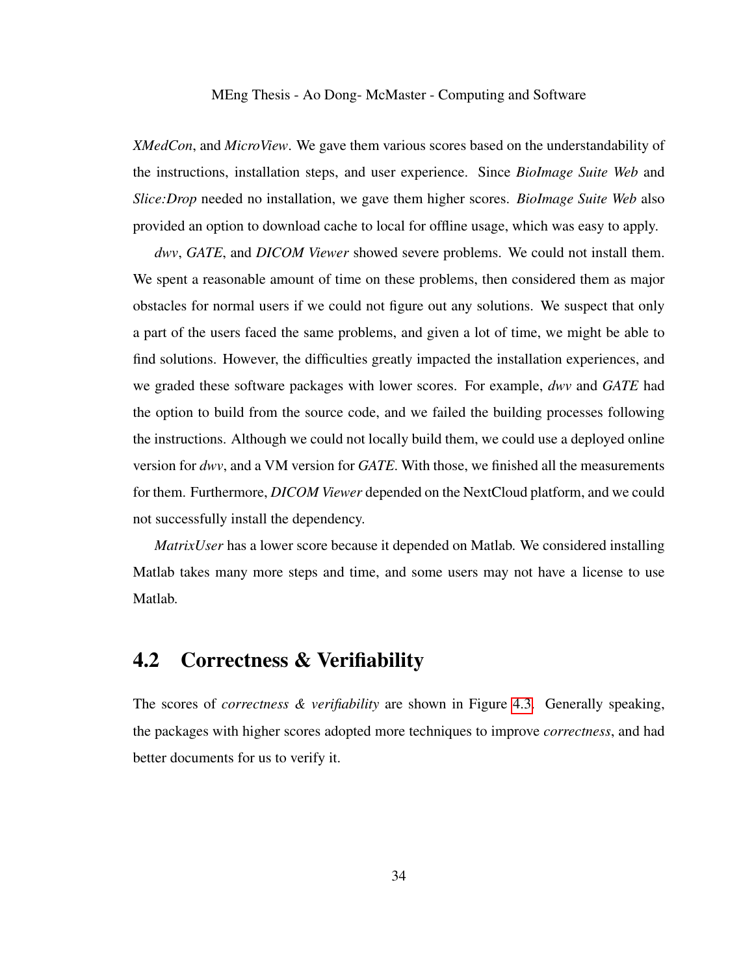*XMedCon*, and *MicroView*. We gave them various scores based on the understandability of the instructions, installation steps, and user experience. Since *BioImage Suite Web* and *Slice:Drop* needed no installation, we gave them higher scores. *BioImage Suite Web* also provided an option to download cache to local for offline usage, which was easy to apply.

*dwv*, *GATE*, and *DICOM Viewer* showed severe problems. We could not install them. We spent a reasonable amount of time on these problems, then considered them as major obstacles for normal users if we could not figure out any solutions. We suspect that only a part of the users faced the same problems, and given a lot of time, we might be able to find solutions. However, the difficulties greatly impacted the installation experiences, and we graded these software packages with lower scores. For example, *dwv* and *GATE* had the option to build from the source code, and we failed the building processes following the instructions. Although we could not locally build them, we could use a deployed online version for *dwv*, and a VM version for *GATE*. With those, we finished all the measurements for them. Furthermore, *DICOM Viewer* depended on the NextCloud platform, and we could not successfully install the dependency.

*MatrixUser* has a lower score because it depended on Matlab. We considered installing Matlab takes many more steps and time, and some users may not have a license to use Matlab.

## 4.2 Correctness & Verifiability

The scores of *correctness & verifiability* are shown in Figure [4.3.](#page-44-0) Generally speaking, the packages with higher scores adopted more techniques to improve *correctness*, and had better documents for us to verify it.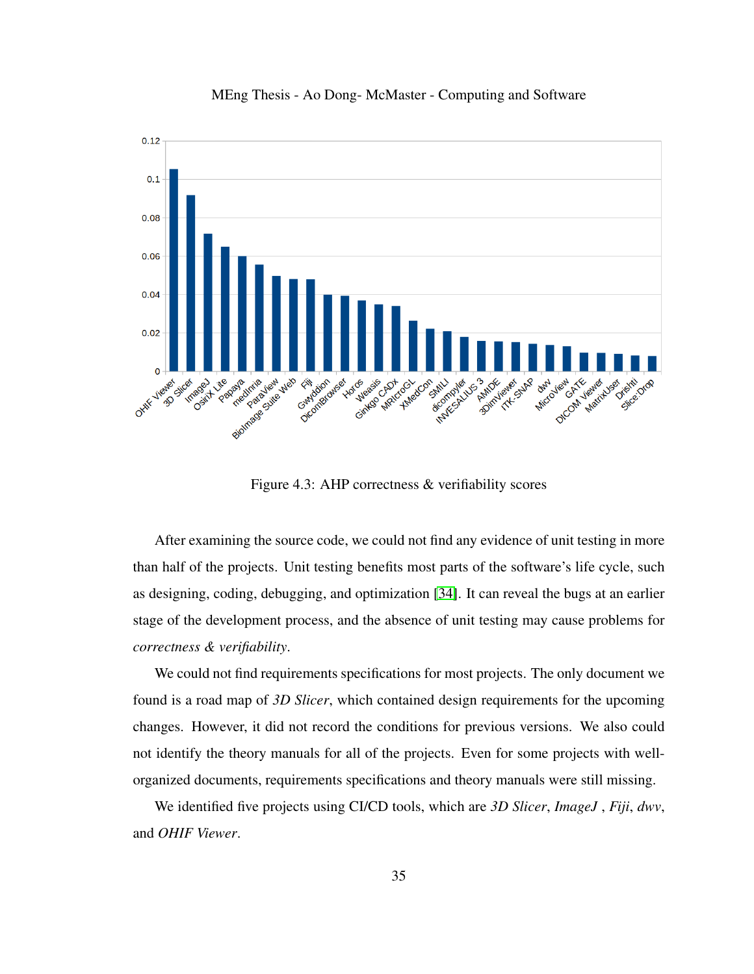

MEng Thesis - Ao Dong- McMaster - Computing and Software

Figure 4.3: AHP correctness & verifiability scores

<span id="page-44-0"></span>After examining the source code, we could not find any evidence of unit testing in more than half of the projects. Unit testing benefits most parts of the software's life cycle, such as designing, coding, debugging, and optimization [\[34\]](#page-101-2). It can reveal the bugs at an earlier stage of the development process, and the absence of unit testing may cause problems for *correctness & verifiability*.

We could not find requirements specifications for most projects. The only document we found is a road map of *3D Slicer*, which contained design requirements for the upcoming changes. However, it did not record the conditions for previous versions. We also could not identify the theory manuals for all of the projects. Even for some projects with wellorganized documents, requirements specifications and theory manuals were still missing.

We identified five projects using CI/CD tools, which are *3D Slicer*, *ImageJ* , *Fiji*, *dwv*, and *OHIF Viewer*.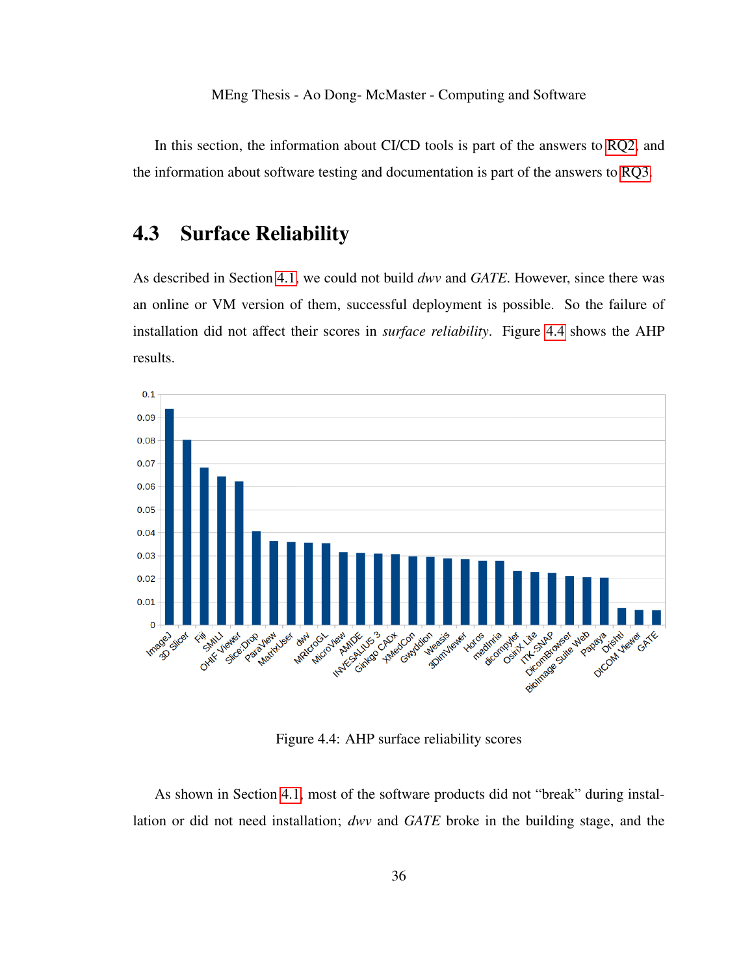In this section, the information about CI/CD tools is part of the answers to [RQ2,](#page-13-1) and the information about software testing and documentation is part of the answers to [RQ3.](#page-13-2)

### 4.3 Surface Reliability

As described in Section [4.1,](#page-41-1) we could not build *dwv* and *GATE*. However, since there was an online or VM version of them, successful deployment is possible. So the failure of installation did not affect their scores in *surface reliability*. Figure [4.4](#page-45-0) shows the AHP results.



Figure 4.4: AHP surface reliability scores

<span id="page-45-0"></span>As shown in Section [4.1,](#page-41-1) most of the software products did not "break" during installation or did not need installation; *dwv* and *GATE* broke in the building stage, and the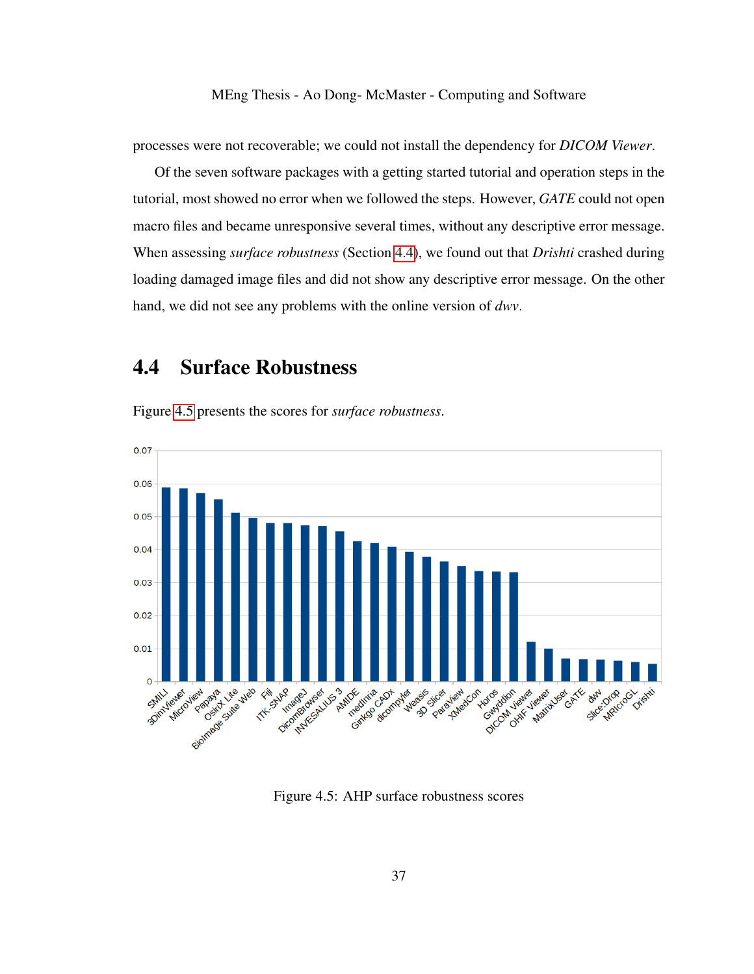processes were not recoverable; we could not install the dependency for *DICOM Viewer*.

Of the seven software packages with a getting started tutorial and operation steps in the tutorial, most showed no error when we followed the steps. However, *GATE* could not open macro files and became unresponsive several times, without any descriptive error message. When assessing *surface robustness* (Section [4.4\)](#page-46-0), we found out that *Drishti* crashed during loading damaged image files and did not show any descriptive error message. On the other hand, we did not see any problems with the online version of *dwv*.

### <span id="page-46-0"></span>4.4 Surface Robustness

Figure [4.5](#page-46-1) presents the scores for *surface robustness*.



<span id="page-46-1"></span>Figure 4.5: AHP surface robustness scores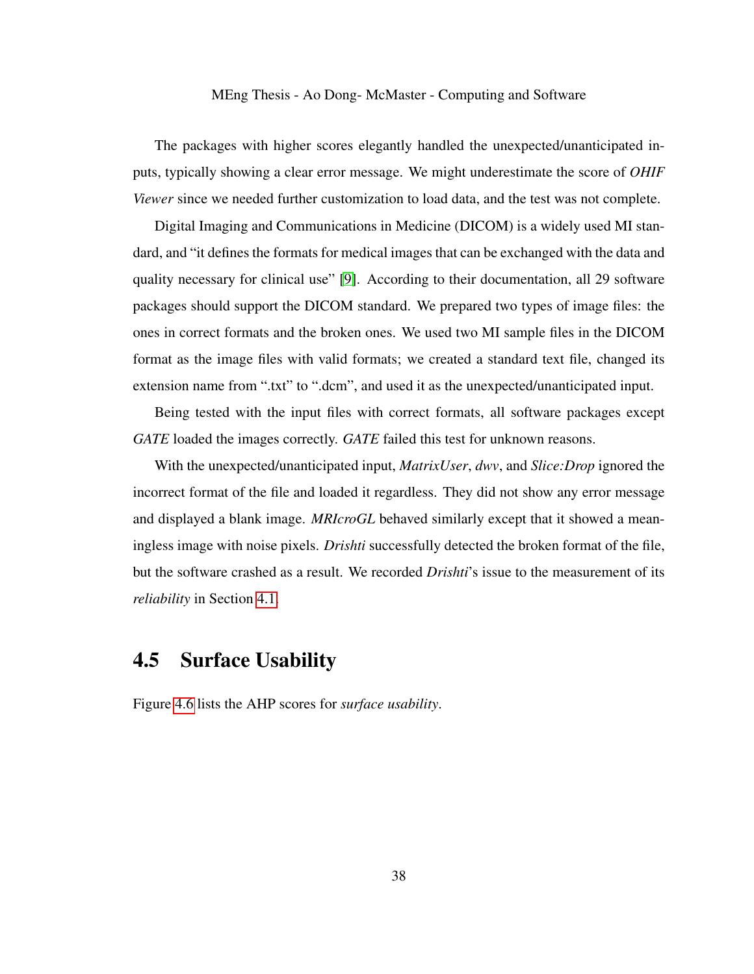The packages with higher scores elegantly handled the unexpected/unanticipated inputs, typically showing a clear error message. We might underestimate the score of *OHIF Viewer* since we needed further customization to load data, and the test was not complete.

Digital Imaging and Communications in Medicine (DICOM) is a widely used MI standard, and "it defines the formats for medical images that can be exchanged with the data and quality necessary for clinical use" [\[9\]](#page-99-1). According to their documentation, all 29 software packages should support the DICOM standard. We prepared two types of image files: the ones in correct formats and the broken ones. We used two MI sample files in the DICOM format as the image files with valid formats; we created a standard text file, changed its extension name from ".txt" to ".dcm", and used it as the unexpected/unanticipated input.

Being tested with the input files with correct formats, all software packages except *GATE* loaded the images correctly. *GATE* failed this test for unknown reasons.

With the unexpected/unanticipated input, *MatrixUser*, *dwv*, and *Slice:Drop* ignored the incorrect format of the file and loaded it regardless. They did not show any error message and displayed a blank image. *MRIcroGL* behaved similarly except that it showed a meaningless image with noise pixels. *Drishti* successfully detected the broken format of the file, but the software crashed as a result. We recorded *Drishti*'s issue to the measurement of its *reliability* in Section [4.1.](#page-41-1)

### 4.5 Surface Usability

Figure [4.6](#page-48-0) lists the AHP scores for *surface usability*.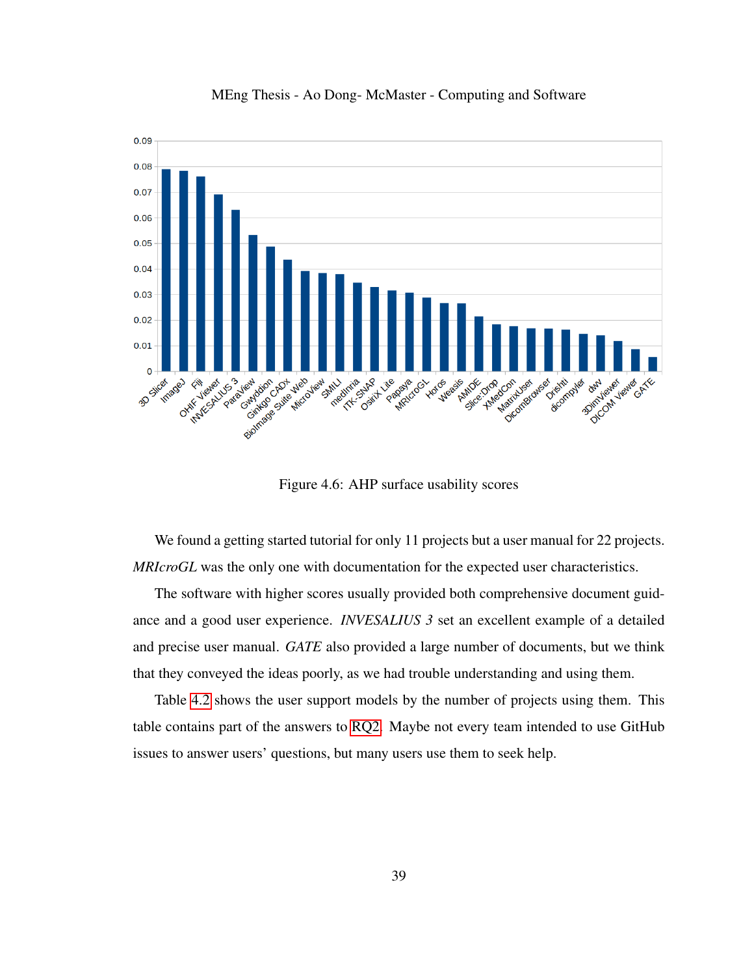

MEng Thesis - Ao Dong- McMaster - Computing and Software

Figure 4.6: AHP surface usability scores

<span id="page-48-0"></span>We found a getting started tutorial for only 11 projects but a user manual for 22 projects. *MRIcroGL* was the only one with documentation for the expected user characteristics.

The software with higher scores usually provided both comprehensive document guidance and a good user experience. *INVESALIUS 3* set an excellent example of a detailed and precise user manual. *GATE* also provided a large number of documents, but we think that they conveyed the ideas poorly, as we had trouble understanding and using them.

Table [4.2](#page-49-0) shows the user support models by the number of projects using them. This table contains part of the answers to [RQ2.](#page-13-1) Maybe not every team intended to use GitHub issues to answer users' questions, but many users use them to seek help.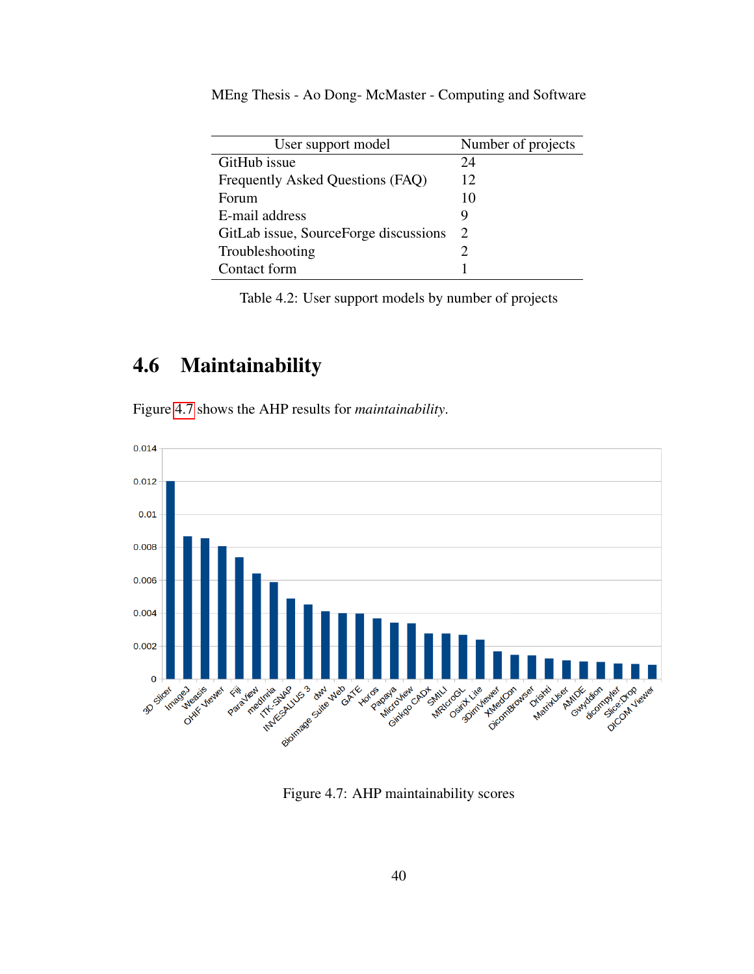| User support model                    | Number of projects |
|---------------------------------------|--------------------|
| GitHub issue                          | 24                 |
| Frequently Asked Questions (FAQ)      | 12                 |
| Forum                                 | 10                 |
| E-mail address                        |                    |
| GitLab issue, SourceForge discussions | 2                  |
| Troubleshooting                       |                    |
| Contact form                          |                    |

<span id="page-49-0"></span>Table 4.2: User support models by number of projects

# 4.6 Maintainability

Figure [4.7](#page-49-1) shows the AHP results for *maintainability*.



<span id="page-49-1"></span>Figure 4.7: AHP maintainability scores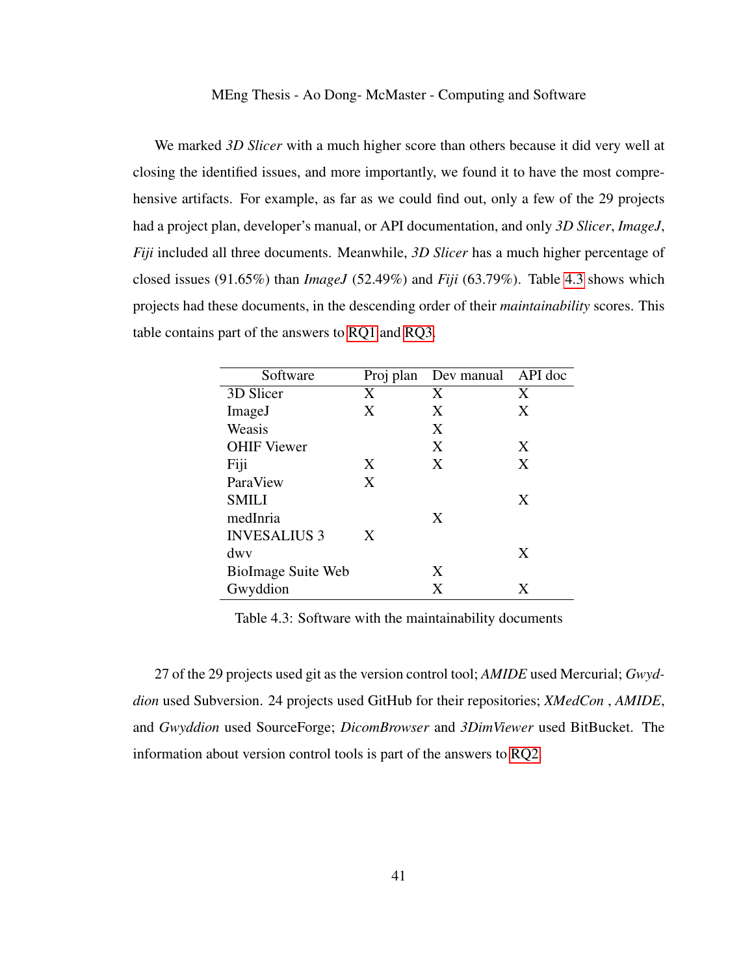We marked *3D Slicer* with a much higher score than others because it did very well at closing the identified issues, and more importantly, we found it to have the most comprehensive artifacts. For example, as far as we could find out, only a few of the 29 projects had a project plan, developer's manual, or API documentation, and only *3D Slicer*, *ImageJ*, *Fiji* included all three documents. Meanwhile, *3D Slicer* has a much higher percentage of closed issues (91.65%) than *ImageJ* (52.49%) and *Fiji* (63.79%). Table [4.3](#page-50-0) shows which projects had these documents, in the descending order of their *maintainability* scores. This table contains part of the answers to [RQ1](#page-13-3) and [RQ3.](#page-13-2)

<span id="page-50-0"></span>

| Software            |   | Proj plan Dev manual API doc |   |
|---------------------|---|------------------------------|---|
| 3D Slicer           | X | X                            | X |
| ImageJ              | X | X                            | X |
| Weasis              |   | X                            |   |
| <b>OHIF Viewer</b>  |   | X                            | X |
| Fiji                | X | X                            | X |
| ParaView            | X |                              |   |
| <b>SMILI</b>        |   |                              | X |
| medInria            |   | X                            |   |
| <b>INVESALIUS 3</b> | X |                              |   |
| dwy                 |   |                              | X |
| BioImage Suite Web  |   | X                            |   |
| Gwyddion            |   | X                            | X |

Table 4.3: Software with the maintainability documents

27 of the 29 projects used git as the version control tool; *AMIDE* used Mercurial; *Gwyddion* used Subversion. 24 projects used GitHub for their repositories; *XMedCon* , *AMIDE*, and *Gwyddion* used SourceForge; *DicomBrowser* and *3DimViewer* used BitBucket. The information about version control tools is part of the answers to [RQ2.](#page-13-1)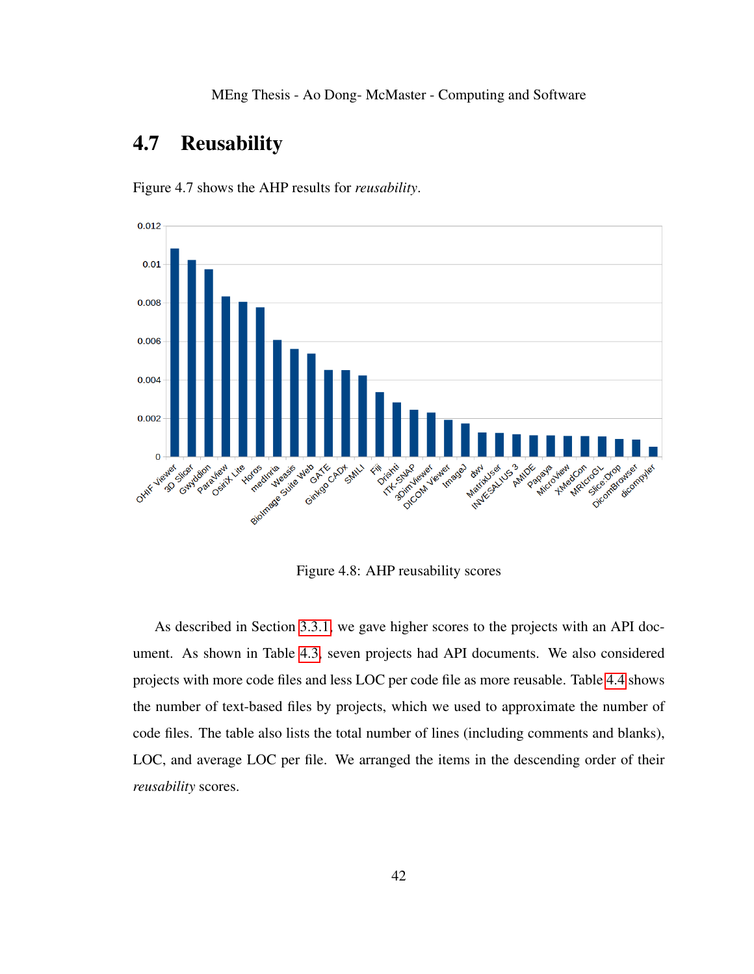### 4.7 Reusability



Figure 4.7 shows the AHP results for *reusability*.

Figure 4.8: AHP reusability scores

As described in Section [3.3.1,](#page-27-1) we gave higher scores to the projects with an API document. As shown in Table [4.3,](#page-50-0) seven projects had API documents. We also considered projects with more code files and less LOC per code file as more reusable. Table [4.4](#page-52-0) shows the number of text-based files by projects, which we used to approximate the number of code files. The table also lists the total number of lines (including comments and blanks), LOC, and average LOC per file. We arranged the items in the descending order of their *reusability* scores.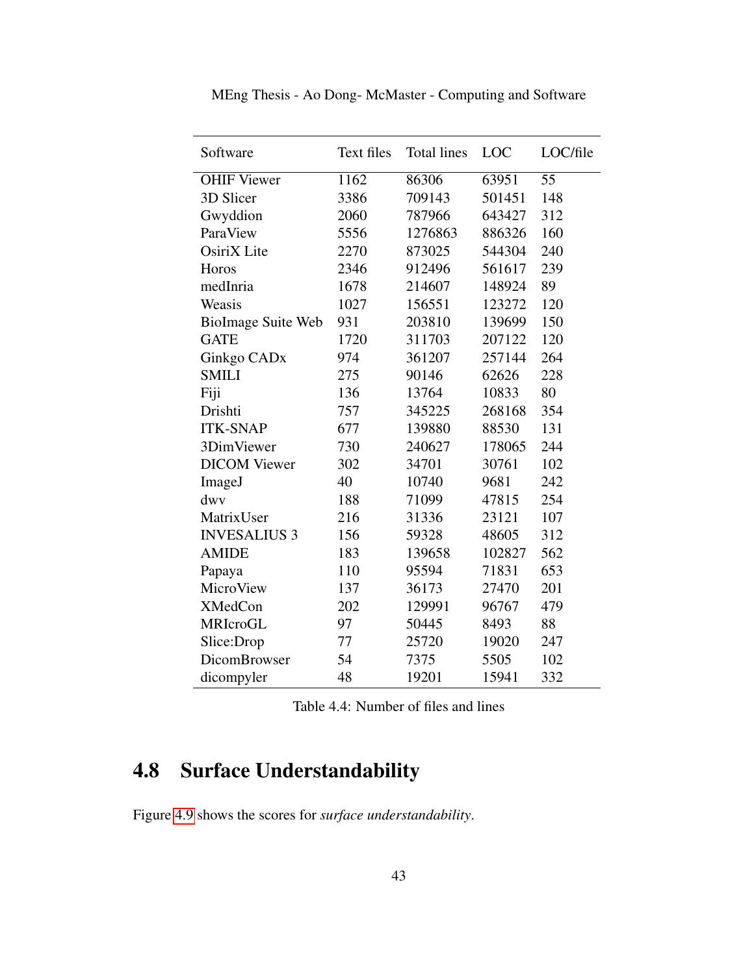| Software                  | Text files | <b>Total lines</b> | <b>LOC</b> | LOC/file |
|---------------------------|------------|--------------------|------------|----------|
| <b>OHIF Viewer</b>        | 1162       | 86306              | 63951      | 55       |
| 3D Slicer                 | 3386       | 709143             | 501451     | 148      |
| Gwyddion                  | 2060       | 787966             | 643427     | 312      |
| ParaView                  | 5556       | 1276863            | 886326     | 160      |
| OsiriX Lite               | 2270       | 873025             | 544304     | 240      |
| Horos                     | 2346       | 912496             | 561617     | 239      |
| medInria                  | 1678       | 214607             | 148924     | 89       |
| Weasis                    | 1027       | 156551             | 123272     | 120      |
| <b>BioImage Suite Web</b> | 931        | 203810             | 139699     | 150      |
| <b>GATE</b>               | 1720       | 311703             | 207122     | 120      |
| Ginkgo CAD <sub>x</sub>   | 974        | 361207             | 257144     | 264      |
| <b>SMILI</b>              | 275        | 90146              | 62626      | 228      |
| Fiji                      | 136        | 13764              | 10833      | 80       |
| Drishti                   | 757        | 345225             | 268168     | 354      |
| <b>ITK-SNAP</b>           | 677        | 139880             | 88530      | 131      |
| 3DimViewer                | 730        | 240627             | 178065     | 244      |
| <b>DICOM</b> Viewer       | 302        | 34701              | 30761      | 102      |
| ImageJ                    | 40         | 10740              | 9681       | 242      |
| dwy                       | 188        | 71099              | 47815      | 254      |
| MatrixUser                | 216        | 31336              | 23121      | 107      |
| <b>INVESALIUS 3</b>       | 156        | 59328              | 48605      | 312      |
| <b>AMIDE</b>              | 183        | 139658             | 102827     | 562      |
| Papaya                    | 110        | 95594              | 71831      | 653      |
| MicroView                 | 137        | 36173              | 27470      | 201      |
| <b>XMedCon</b>            | 202        | 129991             | 96767      | 479      |
| <b>MRIcroGL</b>           | 97         | 50445              | 8493       | 88       |
| Slice:Drop                | 77         | 25720              | 19020      | 247      |
| DicomBrowser              | 54         | 7375               | 5505       | 102      |
| dicompyler                | 48         | 19201              | 15941      | 332      |

MEng Thesis - Ao Dong- McMaster - Computing and Software

<span id="page-52-0"></span>

| Table 4.4: Number of files and lines |  |  |
|--------------------------------------|--|--|
|--------------------------------------|--|--|

# 4.8 Surface Understandability

Figure [4.9](#page-53-0) shows the scores for *surface understandability*.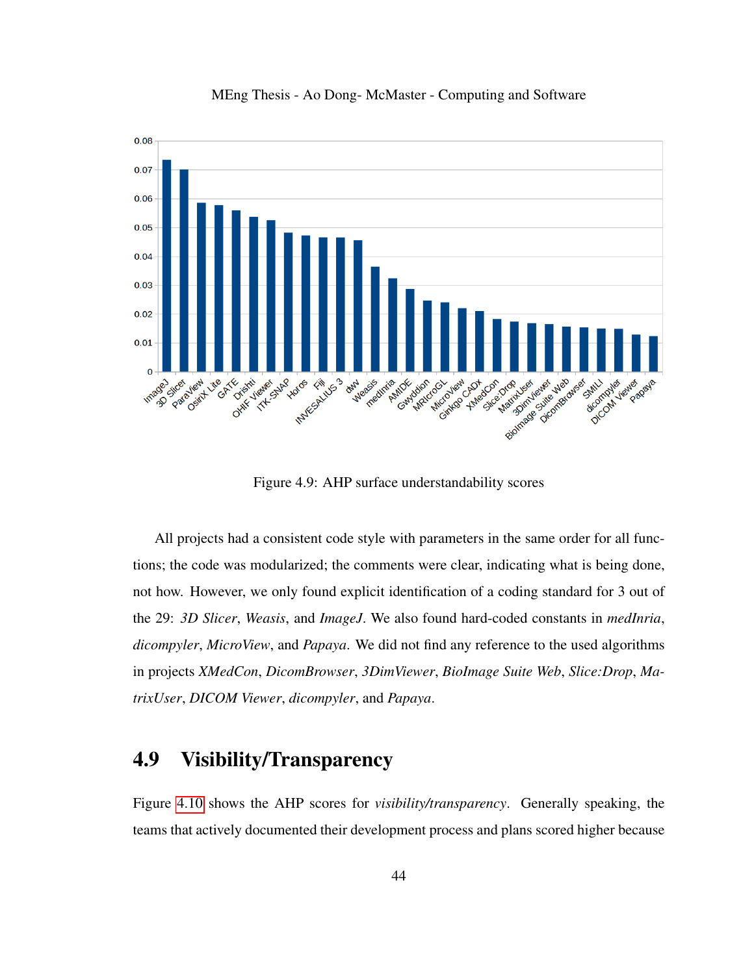

MEng Thesis - Ao Dong- McMaster - Computing and Software

Figure 4.9: AHP surface understandability scores

<span id="page-53-0"></span>All projects had a consistent code style with parameters in the same order for all functions; the code was modularized; the comments were clear, indicating what is being done, not how. However, we only found explicit identification of a coding standard for 3 out of the 29: *3D Slicer*, *Weasis*, and *ImageJ*. We also found hard-coded constants in *medInria*, *dicompyler*, *MicroView*, and *Papaya*. We did not find any reference to the used algorithms in projects *XMedCon*, *DicomBrowser*, *3DimViewer*, *BioImage Suite Web*, *Slice:Drop*, *MatrixUser*, *DICOM Viewer*, *dicompyler*, and *Papaya*.

# 4.9 Visibility/Transparency

Figure [4.10](#page-54-0) shows the AHP scores for *visibility/transparency*. Generally speaking, the teams that actively documented their development process and plans scored higher because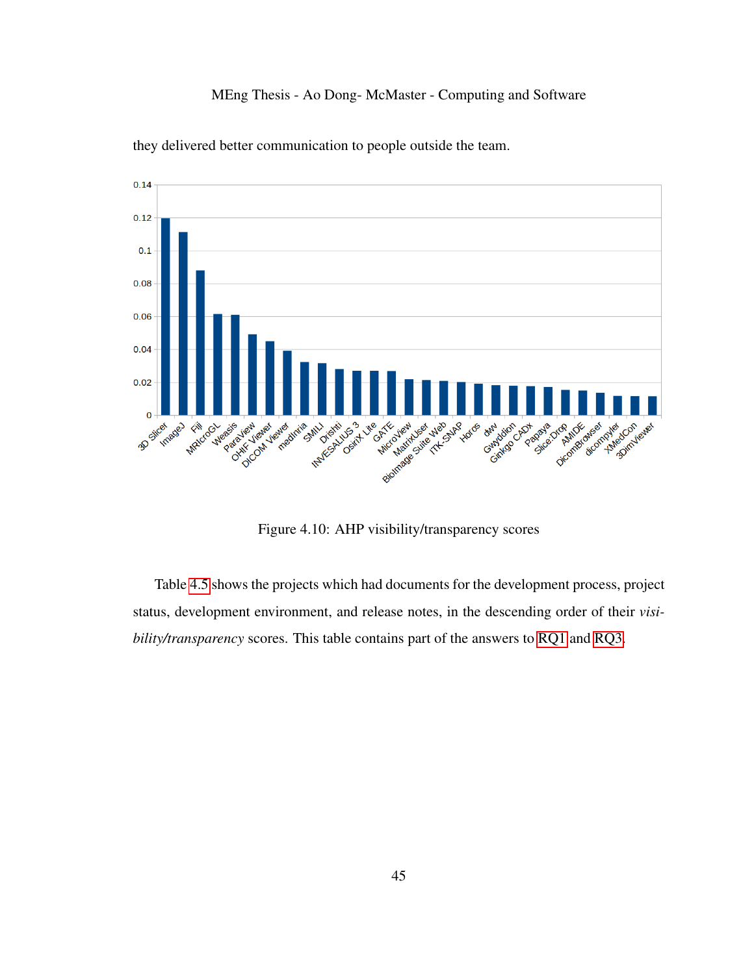

they delivered better communication to people outside the team.

Figure 4.10: AHP visibility/transparency scores

<span id="page-54-0"></span>Table [4.5](#page-55-0) shows the projects which had documents for the development process, project status, development environment, and release notes, in the descending order of their *visibility/transparency* scores. This table contains part of the answers to [RQ1](#page-13-3) and [RQ3.](#page-13-2)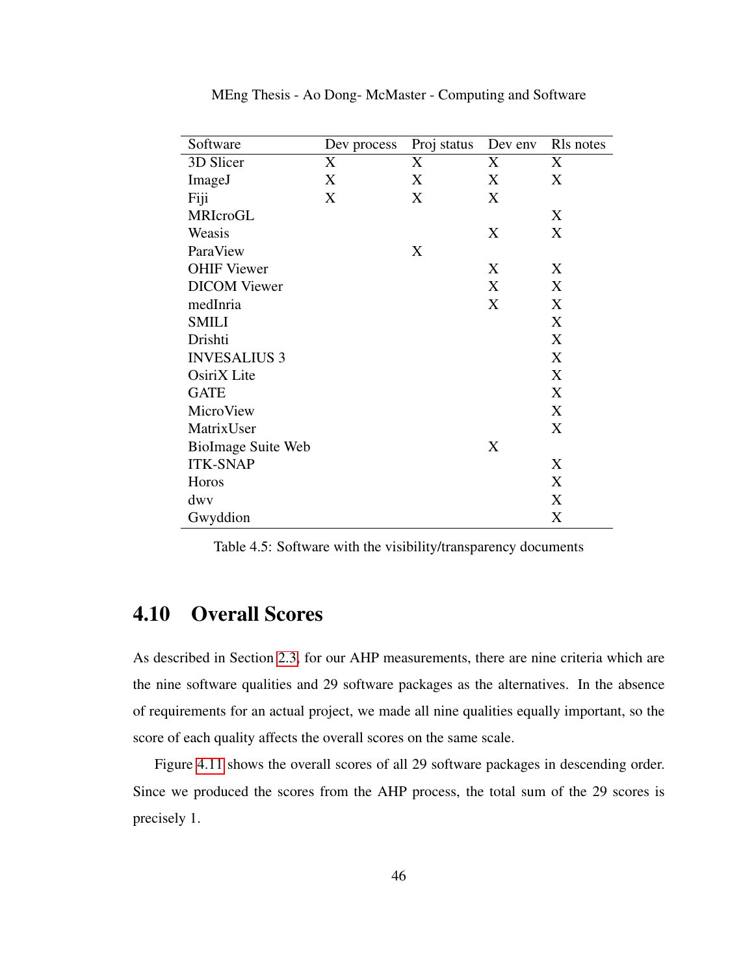| Software                  | Dev process | Proj status | Dev env | Rls notes |
|---------------------------|-------------|-------------|---------|-----------|
| 3D Slicer                 | X           | X           | X       | X         |
| ImageJ                    | X           | X           | X       | X         |
| Fiji                      | X           | X           | X       |           |
| MRIcroGL                  |             |             |         | X         |
| Weasis                    |             |             | X       | X         |
| ParaView                  |             | X           |         |           |
| <b>OHIF Viewer</b>        |             |             | X       | X         |
| <b>DICOM</b> Viewer       |             |             | X       | X         |
| medInria                  |             |             | X       | X         |
| <b>SMILI</b>              |             |             |         | X         |
| Drishti                   |             |             |         | X         |
| <b>INVESALIUS 3</b>       |             |             |         | X         |
| OsiriX Lite               |             |             |         | X         |
| <b>GATE</b>               |             |             |         | X         |
| MicroView                 |             |             |         | X         |
| MatrixUser                |             |             |         | X         |
| <b>BioImage Suite Web</b> |             |             | X       |           |
| <b>ITK-SNAP</b>           |             |             |         | X         |
| Horos                     |             |             |         | X         |
| dwy                       |             |             |         | X         |
| Gwyddion                  |             |             |         | X         |

MEng Thesis - Ao Dong- McMaster - Computing and Software

<span id="page-55-0"></span>Table 4.5: Software with the visibility/transparency documents

## 4.10 Overall Scores

As described in Section [2.3,](#page-21-0) for our AHP measurements, there are nine criteria which are the nine software qualities and 29 software packages as the alternatives. In the absence of requirements for an actual project, we made all nine qualities equally important, so the score of each quality affects the overall scores on the same scale.

Figure [4.11](#page-56-0) shows the overall scores of all 29 software packages in descending order. Since we produced the scores from the AHP process, the total sum of the 29 scores is precisely 1.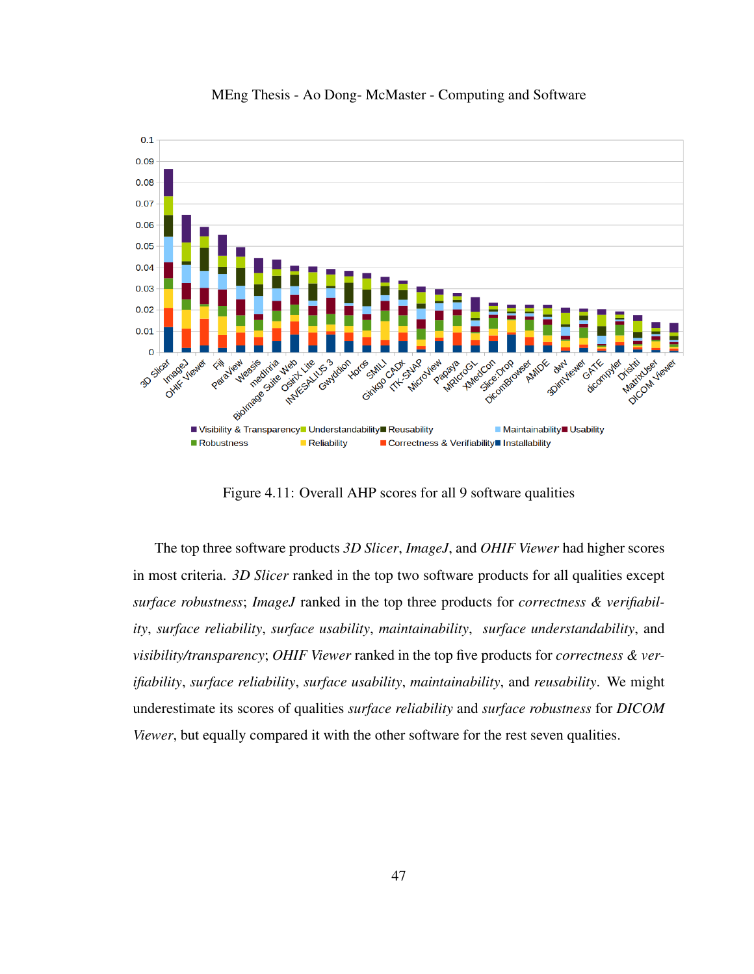

MEng Thesis - Ao Dong- McMaster - Computing and Software

Figure 4.11: Overall AHP scores for all 9 software qualities

<span id="page-56-0"></span>The top three software products *3D Slicer*, *ImageJ*, and *OHIF Viewer* had higher scores in most criteria. *3D Slicer* ranked in the top two software products for all qualities except *surface robustness*; *ImageJ* ranked in the top three products for *correctness & verifiability*, *surface reliability*, *surface usability*, *maintainability*, *surface understandability*, and *visibility/transparency*; *OHIF Viewer* ranked in the top five products for *correctness & verifiability*, *surface reliability*, *surface usability*, *maintainability*, and *reusability*. We might underestimate its scores of qualities *surface reliability* and *surface robustness* for *DICOM Viewer*, but equally compared it with the other software for the rest seven qualities.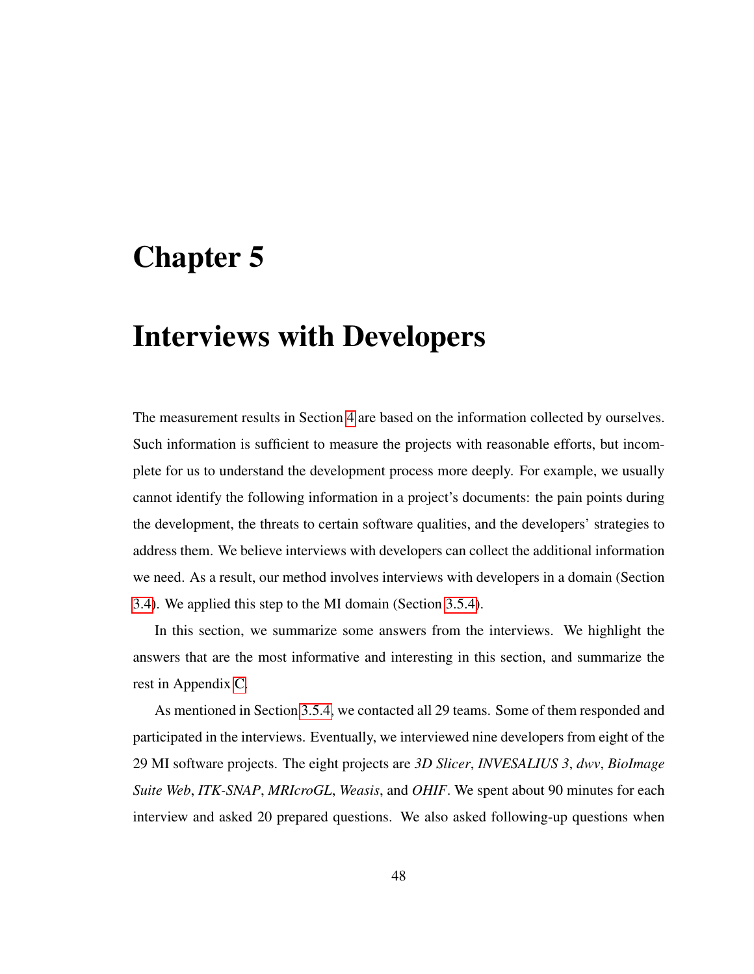# Chapter 5

# Interviews with Developers

The measurement results in Section [4](#page-38-0) are based on the information collected by ourselves. Such information is sufficient to measure the projects with reasonable efforts, but incomplete for us to understand the development process more deeply. For example, we usually cannot identify the following information in a project's documents: the pain points during the development, the threats to certain software qualities, and the developers' strategies to address them. We believe interviews with developers can collect the additional information we need. As a result, our method involves interviews with developers in a domain (Section [3.4\)](#page-32-0). We applied this step to the MI domain (Section [3.5.4\)](#page-37-0).

In this section, we summarize some answers from the interviews. We highlight the answers that are the most informative and interesting in this section, and summarize the rest in Appendix [C.](#page-120-0)

As mentioned in Section [3.5.4,](#page-37-0) we contacted all 29 teams. Some of them responded and participated in the interviews. Eventually, we interviewed nine developers from eight of the 29 MI software projects. The eight projects are *3D Slicer*, *INVESALIUS 3*, *dwv*, *BioImage Suite Web*, *ITK-SNAP*, *MRIcroGL*, *Weasis*, and *OHIF*. We spent about 90 minutes for each interview and asked 20 prepared questions. We also asked following-up questions when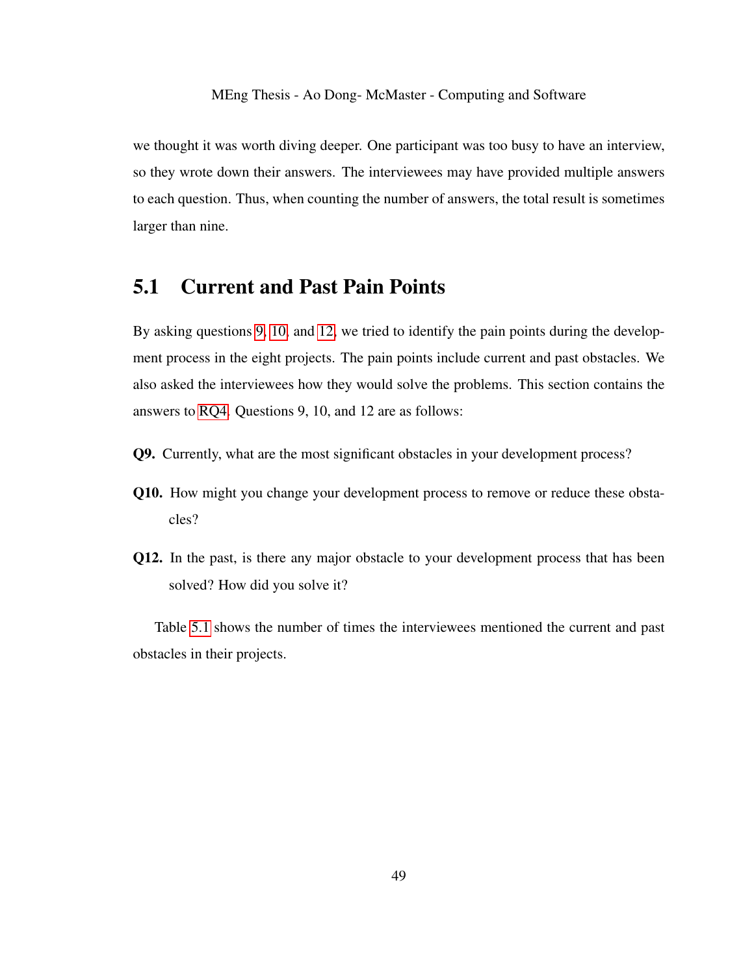we thought it was worth diving deeper. One participant was too busy to have an interview, so they wrote down their answers. The interviewees may have provided multiple answers to each question. Thus, when counting the number of answers, the total result is sometimes larger than nine.

### 5.1 Current and Past Pain Points

By asking questions [9,](#page-58-0) [10,](#page-58-1) and [12,](#page-58-2) we tried to identify the pain points during the development process in the eight projects. The pain points include current and past obstacles. We also asked the interviewees how they would solve the problems. This section contains the answers to [RQ4.](#page-13-4) Questions 9, 10, and 12 are as follows:

- <span id="page-58-0"></span>Q9. Currently, what are the most significant obstacles in your development process?
- <span id="page-58-1"></span>Q10. How might you change your development process to remove or reduce these obstacles?
- <span id="page-58-2"></span>Q12. In the past, is there any major obstacle to your development process that has been solved? How did you solve it?

Table [5.1](#page-59-0) shows the number of times the interviewees mentioned the current and past obstacles in their projects.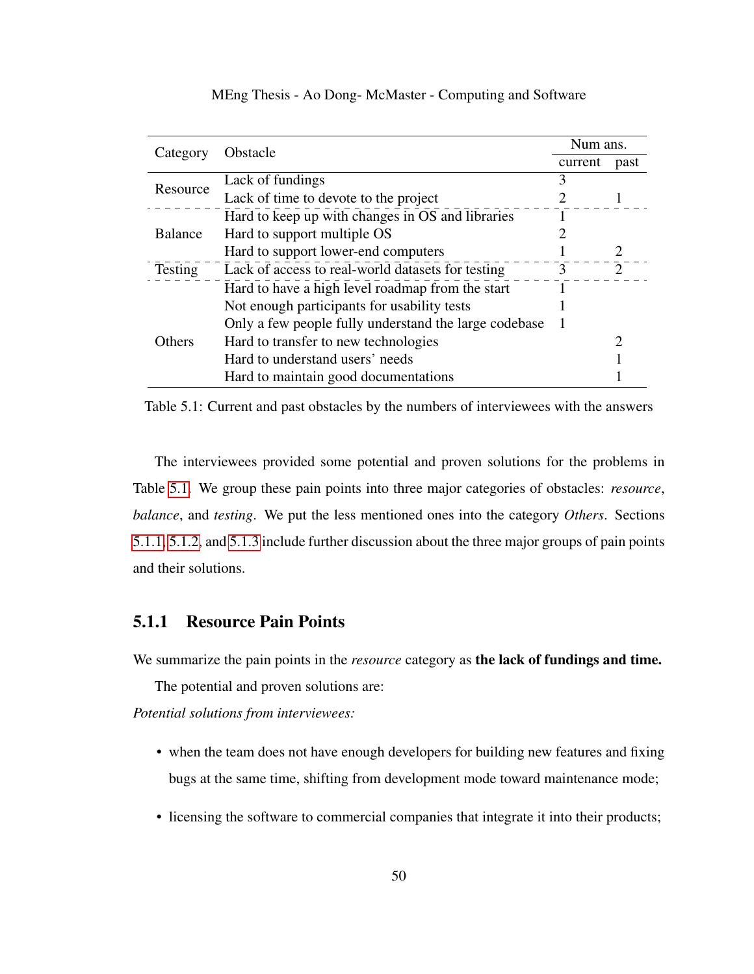| Category       | Obstacle                                              |   | Num ans. |  |
|----------------|-------------------------------------------------------|---|----------|--|
|                |                                                       |   | past     |  |
| Resource       | Lack of fundings                                      |   |          |  |
|                | Lack of time to devote to the project                 |   |          |  |
|                | Hard to keep up with changes in OS and libraries      |   |          |  |
| <b>Balance</b> | Hard to support multiple OS                           |   |          |  |
|                | Hard to support lower-end computers                   |   |          |  |
| Testing        | Lack of access to real-world datasets for testing     | 3 |          |  |
|                | Hard to have a high level roadmap from the start      |   |          |  |
|                | Not enough participants for usability tests           |   |          |  |
|                | Only a few people fully understand the large codebase |   |          |  |
| Others         | Hard to transfer to new technologies                  |   |          |  |
|                | Hard to understand users' needs                       |   |          |  |
|                | Hard to maintain good documentations                  |   |          |  |

<span id="page-59-0"></span>MEng Thesis - Ao Dong- McMaster - Computing and Software

Table 5.1: Current and past obstacles by the numbers of interviewees with the answers

The interviewees provided some potential and proven solutions for the problems in Table [5.1.](#page-59-0) We group these pain points into three major categories of obstacles: *resource*, *balance*, and *testing*. We put the less mentioned ones into the category *Others*. Sections [5.1.1,](#page-59-1) [5.1.2,](#page-60-0) and [5.1.3](#page-62-0) include further discussion about the three major groups of pain points and their solutions.

### <span id="page-59-1"></span>5.1.1 Resource Pain Points

We summarize the pain points in the *resource* category as **the lack of fundings and time.** 

The potential and proven solutions are:

*Potential solutions from interviewees:*

- when the team does not have enough developers for building new features and fixing bugs at the same time, shifting from development mode toward maintenance mode;
- licensing the software to commercial companies that integrate it into their products;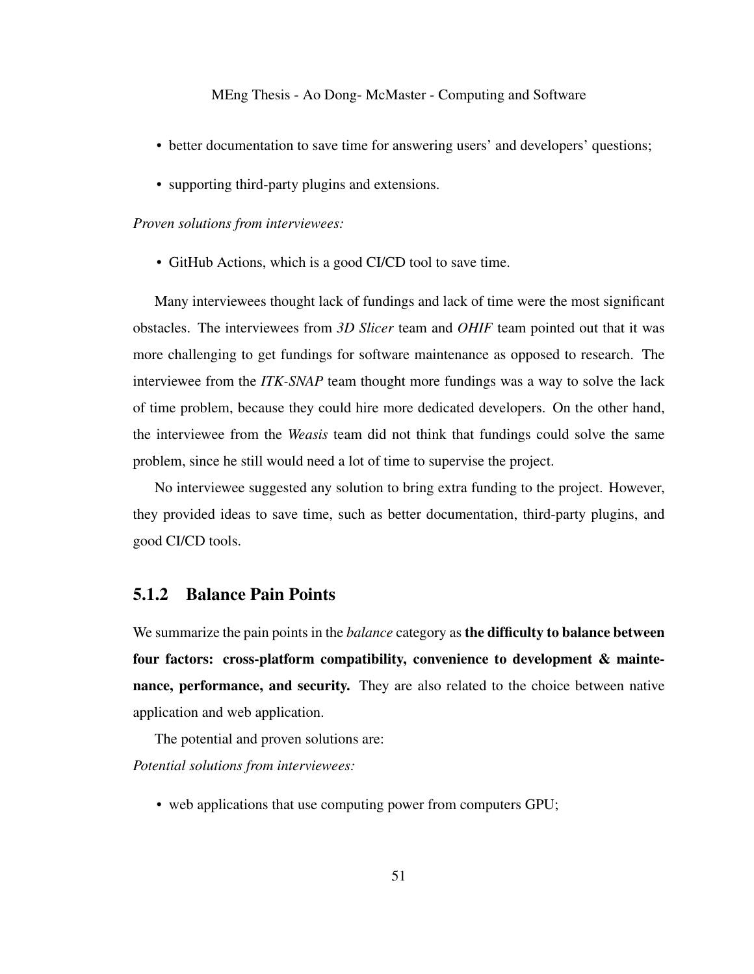- better documentation to save time for answering users' and developers' questions;
- supporting third-party plugins and extensions.

#### *Proven solutions from interviewees:*

• GitHub Actions, which is a good CI/CD tool to save time.

Many interviewees thought lack of fundings and lack of time were the most significant obstacles. The interviewees from *3D Slicer* team and *OHIF* team pointed out that it was more challenging to get fundings for software maintenance as opposed to research. The interviewee from the *ITK-SNAP* team thought more fundings was a way to solve the lack of time problem, because they could hire more dedicated developers. On the other hand, the interviewee from the *Weasis* team did not think that fundings could solve the same problem, since he still would need a lot of time to supervise the project.

No interviewee suggested any solution to bring extra funding to the project. However, they provided ideas to save time, such as better documentation, third-party plugins, and good CI/CD tools.

#### <span id="page-60-0"></span>5.1.2 Balance Pain Points

We summarize the pain points in the *balance* category as the difficulty to balance between four factors: cross-platform compatibility, convenience to development & maintenance, performance, and security. They are also related to the choice between native application and web application.

The potential and proven solutions are:

*Potential solutions from interviewees:*

• web applications that use computing power from computers GPU;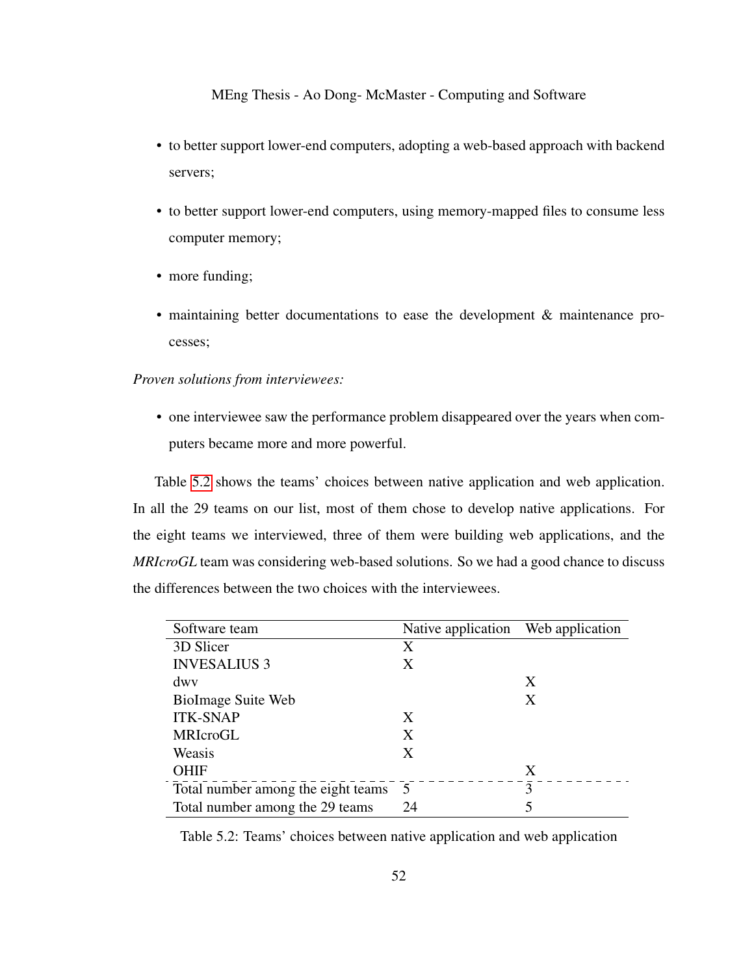- to better support lower-end computers, adopting a web-based approach with backend servers;
- to better support lower-end computers, using memory-mapped files to consume less computer memory;
- more funding;
- maintaining better documentations to ease the development & maintenance processes;

#### *Proven solutions from interviewees:*

• one interviewee saw the performance problem disappeared over the years when computers became more and more powerful.

Table [5.2](#page-61-0) shows the teams' choices between native application and web application. In all the 29 teams on our list, most of them chose to develop native applications. For the eight teams we interviewed, three of them were building web applications, and the *MRIcroGL* team was considering web-based solutions. So we had a good chance to discuss the differences between the two choices with the interviewees.

| Software team                      | Native application Web application |   |
|------------------------------------|------------------------------------|---|
| 3D Slicer                          | X                                  |   |
| <b>INVESALIUS 3</b>                | Χ                                  |   |
| dwy                                |                                    | X |
| BioImage Suite Web                 |                                    | X |
| <b>ITK-SNAP</b>                    | X                                  |   |
| MRIcroGL                           | X                                  |   |
| Weasis                             | X                                  |   |
| <b>OHIF</b>                        |                                    | X |
| Total number among the eight teams | $\overline{5}$                     | 3 |
| Total number among the 29 teams    | 24                                 | 5 |

<span id="page-61-0"></span>Table 5.2: Teams' choices between native application and web application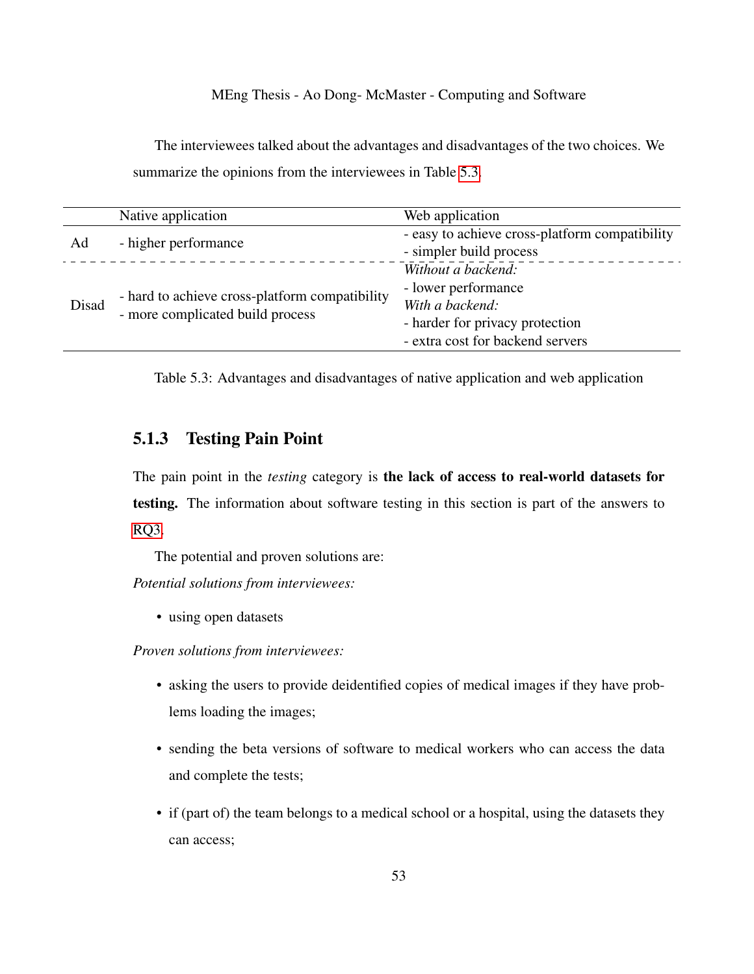The interviewees talked about the advantages and disadvantages of the two choices. We summarize the opinions from the interviewees in Table [5.3.](#page-62-1)

|       | Native application                                                                 | Web application                                                                                                                     |
|-------|------------------------------------------------------------------------------------|-------------------------------------------------------------------------------------------------------------------------------------|
| Ad    | - higher performance                                                               | - easy to achieve cross-platform compatibility<br>- simpler build process                                                           |
| Disad | - hard to achieve cross-platform compatibility<br>- more complicated build process | Without a backend:<br>- lower performance<br>With a backend:<br>- harder for privacy protection<br>- extra cost for backend servers |

<span id="page-62-1"></span>Table 5.3: Advantages and disadvantages of native application and web application

### <span id="page-62-0"></span>5.1.3 Testing Pain Point

The pain point in the *testing* category is the lack of access to real-world datasets for testing. The information about software testing in this section is part of the answers to [RQ3.](#page-13-2)

The potential and proven solutions are:

*Potential solutions from interviewees:*

• using open datasets

*Proven solutions from interviewees:*

- asking the users to provide deidentified copies of medical images if they have problems loading the images;
- sending the beta versions of software to medical workers who can access the data and complete the tests;
- if (part of) the team belongs to a medical school or a hospital, using the datasets they can access;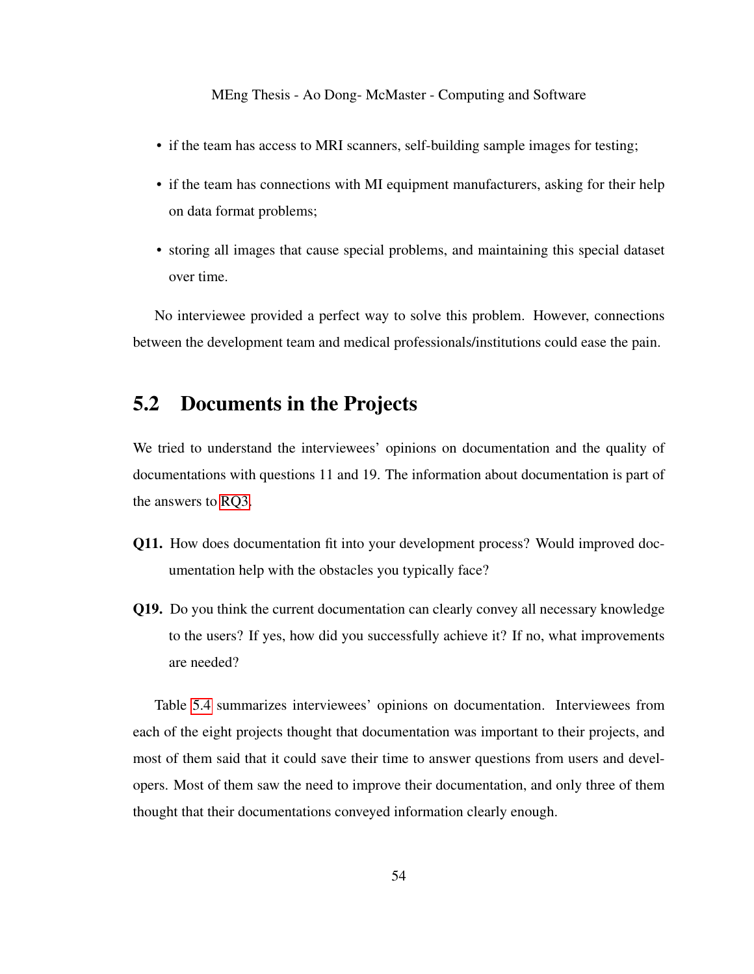- if the team has access to MRI scanners, self-building sample images for testing;
- if the team has connections with MI equipment manufacturers, asking for their help on data format problems;
- storing all images that cause special problems, and maintaining this special dataset over time.

No interviewee provided a perfect way to solve this problem. However, connections between the development team and medical professionals/institutions could ease the pain.

## 5.2 Documents in the Projects

We tried to understand the interviewees' opinions on documentation and the quality of documentations with questions 11 and 19. The information about documentation is part of the answers to [RQ3.](#page-13-2)

- Q11. How does documentation fit into your development process? Would improved documentation help with the obstacles you typically face?
- Q19. Do you think the current documentation can clearly convey all necessary knowledge to the users? If yes, how did you successfully achieve it? If no, what improvements are needed?

Table [5.4](#page-64-0) summarizes interviewees' opinions on documentation. Interviewees from each of the eight projects thought that documentation was important to their projects, and most of them said that it could save their time to answer questions from users and developers. Most of them saw the need to improve their documentation, and only three of them thought that their documentations conveyed information clearly enough.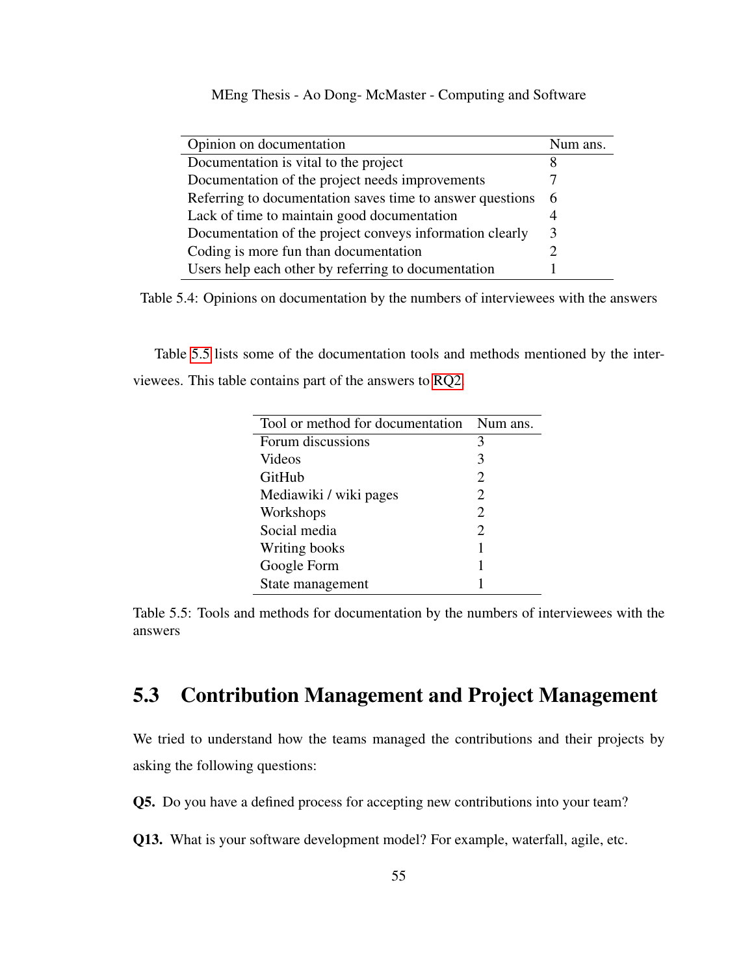| Opinion on documentation                                  | Num ans. |
|-----------------------------------------------------------|----------|
| Documentation is vital to the project                     |          |
| Documentation of the project needs improvements           |          |
| Referring to documentation saves time to answer questions | - 6      |
| Lack of time to maintain good documentation               |          |
| Documentation of the project conveys information clearly  | 3        |
| Coding is more fun than documentation                     |          |
| Users help each other by referring to documentation       |          |

Table 5.4: Opinions on documentation by the numbers of interviewees with the answers

Table [5.5](#page-64-1) lists some of the documentation tools and methods mentioned by the interviewees. This table contains part of the answers to [RQ2.](#page-13-1)

<span id="page-64-1"></span><span id="page-64-0"></span>

| Tool or method for documentation | Num ans.              |
|----------------------------------|-----------------------|
| Forum discussions                | 3                     |
| Videos                           | 3                     |
| GitHub                           | $\mathcal{D}_{\cdot}$ |
| Mediawiki / wiki pages           | 2                     |
| Workshops                        | $\mathcal{D}_{\cdot}$ |
| Social media                     | 2                     |
| Writing books                    |                       |
| Google Form                      |                       |
| State management                 |                       |

Table 5.5: Tools and methods for documentation by the numbers of interviewees with the answers

## 5.3 Contribution Management and Project Management

We tried to understand how the teams managed the contributions and their projects by asking the following questions:

Q5. Do you have a defined process for accepting new contributions into your team?

Q13. What is your software development model? For example, waterfall, agile, etc.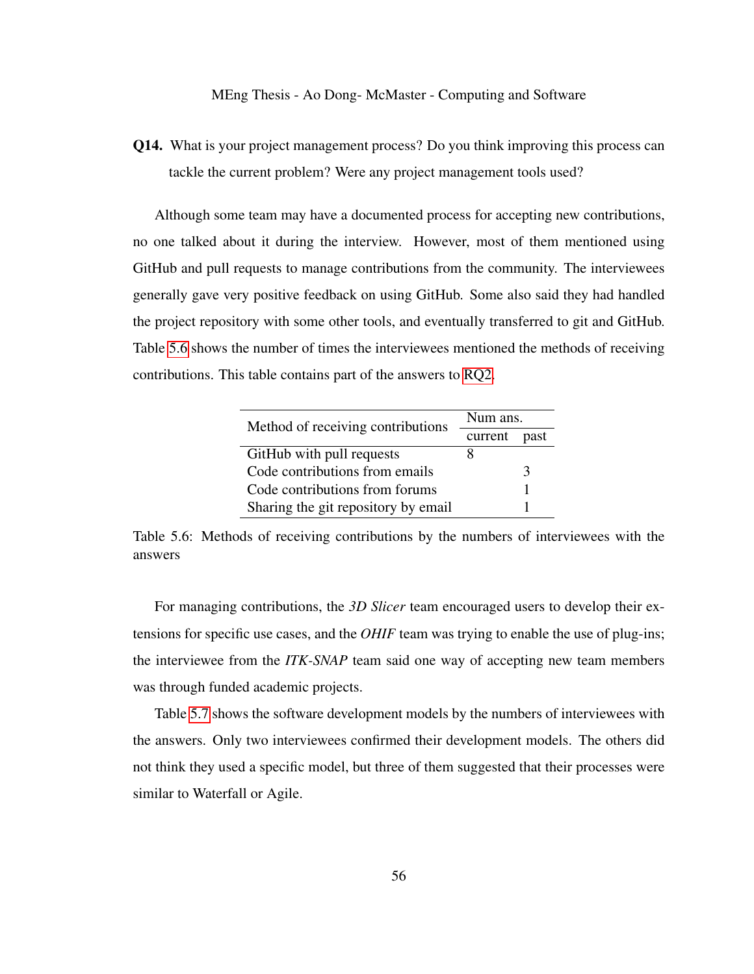<span id="page-65-1"></span>Q14. What is your project management process? Do you think improving this process can tackle the current problem? Were any project management tools used?

Although some team may have a documented process for accepting new contributions, no one talked about it during the interview. However, most of them mentioned using GitHub and pull requests to manage contributions from the community. The interviewees generally gave very positive feedback on using GitHub. Some also said they had handled the project repository with some other tools, and eventually transferred to git and GitHub. Table [5.6](#page-65-0) shows the number of times the interviewees mentioned the methods of receiving contributions. This table contains part of the answers to [RQ2.](#page-13-1)

<span id="page-65-0"></span>

| Method of receiving contributions   | Num ans. |      |
|-------------------------------------|----------|------|
|                                     | current  | past |
| GitHub with pull requests           | x        |      |
| Code contributions from emails      |          | 3    |
| Code contributions from forums      |          |      |
| Sharing the git repository by email |          |      |

Table 5.6: Methods of receiving contributions by the numbers of interviewees with the answers

For managing contributions, the *3D Slicer* team encouraged users to develop their extensions for specific use cases, and the *OHIF* team was trying to enable the use of plug-ins; the interviewee from the *ITK-SNAP* team said one way of accepting new team members was through funded academic projects.

Table [5.7](#page-66-0) shows the software development models by the numbers of interviewees with the answers. Only two interviewees confirmed their development models. The others did not think they used a specific model, but three of them suggested that their processes were similar to Waterfall or Agile.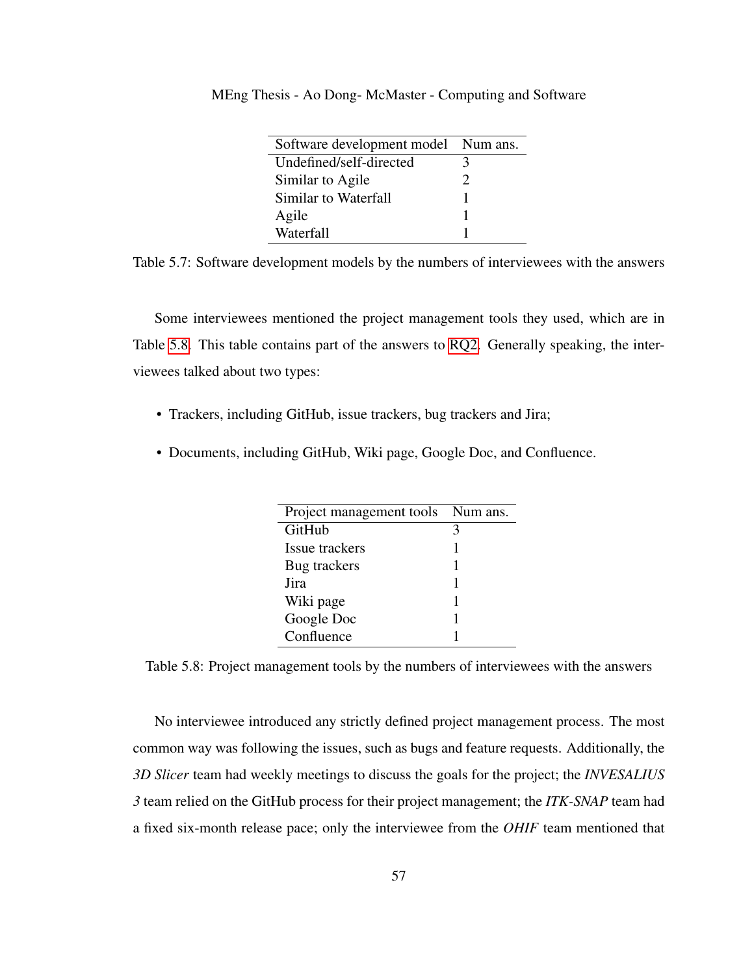<span id="page-66-0"></span>

| Software development model Num ans. |               |
|-------------------------------------|---------------|
| Undefined/self-directed             | 3             |
| Similar to Agile                    | $\mathcal{D}$ |
| Similar to Waterfall                |               |
| Agile                               |               |
| Waterfall                           |               |

MEng Thesis - Ao Dong- McMaster - Computing and Software

Table 5.7: Software development models by the numbers of interviewees with the answers

Some interviewees mentioned the project management tools they used, which are in Table [5.8.](#page-66-1) This table contains part of the answers to [RQ2.](#page-13-1) Generally speaking, the interviewees talked about two types:

- Trackers, including GitHub, issue trackers, bug trackers and Jira;
- Documents, including GitHub, Wiki page, Google Doc, and Confluence.

<span id="page-66-1"></span>

| Project management tools Num ans. |   |
|-----------------------------------|---|
| GitHub                            | 3 |
| Issue trackers                    |   |
| Bug trackers                      |   |
| Jira                              |   |
| Wiki page                         |   |
| Google Doc                        |   |
| Confluence                        |   |

Table 5.8: Project management tools by the numbers of interviewees with the answers

No interviewee introduced any strictly defined project management process. The most common way was following the issues, such as bugs and feature requests. Additionally, the *3D Slicer* team had weekly meetings to discuss the goals for the project; the *INVESALIUS 3* team relied on the GitHub process for their project management; the *ITK-SNAP* team had a fixed six-month release pace; only the interviewee from the *OHIF* team mentioned that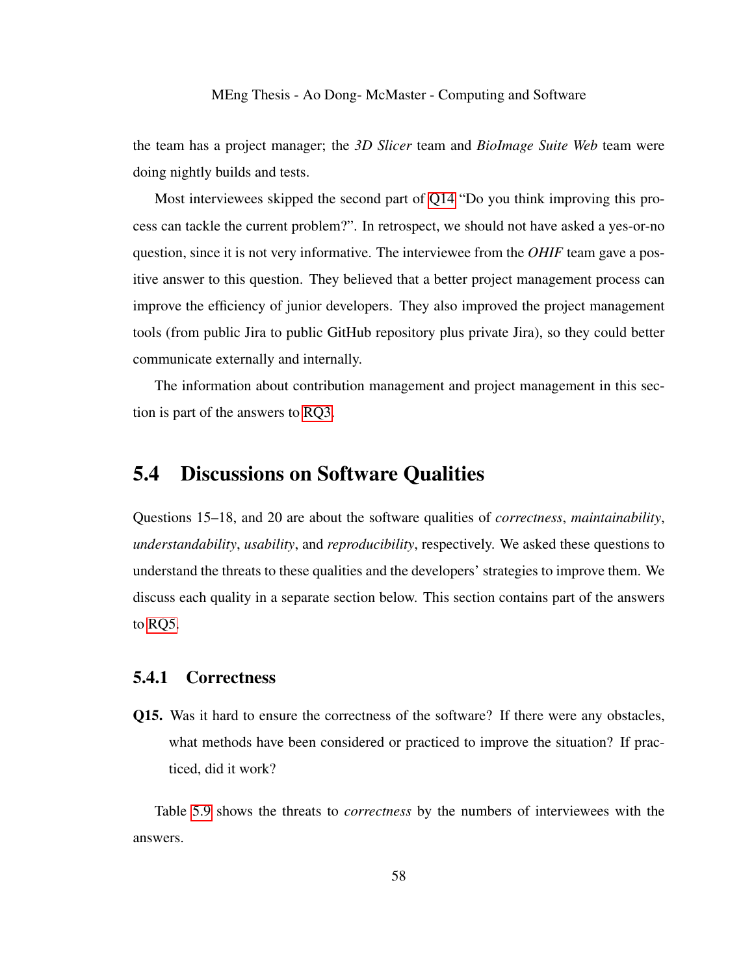the team has a project manager; the *3D Slicer* team and *BioImage Suite Web* team were doing nightly builds and tests.

Most interviewees skipped the second part of [Q14](#page-65-1) "Do you think improving this process can tackle the current problem?". In retrospect, we should not have asked a yes-or-no question, since it is not very informative. The interviewee from the *OHIF* team gave a positive answer to this question. They believed that a better project management process can improve the efficiency of junior developers. They also improved the project management tools (from public Jira to public GitHub repository plus private Jira), so they could better communicate externally and internally.

The information about contribution management and project management in this section is part of the answers to [RQ3.](#page-13-2)

### 5.4 Discussions on Software Qualities

Questions 15–18, and 20 are about the software qualities of *correctness*, *maintainability*, *understandability*, *usability*, and *reproducibility*, respectively. We asked these questions to understand the threats to these qualities and the developers' strategies to improve them. We discuss each quality in a separate section below. This section contains part of the answers to [RQ5.](#page-13-0)

### 5.4.1 Correctness

Q15. Was it hard to ensure the correctness of the software? If there were any obstacles, what methods have been considered or practiced to improve the situation? If practiced, did it work?

Table [5.9](#page-68-0) shows the threats to *correctness* by the numbers of interviewees with the answers.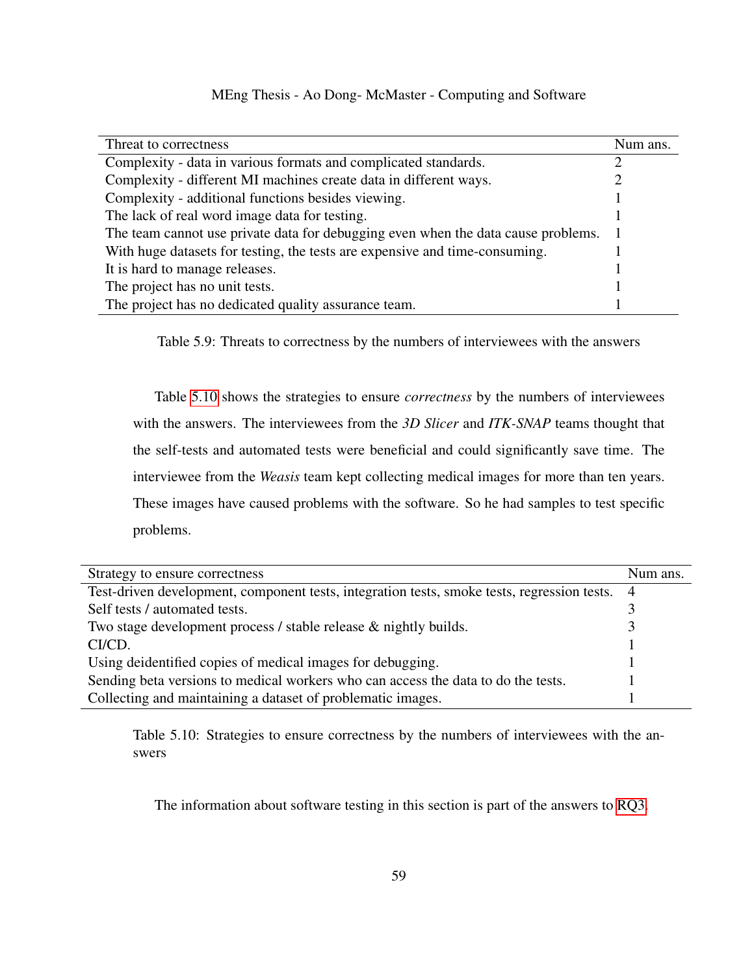| Threat to correctness                                                             | Num ans.       |
|-----------------------------------------------------------------------------------|----------------|
| Complexity - data in various formats and complicated standards.                   |                |
| Complexity - different MI machines create data in different ways.                 |                |
| Complexity - additional functions besides viewing.                                |                |
| The lack of real word image data for testing.                                     |                |
| The team cannot use private data for debugging even when the data cause problems. | $\blacksquare$ |
| With huge datasets for testing, the tests are expensive and time-consuming.       |                |
| It is hard to manage releases.                                                    |                |
| The project has no unit tests.                                                    |                |
| The project has no dedicated quality assurance team.                              |                |

<span id="page-68-0"></span>Table 5.9: Threats to correctness by the numbers of interviewees with the answers

Table [5.10](#page-68-1) shows the strategies to ensure *correctness* by the numbers of interviewees with the answers. The interviewees from the *3D Slicer* and *ITK-SNAP* teams thought that the self-tests and automated tests were beneficial and could significantly save time. The interviewee from the *Weasis* team kept collecting medical images for more than ten years. These images have caused problems with the software. So he had samples to test specific problems.

| Strategy to ensure correctness                                                                | Num ans. |
|-----------------------------------------------------------------------------------------------|----------|
| Test-driven development, component tests, integration tests, smoke tests, regression tests. 4 |          |
| Self tests / automated tests.                                                                 |          |
| Two stage development process / stable release & nightly builds.                              |          |
| CI/CD.                                                                                        |          |
| Using deidentified copies of medical images for debugging.                                    |          |
| Sending beta versions to medical workers who can access the data to do the tests.             |          |
| Collecting and maintaining a dataset of problematic images.                                   |          |
|                                                                                               |          |

Table 5.10: Strategies to ensure correctness by the numbers of interviewees with the answers

<span id="page-68-1"></span>The information about software testing in this section is part of the answers to [RQ3.](#page-13-2)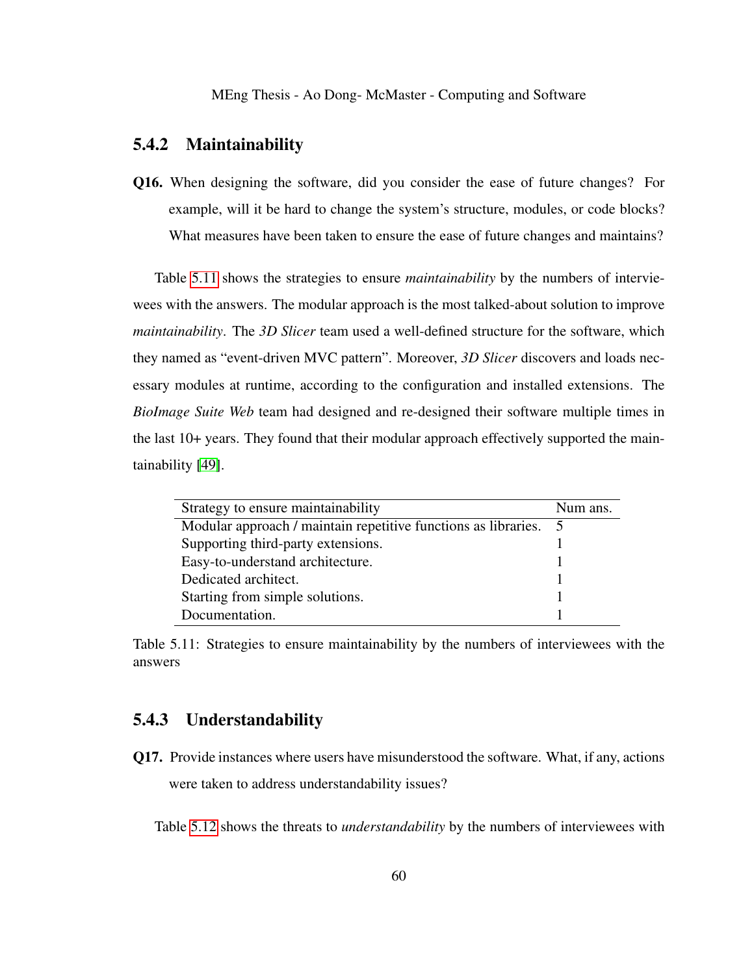#### 5.4.2 Maintainability

Q16. When designing the software, did you consider the ease of future changes? For example, will it be hard to change the system's structure, modules, or code blocks? What measures have been taken to ensure the ease of future changes and maintains?

Table [5.11](#page-69-0) shows the strategies to ensure *maintainability* by the numbers of interviewees with the answers. The modular approach is the most talked-about solution to improve *maintainability*. The *3D Slicer* team used a well-defined structure for the software, which they named as "event-driven MVC pattern". Moreover, *3D Slicer* discovers and loads necessary modules at runtime, according to the configuration and installed extensions. The *BioImage Suite Web* team had designed and re-designed their software multiple times in the last 10+ years. They found that their modular approach effectively supported the maintainability [\[49\]](#page-103-2).

<span id="page-69-0"></span>

| Strategy to ensure maintainability                             | Num ans. |
|----------------------------------------------------------------|----------|
| Modular approach / maintain repetitive functions as libraries. |          |
| Supporting third-party extensions.                             |          |
| Easy-to-understand architecture.                               |          |
| Dedicated architect.                                           |          |
| Starting from simple solutions.                                |          |
| Documentation.                                                 |          |

Table 5.11: Strategies to ensure maintainability by the numbers of interviewees with the answers

### 5.4.3 Understandability

Q17. Provide instances where users have misunderstood the software. What, if any, actions were taken to address understandability issues?

Table [5.12](#page-70-0) shows the threats to *understandability* by the numbers of interviewees with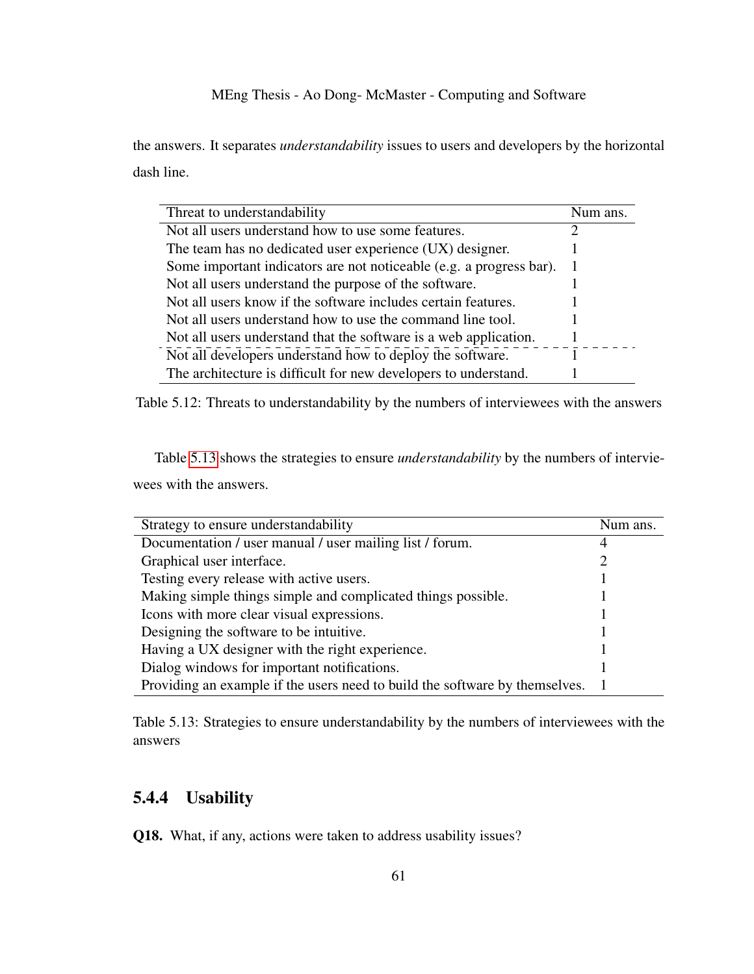the answers. It separates *understandability* issues to users and developers by the horizontal dash line.

<span id="page-70-0"></span>

| Threat to understandability                                         | Num ans. |
|---------------------------------------------------------------------|----------|
| Not all users understand how to use some features.                  |          |
| The team has no dedicated user experience (UX) designer.            |          |
| Some important indicators are not noticeable (e.g. a progress bar). |          |
| Not all users understand the purpose of the software.               |          |
| Not all users know if the software includes certain features.       |          |
| Not all users understand how to use the command line tool.          |          |
| Not all users understand that the software is a web application.    |          |
| Not all developers understand how to deploy the software.           |          |
| The architecture is difficult for new developers to understand.     |          |

Table 5.12: Threats to understandability by the numbers of interviewees with the answers

Table [5.13](#page-70-1) shows the strategies to ensure *understandability* by the numbers of interviewees with the answers.

| Strategy to ensure understandability                                        | Num ans. |
|-----------------------------------------------------------------------------|----------|
| Documentation / user manual / user mailing list / forum.                    |          |
| Graphical user interface.                                                   | 2        |
| Testing every release with active users.                                    |          |
| Making simple things simple and complicated things possible.                |          |
| Icons with more clear visual expressions.                                   |          |
| Designing the software to be intuitive.                                     |          |
| Having a UX designer with the right experience.                             |          |
| Dialog windows for important notifications.                                 |          |
| Providing an example if the users need to build the software by themselves. |          |

<span id="page-70-1"></span>Table 5.13: Strategies to ensure understandability by the numbers of interviewees with the answers

### 5.4.4 Usability

Q18. What, if any, actions were taken to address usability issues?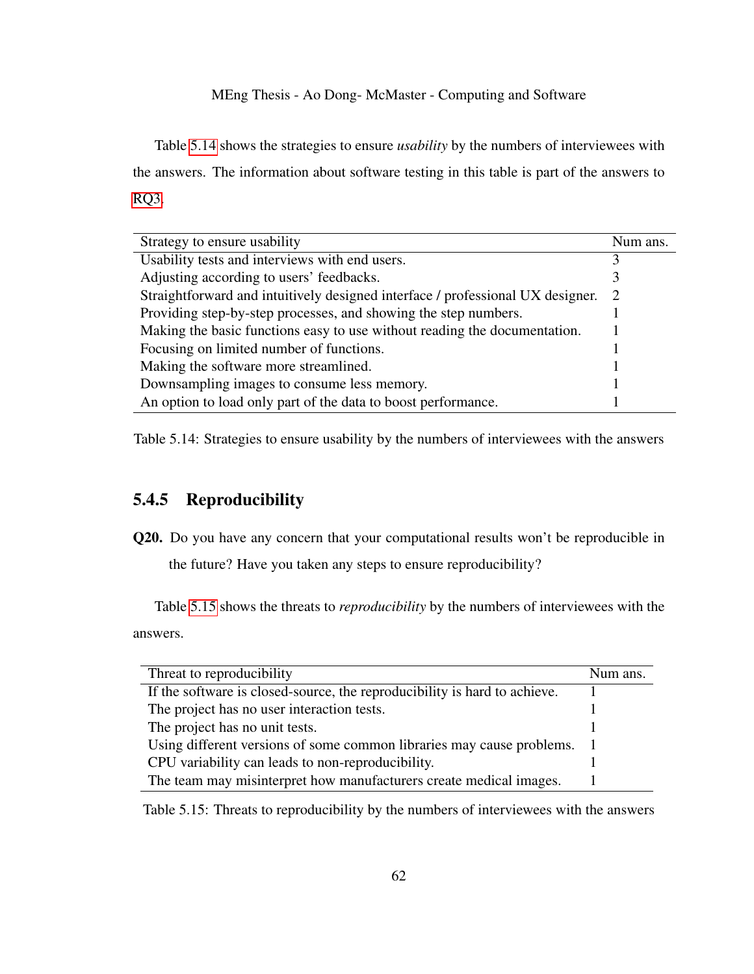Table [5.14](#page-71-0) shows the strategies to ensure *usability* by the numbers of interviewees with the answers. The information about software testing in this table is part of the answers to [RQ3.](#page-13-2)

| Strategy to ensure usability                                                   | Num ans. |
|--------------------------------------------------------------------------------|----------|
| Usability tests and interviews with end users.                                 |          |
| Adjusting according to users' feedbacks.                                       |          |
| Straightforward and intuitively designed interface / professional UX designer. | -2       |
| Providing step-by-step processes, and showing the step numbers.                |          |
| Making the basic functions easy to use without reading the documentation.      |          |
| Focusing on limited number of functions.                                       |          |
| Making the software more streamlined.                                          |          |
| Downsampling images to consume less memory.                                    |          |
| An option to load only part of the data to boost performance.                  |          |

<span id="page-71-0"></span>Table 5.14: Strategies to ensure usability by the numbers of interviewees with the answers

### 5.4.5 Reproducibility

Q20. Do you have any concern that your computational results won't be reproducible in

<span id="page-71-1"></span>the future? Have you taken any steps to ensure reproducibility?

Table [5.15](#page-71-1) shows the threats to *reproducibility* by the numbers of interviewees with the answers.

| Threat to reproducibility                                                 | Num ans. |
|---------------------------------------------------------------------------|----------|
| If the software is closed-source, the reproducibility is hard to achieve. |          |
| The project has no user interaction tests.                                |          |
| The project has no unit tests.                                            |          |
| Using different versions of some common libraries may cause problems.     |          |
| CPU variability can leads to non-reproducibility.                         |          |
| The team may misinterpret how manufacturers create medical images.        |          |
|                                                                           |          |

Table 5.15: Threats to reproducibility by the numbers of interviewees with the answers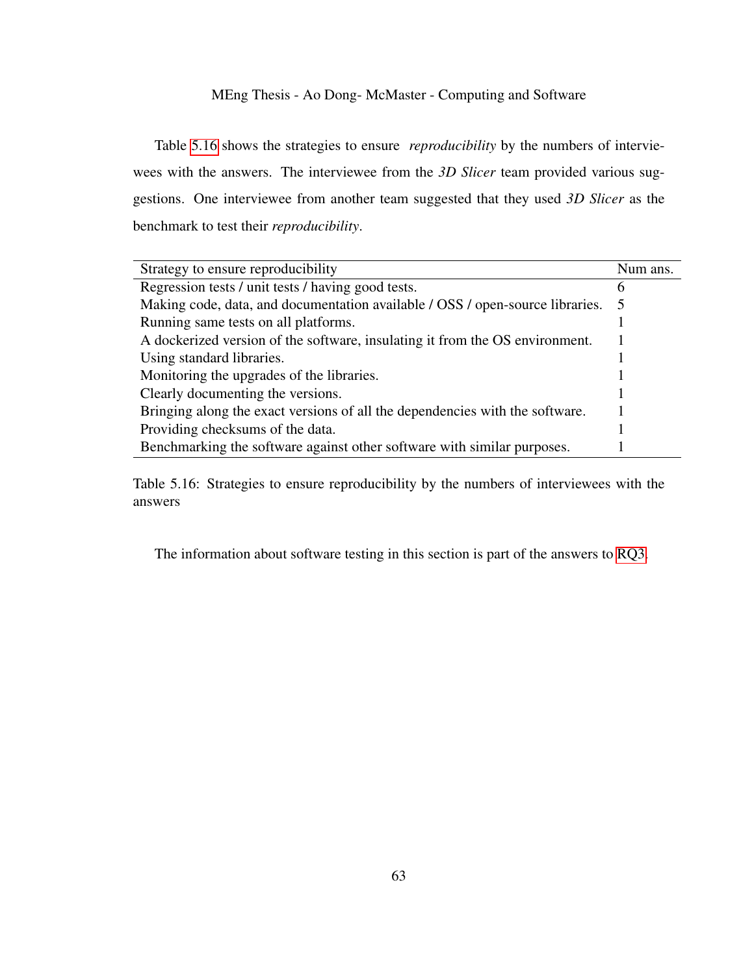Table [5.16](#page-72-0) shows the strategies to ensure *reproducibility* by the numbers of interviewees with the answers. The interviewee from the *3D Slicer* team provided various suggestions. One interviewee from another team suggested that they used *3D Slicer* as the benchmark to test their *reproducibility*.

| Strategy to ensure reproducibility                                            | Num ans. |
|-------------------------------------------------------------------------------|----------|
| Regression tests / unit tests / having good tests.                            |          |
| Making code, data, and documentation available / OSS / open-source libraries. | 5        |
| Running same tests on all platforms.                                          |          |
| A dockerized version of the software, insulating it from the OS environment.  |          |
| Using standard libraries.                                                     |          |
| Monitoring the upgrades of the libraries.                                     |          |
| Clearly documenting the versions.                                             |          |
| Bringing along the exact versions of all the dependencies with the software.  |          |
| Providing checksums of the data.                                              |          |
| Benchmarking the software against other software with similar purposes.       |          |

Table 5.16: Strategies to ensure reproducibility by the numbers of interviewees with the answers

<span id="page-72-0"></span>The information about software testing in this section is part of the answers to [RQ3.](#page-13-0)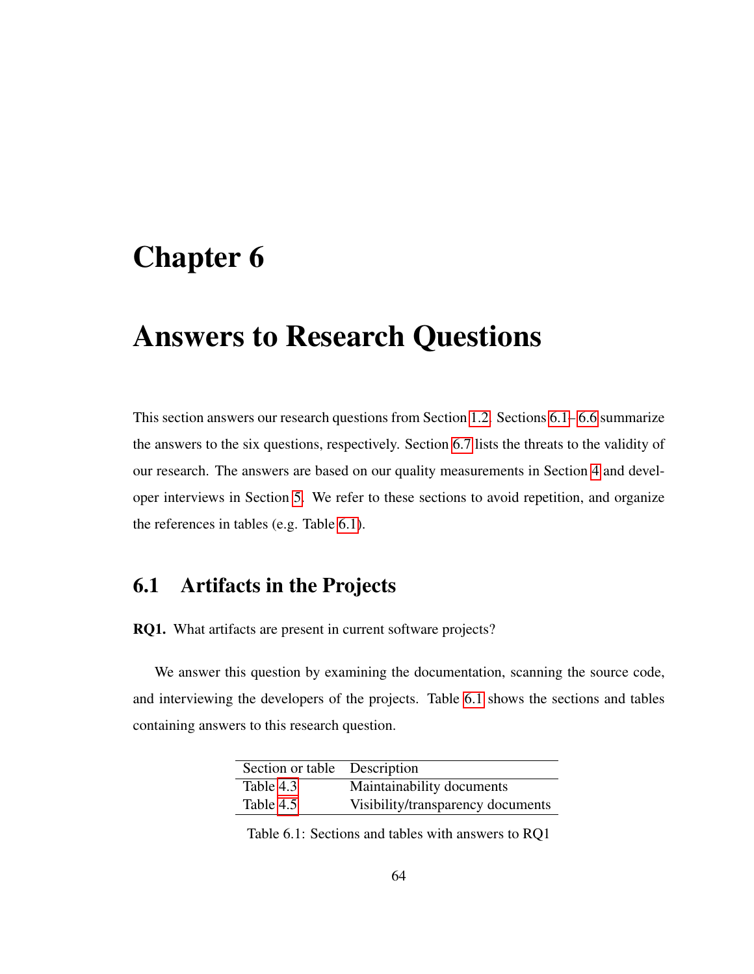# <span id="page-73-2"></span>Chapter 6

## Answers to Research Questions

This section answers our research questions from Section [1.2.](#page-13-1) Sections [6.1–](#page-73-0) [6.6](#page-77-0) summarize the answers to the six questions, respectively. Section [6.7](#page-81-0) lists the threats to the validity of our research. The answers are based on our quality measurements in Section [4](#page-38-0) and developer interviews in Section [5.](#page-57-0) We refer to these sections to avoid repetition, and organize the references in tables (e.g. Table [6.1\)](#page-73-1).

## <span id="page-73-0"></span>6.1 Artifacts in the Projects

RQ1. What artifacts are present in current software projects?

We answer this question by examining the documentation, scanning the source code, and interviewing the developers of the projects. Table [6.1](#page-73-1) shows the sections and tables containing answers to this research question.

| Section or table Description |                                   |
|------------------------------|-----------------------------------|
| Table 4.3                    | Maintainability documents         |
| Table 4.5                    | Visibility/transparency documents |

<span id="page-73-1"></span>Table 6.1: Sections and tables with answers to RQ1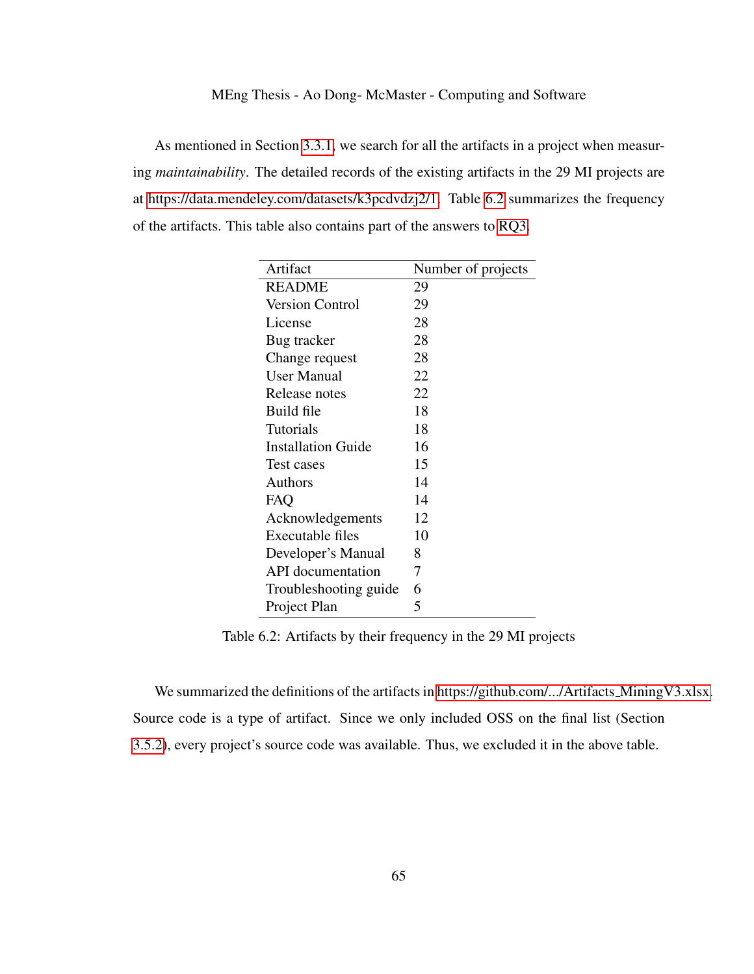As mentioned in Section [3.3.1,](#page-27-0) we search for all the artifacts in a project when measuring *maintainability*. The detailed records of the existing artifacts in the 29 MI projects are at [https://data.mendeley.com/datasets/k3pcdvdzj2/1.](#page-0-0) Table [6.2](#page-74-0) summarizes the frequency of the artifacts. This table also contains part of the answers to [RQ3.](#page-13-0)

<span id="page-74-0"></span>

| Artifact                  | Number of projects |
|---------------------------|--------------------|
| <b>README</b>             | 29                 |
| <b>Version Control</b>    | 29                 |
| License                   | 28                 |
| Bug tracker               | 28                 |
| Change request            | 28                 |
| User Manual               | 22                 |
| Release notes             | 22                 |
| Build file                | 18                 |
| Tutorials                 | 18                 |
| <b>Installation Guide</b> | 16                 |
| Test cases                | 15                 |
| Authors                   | 14                 |
| FAQ                       | 14                 |
| Acknowledgements          | 12                 |
| <b>Executable files</b>   | 10                 |
| Developer's Manual        | 8                  |
| API documentation         | 7                  |
| Troubleshooting guide     | 6                  |
| Project Plan              | 5                  |

Table 6.2: Artifacts by their frequency in the 29 MI projects

We summarized the definitions of the artifacts in [https://github.com/.../Artifacts](#page-0-0)\_MiningV3.xlsx. Source code is a type of artifact. Since we only included OSS on the final list (Section [3.5.2\)](#page-34-0), every project's source code was available. Thus, we excluded it in the above table.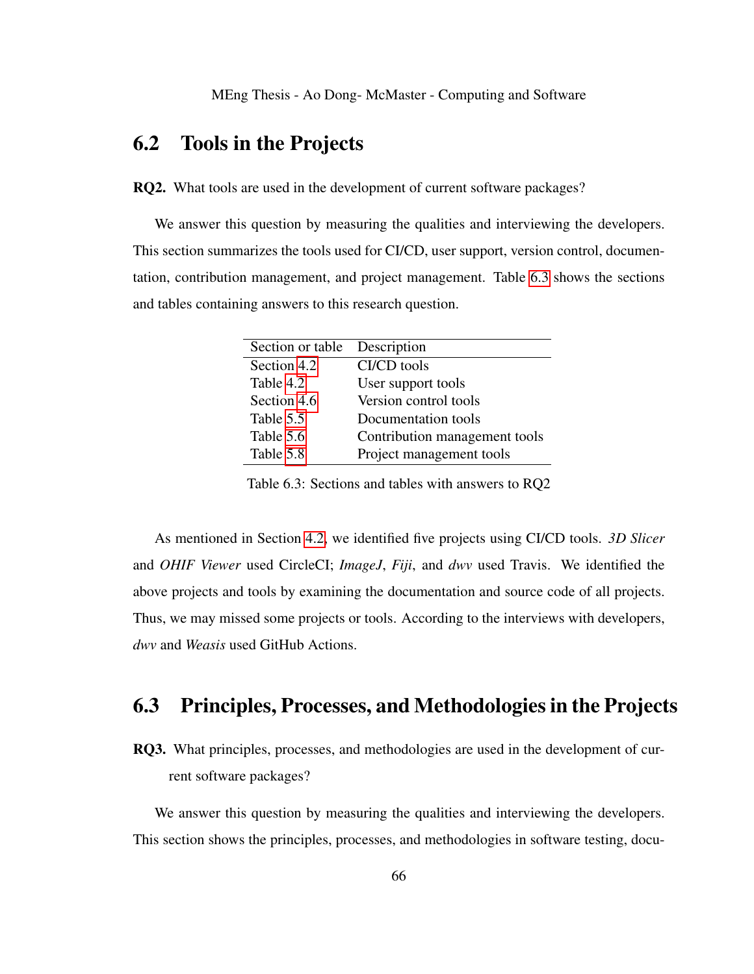## 6.2 Tools in the Projects

RQ2. What tools are used in the development of current software packages?

We answer this question by measuring the qualities and interviewing the developers. This section summarizes the tools used for CI/CD, user support, version control, documentation, contribution management, and project management. Table [6.3](#page-75-0) shows the sections and tables containing answers to this research question.

<span id="page-75-0"></span>

| Section or table Description |                               |
|------------------------------|-------------------------------|
| Section 4.2                  | CI/CD tools                   |
| Table 4.2                    | User support tools            |
| Section 4.6                  | Version control tools         |
| Table 5.5                    | Documentation tools           |
| Table 5.6                    | Contribution management tools |
| Table 5.8                    | Project management tools      |

Table 6.3: Sections and tables with answers to RQ2

As mentioned in Section [4.2,](#page-43-0) we identified five projects using CI/CD tools. *3D Slicer* and *OHIF Viewer* used CircleCI; *ImageJ*, *Fiji*, and *dwv* used Travis. We identified the above projects and tools by examining the documentation and source code of all projects. Thus, we may missed some projects or tools. According to the interviews with developers, *dwv* and *Weasis* used GitHub Actions.

## 6.3 Principles, Processes, and Methodologies in the Projects

RQ3. What principles, processes, and methodologies are used in the development of current software packages?

We answer this question by measuring the qualities and interviewing the developers. This section shows the principles, processes, and methodologies in software testing, docu-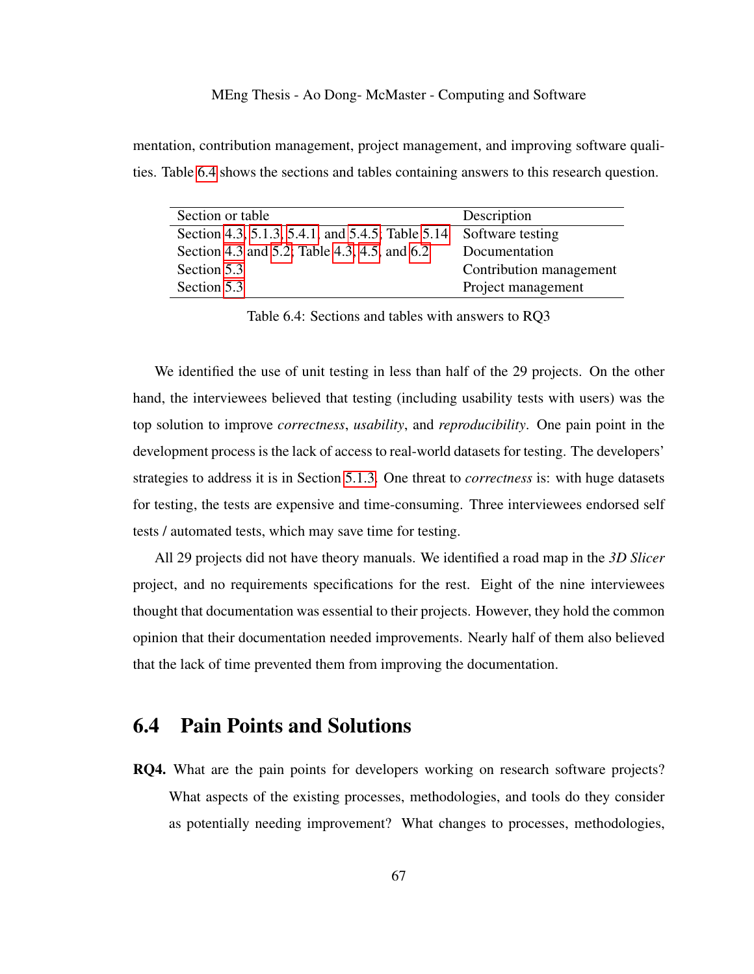mentation, contribution management, project management, and improving software qualities. Table [6.4](#page-76-0) shows the sections and tables containing answers to this research question.

| Section or table                                                  | Description             |
|-------------------------------------------------------------------|-------------------------|
| Section 4.3, 5.1.3, 5.4.1, and 5.4.5; Table 5.14 Software testing |                         |
| Section 4.3 and 5.2; Table 4.3, 4.5, and 6.2                      | Documentation           |
| Section 5.3                                                       | Contribution management |
| Section 5.3                                                       | Project management      |

<span id="page-76-0"></span>Table 6.4: Sections and tables with answers to RQ3

We identified the use of unit testing in less than half of the 29 projects. On the other hand, the interviewees believed that testing (including usability tests with users) was the top solution to improve *correctness*, *usability*, and *reproducibility*. One pain point in the development process is the lack of access to real-world datasets for testing. The developers' strategies to address it is in Section [5.1.3.](#page-62-0) One threat to *correctness* is: with huge datasets for testing, the tests are expensive and time-consuming. Three interviewees endorsed self tests / automated tests, which may save time for testing.

All 29 projects did not have theory manuals. We identified a road map in the *3D Slicer* project, and no requirements specifications for the rest. Eight of the nine interviewees thought that documentation was essential to their projects. However, they hold the common opinion that their documentation needed improvements. Nearly half of them also believed that the lack of time prevented them from improving the documentation.

## 6.4 Pain Points and Solutions

RQ4. What are the pain points for developers working on research software projects? What aspects of the existing processes, methodologies, and tools do they consider as potentially needing improvement? What changes to processes, methodologies,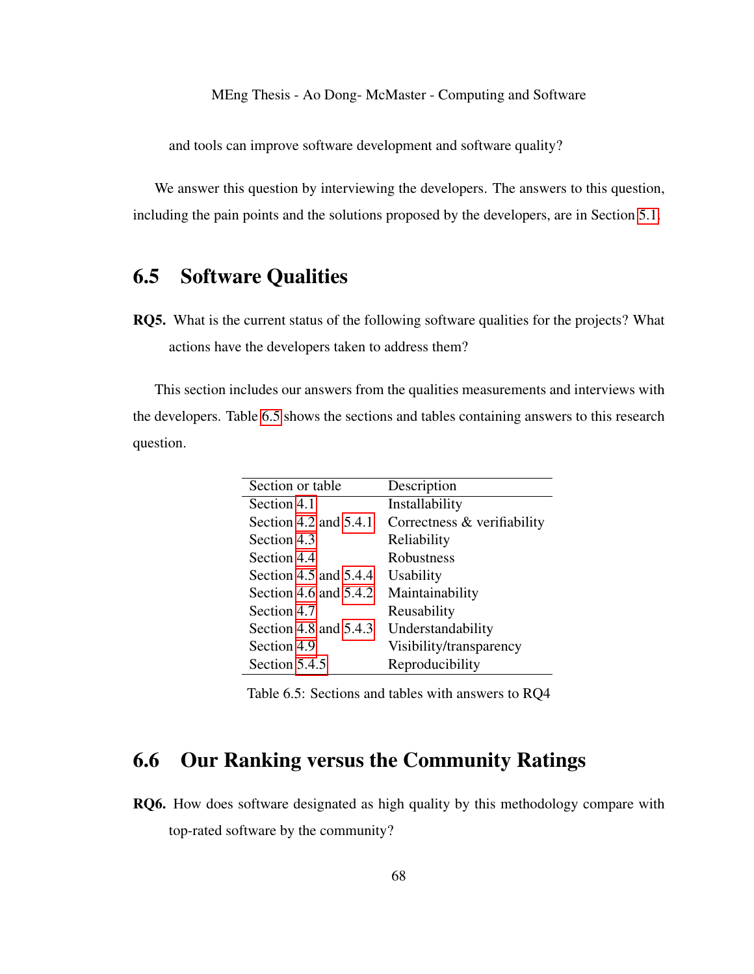and tools can improve software development and software quality?

We answer this question by interviewing the developers. The answers to this question, including the pain points and the solutions proposed by the developers, are in Section [5.1.](#page-58-0)

## 6.5 Software Qualities

RQ5. What is the current status of the following software qualities for the projects? What actions have the developers taken to address them?

This section includes our answers from the qualities measurements and interviews with the developers. Table [6.5](#page-77-1) shows the sections and tables containing answers to this research question.

<span id="page-77-1"></span>

| Section or table        | Description                 |
|-------------------------|-----------------------------|
| Section 4.1             | Installability              |
| Section 4.2 and 5.4.1   | Correctness & verifiability |
| Section 4.3             | Reliability                 |
| Section 4.4             | Robustness                  |
| Section 4.5 and $5.4.4$ | <b>Usability</b>            |
| Section 4.6 and $5.4.2$ | Maintainability             |
| Section 4.7             | Reusability                 |
| Section 4.8 and 5.4.3   | Understandability           |
| Section 4.9             | Visibility/transparency     |
| Section 5.4.5           | Reproducibility             |

Table 6.5: Sections and tables with answers to RQ4

## <span id="page-77-0"></span>6.6 Our Ranking versus the Community Ratings

RQ6. How does software designated as high quality by this methodology compare with top-rated software by the community?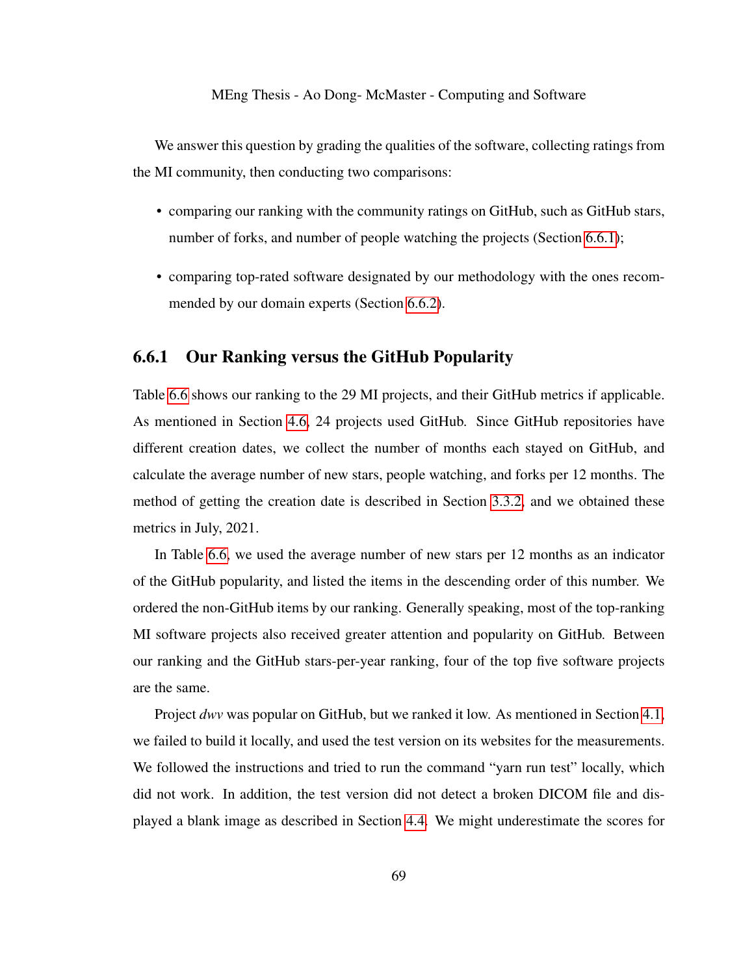We answer this question by grading the qualities of the software, collecting ratings from the MI community, then conducting two comparisons:

- comparing our ranking with the community ratings on GitHub, such as GitHub stars, number of forks, and number of people watching the projects (Section [6.6.1\)](#page-78-0);
- comparing top-rated software designated by our methodology with the ones recommended by our domain experts (Section [6.6.2\)](#page-80-0).

#### <span id="page-78-0"></span>6.6.1 Our Ranking versus the GitHub Popularity

Table [6.6](#page-79-0) shows our ranking to the 29 MI projects, and their GitHub metrics if applicable. As mentioned in Section [4.6,](#page-49-1) 24 projects used GitHub. Since GitHub repositories have different creation dates, we collect the number of months each stayed on GitHub, and calculate the average number of new stars, people watching, and forks per 12 months. The method of getting the creation date is described in Section [3.3.2,](#page-31-0) and we obtained these metrics in July, 2021.

In Table [6.6,](#page-79-0) we used the average number of new stars per 12 months as an indicator of the GitHub popularity, and listed the items in the descending order of this number. We ordered the non-GitHub items by our ranking. Generally speaking, most of the top-ranking MI software projects also received greater attention and popularity on GitHub. Between our ranking and the GitHub stars-per-year ranking, four of the top five software projects are the same.

Project *dwv* was popular on GitHub, but we ranked it low. As mentioned in Section [4.1,](#page-41-0) we failed to build it locally, and used the test version on its websites for the measurements. We followed the instructions and tried to run the command "yarn run test" locally, which did not work. In addition, the test version did not detect a broken DICOM file and displayed a blank image as described in Section [4.4.](#page-46-0) We might underestimate the scores for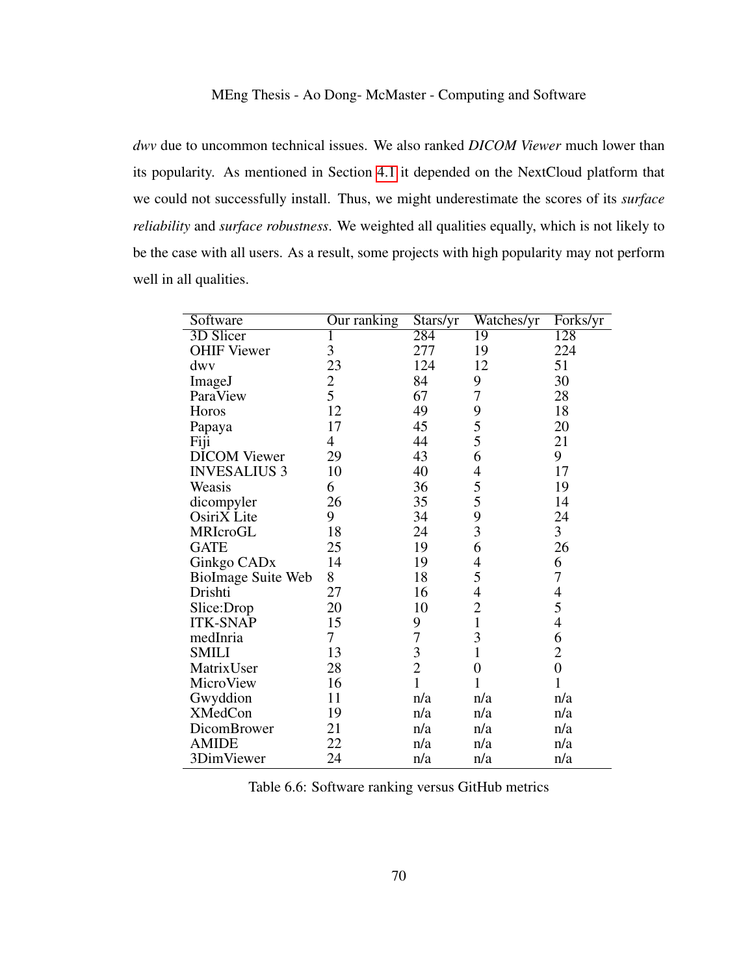*dwv* due to uncommon technical issues. We also ranked *DICOM Viewer* much lower than its popularity. As mentioned in Section [4.1](#page-41-0) it depended on the NextCloud platform that we could not successfully install. Thus, we might underestimate the scores of its *surface reliability* and *surface robustness*. We weighted all qualities equally, which is not likely to be the case with all users. As a result, some projects with high popularity may not perform well in all qualities.

| Software                | Our ranking  | Stars/yr      | Watches/yr     | Forks/yr       |
|-------------------------|--------------|---------------|----------------|----------------|
| 3D Slicer               | $\mathbf{I}$ | 284           | 19             | 128            |
| <b>OHIF Viewer</b>      | 3            | 277           | 19             | 224            |
| dwy                     | 23           | 124           | 12             | 51             |
| ImageJ                  | $rac{2}{5}$  | 84            | 9              | 30             |
| ParaView                |              | 67            | 7              | 28             |
| Horos                   | 12           | 49            | 9              | 18             |
| Papaya                  | 17           | 45            | 5              | 20             |
| Fiji                    | 4            | 44            | 5              | 21             |
| <b>DICOM</b> Viewer     | 29           | 43            | 6              | 9              |
| <b>INVESALIUS 3</b>     | 10           | 40            | 4              | 17             |
| Weasis                  | 6            | 36            | 5              | 19             |
| dicompyler              | 26           | 35            | 5              | 14             |
| OsiriX Lite             | 9            | 34            | 9              | 24             |
| MRIcroGL                | 18           | 24            | 3              | 3              |
| <b>GATE</b>             | 25           | 19            | 6              | 26             |
| Ginkgo CAD <sub>x</sub> | 14           | 19            | 4              | 6              |
| BioImage Suite Web      | 8            | 18            | 5              | $\overline{7}$ |
| Drishti                 | 27           | 16            | $\overline{4}$ | $\overline{4}$ |
| Slice:Drop              | 20           | 10            | $\overline{2}$ | 5              |
| <b>ITK-SNAP</b>         | 15           | 9             | $\mathbf{1}$   | 4              |
| medInria                | 7            | 7             | 3              | 6              |
| <b>SMILI</b>            | 13           | $\frac{3}{2}$ | $\mathbf{1}$   | $\overline{2}$ |
| MatrixUser              | 28           |               | $\overline{0}$ | $\overline{0}$ |
| MicroView               | 16           | $\mathbf{1}$  | 1              | 1              |
| Gwyddion                | 11           | n/a           | n/a            | n/a            |
| <b>XMedCon</b>          | 19           | n/a           | n/a            | n/a            |
| DicomBrower             | 21           | n/a           | n/a            | n/a            |
| <b>AMIDE</b>            | 22           | n/a           | n/a            | n/a            |
| 3DimViewer              | 24           | n/a           | n/a            | n/a            |

<span id="page-79-0"></span>Table 6.6: Software ranking versus GitHub metrics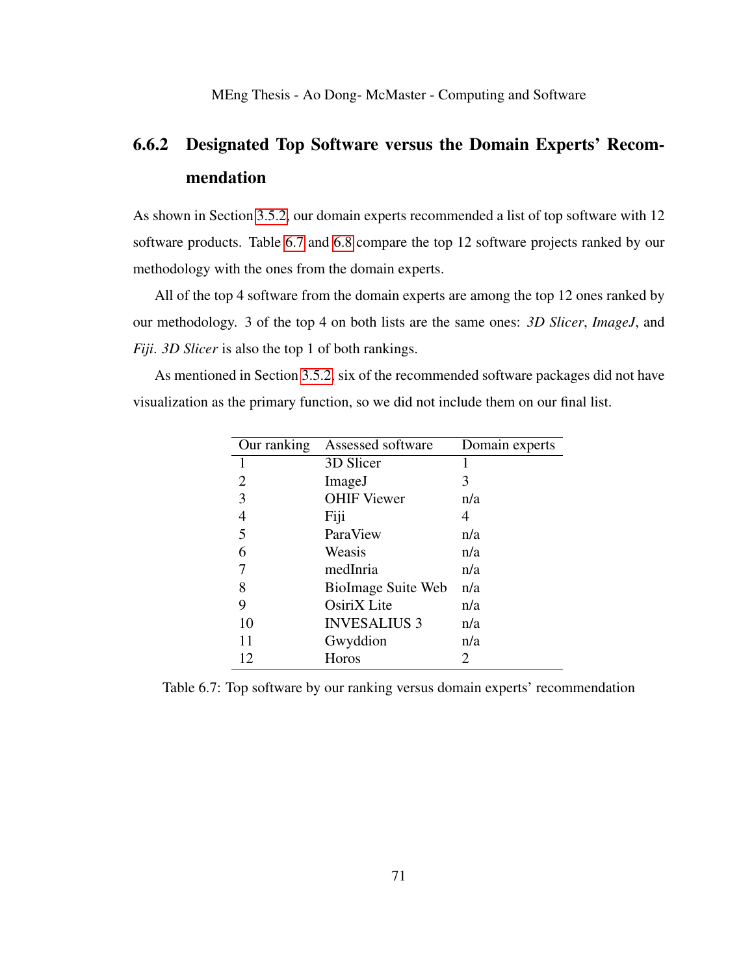## <span id="page-80-0"></span>6.6.2 Designated Top Software versus the Domain Experts' Recommendation

As shown in Section [3.5.2,](#page-34-0) our domain experts recommended a list of top software with 12 software products. Table [6.7](#page-80-1) and [6.8](#page-81-1) compare the top 12 software projects ranked by our methodology with the ones from the domain experts.

All of the top 4 software from the domain experts are among the top 12 ones ranked by our methodology. 3 of the top 4 on both lists are the same ones: *3D Slicer*, *ImageJ*, and *Fiji*. *3D Slicer* is also the top 1 of both rankings.

As mentioned in Section [3.5.2,](#page-34-0) six of the recommended software packages did not have visualization as the primary function, so we did not include them on our final list.

<span id="page-80-1"></span>

| Our ranking | Assessed software   | Domain experts |
|-------------|---------------------|----------------|
| 1           | 3D Slicer           |                |
| 2           | ImageJ              | 3              |
| 3           | <b>OHIF Viewer</b>  | n/a            |
| 4           | Fiji                | 4              |
| 5           | ParaView            | n/a            |
| 6           | Weasis              | n/a            |
|             | medInria            | n/a            |
| 8           | BioImage Suite Web  | n/a            |
| 9           | OsiriX Lite         | n/a            |
| 10          | <b>INVESALIUS 3</b> | n/a            |
| 11          | Gwyddion            | n/a            |
| 12          | Horos               | 2              |

Table 6.7: Top software by our ranking versus domain experts' recommendation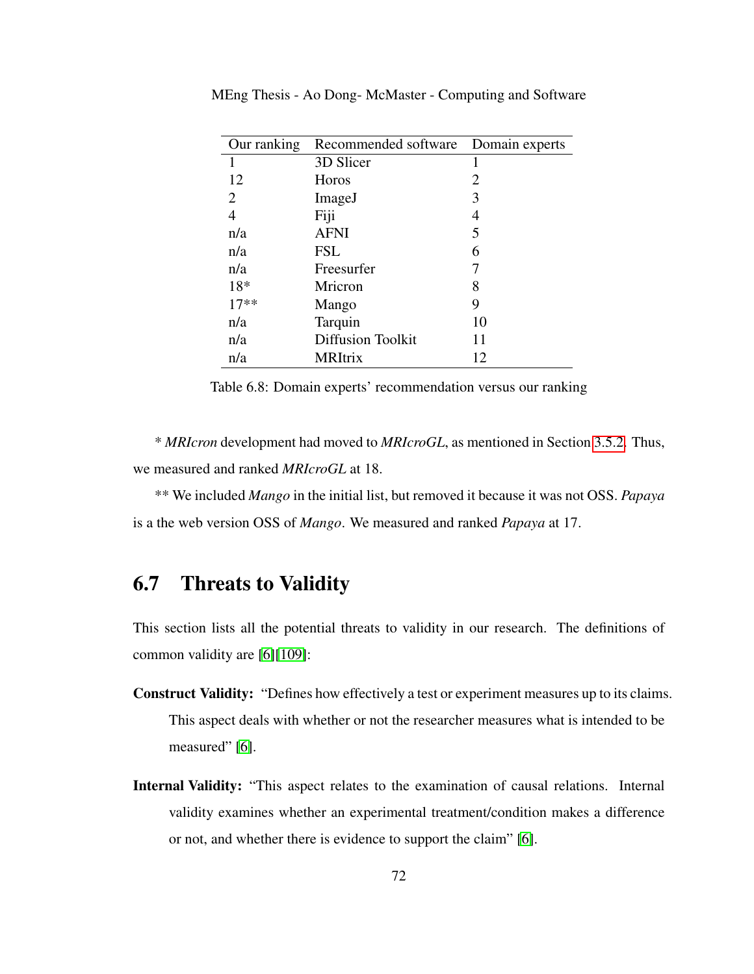<span id="page-81-1"></span>

| Our ranking    | Recommended software     | Domain experts |
|----------------|--------------------------|----------------|
| 1              | 3D Slicer                |                |
| 12             | Horos                    | 2              |
| 2              | ImageJ                   | 3              |
| $\overline{4}$ | Fiji                     | 4              |
| n/a            | <b>AFNI</b>              | 5              |
| n/a            | <b>FSL</b>               | 6              |
| n/a            | Freesurfer               |                |
| 18*            | Mricron                  | 8              |
| $17**$         | Mango                    | 9              |
| n/a            | Tarquin                  | 10             |
| n/a            | <b>Diffusion Toolkit</b> | 11             |
| n/a            | <b>MRItrix</b>           | 12             |

MEng Thesis - Ao Dong- McMaster - Computing and Software

Table 6.8: Domain experts' recommendation versus our ranking

\* *MRIcron* development had moved to *MRIcroGL*, as mentioned in Section [3.5.2.](#page-34-0) Thus, we measured and ranked *MRIcroGL* at 18.

\*\* We included *Mango* in the initial list, but removed it because it was not OSS. *Papaya* is a the web version OSS of *Mango*. We measured and ranked *Papaya* at 17.

## <span id="page-81-0"></span>6.7 Threats to Validity

This section lists all the potential threats to validity in our research. The definitions of common validity are [\[6\]](#page-98-0)[\[109\]](#page-110-0):

- Construct Validity: "Defines how effectively a test or experiment measures up to its claims. This aspect deals with whether or not the researcher measures what is intended to be measured" [\[6\]](#page-98-0).
- Internal Validity: "This aspect relates to the examination of causal relations. Internal validity examines whether an experimental treatment/condition makes a difference or not, and whether there is evidence to support the claim" [\[6\]](#page-98-0).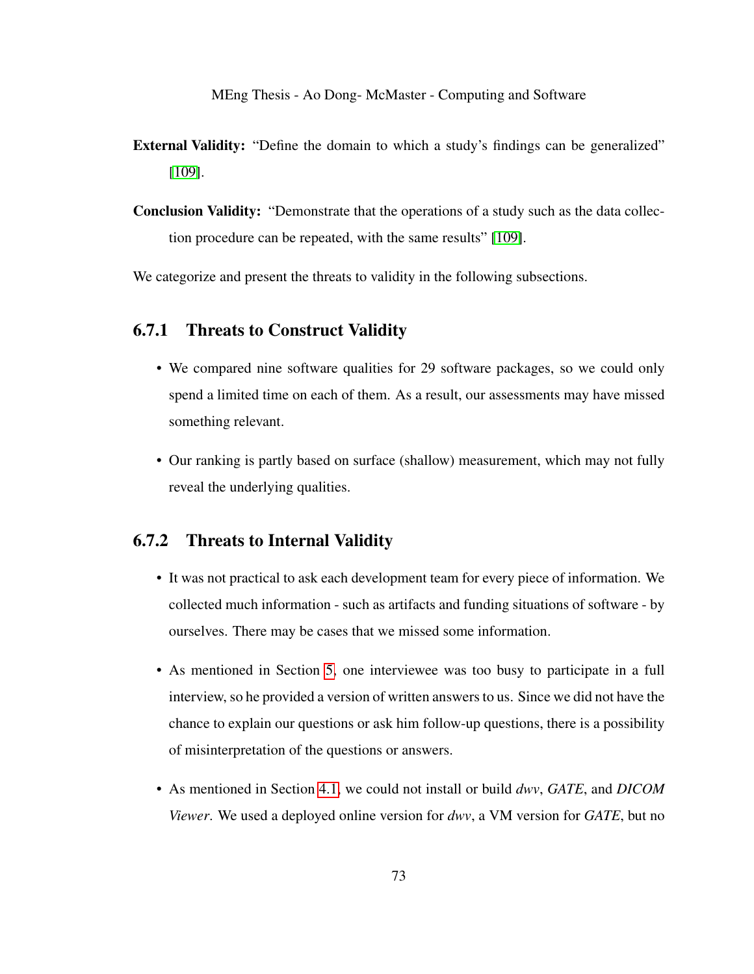- External Validity: "Define the domain to which a study's findings can be generalized" [\[109\]](#page-110-0).
- Conclusion Validity: "Demonstrate that the operations of a study such as the data collection procedure can be repeated, with the same results" [\[109\]](#page-110-0).

We categorize and present the threats to validity in the following subsections.

#### 6.7.1 Threats to Construct Validity

- We compared nine software qualities for 29 software packages, so we could only spend a limited time on each of them. As a result, our assessments may have missed something relevant.
- Our ranking is partly based on surface (shallow) measurement, which may not fully reveal the underlying qualities.

#### 6.7.2 Threats to Internal Validity

- It was not practical to ask each development team for every piece of information. We collected much information - such as artifacts and funding situations of software - by ourselves. There may be cases that we missed some information.
- As mentioned in Section [5,](#page-57-0) one interviewee was too busy to participate in a full interview, so he provided a version of written answers to us. Since we did not have the chance to explain our questions or ask him follow-up questions, there is a possibility of misinterpretation of the questions or answers.
- As mentioned in Section [4.1,](#page-41-0) we could not install or build *dwv*, *GATE*, and *DICOM Viewer*. We used a deployed online version for *dwv*, a VM version for *GATE*, but no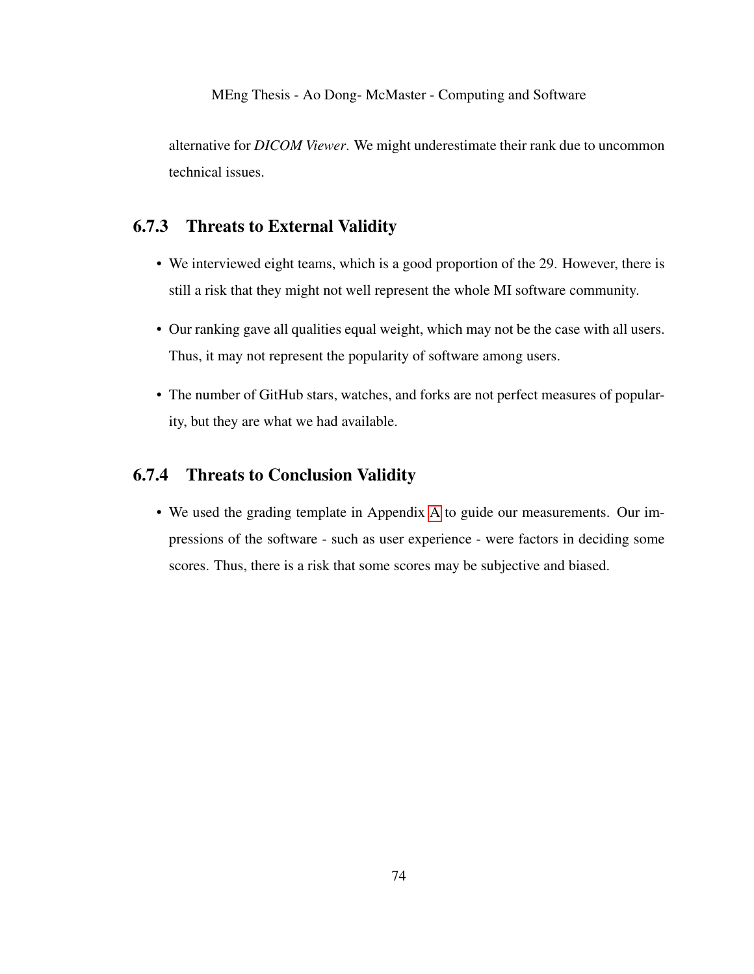alternative for *DICOM Viewer*. We might underestimate their rank due to uncommon technical issues.

### 6.7.3 Threats to External Validity

- We interviewed eight teams, which is a good proportion of the 29. However, there is still a risk that they might not well represent the whole MI software community.
- Our ranking gave all qualities equal weight, which may not be the case with all users. Thus, it may not represent the popularity of software among users.
- The number of GitHub stars, watches, and forks are not perfect measures of popularity, but they are what we had available.

### 6.7.4 Threats to Conclusion Validity

• We used the grading template in Appendix [A](#page-111-0) to guide our measurements. Our impressions of the software - such as user experience - were factors in deciding some scores. Thus, there is a risk that some scores may be subjective and biased.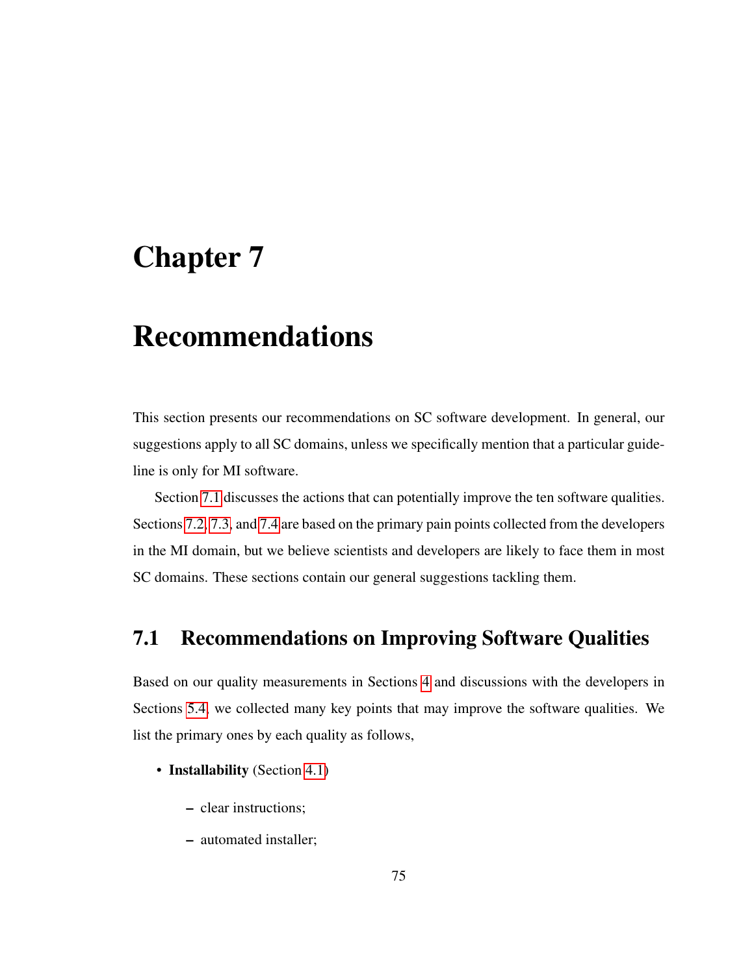## <span id="page-84-1"></span>Chapter 7

## Recommendations

This section presents our recommendations on SC software development. In general, our suggestions apply to all SC domains, unless we specifically mention that a particular guideline is only for MI software.

Section [7.1](#page-84-0) discusses the actions that can potentially improve the ten software qualities. Sections [7.2,](#page-87-0) [7.3,](#page-89-0) and [7.4](#page-90-0) are based on the primary pain points collected from the developers in the MI domain, but we believe scientists and developers are likely to face them in most SC domains. These sections contain our general suggestions tackling them.

## <span id="page-84-0"></span>7.1 Recommendations on Improving Software Qualities

Based on our quality measurements in Sections [4](#page-38-0) and discussions with the developers in Sections [5.4,](#page-67-1) we collected many key points that may improve the software qualities. We list the primary ones by each quality as follows,

- Installability (Section [4.1\)](#page-41-0)
	- clear instructions;
	- automated installer;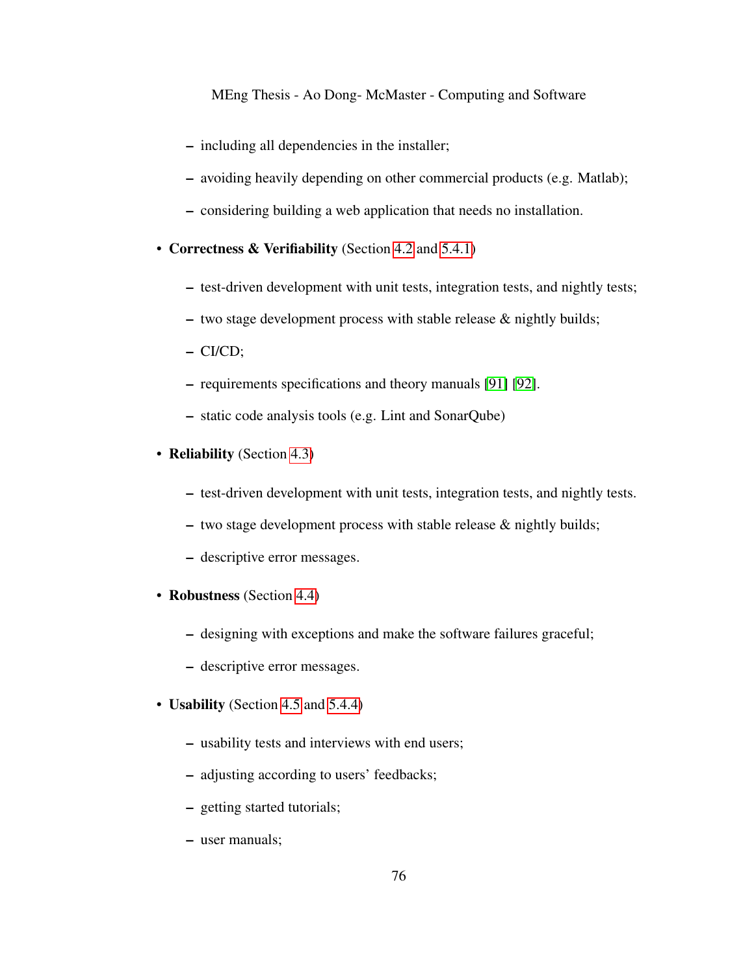- including all dependencies in the installer;
- avoiding heavily depending on other commercial products (e.g. Matlab);
- considering building a web application that needs no installation.
- Correctness & Verifiability (Section [4.2](#page-43-0) and [5.4.1\)](#page-67-0)
	- test-driven development with unit tests, integration tests, and nightly tests;
	- two stage development process with stable release & nightly builds;
	- CI/CD;
	- requirements specifications and theory manuals [\[91\]](#page-108-0) [\[92\]](#page-108-1).
	- static code analysis tools (e.g. Lint and SonarQube)
- **Reliability** (Section [4.3\)](#page-45-0)
	- test-driven development with unit tests, integration tests, and nightly tests.
	- two stage development process with stable release & nightly builds;
	- descriptive error messages.
- Robustness (Section [4.4\)](#page-46-0)
	- designing with exceptions and make the software failures graceful;
	- descriptive error messages.
- **Usability** (Section [4.5](#page-47-0) and [5.4.4\)](#page-70-0)
	- usability tests and interviews with end users;
	- adjusting according to users' feedbacks;
	- getting started tutorials;
	- user manuals;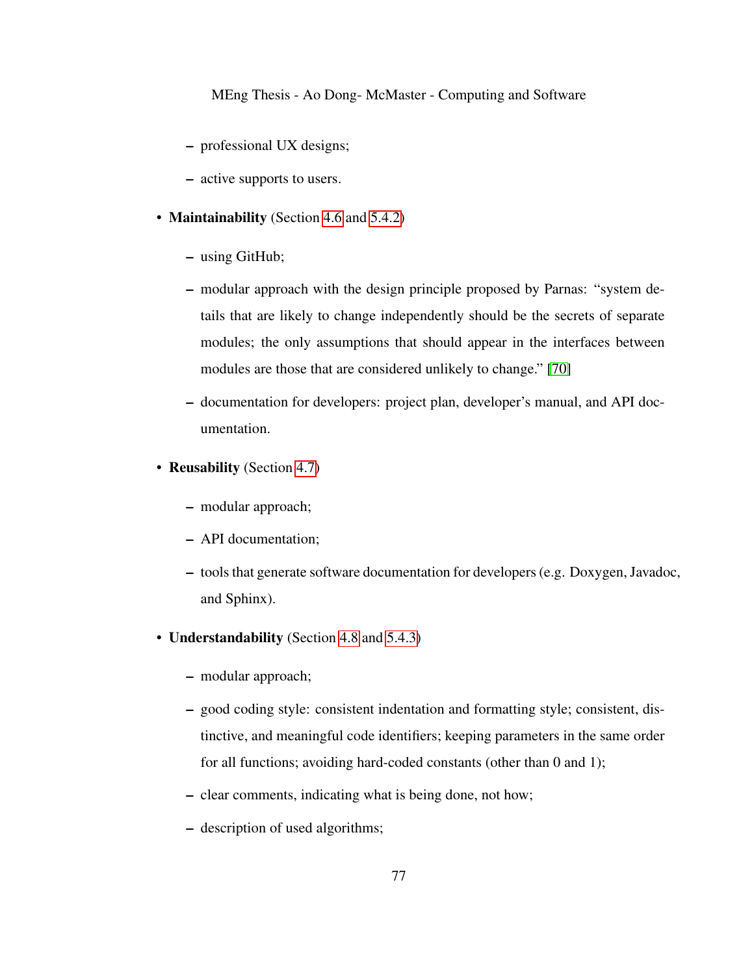- professional UX designs;
- active supports to users.
- **Maintainability** (Section [4.6](#page-49-1) and [5.4.2\)](#page-69-0)
	- using GitHub;
	- modular approach with the design principle proposed by Parnas: "system details that are likely to change independently should be the secrets of separate modules; the only assumptions that should appear in the interfaces between modules are those that are considered unlikely to change." [\[70\]](#page-106-0)
	- documentation for developers: project plan, developer's manual, and API documentation.
- Reusability (Section [4.7\)](#page-51-0)
	- modular approach;
	- API documentation;
	- tools that generate software documentation for developers (e.g. Doxygen, Javadoc, and Sphinx).
- Understandability (Section [4.8](#page-52-0) and [5.4.3\)](#page-69-1)
	- modular approach;
	- good coding style: consistent indentation and formatting style; consistent, distinctive, and meaningful code identifiers; keeping parameters in the same order for all functions; avoiding hard-coded constants (other than 0 and 1);
	- clear comments, indicating what is being done, not how;
	- description of used algorithms;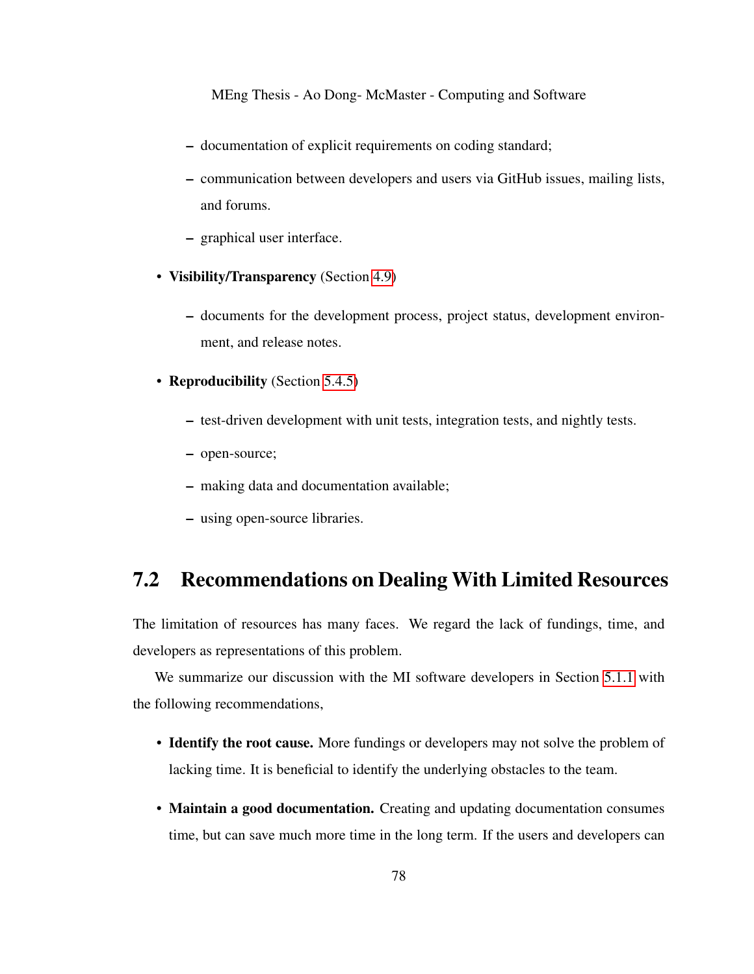- documentation of explicit requirements on coding standard;
- communication between developers and users via GitHub issues, mailing lists, and forums.
- graphical user interface.
- Visibility/Transparency (Section [4.9\)](#page-53-0)
	- documents for the development process, project status, development environment, and release notes.
- Reproducibility (Section [5.4.5\)](#page-71-0)
	- test-driven development with unit tests, integration tests, and nightly tests.
	- open-source;
	- making data and documentation available;
	- using open-source libraries.

## <span id="page-87-0"></span>7.2 Recommendations on Dealing With Limited Resources

The limitation of resources has many faces. We regard the lack of fundings, time, and developers as representations of this problem.

We summarize our discussion with the MI software developers in Section [5.1.1](#page-59-0) with the following recommendations,

- Identify the root cause. More fundings or developers may not solve the problem of lacking time. It is beneficial to identify the underlying obstacles to the team.
- Maintain a good documentation. Creating and updating documentation consumes time, but can save much more time in the long term. If the users and developers can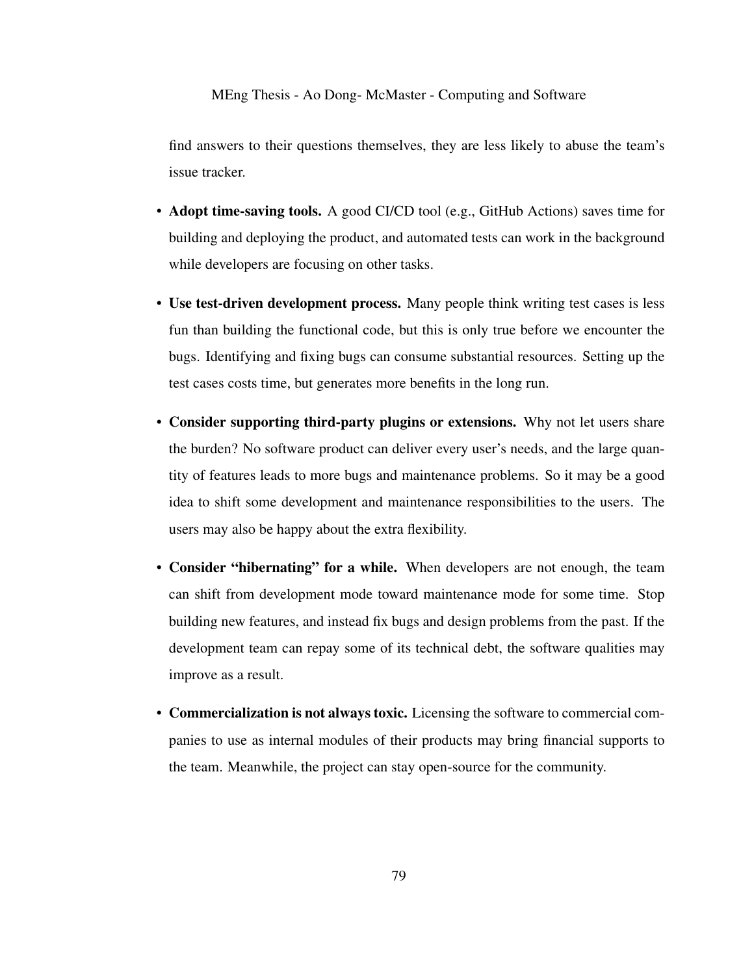find answers to their questions themselves, they are less likely to abuse the team's issue tracker.

- Adopt time-saving tools. A good CI/CD tool (e.g., GitHub Actions) saves time for building and deploying the product, and automated tests can work in the background while developers are focusing on other tasks.
- Use test-driven development process. Many people think writing test cases is less fun than building the functional code, but this is only true before we encounter the bugs. Identifying and fixing bugs can consume substantial resources. Setting up the test cases costs time, but generates more benefits in the long run.
- Consider supporting third-party plugins or extensions. Why not let users share the burden? No software product can deliver every user's needs, and the large quantity of features leads to more bugs and maintenance problems. So it may be a good idea to shift some development and maintenance responsibilities to the users. The users may also be happy about the extra flexibility.
- Consider "hibernating" for a while. When developers are not enough, the team can shift from development mode toward maintenance mode for some time. Stop building new features, and instead fix bugs and design problems from the past. If the development team can repay some of its technical debt, the software qualities may improve as a result.
- Commercialization is not always toxic. Licensing the software to commercial companies to use as internal modules of their products may bring financial supports to the team. Meanwhile, the project can stay open-source for the community.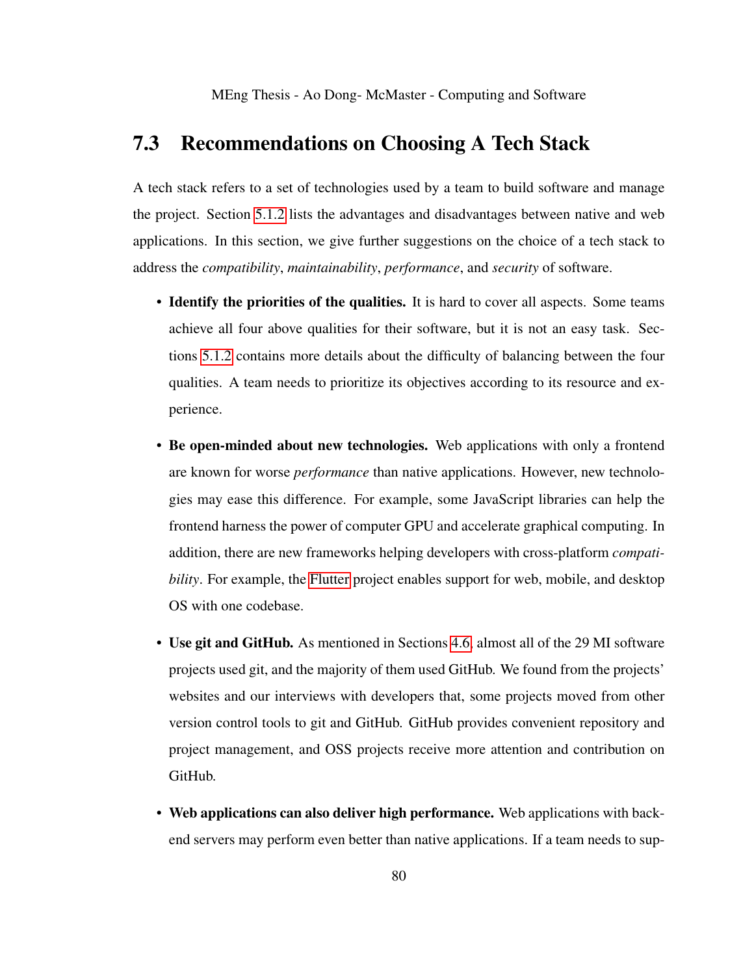## <span id="page-89-0"></span>7.3 Recommendations on Choosing A Tech Stack

A tech stack refers to a set of technologies used by a team to build software and manage the project. Section [5.1.2](#page-60-0) lists the advantages and disadvantages between native and web applications. In this section, we give further suggestions on the choice of a tech stack to address the *compatibility*, *maintainability*, *performance*, and *security* of software.

- Identify the priorities of the qualities. It is hard to cover all aspects. Some teams achieve all four above qualities for their software, but it is not an easy task. Sections [5.1.2](#page-60-0) contains more details about the difficulty of balancing between the four qualities. A team needs to prioritize its objectives according to its resource and experience.
- Be open-minded about new technologies. Web applications with only a frontend are known for worse *performance* than native applications. However, new technologies may ease this difference. For example, some JavaScript libraries can help the frontend harness the power of computer GPU and accelerate graphical computing. In addition, there are new frameworks helping developers with cross-platform *compatibility*. For example, the [Flutter](#page-0-0) project enables support for web, mobile, and desktop OS with one codebase.
- Use git and GitHub. As mentioned in Sections [4.6,](#page-49-1) almost all of the 29 MI software projects used git, and the majority of them used GitHub. We found from the projects' websites and our interviews with developers that, some projects moved from other version control tools to git and GitHub. GitHub provides convenient repository and project management, and OSS projects receive more attention and contribution on GitHub.
- Web applications can also deliver high performance. Web applications with backend servers may perform even better than native applications. If a team needs to sup-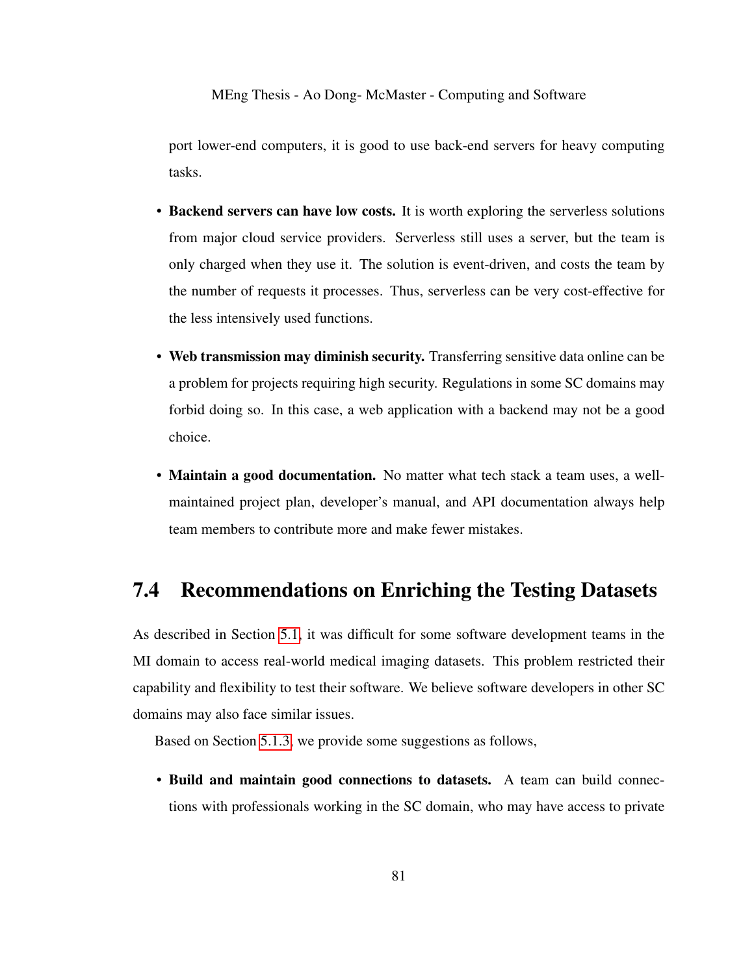port lower-end computers, it is good to use back-end servers for heavy computing tasks.

- Backend servers can have low costs. It is worth exploring the serverless solutions from major cloud service providers. Serverless still uses a server, but the team is only charged when they use it. The solution is event-driven, and costs the team by the number of requests it processes. Thus, serverless can be very cost-effective for the less intensively used functions.
- Web transmission may diminish security. Transferring sensitive data online can be a problem for projects requiring high security. Regulations in some SC domains may forbid doing so. In this case, a web application with a backend may not be a good choice.
- Maintain a good documentation. No matter what tech stack a team uses, a wellmaintained project plan, developer's manual, and API documentation always help team members to contribute more and make fewer mistakes.

### <span id="page-90-0"></span>7.4 Recommendations on Enriching the Testing Datasets

As described in Section [5.1,](#page-58-0) it was difficult for some software development teams in the MI domain to access real-world medical imaging datasets. This problem restricted their capability and flexibility to test their software. We believe software developers in other SC domains may also face similar issues.

Based on Section [5.1.3,](#page-62-0) we provide some suggestions as follows,

• Build and maintain good connections to datasets. A team can build connections with professionals working in the SC domain, who may have access to private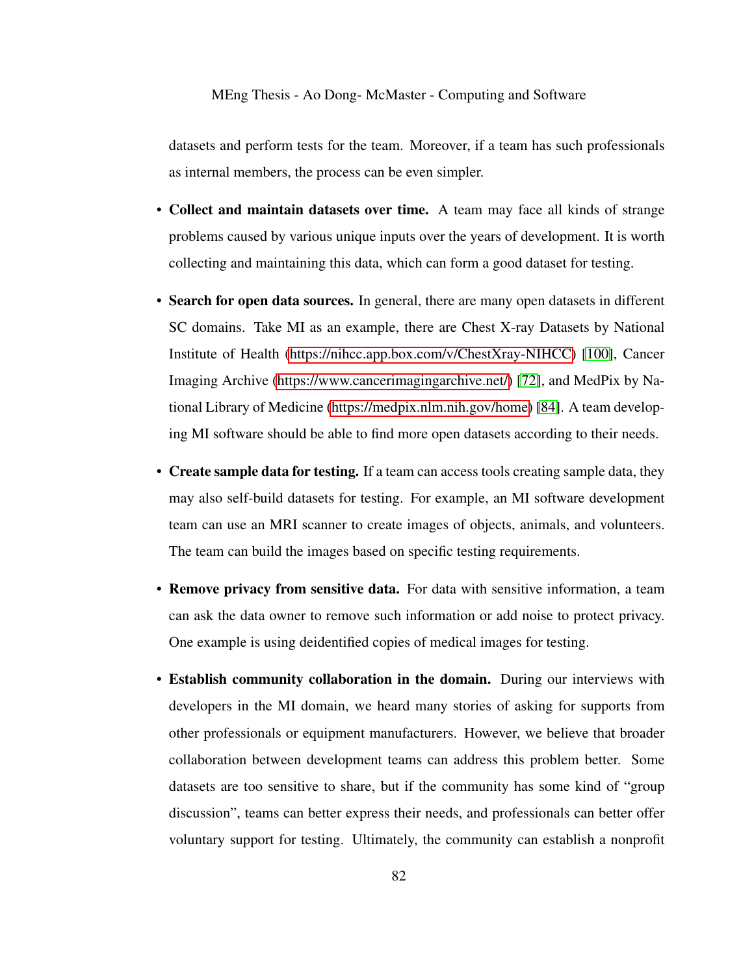datasets and perform tests for the team. Moreover, if a team has such professionals as internal members, the process can be even simpler.

- Collect and maintain datasets over time. A team may face all kinds of strange problems caused by various unique inputs over the years of development. It is worth collecting and maintaining this data, which can form a good dataset for testing.
- Search for open data sources. In general, there are many open datasets in different SC domains. Take MI as an example, there are Chest X-ray Datasets by National Institute of Health [\(https://nihcc.app.box.com/v/ChestXray-NIHCC\)](#page-0-0) [\[100\]](#page-109-0), Cancer Imaging Archive [\(https://www.cancerimagingarchive.net/\)](#page-0-0) [\[72\]](#page-106-1), and MedPix by National Library of Medicine [\(https://medpix.nlm.nih.gov/home\)](#page-0-0) [\[84\]](#page-107-0). A team developing MI software should be able to find more open datasets according to their needs.
- Create sample data for testing. If a team can access tools creating sample data, they may also self-build datasets for testing. For example, an MI software development team can use an MRI scanner to create images of objects, animals, and volunteers. The team can build the images based on specific testing requirements.
- Remove privacy from sensitive data. For data with sensitive information, a team can ask the data owner to remove such information or add noise to protect privacy. One example is using deidentified copies of medical images for testing.
- Establish community collaboration in the domain. During our interviews with developers in the MI domain, we heard many stories of asking for supports from other professionals or equipment manufacturers. However, we believe that broader collaboration between development teams can address this problem better. Some datasets are too sensitive to share, but if the community has some kind of "group discussion", teams can better express their needs, and professionals can better offer voluntary support for testing. Ultimately, the community can establish a nonprofit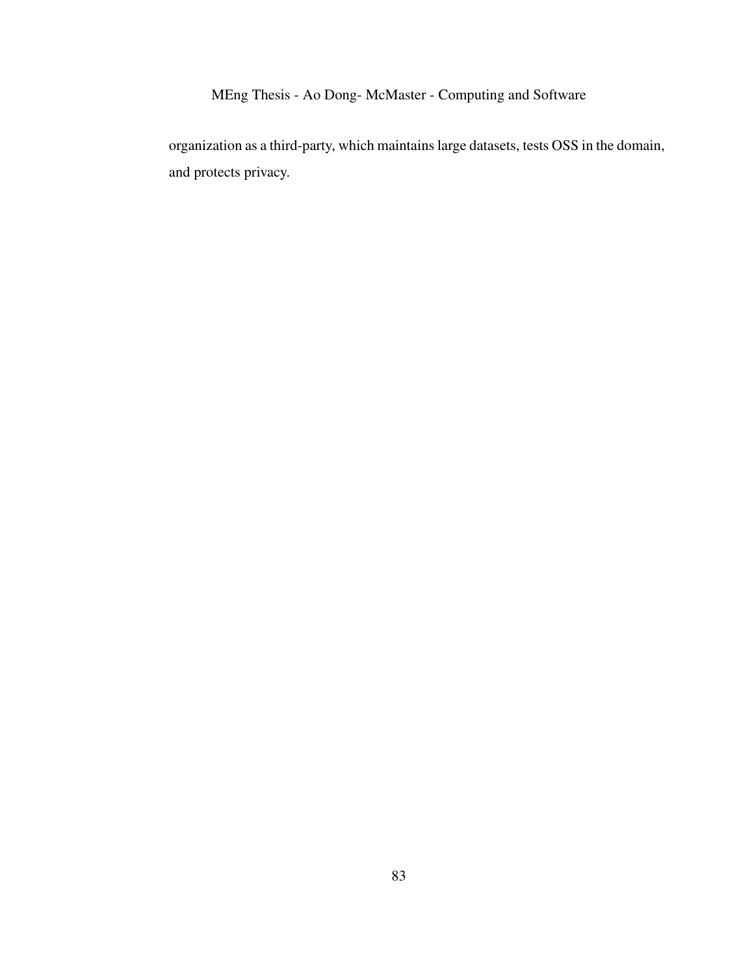organization as a third-party, which maintains large datasets, tests OSS in the domain, and protects privacy.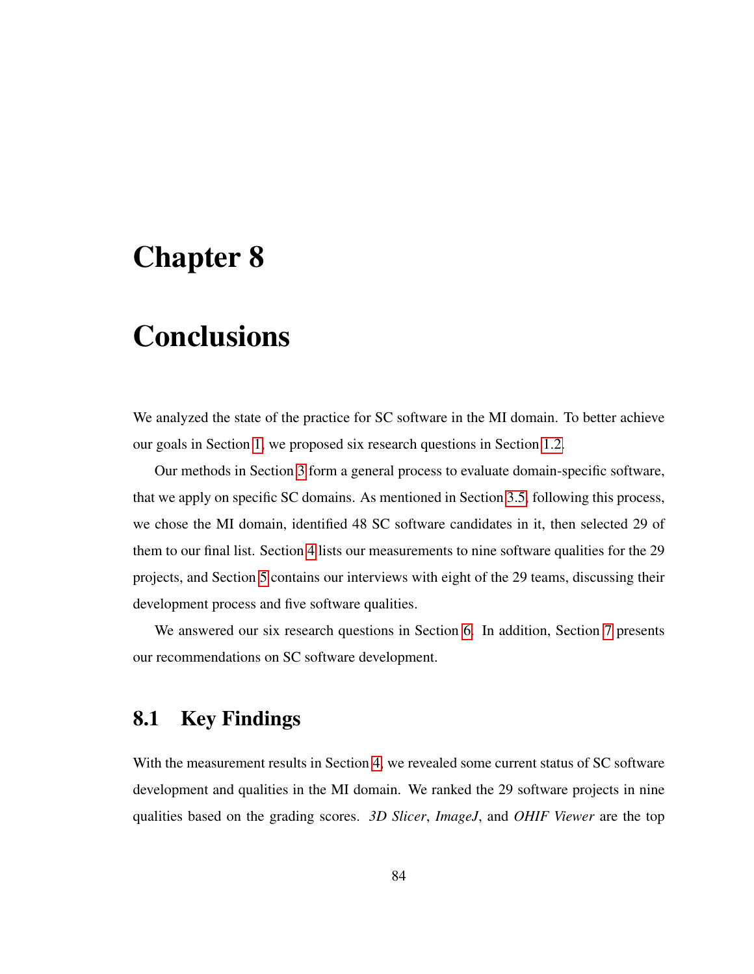## Chapter 8

# **Conclusions**

We analyzed the state of the practice for SC software in the MI domain. To better achieve our goals in Section [1,](#page-11-0) we proposed six research questions in Section [1.2.](#page-13-1)

Our methods in Section [3](#page-24-0) form a general process to evaluate domain-specific software, that we apply on specific SC domains. As mentioned in Section [3.5,](#page-34-1) following this process, we chose the MI domain, identified 48 SC software candidates in it, then selected 29 of them to our final list. Section [4](#page-38-0) lists our measurements to nine software qualities for the 29 projects, and Section [5](#page-57-0) contains our interviews with eight of the 29 teams, discussing their development process and five software qualities.

We answered our six research questions in Section [6.](#page-73-2) In addition, Section [7](#page-84-1) presents our recommendations on SC software development.

## 8.1 Key Findings

With the measurement results in Section [4,](#page-38-0) we revealed some current status of SC software development and qualities in the MI domain. We ranked the 29 software projects in nine qualities based on the grading scores. *3D Slicer*, *ImageJ*, and *OHIF Viewer* are the top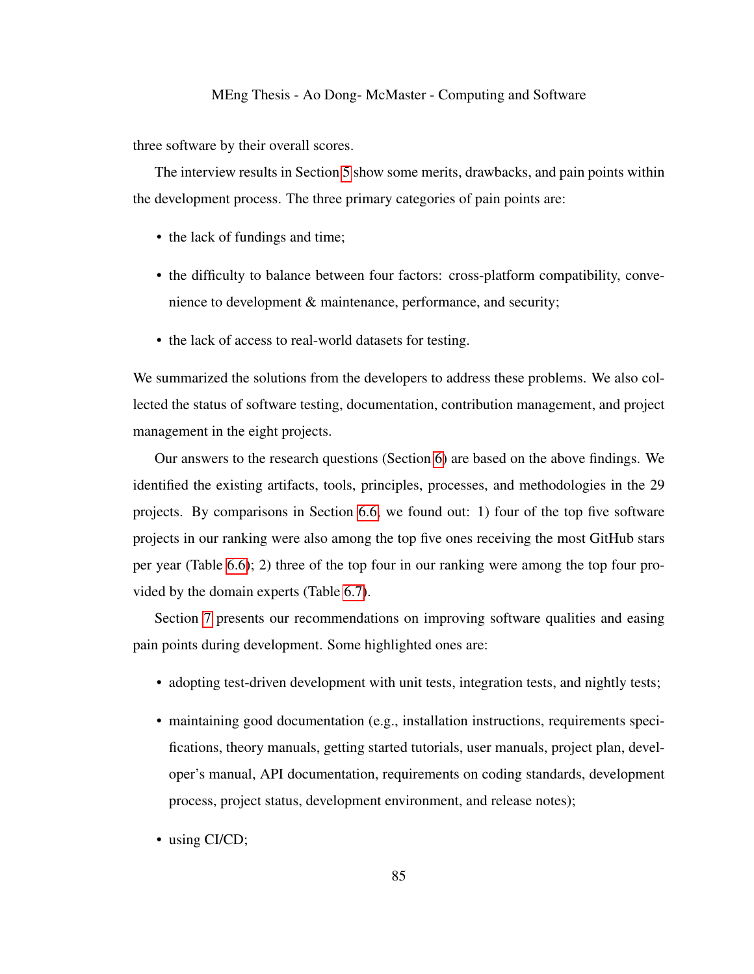three software by their overall scores.

The interview results in Section [5](#page-57-0) show some merits, drawbacks, and pain points within the development process. The three primary categories of pain points are:

- the lack of fundings and time;
- the difficulty to balance between four factors: cross-platform compatibility, convenience to development & maintenance, performance, and security;
- the lack of access to real-world datasets for testing.

We summarized the solutions from the developers to address these problems. We also collected the status of software testing, documentation, contribution management, and project management in the eight projects.

Our answers to the research questions (Section [6\)](#page-73-2) are based on the above findings. We identified the existing artifacts, tools, principles, processes, and methodologies in the 29 projects. By comparisons in Section [6.6,](#page-77-0) we found out: 1) four of the top five software projects in our ranking were also among the top five ones receiving the most GitHub stars per year (Table [6.6\)](#page-79-0); 2) three of the top four in our ranking were among the top four provided by the domain experts (Table [6.7\)](#page-80-1).

Section [7](#page-84-1) presents our recommendations on improving software qualities and easing pain points during development. Some highlighted ones are:

- adopting test-driven development with unit tests, integration tests, and nightly tests;
- maintaining good documentation (e.g., installation instructions, requirements specifications, theory manuals, getting started tutorials, user manuals, project plan, developer's manual, API documentation, requirements on coding standards, development process, project status, development environment, and release notes);
- using CI/CD;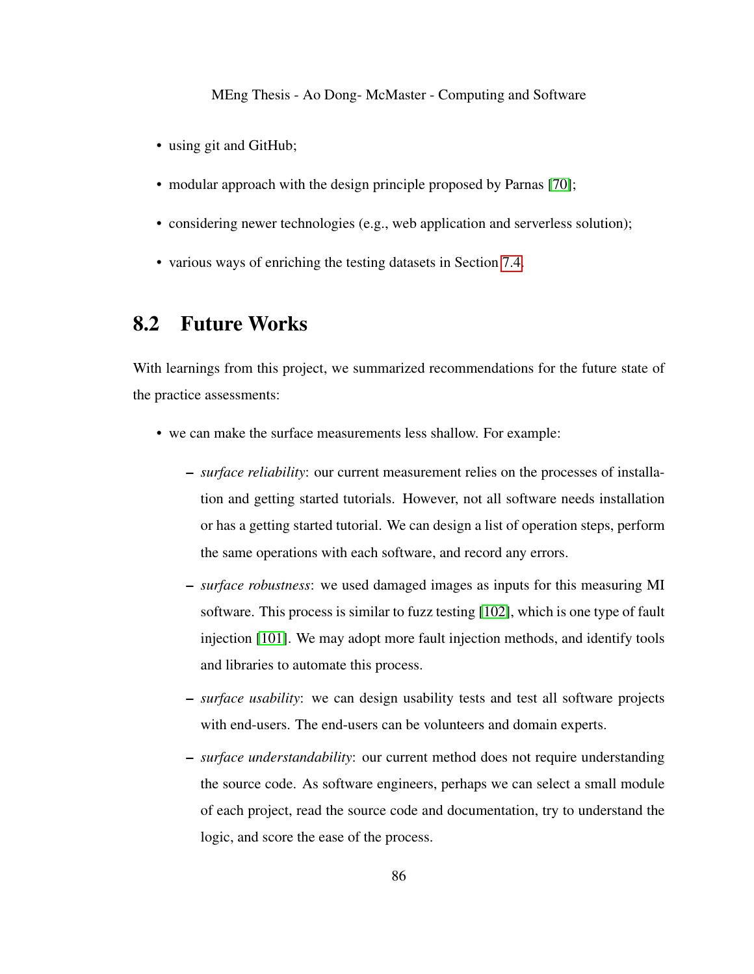- using git and GitHub;
- modular approach with the design principle proposed by Parnas [\[70\]](#page-106-0);
- considering newer technologies (e.g., web application and serverless solution);
- various ways of enriching the testing datasets in Section [7.4.](#page-90-0)

## 8.2 Future Works

With learnings from this project, we summarized recommendations for the future state of the practice assessments:

- we can make the surface measurements less shallow. For example:
	- *surface reliability*: our current measurement relies on the processes of installation and getting started tutorials. However, not all software needs installation or has a getting started tutorial. We can design a list of operation steps, perform the same operations with each software, and record any errors.
	- *surface robustness*: we used damaged images as inputs for this measuring MI software. This process is similar to fuzz testing [\[102\]](#page-109-1), which is one type of fault injection [\[101\]](#page-109-2). We may adopt more fault injection methods, and identify tools and libraries to automate this process.
	- *surface usability*: we can design usability tests and test all software projects with end-users. The end-users can be volunteers and domain experts.
	- *surface understandability*: our current method does not require understanding the source code. As software engineers, perhaps we can select a small module of each project, read the source code and documentation, try to understand the logic, and score the ease of the process.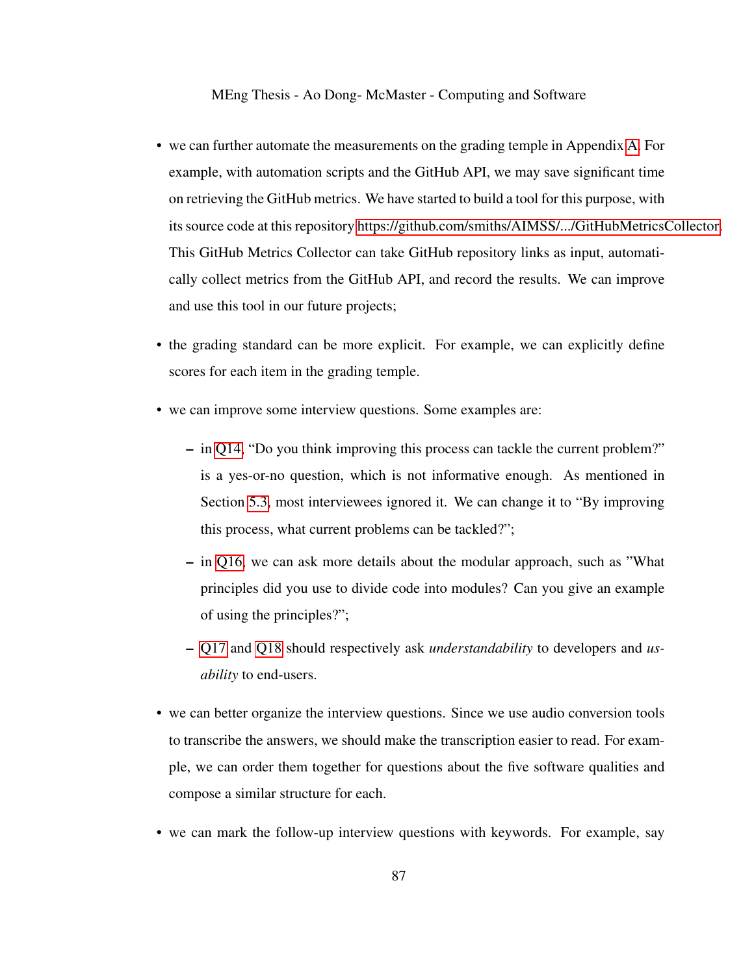- we can further automate the measurements on the grading temple in Appendix [A.](#page-111-0) For example, with automation scripts and the GitHub API, we may save significant time on retrieving the GitHub metrics. We have started to build a tool for this purpose, with its source code at this repository [https://github.com/smiths/AIMSS/.../GitHubMetricsCollector.](#page-0-0) This GitHub Metrics Collector can take GitHub repository links as input, automatically collect metrics from the GitHub API, and record the results. We can improve and use this tool in our future projects;
- the grading standard can be more explicit. For example, we can explicitly define scores for each item in the grading temple.
- we can improve some interview questions. Some examples are:
	- in [Q14,](#page-65-1) "Do you think improving this process can tackle the current problem?" is a yes-or-no question, which is not informative enough. As mentioned in Section [5.3,](#page-64-1) most interviewees ignored it. We can change it to "By improving this process, what current problems can be tackled?";
	- in [Q16,](#page-69-2) we can ask more details about the modular approach, such as "What principles did you use to divide code into modules? Can you give an example of using the principles?";
	- [Q17](#page-69-3) and [Q18](#page-70-1) should respectively ask *understandability* to developers and *usability* to end-users.
- we can better organize the interview questions. Since we use audio conversion tools to transcribe the answers, we should make the transcription easier to read. For example, we can order them together for questions about the five software qualities and compose a similar structure for each.
- we can mark the follow-up interview questions with keywords. For example, say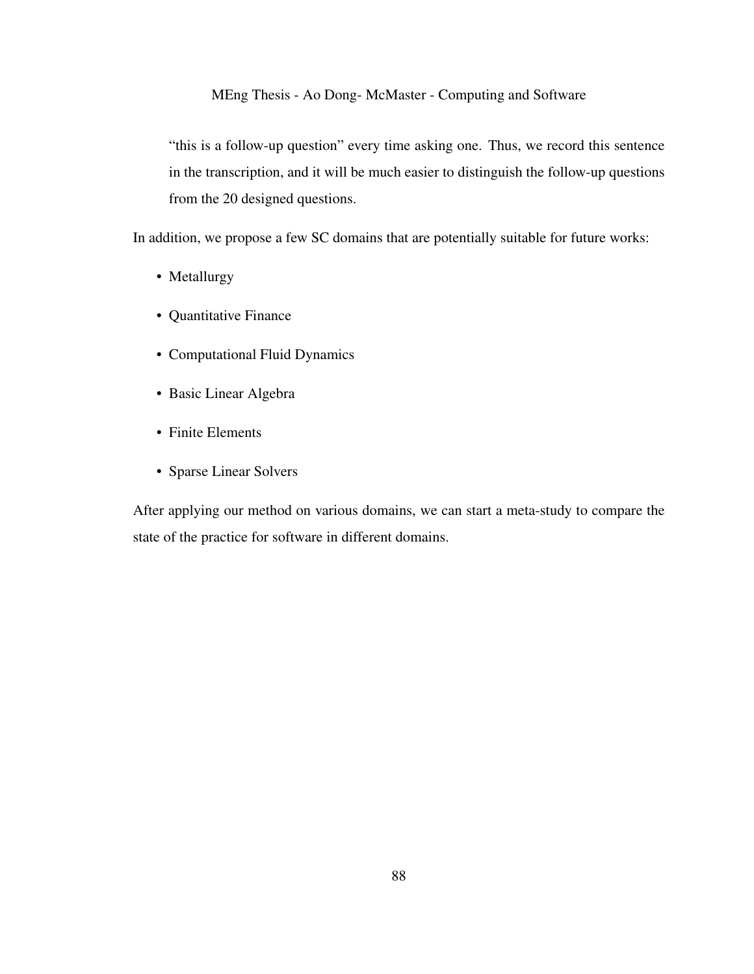"this is a follow-up question" every time asking one. Thus, we record this sentence in the transcription, and it will be much easier to distinguish the follow-up questions from the 20 designed questions.

In addition, we propose a few SC domains that are potentially suitable for future works:

- Metallurgy
- Quantitative Finance
- Computational Fluid Dynamics
- Basic Linear Algebra
- Finite Elements
- Sparse Linear Solvers

After applying our method on various domains, we can start a meta-study to compare the state of the practice for software in different domains.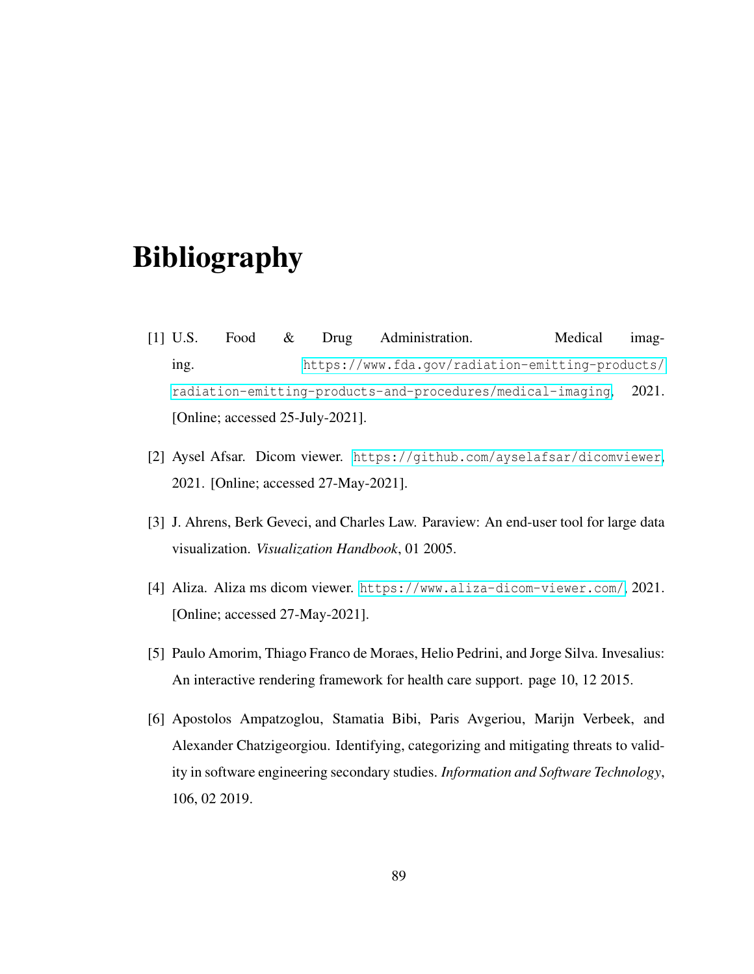# Bibliography

- [1] U.S. Food & Drug Administration. Medical imaging. [https://www.fda.gov/radiation-emitting-products/](https://www.fda.gov/radiation-emitting-products/radiation-emitting-products-and-procedures/medical-imaging) [radiation-emitting-products-and-procedures/medical-imaging](https://www.fda.gov/radiation-emitting-products/radiation-emitting-products-and-procedures/medical-imaging), 2021. [Online; accessed 25-July-2021].
- [2] Aysel Afsar. Dicom viewer. <https://github.com/ayselafsar/dicomviewer>, 2021. [Online; accessed 27-May-2021].
- [3] J. Ahrens, Berk Geveci, and Charles Law. Paraview: An end-user tool for large data visualization. *Visualization Handbook*, 01 2005.
- [4] Aliza. Aliza ms dicom viewer. <https://www.aliza-dicom-viewer.com/>, 2021. [Online; accessed 27-May-2021].
- [5] Paulo Amorim, Thiago Franco de Moraes, Helio Pedrini, and Jorge Silva. Invesalius: An interactive rendering framework for health care support. page 10, 12 2015.
- <span id="page-98-0"></span>[6] Apostolos Ampatzoglou, Stamatia Bibi, Paris Avgeriou, Marijn Verbeek, and Alexander Chatzigeorgiou. Identifying, categorizing and mitigating threats to validity in software engineering secondary studies. *Information and Software Technology*, 106, 02 2019.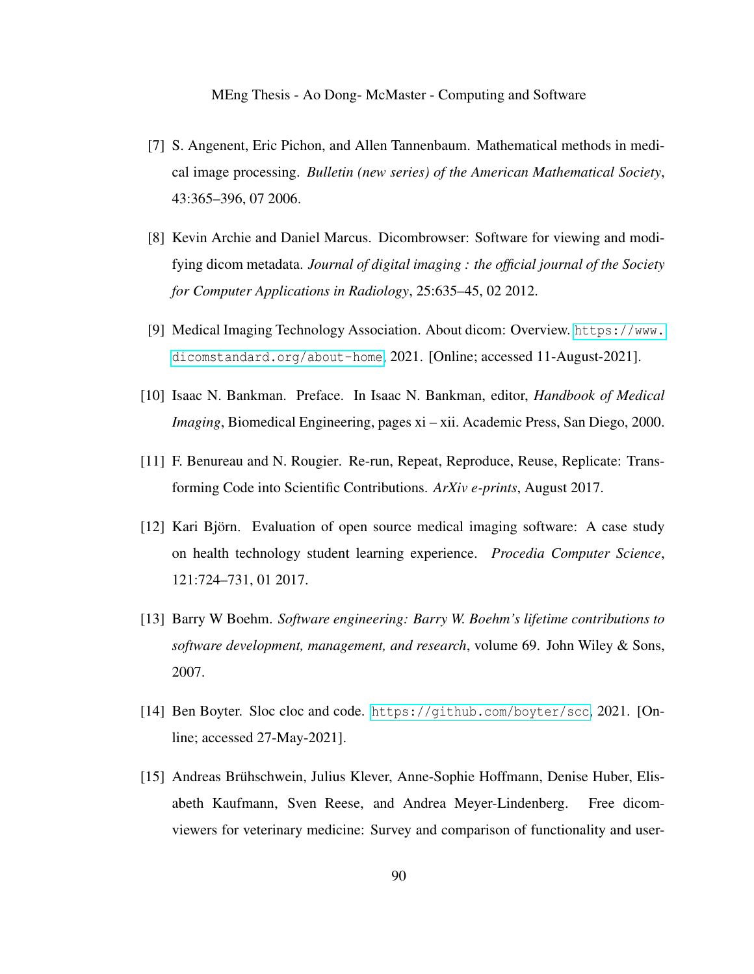- [7] S. Angenent, Eric Pichon, and Allen Tannenbaum. Mathematical methods in medical image processing. *Bulletin (new series) of the American Mathematical Society*, 43:365–396, 07 2006.
- [8] Kevin Archie and Daniel Marcus. Dicombrowser: Software for viewing and modifying dicom metadata. *Journal of digital imaging : the official journal of the Society for Computer Applications in Radiology*, 25:635–45, 02 2012.
- [9] Medical Imaging Technology Association. About dicom: Overview. [https://www.](https://www.dicomstandard.org/about-home) [dicomstandard.org/about-home](https://www.dicomstandard.org/about-home), 2021. [Online; accessed 11-August-2021].
- [10] Isaac N. Bankman. Preface. In Isaac N. Bankman, editor, *Handbook of Medical Imaging*, Biomedical Engineering, pages xi – xii. Academic Press, San Diego, 2000.
- [11] F. Benureau and N. Rougier. Re-run, Repeat, Reproduce, Reuse, Replicate: Transforming Code into Scientific Contributions. *ArXiv e-prints*, August 2017.
- [12] Kari Björn. Evaluation of open source medical imaging software: A case study on health technology student learning experience. *Procedia Computer Science*, 121:724–731, 01 2017.
- [13] Barry W Boehm. *Software engineering: Barry W. Boehm's lifetime contributions to software development, management, and research*, volume 69. John Wiley & Sons, 2007.
- [14] Ben Boyter. Sloc cloc and code. <https://github.com/boyter/scc>, 2021. [Online; accessed 27-May-2021].
- [15] Andreas Bruhschwein, Julius Klever, Anne-Sophie Hoffmann, Denise Huber, Elis- ¨ abeth Kaufmann, Sven Reese, and Andrea Meyer-Lindenberg. Free dicomviewers for veterinary medicine: Survey and comparison of functionality and user-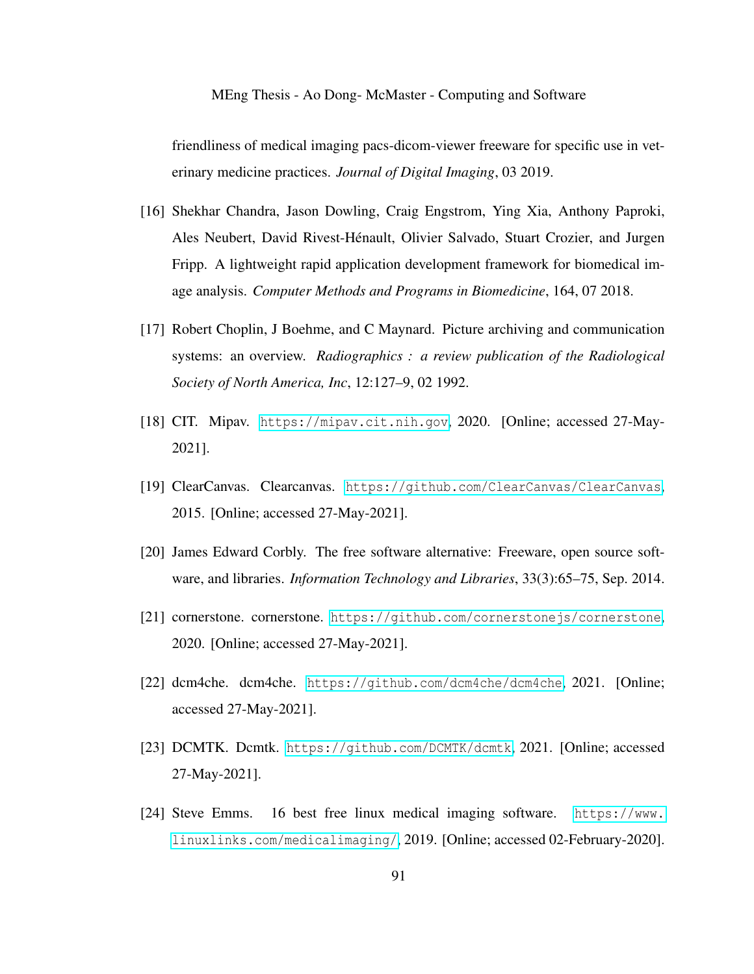friendliness of medical imaging pacs-dicom-viewer freeware for specific use in veterinary medicine practices. *Journal of Digital Imaging*, 03 2019.

- [16] Shekhar Chandra, Jason Dowling, Craig Engstrom, Ying Xia, Anthony Paproki, Ales Neubert, David Rivest-Henault, Olivier Salvado, Stuart Crozier, and Jurgen ´ Fripp. A lightweight rapid application development framework for biomedical image analysis. *Computer Methods and Programs in Biomedicine*, 164, 07 2018.
- [17] Robert Choplin, J Boehme, and C Maynard. Picture archiving and communication systems: an overview. *Radiographics : a review publication of the Radiological Society of North America, Inc*, 12:127–9, 02 1992.
- [18] CIT. Mipav. <https://mipav.cit.nih.gov>, 2020. [Online; accessed 27-May-2021].
- [19] ClearCanvas. Clearcanvas. <https://github.com/ClearCanvas/ClearCanvas>, 2015. [Online; accessed 27-May-2021].
- [20] James Edward Corbly. The free software alternative: Freeware, open source software, and libraries. *Information Technology and Libraries*, 33(3):65–75, Sep. 2014.
- [21] cornerstone. cornerstone. <https://github.com/cornerstonejs/cornerstone>, 2020. [Online; accessed 27-May-2021].
- [22] dcm4che. dcm4che. <https://github.com/dcm4che/dcm4che>, 2021. [Online; accessed 27-May-2021].
- [23] DCMTK. Dcmtk. <https://github.com/DCMTK/dcmtk>, 2021. [Online; accessed 27-May-2021].
- [24] Steve Emms. 16 best free linux medical imaging software. [https://www.](https://www.linuxlinks.com/medicalimaging/) [linuxlinks.com/medicalimaging/](https://www.linuxlinks.com/medicalimaging/), 2019. [Online; accessed 02-February-2020].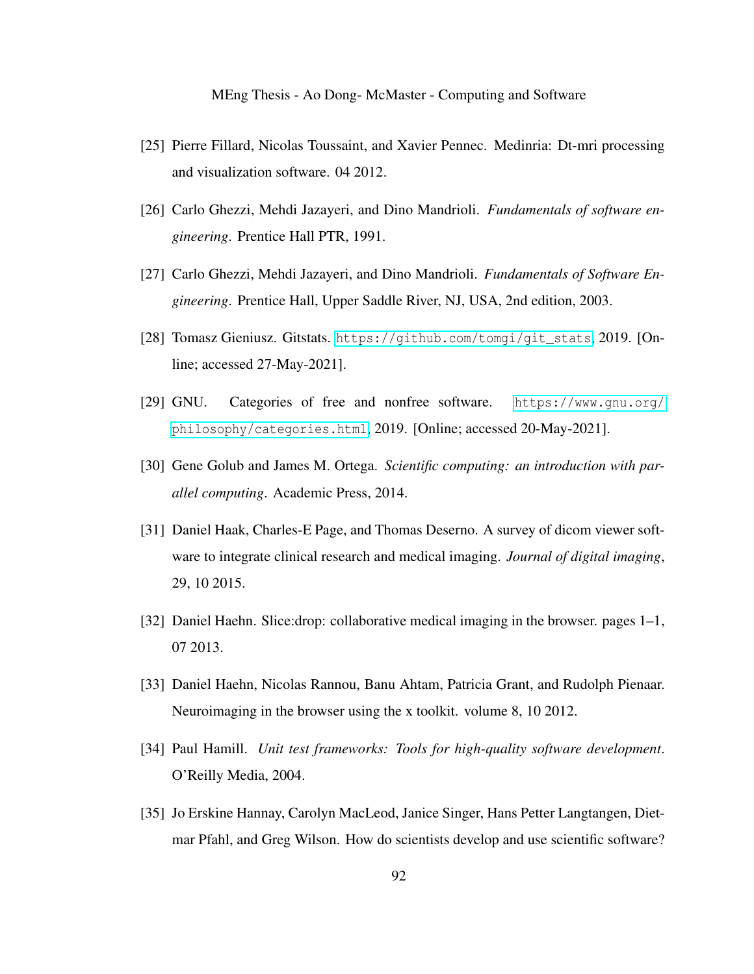- [25] Pierre Fillard, Nicolas Toussaint, and Xavier Pennec. Medinria: Dt-mri processing and visualization software. 04 2012.
- [26] Carlo Ghezzi, Mehdi Jazayeri, and Dino Mandrioli. *Fundamentals of software engineering*. Prentice Hall PTR, 1991.
- [27] Carlo Ghezzi, Mehdi Jazayeri, and Dino Mandrioli. *Fundamentals of Software Engineering*. Prentice Hall, Upper Saddle River, NJ, USA, 2nd edition, 2003.
- [28] Tomasz Gieniusz. Gitstats. [https://github.com/tomgi/git\\_stats](https://github.com/tomgi/git_stats), 2019. [Online; accessed 27-May-2021].
- [29] GNU. Categories of free and nonfree software. [https://www.gnu.org/](https://www.gnu.org/philosophy/categories.html) [philosophy/categories.html](https://www.gnu.org/philosophy/categories.html), 2019. [Online; accessed 20-May-2021].
- [30] Gene Golub and James M. Ortega. Scientific computing: an introduction with par*allel computing*. Academic Press, 2014.
- [31] Daniel Haak, Charles-E Page, and Thomas Deserno. A survey of dicom viewer software to integrate clinical research and medical imaging. *Journal of digital imaging*, 29, 10 2015.
- [32] Daniel Haehn. Slice:drop: collaborative medical imaging in the browser. pages 1–1, 07 2013.
- [33] Daniel Haehn, Nicolas Rannou, Banu Ahtam, Patricia Grant, and Rudolph Pienaar. Neuroimaging in the browser using the x toolkit. volume 8, 10 2012.
- [34] Paul Hamill. *Unit test frameworks: Tools for high-quality software development*. O'Reilly Media, 2004.
- [35] Jo Erskine Hannay, Carolyn MacLeod, Janice Singer, Hans Petter Langtangen, Dietmar Pfahl, and Greg Wilson. How do scientists develop and use scientific software?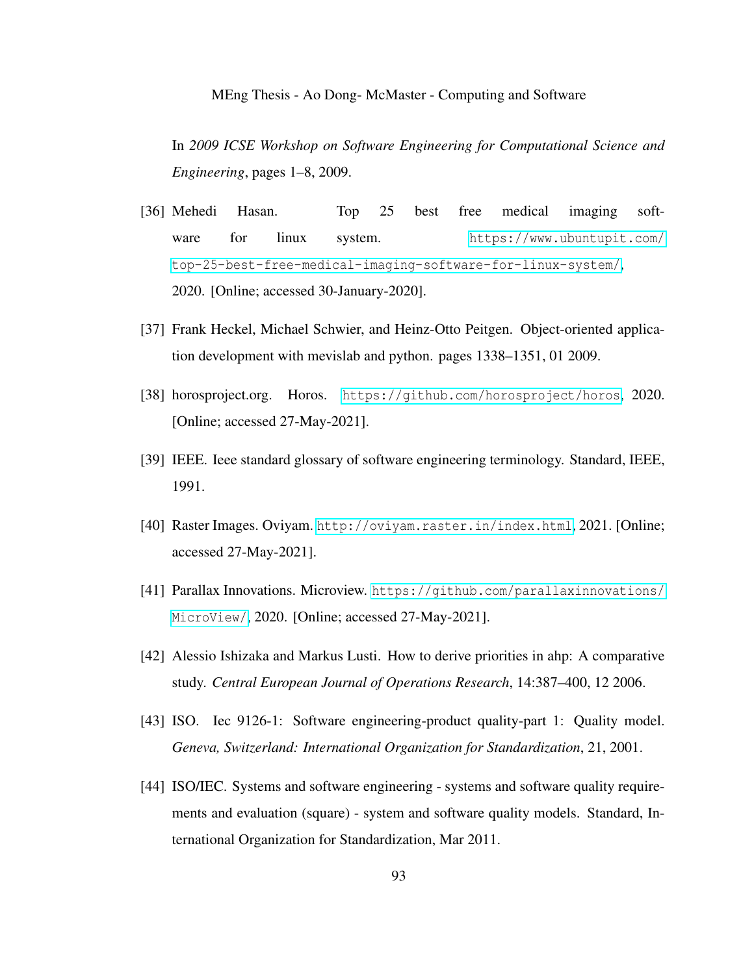In *2009 ICSE Workshop on Software Engineering for Computational Science and Engineering*, pages 1–8, 2009.

- [36] Mehedi Hasan. Top 25 best free medical imaging software for linux system. [https://www.ubuntupit.com/](https://www.ubuntupit.com/top-25-best-free-medical-imaging-software-for-linux-system/) [top-25-best-free-medical-imaging-software-for-linux-system/](https://www.ubuntupit.com/top-25-best-free-medical-imaging-software-for-linux-system/), 2020. [Online; accessed 30-January-2020].
- [37] Frank Heckel, Michael Schwier, and Heinz-Otto Peitgen. Object-oriented application development with mevislab and python. pages 1338–1351, 01 2009.
- [38] horosproject.org. Horos. <https://github.com/horosproject/horos>, 2020. [Online; accessed 27-May-2021].
- [39] IEEE. Ieee standard glossary of software engineering terminology. Standard, IEEE, 1991.
- [40] Raster Images. Oviyam. <http://oviyam.raster.in/index.html>, 2021. [Online; accessed 27-May-2021].
- [41] Parallax Innovations. Microview. [https://github.com/parallaxinnovations/](https://github.com/parallaxinnovations/MicroView/) [MicroView/](https://github.com/parallaxinnovations/MicroView/), 2020. [Online; accessed 27-May-2021].
- [42] Alessio Ishizaka and Markus Lusti. How to derive priorities in ahp: A comparative study. *Central European Journal of Operations Research*, 14:387–400, 12 2006.
- [43] ISO. Iec 9126-1: Software engineering-product quality-part 1: Quality model. *Geneva, Switzerland: International Organization for Standardization*, 21, 2001.
- [44] ISO/IEC. Systems and software engineering systems and software quality requirements and evaluation (square) - system and software quality models. Standard, International Organization for Standardization, Mar 2011.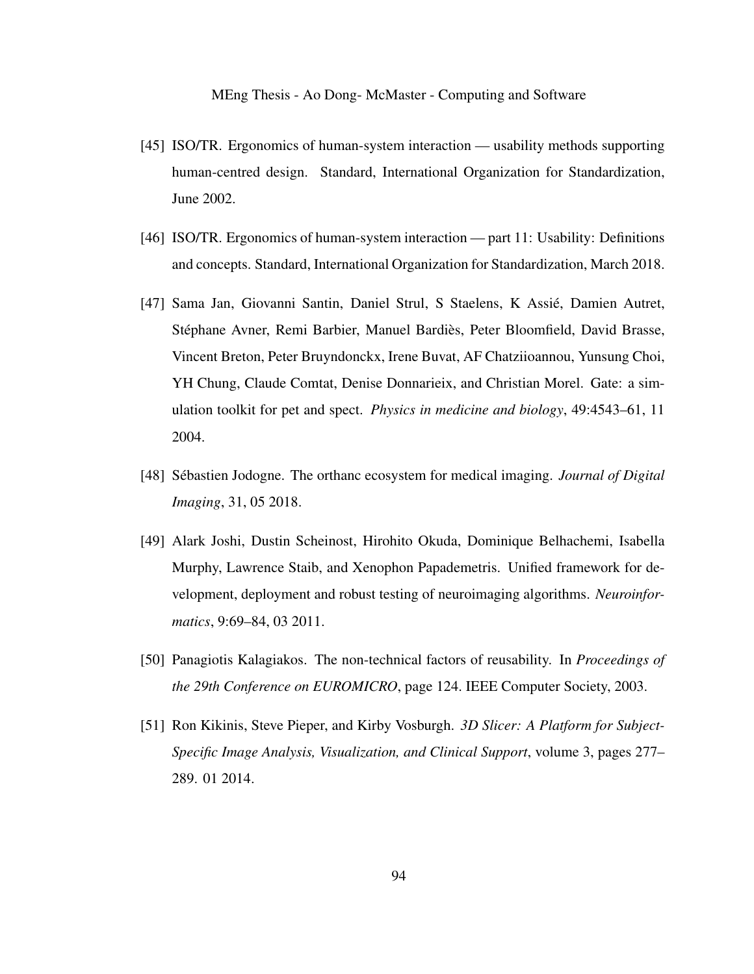- [45] ISO/TR. Ergonomics of human-system interaction usability methods supporting human-centred design. Standard, International Organization for Standardization, June 2002.
- [46] ISO/TR. Ergonomics of human-system interaction part 11: Usability: Definitions and concepts. Standard, International Organization for Standardization, March 2018.
- [47] Sama Jan, Giovanni Santin, Daniel Strul, S Staelens, K Assie, Damien Autret, ´ Stéphane Avner, Remi Barbier, Manuel Bardiès, Peter Bloomfield, David Brasse, Vincent Breton, Peter Bruyndonckx, Irene Buvat, AF Chatziioannou, Yunsung Choi, YH Chung, Claude Comtat, Denise Donnarieix, and Christian Morel. Gate: a simulation toolkit for pet and spect. *Physics in medicine and biology*, 49:4543–61, 11 2004.
- [48] Sebastien Jodogne. The orthanc ecosystem for medical imaging. ´ *Journal of Digital Imaging*, 31, 05 2018.
- [49] Alark Joshi, Dustin Scheinost, Hirohito Okuda, Dominique Belhachemi, Isabella Murphy, Lawrence Staib, and Xenophon Papademetris. Unified framework for development, deployment and robust testing of neuroimaging algorithms. *Neuroinformatics*, 9:69–84, 03 2011.
- [50] Panagiotis Kalagiakos. The non-technical factors of reusability. In *Proceedings of the 29th Conference on EUROMICRO*, page 124. IEEE Computer Society, 2003.
- [51] Ron Kikinis, Steve Pieper, and Kirby Vosburgh. *3D Slicer: A Platform for Subject-Specific Image Analysis, Visualization, and Clinical Support*, volume 3, pages 277– 289. 01 2014.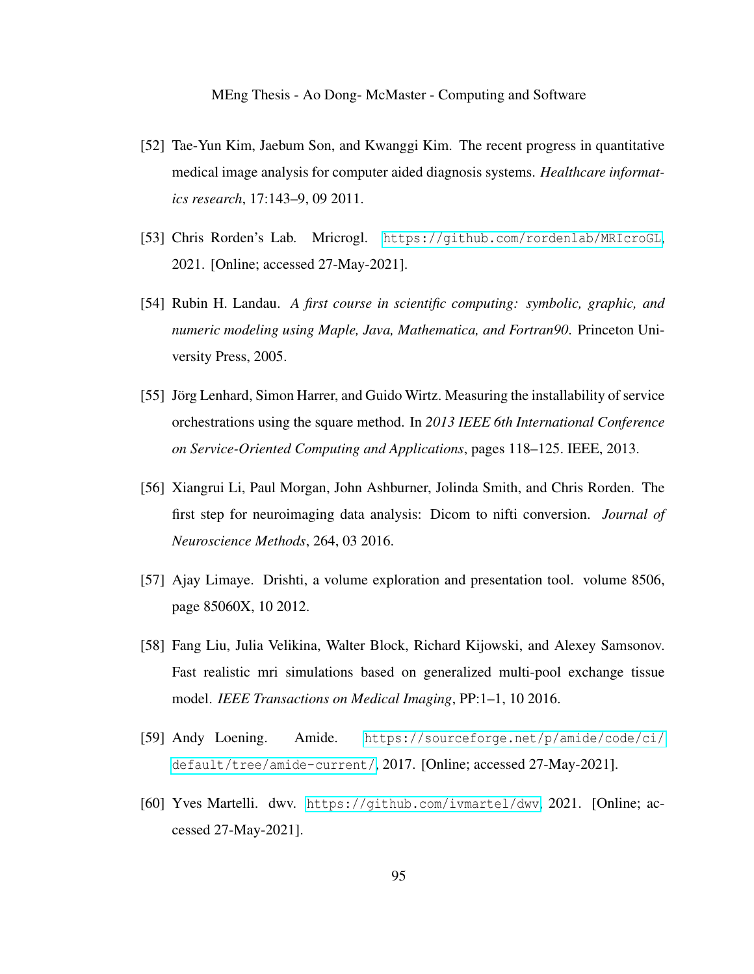- [52] Tae-Yun Kim, Jaebum Son, and Kwanggi Kim. The recent progress in quantitative medical image analysis for computer aided diagnosis systems. *Healthcare informatics research*, 17:143–9, 09 2011.
- [53] Chris Rorden's Lab. Mricrogl. [https://github.com/rordenlab/MRIcroGL](https://github.com/rordenlab/MRIcroGL ), 2021. [Online; accessed 27-May-2021].
- [54] Rubin H. Landau. *A first course in scientific computing: symbolic, graphic, and numeric modeling using Maple, Java, Mathematica, and Fortran90*. Princeton University Press, 2005.
- [55] Jörg Lenhard, Simon Harrer, and Guido Wirtz. Measuring the installability of service orchestrations using the square method. In *2013 IEEE 6th International Conference on Service-Oriented Computing and Applications*, pages 118–125. IEEE, 2013.
- [56] Xiangrui Li, Paul Morgan, John Ashburner, Jolinda Smith, and Chris Rorden. The first step for neuroimaging data analysis: Dicom to nifti conversion. *Journal of Neuroscience Methods*, 264, 03 2016.
- [57] Ajay Limaye. Drishti, a volume exploration and presentation tool. volume 8506, page 85060X, 10 2012.
- [58] Fang Liu, Julia Velikina, Walter Block, Richard Kijowski, and Alexey Samsonov. Fast realistic mri simulations based on generalized multi-pool exchange tissue model. *IEEE Transactions on Medical Imaging*, PP:1–1, 10 2016.
- [59] Andy Loening. Amide. [https://sourceforge.net/p/amide/code/ci/](https://sourceforge.net/p/amide/code/ci/default/tree/amide-current/) [default/tree/amide-current/](https://sourceforge.net/p/amide/code/ci/default/tree/amide-current/), 2017. [Online; accessed 27-May-2021].
- [60] Yves Martelli. dwv. [https://github.com/ivmartel/dwv](https://github.com/ivmartel/dwv ), 2021. [Online; accessed 27-May-2021].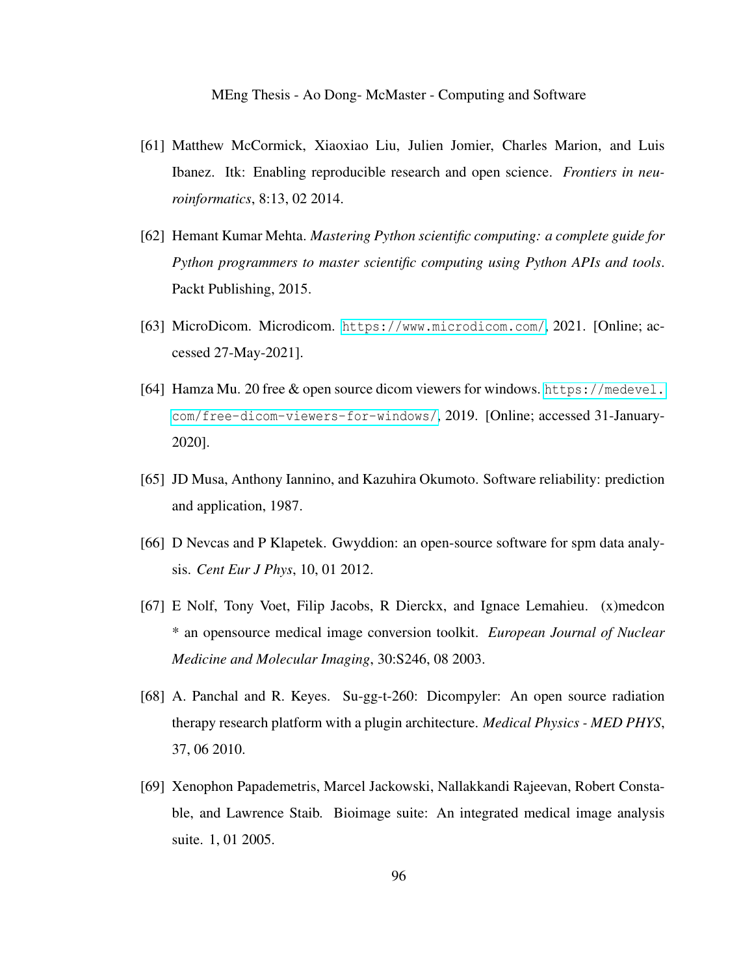- [61] Matthew McCormick, Xiaoxiao Liu, Julien Jomier, Charles Marion, and Luis Ibanez. Itk: Enabling reproducible research and open science. *Frontiers in neuroinformatics*, 8:13, 02 2014.
- [62] Hemant Kumar Mehta. *Mastering Python scientific computing: a complete guide for Python programmers to master scientific computing using Python APIs and tools*. Packt Publishing, 2015.
- [63] MicroDicom. Microdicom. <https://www.microdicom.com/>, 2021. [Online; accessed 27-May-2021].
- [64] Hamza Mu. 20 free & open source dicom viewers for windows. [https://medevel.](https://medevel.com/free-dicom-viewers-for-windows/) [com/free-dicom-viewers-for-windows/](https://medevel.com/free-dicom-viewers-for-windows/), 2019. [Online; accessed 31-January-2020].
- [65] JD Musa, Anthony Iannino, and Kazuhira Okumoto. Software reliability: prediction and application, 1987.
- [66] D Nevcas and P Klapetek. Gwyddion: an open-source software for spm data analysis. *Cent Eur J Phys*, 10, 01 2012.
- [67] E Nolf, Tony Voet, Filip Jacobs, R Dierckx, and Ignace Lemahieu. (x)medcon \* an opensource medical image conversion toolkit. *European Journal of Nuclear Medicine and Molecular Imaging*, 30:S246, 08 2003.
- [68] A. Panchal and R. Keyes. Su-gg-t-260: Dicompyler: An open source radiation therapy research platform with a plugin architecture. *Medical Physics - MED PHYS*, 37, 06 2010.
- [69] Xenophon Papademetris, Marcel Jackowski, Nallakkandi Rajeevan, Robert Constable, and Lawrence Staib. Bioimage suite: An integrated medical image analysis suite. 1, 01 2005.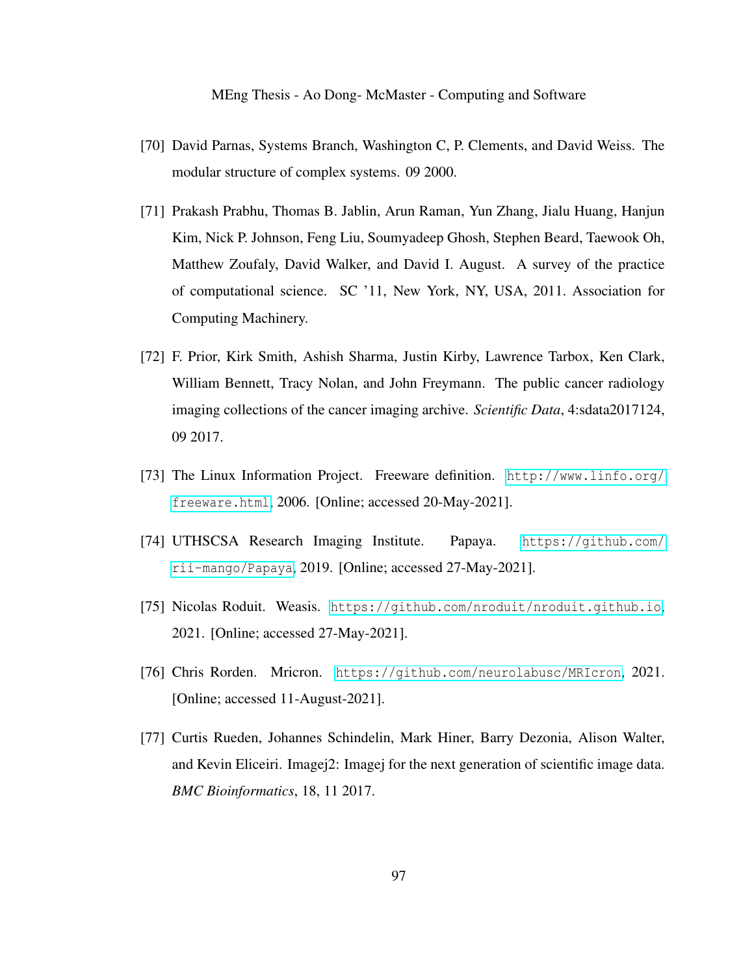- <span id="page-106-0"></span>[70] David Parnas, Systems Branch, Washington C, P. Clements, and David Weiss. The modular structure of complex systems. 09 2000.
- [71] Prakash Prabhu, Thomas B. Jablin, Arun Raman, Yun Zhang, Jialu Huang, Hanjun Kim, Nick P. Johnson, Feng Liu, Soumyadeep Ghosh, Stephen Beard, Taewook Oh, Matthew Zoufaly, David Walker, and David I. August. A survey of the practice of computational science. SC '11, New York, NY, USA, 2011. Association for Computing Machinery.
- <span id="page-106-1"></span>[72] F. Prior, Kirk Smith, Ashish Sharma, Justin Kirby, Lawrence Tarbox, Ken Clark, William Bennett, Tracy Nolan, and John Freymann. The public cancer radiology imaging collections of the cancer imaging archive. *Scientific Data*, 4:sdata2017124, 09 2017.
- [73] The Linux Information Project. Freeware definition. [http://www.linfo.org/](http://www.linfo.org/freeware.html) [freeware.html](http://www.linfo.org/freeware.html), 2006. [Online; accessed 20-May-2021].
- [74] UTHSCSA Research Imaging Institute. Papaya. [https://github.com/](https://github.com/rii-mango/Papaya) [rii-mango/Papaya](https://github.com/rii-mango/Papaya), 2019. [Online; accessed 27-May-2021].
- [75] Nicolas Roduit. Weasis. <https://github.com/nroduit/nroduit.github.io>, 2021. [Online; accessed 27-May-2021].
- [76] Chris Rorden. Mricron. <https://github.com/neurolabusc/MRIcron>, 2021. [Online; accessed 11-August-2021].
- [77] Curtis Rueden, Johannes Schindelin, Mark Hiner, Barry Dezonia, Alison Walter, and Kevin Eliceiri. Imagej2: Imagej for the next generation of scientific image data. *BMC Bioinformatics*, 18, 11 2017.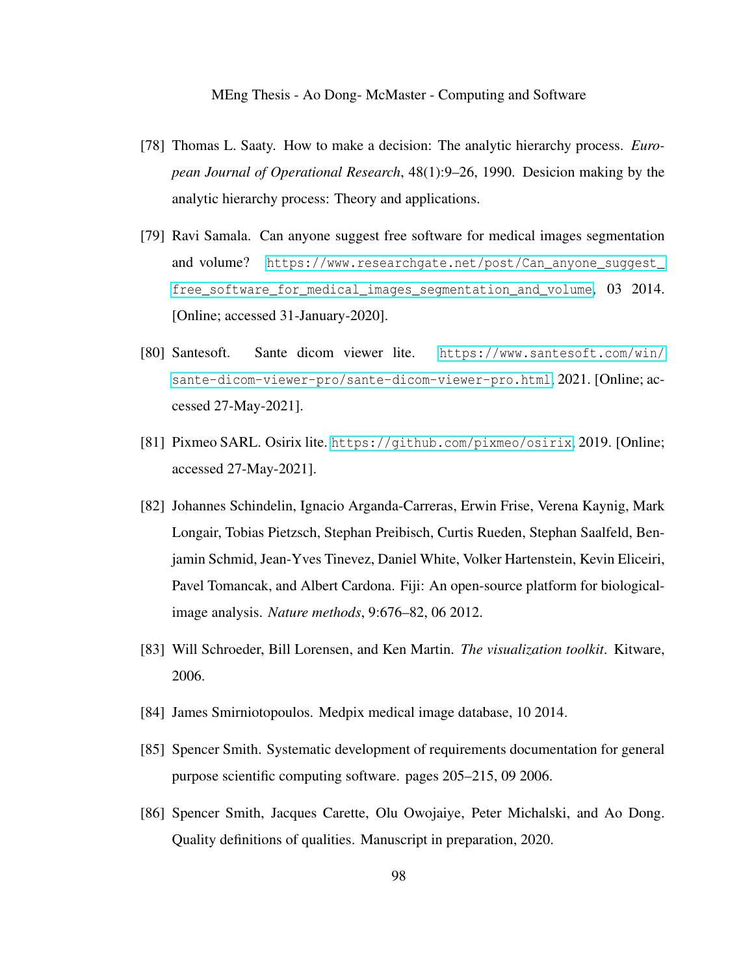- [78] Thomas L. Saaty. How to make a decision: The analytic hierarchy process. *European Journal of Operational Research*, 48(1):9–26, 1990. Desicion making by the analytic hierarchy process: Theory and applications.
- [79] Ravi Samala. Can anyone suggest free software for medical images segmentation and volume? [https://www.researchgate.net/post/Can\\_anyone\\_suggest\\_](https://www.researchgate.net/post/Can_anyone_suggest_free_software_for_medical_images_segmentation_and_volume) [free\\_software\\_for\\_medical\\_images\\_segmentation\\_and\\_volume](https://www.researchgate.net/post/Can_anyone_suggest_free_software_for_medical_images_segmentation_and_volume), 03 2014. [Online; accessed 31-January-2020].
- [80] Santesoft. Sante dicom viewer lite. [https://www.santesoft.com/win/](https://www.santesoft.com/win/sante-dicom-viewer-pro/sante-dicom-viewer-pro.html) [sante-dicom-viewer-pro/sante-dicom-viewer-pro.html](https://www.santesoft.com/win/sante-dicom-viewer-pro/sante-dicom-viewer-pro.html), 2021. [Online; accessed 27-May-2021].
- [81] Pixmeo SARL. Osirix lite. <https://github.com/pixmeo/osirix>, 2019. [Online; accessed 27-May-2021].
- [82] Johannes Schindelin, Ignacio Arganda-Carreras, Erwin Frise, Verena Kaynig, Mark Longair, Tobias Pietzsch, Stephan Preibisch, Curtis Rueden, Stephan Saalfeld, Benjamin Schmid, Jean-Yves Tinevez, Daniel White, Volker Hartenstein, Kevin Eliceiri, Pavel Tomancak, and Albert Cardona. Fiji: An open-source platform for biologicalimage analysis. *Nature methods*, 9:676–82, 06 2012.
- [83] Will Schroeder, Bill Lorensen, and Ken Martin. *The visualization toolkit*. Kitware, 2006.
- <span id="page-107-0"></span>[84] James Smirniotopoulos. Medpix medical image database, 10 2014.
- [85] Spencer Smith. Systematic development of requirements documentation for general purpose scientific computing software. pages 205–215, 09 2006.
- [86] Spencer Smith, Jacques Carette, Olu Owojaiye, Peter Michalski, and Ao Dong. Quality definitions of qualities. Manuscript in preparation, 2020.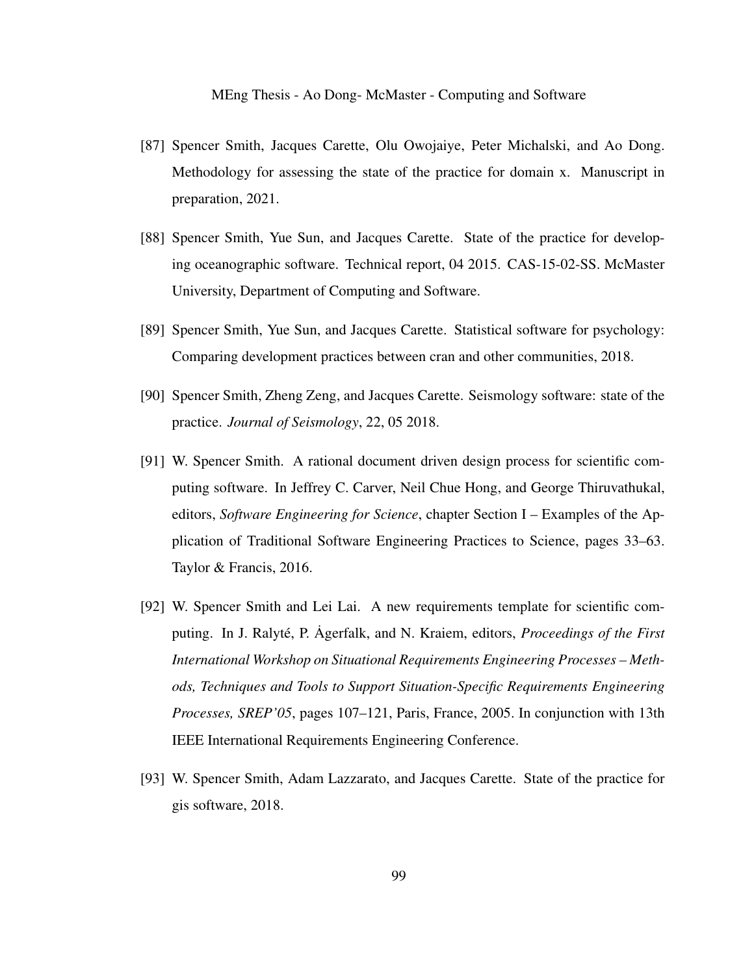- [87] Spencer Smith, Jacques Carette, Olu Owojaiye, Peter Michalski, and Ao Dong. Methodology for assessing the state of the practice for domain x. Manuscript in preparation, 2021.
- [88] Spencer Smith, Yue Sun, and Jacques Carette. State of the practice for developing oceanographic software. Technical report, 04 2015. CAS-15-02-SS. McMaster University, Department of Computing and Software.
- [89] Spencer Smith, Yue Sun, and Jacques Carette. Statistical software for psychology: Comparing development practices between cran and other communities, 2018.
- [90] Spencer Smith, Zheng Zeng, and Jacques Carette. Seismology software: state of the practice. *Journal of Seismology*, 22, 05 2018.
- [91] W. Spencer Smith. A rational document driven design process for scientific computing software. In Jeffrey C. Carver, Neil Chue Hong, and George Thiruvathukal, editors, *Software Engineering for Science*, chapter Section I – Examples of the Application of Traditional Software Engineering Practices to Science, pages 33–63. Taylor & Francis, 2016.
- [92] W. Spencer Smith and Lei Lai. A new requirements template for scientific computing. In J. Ralyté, P. Agerfalk, and N. Kraiem, editors, *Proceedings of the First International Workshop on Situational Requirements Engineering Processes – Methods, Techniques and Tools to Support Situation-Specific Requirements Engineering Processes, SREP'05*, pages 107–121, Paris, France, 2005. In conjunction with 13th IEEE International Requirements Engineering Conference.
- [93] W. Spencer Smith, Adam Lazzarato, and Jacques Carette. State of the practice for gis software, 2018.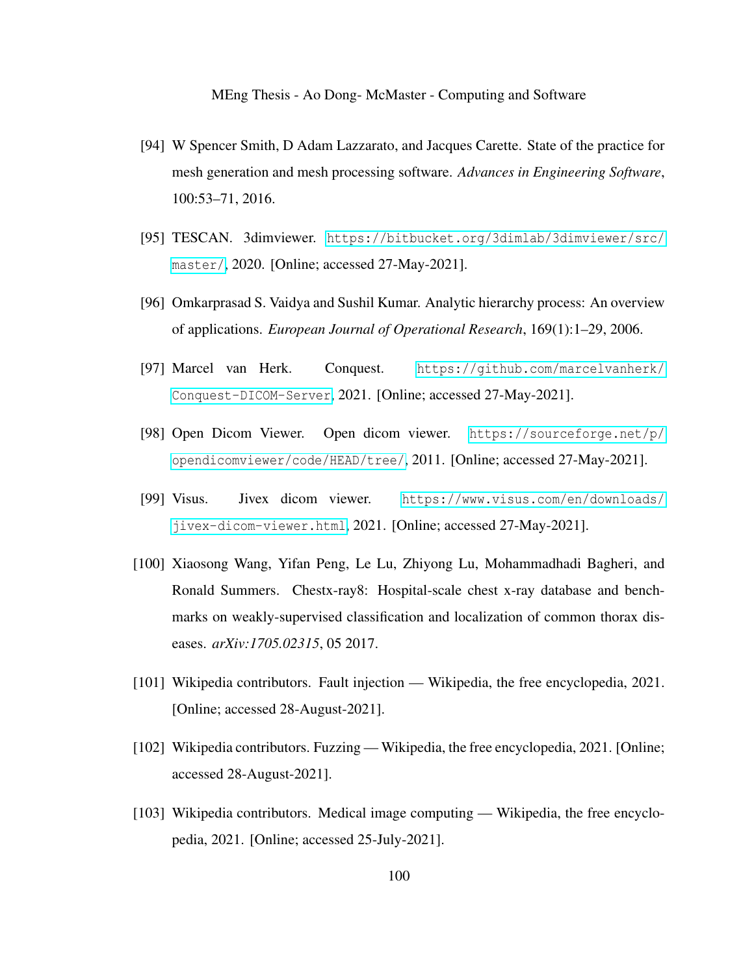- [94] W Spencer Smith, D Adam Lazzarato, and Jacques Carette. State of the practice for mesh generation and mesh processing software. *Advances in Engineering Software*, 100:53–71, 2016.
- <span id="page-109-0"></span>[95] TESCAN. 3dimviewer. [https://bitbucket.org/3dimlab/3dimviewer/src/](https://bitbucket.org/3dimlab/3dimviewer/src/master/) [master/](https://bitbucket.org/3dimlab/3dimviewer/src/master/), 2020. [Online; accessed 27-May-2021].
- [96] Omkarprasad S. Vaidya and Sushil Kumar. Analytic hierarchy process: An overview of applications. *European Journal of Operational Research*, 169(1):1–29, 2006.
- <span id="page-109-1"></span>[97] Marcel van Herk. Conquest. [https://github.com/marcelvanherk/](https://github.com/marcelvanherk/Conquest-DICOM-Server) [Conquest-DICOM-Server](https://github.com/marcelvanherk/Conquest-DICOM-Server), 2021. [Online; accessed 27-May-2021].
- <span id="page-109-2"></span>[98] Open Dicom Viewer. Open dicom viewer. [https://sourceforge.net/p/](https://sourceforge.net/p/opendicomviewer/code/HEAD/tree/) [opendicomviewer/code/HEAD/tree/](https://sourceforge.net/p/opendicomviewer/code/HEAD/tree/), 2011. [Online; accessed 27-May-2021].
- <span id="page-109-3"></span>[99] Visus. Jivex dicom viewer. [https://www.visus.com/en/downloads/](https://www.visus.com/en/downloads/jivex-dicom-viewer.html) [jivex-dicom-viewer.html](https://www.visus.com/en/downloads/jivex-dicom-viewer.html), 2021. [Online; accessed 27-May-2021].
- [100] Xiaosong Wang, Yifan Peng, Le Lu, Zhiyong Lu, Mohammadhadi Bagheri, and Ronald Summers. Chestx-ray8: Hospital-scale chest x-ray database and benchmarks on weakly-supervised classification and localization of common thorax diseases. *arXiv:1705.02315*, 05 2017.
- [101] Wikipedia contributors. Fault injection Wikipedia, the free encyclopedia, 2021. [Online; accessed 28-August-2021].
- [102] Wikipedia contributors. Fuzzing Wikipedia, the free encyclopedia, 2021. [Online; accessed 28-August-2021].
- [103] Wikipedia contributors. Medical image computing Wikipedia, the free encyclopedia, 2021. [Online; accessed 25-July-2021].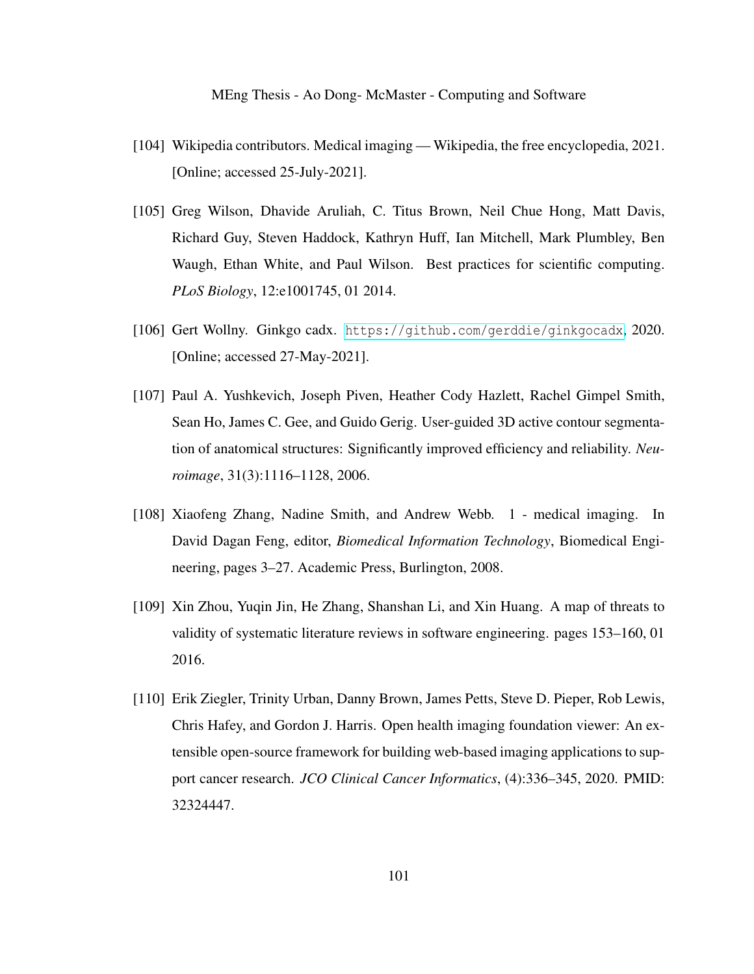- [104] Wikipedia contributors. Medical imaging Wikipedia, the free encyclopedia, 2021. [Online; accessed 25-July-2021].
- [105] Greg Wilson, Dhavide Aruliah, C. Titus Brown, Neil Chue Hong, Matt Davis, Richard Guy, Steven Haddock, Kathryn Huff, Ian Mitchell, Mark Plumbley, Ben Waugh, Ethan White, and Paul Wilson. Best practices for scientific computing. *PLoS Biology*, 12:e1001745, 01 2014.
- <span id="page-110-0"></span>[106] Gert Wollny. Ginkgo cadx. <https://github.com/gerddie/ginkgocadx>, 2020. [Online; accessed 27-May-2021].
- <span id="page-110-2"></span>[107] Paul A. Yushkevich, Joseph Piven, Heather Cody Hazlett, Rachel Gimpel Smith, Sean Ho, James C. Gee, and Guido Gerig. User-guided 3D active contour segmentation of anatomical structures: Significantly improved efficiency and reliability. *Neuroimage*, 31(3):1116–1128, 2006.
- [108] Xiaofeng Zhang, Nadine Smith, and Andrew Webb. 1 medical imaging. In David Dagan Feng, editor, *Biomedical Information Technology*, Biomedical Engineering, pages 3–27. Academic Press, Burlington, 2008.
- [109] Xin Zhou, Yuqin Jin, He Zhang, Shanshan Li, and Xin Huang. A map of threats to validity of systematic literature reviews in software engineering. pages 153–160, 01 2016.
- <span id="page-110-1"></span>[110] Erik Ziegler, Trinity Urban, Danny Brown, James Petts, Steve D. Pieper, Rob Lewis, Chris Hafey, and Gordon J. Harris. Open health imaging foundation viewer: An extensible open-source framework for building web-based imaging applications to support cancer research. *JCO Clinical Cancer Informatics*, (4):336–345, 2020. PMID: 32324447.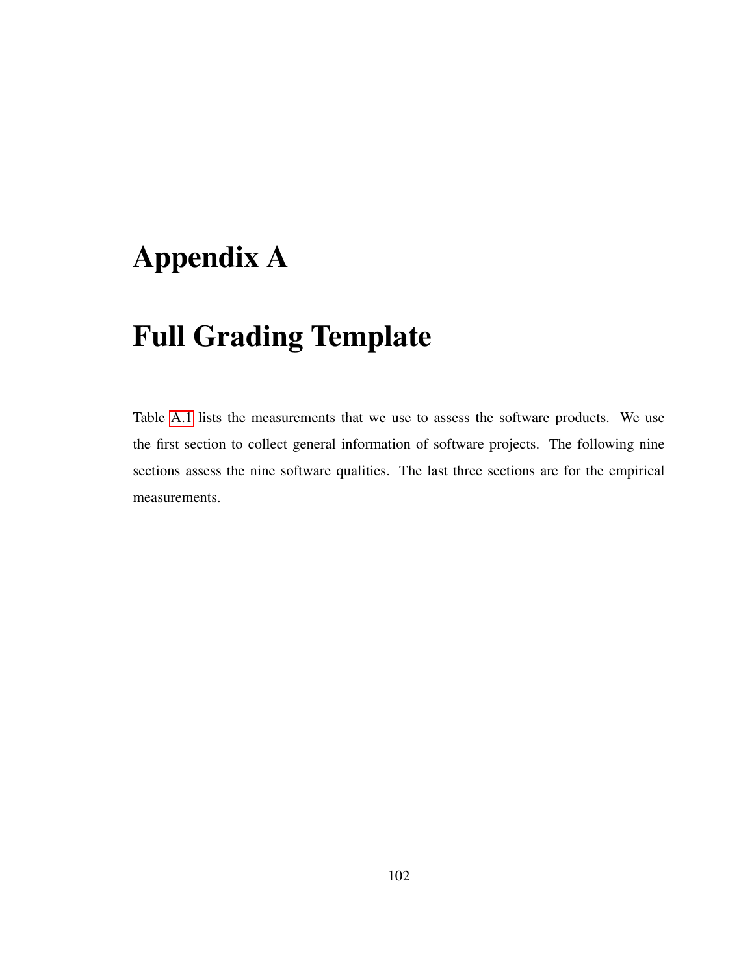## Appendix A

### Full Grading Template

Table [A.1](#page-112-0) lists the measurements that we use to assess the software products. We use the first section to collect general information of software projects. The following nine sections assess the nine software qualities. The last three sections are for the empirical measurements.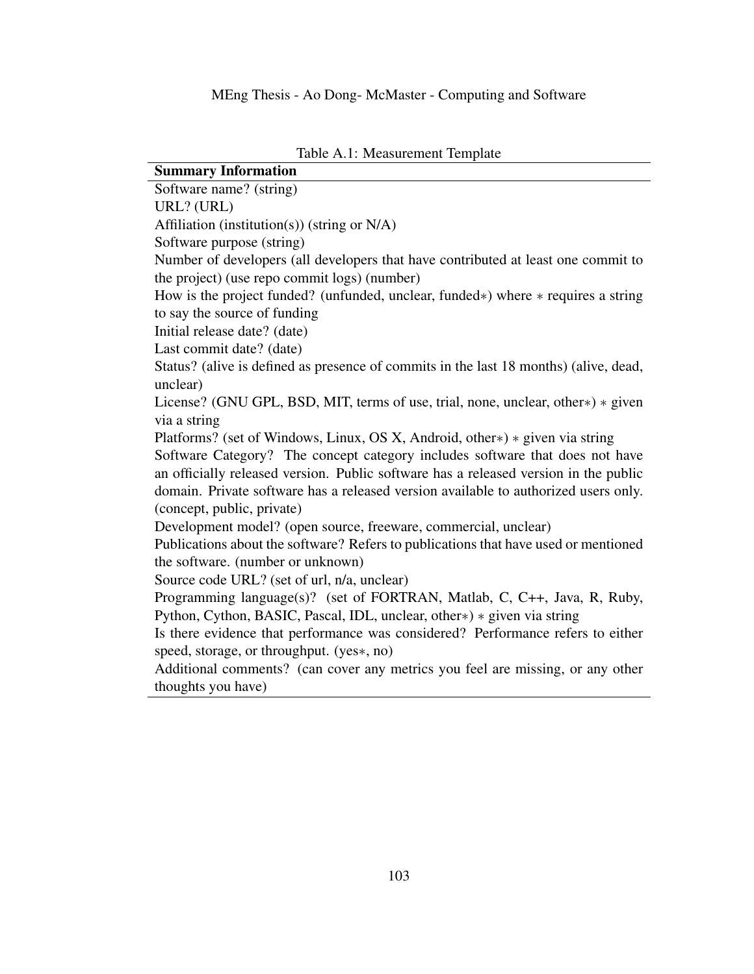<span id="page-112-0"></span>

| <b>Summary Information</b>                                                            |  |  |  |  |
|---------------------------------------------------------------------------------------|--|--|--|--|
| Software name? (string)                                                               |  |  |  |  |
| URL? (URL)                                                                            |  |  |  |  |
| Affiliation (institution(s)) (string or N/A)                                          |  |  |  |  |
| Software purpose (string)                                                             |  |  |  |  |
| Number of developers (all developers that have contributed at least one commit to     |  |  |  |  |
| the project) (use repo commit logs) (number)                                          |  |  |  |  |
| How is the project funded? (unfunded, unclear, funded*) where * requires a string     |  |  |  |  |
| to say the source of funding                                                          |  |  |  |  |
| Initial release date? (date)                                                          |  |  |  |  |
| Last commit date? (date)                                                              |  |  |  |  |
| Status? (alive is defined as presence of commits in the last 18 months) (alive, dead, |  |  |  |  |
| unclear)                                                                              |  |  |  |  |
| License? (GNU GPL, BSD, MIT, terms of use, trial, none, unclear, other*) * given      |  |  |  |  |
| via a string                                                                          |  |  |  |  |
| Platforms? (set of Windows, Linux, OS X, Android, other*) * given via string          |  |  |  |  |
| Software Category? The concept category includes software that does not have          |  |  |  |  |
| an officially released version. Public software has a released version in the public  |  |  |  |  |
| domain. Private software has a released version available to authorized users only.   |  |  |  |  |
| (concept, public, private)                                                            |  |  |  |  |
| Development model? (open source, freeware, commercial, unclear)                       |  |  |  |  |
| Publications about the software? Refers to publications that have used or mentioned   |  |  |  |  |
| the software. (number or unknown)                                                     |  |  |  |  |
| Source code URL? (set of url, n/a, unclear)                                           |  |  |  |  |
| Programming language(s)? (set of FORTRAN, Matlab, C, C++, Java, R, Ruby,              |  |  |  |  |
| Python, Cython, BASIC, Pascal, IDL, unclear, other*) * given via string               |  |  |  |  |
| Is there evidence that performance was considered? Performance refers to either       |  |  |  |  |
| speed, storage, or throughput. (yes*, no)                                             |  |  |  |  |
| Additional comments? (can cover any metrics you feel are missing, or any other        |  |  |  |  |
| thoughts you have)                                                                    |  |  |  |  |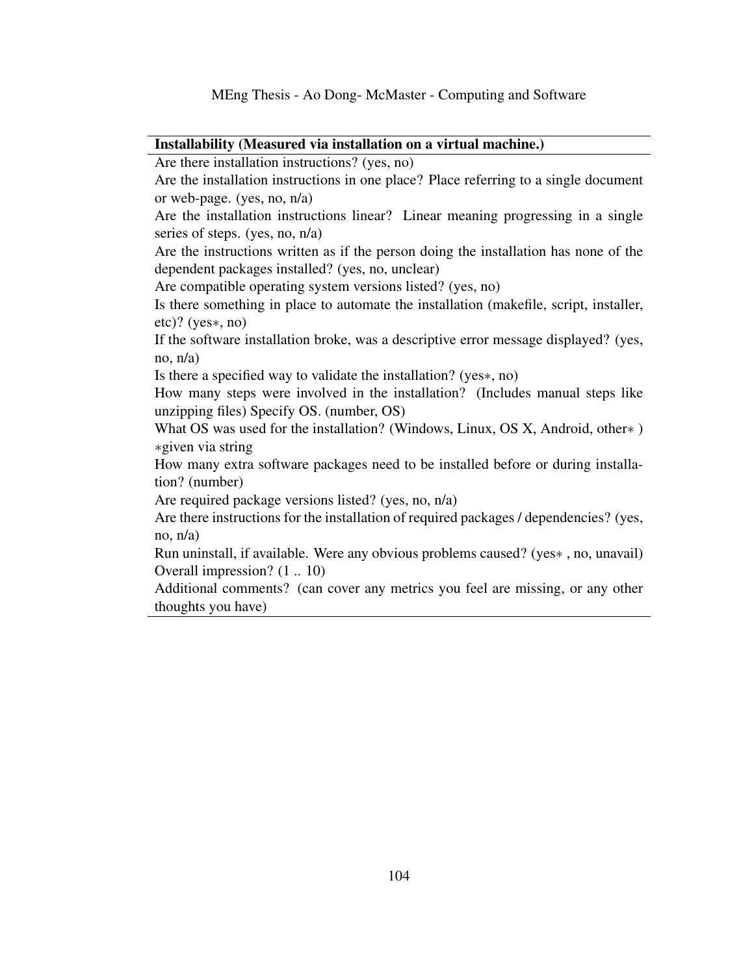#### Installability (Measured via installation on a virtual machine.)

Are there installation instructions? (yes, no)

Are the installation instructions in one place? Place referring to a single document or web-page. (yes, no, n/a)

Are the installation instructions linear? Linear meaning progressing in a single series of steps. (yes, no, n/a)

Are the instructions written as if the person doing the installation has none of the dependent packages installed? (yes, no, unclear)

Are compatible operating system versions listed? (yes, no)

Is there something in place to automate the installation (makefile, script, installer, etc)? (yes∗, no)

If the software installation broke, was a descriptive error message displayed? (yes, no,  $n/a$ )

Is there a specified way to validate the installation? (yes∗, no)

How many steps were involved in the installation? (Includes manual steps like unzipping files) Specify OS. (number, OS)

What OS was used for the installation? (Windows, Linux, OS X, Android, other∗ ) ∗given via string

How many extra software packages need to be installed before or during installation? (number)

Are required package versions listed? (yes, no, n/a)

Are there instructions for the installation of required packages / dependencies? (yes, no,  $n/a$ )

Run uninstall, if available. Were any obvious problems caused? (yes∗ , no, unavail) Overall impression? (1 .. 10)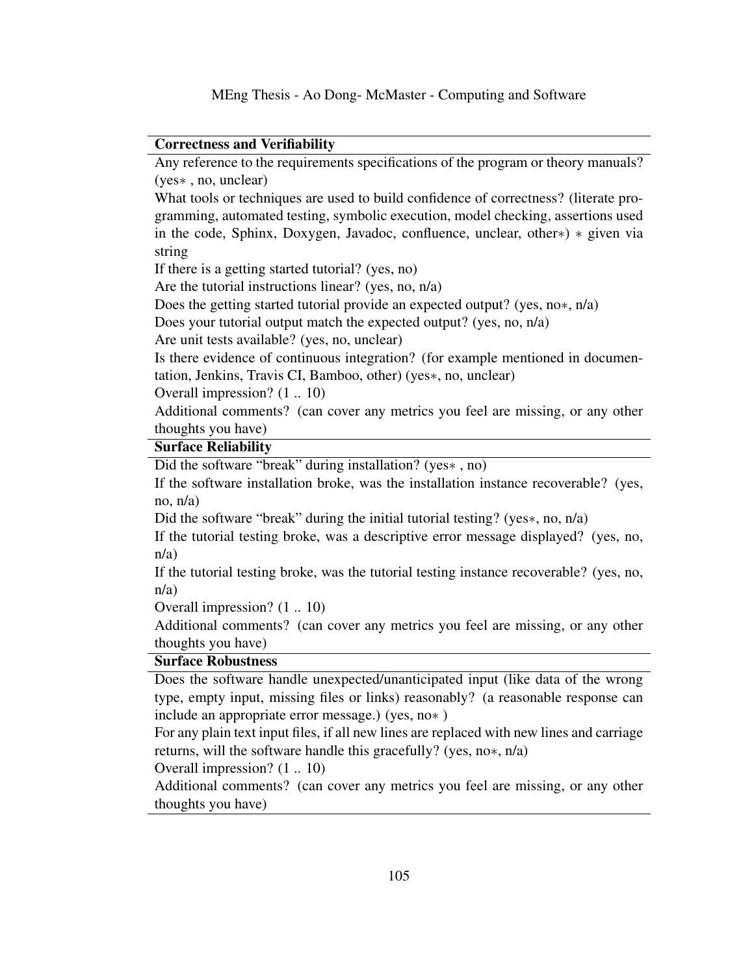#### Correctness and Verifiability

Any reference to the requirements specifications of the program or theory manuals? (yes∗ , no, unclear)

What tools or techniques are used to build confidence of correctness? (literate programming, automated testing, symbolic execution, model checking, assertions used in the code, Sphinx, Doxygen, Javadoc, confluence, unclear, other∗) ∗ given via string

If there is a getting started tutorial? (yes, no)

Are the tutorial instructions linear? (yes, no, n/a)

Does the getting started tutorial provide an expected output? (yes, no∗, n/a)

Does your tutorial output match the expected output? (yes, no, n/a)

Are unit tests available? (yes, no, unclear)

Is there evidence of continuous integration? (for example mentioned in documentation, Jenkins, Travis CI, Bamboo, other) (yes∗, no, unclear)

Overall impression? (1 .. 10)

Additional comments? (can cover any metrics you feel are missing, or any other thoughts you have)

### Surface Reliability

Did the software "break" during installation? (yes∗ , no)

If the software installation broke, was the installation instance recoverable? (yes, no, n/a)

Did the software "break" during the initial tutorial testing? (yes∗, no, n/a)

If the tutorial testing broke, was a descriptive error message displayed? (yes, no, n/a)

If the tutorial testing broke, was the tutorial testing instance recoverable? (yes, no, n/a)

Overall impression? (1 .. 10)

Additional comments? (can cover any metrics you feel are missing, or any other thoughts you have)

#### Surface Robustness

Does the software handle unexpected/unanticipated input (like data of the wrong type, empty input, missing files or links) reasonably? (a reasonable response can include an appropriate error message.) (yes, no∗ )

For any plain text input files, if all new lines are replaced with new lines and carriage returns, will the software handle this gracefully? (yes, no∗, n/a)

Overall impression? (1 .. 10)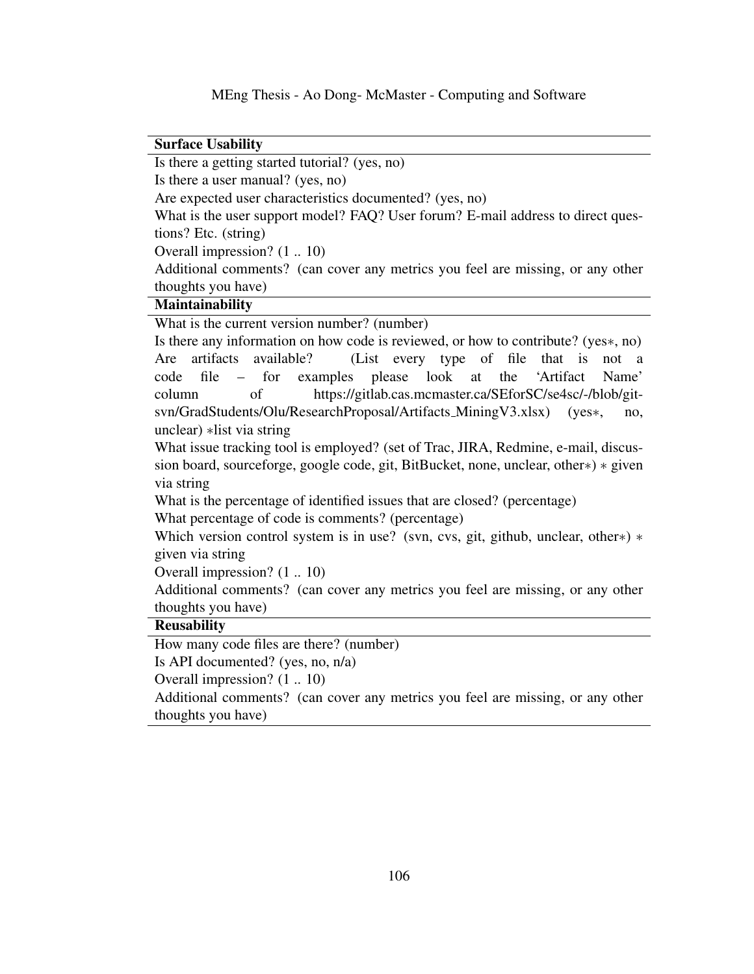#### Surface Usability

Is there a getting started tutorial? (yes, no)

Is there a user manual? (yes, no)

Are expected user characteristics documented? (yes, no)

What is the user support model? FAQ? User forum? E-mail address to direct questions? Etc. (string)

Overall impression? (1 .. 10)

Additional comments? (can cover any metrics you feel are missing, or any other thoughts you have)

### **Maintainability**

What is the current version number? (number)

Is there any information on how code is reviewed, or how to contribute? (yes∗, no) Are artifacts available? (List every type of file that is not a code file – for examples please look at the 'Artifact Name' column of https://gitlab.cas.mcmaster.ca/SEforSC/se4sc/-/blob/gitsvn/GradStudents/Olu/ResearchProposal/Artifacts\_MiningV3.xlsx) (yes\*, no, unclear) ∗list via string

What issue tracking tool is employed? (set of Trac, JIRA, Redmine, e-mail, discussion board, sourceforge, google code, git, BitBucket, none, unclear, other∗) ∗ given via string

What is the percentage of identified issues that are closed? (percentage) What percentage of code is comments? (percentage)

Which version control system is in use? (svn, cvs, git, github, unclear, other∗) ∗ given via string

Overall impression? (1 .. 10)

Additional comments? (can cover any metrics you feel are missing, or any other thoughts you have)

#### Reusability

How many code files are there? (number)

Is API documented? (yes, no, n/a)

Overall impression? (1 .. 10)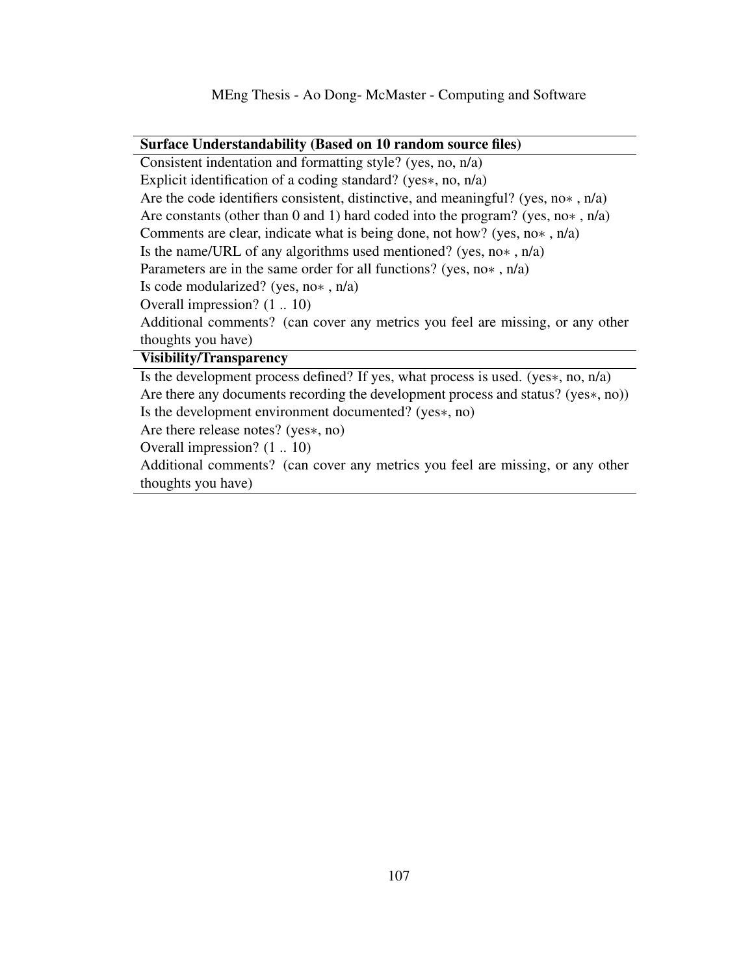#### Surface Understandability (Based on 10 random source files)

Consistent indentation and formatting style? (yes, no, n/a) Explicit identification of a coding standard? (yes∗, no, n/a) Are the code identifiers consistent, distinctive, and meaningful? (yes, no∗ , n/a) Are constants (other than 0 and 1) hard coded into the program? (yes, no∗ , n/a) Comments are clear, indicate what is being done, not how? (yes, no∗ , n/a) Is the name/URL of any algorithms used mentioned? (yes, no∗ , n/a) Parameters are in the same order for all functions? (yes, no∗ , n/a) Is code modularized? (yes, no∗ , n/a) Overall impression? (1 .. 10) Additional comments? (can cover any metrics you feel are missing, or any other thoughts you have) Visibility/Transparency

Is the development process defined? If yes, what process is used. (yes∗, no, n/a) Are there any documents recording the development process and status? (yes∗, no)) Is the development environment documented? (yes∗, no)

Are there release notes? (yes∗, no)

Overall impression? (1 .. 10)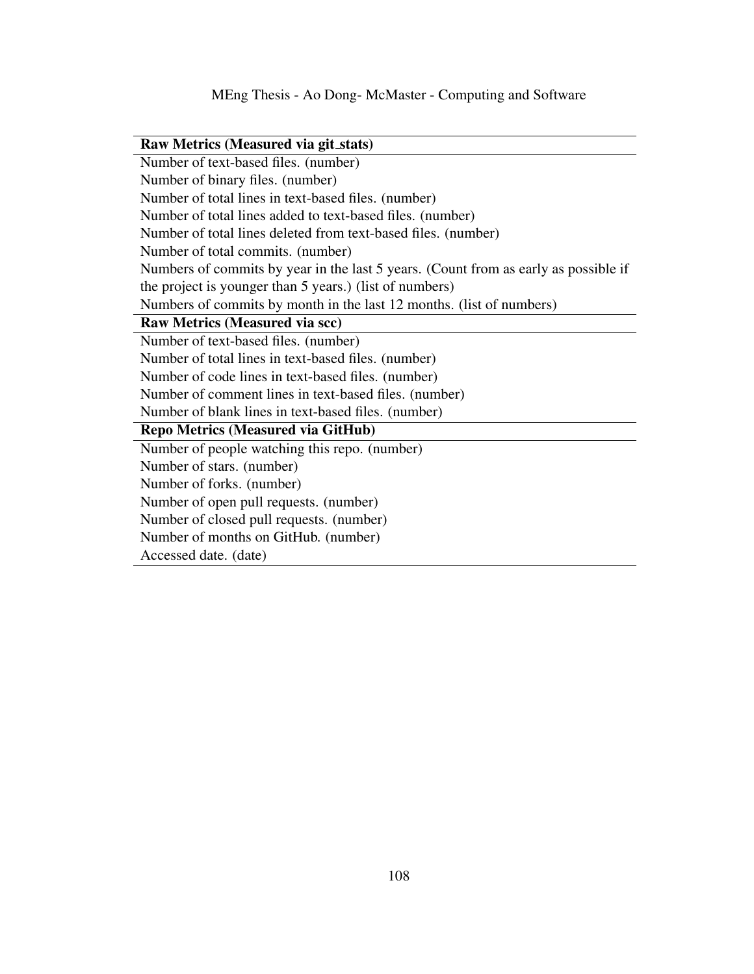| Raw Metrics (Measured via git_stats)                                                |  |  |  |
|-------------------------------------------------------------------------------------|--|--|--|
| Number of text-based files. (number)                                                |  |  |  |
| Number of binary files. (number)                                                    |  |  |  |
| Number of total lines in text-based files. (number)                                 |  |  |  |
| Number of total lines added to text-based files. (number)                           |  |  |  |
| Number of total lines deleted from text-based files. (number)                       |  |  |  |
| Number of total commits. (number)                                                   |  |  |  |
| Numbers of commits by year in the last 5 years. (Count from as early as possible if |  |  |  |
| the project is younger than 5 years.) (list of numbers)                             |  |  |  |
| Numbers of commits by month in the last 12 months. (list of numbers)                |  |  |  |
| <b>Raw Metrics (Measured via scc)</b>                                               |  |  |  |
| Number of text-based files. (number)                                                |  |  |  |
| Number of total lines in text-based files. (number)                                 |  |  |  |
| Number of code lines in text-based files. (number)                                  |  |  |  |
| Number of comment lines in text-based files. (number)                               |  |  |  |
| Number of blank lines in text-based files. (number)                                 |  |  |  |
| <b>Repo Metrics (Measured via GitHub)</b>                                           |  |  |  |
| Number of people watching this repo. (number)                                       |  |  |  |
| Number of stars. (number)                                                           |  |  |  |
| Number of forks. (number)                                                           |  |  |  |
| Number of open pull requests. (number)                                              |  |  |  |
| Number of closed pull requests. (number)                                            |  |  |  |
| Number of months on GitHub. (number)                                                |  |  |  |
| Accessed date. (date)                                                               |  |  |  |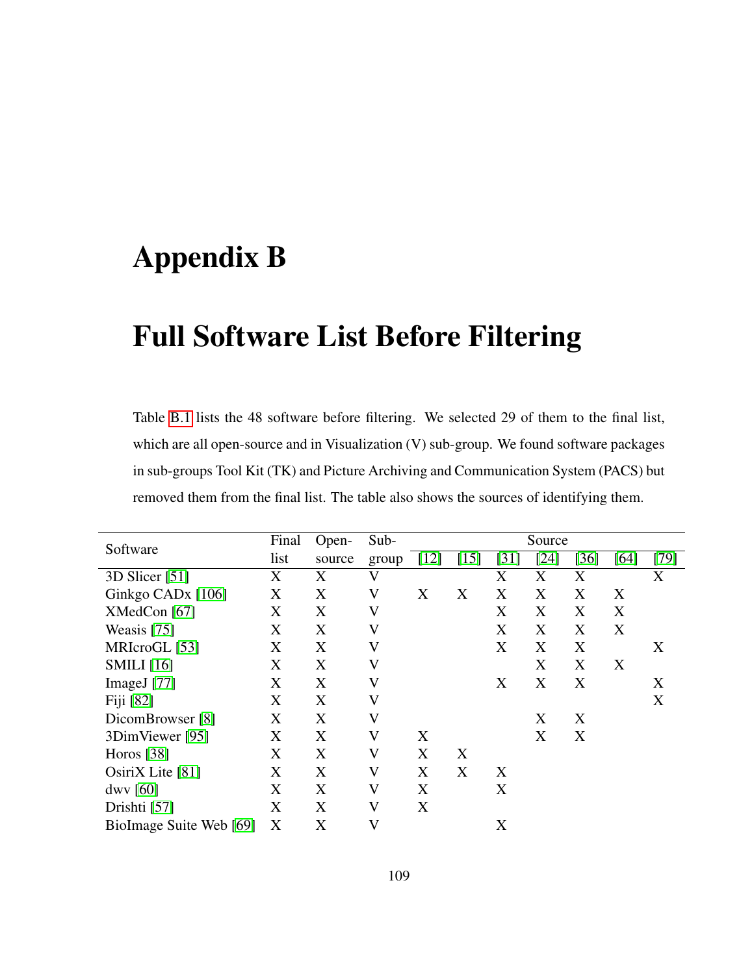### Appendix B

### Full Software List Before Filtering

Table [B.1](#page-119-0) lists the 48 software before filtering. We selected 29 of them to the final list, which are all open-source and in Visualization (V) sub-group. We found software packages in sub-groups Tool Kit (TK) and Picture Archiving and Communication System (PACS) but removed them from the final list. The table also shows the sources of identifying them.

| Software                      | Final | Open-  | Sub-                    | Source |        |      |        |      |        |        |
|-------------------------------|-------|--------|-------------------------|--------|--------|------|--------|------|--------|--------|
|                               | list  | source | group                   | $[12]$ | $[15]$ | [31] | $[24]$ | [36] | $[64]$ | $[79]$ |
| $3D$ Slicer [51]              | X     | X      | $\rm V$                 |        |        | X    | Χ      | X    |        | X      |
| Ginkgo CAD <sub>x</sub> [106] | X     | X      | V                       | X      | X      | X    | X      | X    | X      |        |
| XMedCon [67]                  | X     | X      | $\rm V$                 |        |        | X    | X      | X    | X      |        |
| Weasis [75]                   | X     | X      | $\rm V$                 |        |        | X    | X      | X    | X      |        |
| MRIcroGL [53]                 | X     | X      | $\rm V$                 |        |        | X    | X      | X    |        | X      |
| <b>SMILI</b> [16]             | X     | X      | $\rm V$                 |        |        |      | X      | X    | X      |        |
| ImageJ $[77]$                 | X     | X      | $\rm V$                 |        |        | X    | X      | X    |        | X      |
| Fiji [82]                     | X     | X      | $\rm V$                 |        |        |      |        |      |        | X      |
| DicomBrowser [8]              | X     | X      | $\rm V$                 |        |        |      | X      | X    |        |        |
| 3DimViewer [95]               | X     | X      | V                       | X      |        |      | X      | X    |        |        |
| Horos $[38]$                  | X     | X      | $\rm V$                 | X      | X      |      |        |      |        |        |
| OsiriX Lite [81]              | X     | X      | $\rm V$                 | X      | X      | X    |        |      |        |        |
| dwy [60]                      | X     | X      | V                       | X      |        | X    |        |      |        |        |
| Drishti [57]                  | X     | X      | $\overline{\mathsf{V}}$ | X      |        |      |        |      |        |        |
| BioImage Suite Web [69]       | X     | X      | $\mathbf V$             |        |        | X    |        |      |        |        |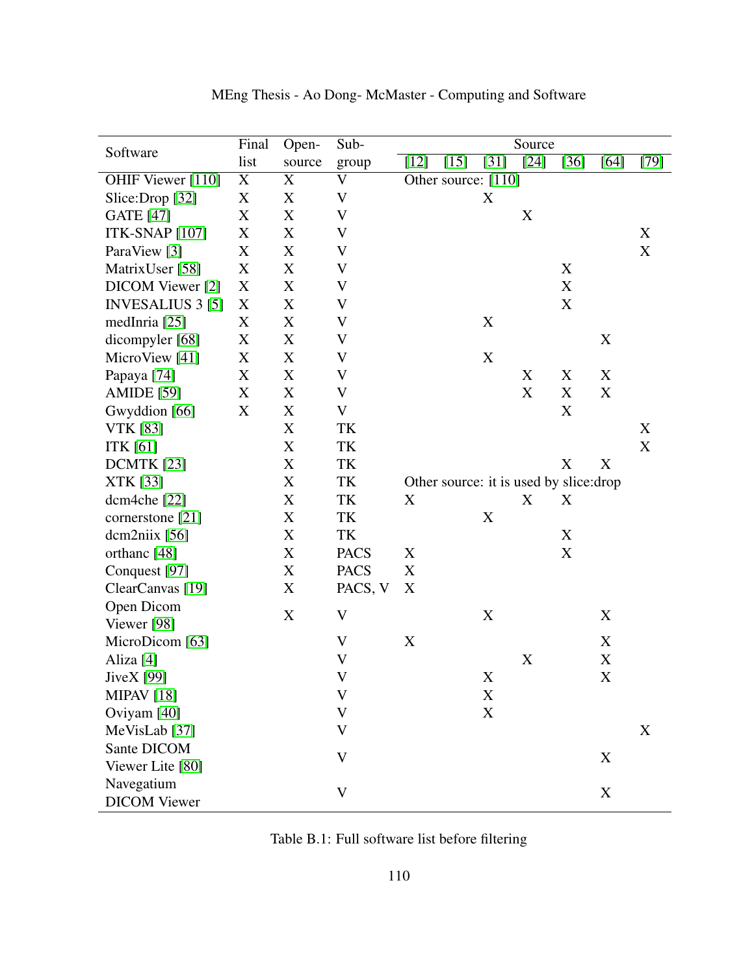| Software                 | Final       | Open-       | Sub-                      |                                         |             | Source |             |             |        |
|--------------------------|-------------|-------------|---------------------------|-----------------------------------------|-------------|--------|-------------|-------------|--------|
|                          | list        | source      | group                     | $[15]$<br>$[12]$                        | $[31]$      | $[24]$ | $[36]$      | $[64]$      | $[79]$ |
| OHIF Viewer [110]        | $\mathbf X$ | X           | $\mathbf V$               | Other source: [110]                     |             |        |             |             |        |
| Slice:Drop [32]          | X           | X           | $\mathbf V$               |                                         | X           |        |             |             |        |
| <b>GATE</b> [47]         | X           | X           | V                         |                                         |             | X      |             |             |        |
| <b>ITK-SNAP</b> [107]    | X           | X           | $\boldsymbol{\mathrm{V}}$ |                                         |             |        |             |             | X      |
| ParaView [3]             | X           | $\mathbf X$ | $\mathbf V$               |                                         |             |        |             |             | X      |
| MatrixUser [58]          | X           | $\mathbf X$ | $\mathbf V$               |                                         |             |        | X           |             |        |
| DICOM Viewer [2]         | X           | X           | $\mathbf V$               |                                         |             |        | X           |             |        |
| <b>INVESALIUS 3 [5]</b>  | X           | X           | $\boldsymbol{\mathrm{V}}$ |                                         |             |        | X           |             |        |
| medInria [25]            | X           | X           | $\mathbf V$               |                                         | X           |        |             |             |        |
| dicompyler [68]          | X           | X           | V                         |                                         |             |        |             | X           |        |
| MicroView [41]           | X           | $\mathbf X$ | V                         |                                         | X           |        |             |             |        |
| Papaya <sup>[74]</sup>   | X           | X           | $\mathbf V$               |                                         |             | X      | X           | X           |        |
| <b>AMIDE</b> [59]        | X           | X           | $\mathbf V$               |                                         |             | X      | X           | $\mathbf X$ |        |
| Gwyddion [66]            | X           | X           | $\mathbf V$               |                                         |             |        | X           |             |        |
| <b>VTK</b> [83]          |             | X           | TK                        |                                         |             |        |             |             | X      |
| <b>ITK</b> [61]          |             | $\mathbf X$ | TK                        |                                         |             |        |             |             | X      |
| <b>DCMTK</b> [23]        |             | X           | TK                        |                                         |             |        | X           | X           |        |
| XTK [33]                 |             | X           | TK                        | Other source: it is used by slice: drop |             |        |             |             |        |
| dcm4che [22]             |             | X           | TK                        | X                                       |             | X      | X           |             |        |
| cornerstone [21]         |             | X           | TK                        |                                         | X           |        |             |             |        |
| $d$ cm2niix [56]         |             | X           | TK                        |                                         |             |        | X           |             |        |
| orthanc [48]             |             | X           | <b>PACS</b>               | X                                       |             |        | $\mathbf X$ |             |        |
| Conquest [97]            |             | $\mathbf X$ | <b>PACS</b>               | X                                       |             |        |             |             |        |
| ClearCanvas [19]         |             | X           | PACS, V                   | X                                       |             |        |             |             |        |
| Open Dicom               |             | X           | $\boldsymbol{\mathrm{V}}$ |                                         | $\mathbf X$ |        |             | X           |        |
| Viewer [98]              |             |             |                           |                                         |             |        |             |             |        |
| MicroDicom [63]          |             |             | $\mathbf{V}$              | X                                       |             |        |             | X           |        |
| Aliza <sup>[4]</sup>     |             |             | $\overline{\mathsf{V}}$   |                                         |             | X      |             | $\mathbf X$ |        |
| JiveX [99]               |             |             | V                         |                                         | X           |        |             | X           |        |
| <b>MIPAV</b> [18]        |             |             | V                         |                                         | X           |        |             |             |        |
| Oviyam [40]              |             |             | $\mathbf V$               |                                         | X           |        |             |             |        |
| MeVisLab <sup>[37]</sup> |             |             | $\mathbf{V}$              |                                         |             |        |             |             | X      |
| Sante DICOM              |             |             | $\mathbf V$               |                                         |             |        |             | X           |        |
| Viewer Lite [80]         |             |             |                           |                                         |             |        |             |             |        |
| Navegatium               |             |             | $\mathbf V$               |                                         |             |        |             | $\mathbf X$ |        |
| <b>DICOM</b> Viewer      |             |             |                           |                                         |             |        |             |             |        |

MEng Thesis - Ao Dong- McMaster - Computing and Software

<span id="page-119-0"></span>Table B.1: Full software list before filtering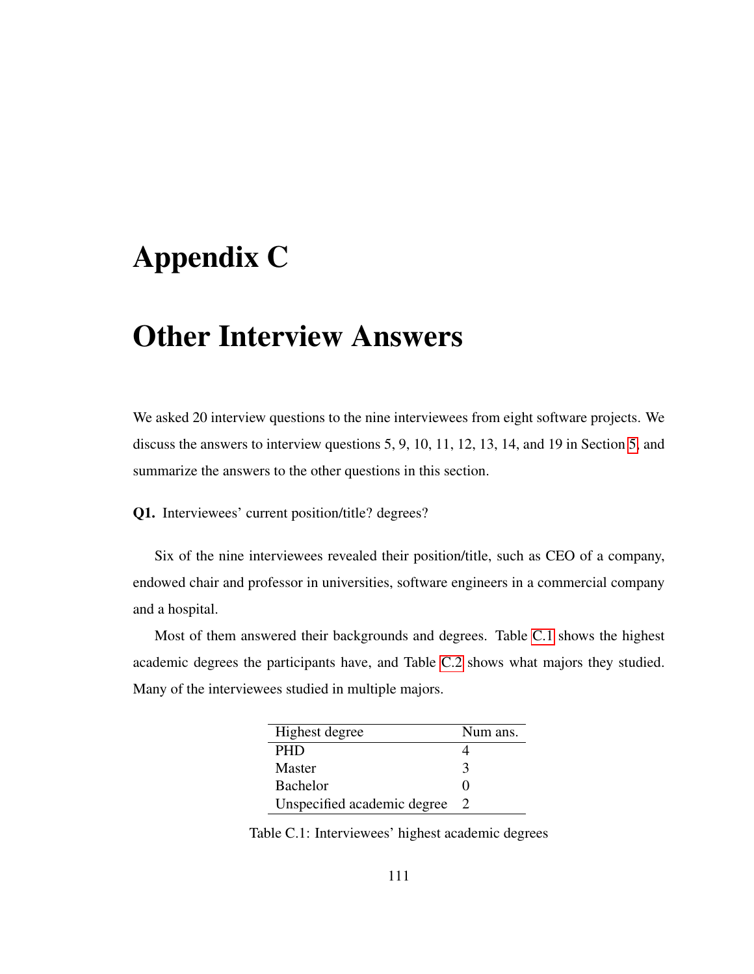### Appendix C

### Other Interview Answers

We asked 20 interview questions to the nine interviewees from eight software projects. We discuss the answers to interview questions 5, 9, 10, 11, 12, 13, 14, and 19 in Section [5,](#page-57-0) and summarize the answers to the other questions in this section.

Q1. Interviewees' current position/title? degrees?

Six of the nine interviewees revealed their position/title, such as CEO of a company, endowed chair and professor in universities, software engineers in a commercial company and a hospital.

Most of them answered their backgrounds and degrees. Table [C.1](#page-120-0) shows the highest academic degrees the participants have, and Table [C.2](#page-121-0) shows what majors they studied. Many of the interviewees studied in multiple majors.

<span id="page-120-0"></span>

| Highest degree              | Num ans.                    |
|-----------------------------|-----------------------------|
| <b>PHD</b>                  |                             |
| <b>Master</b>               | 3                           |
| <b>Bachelor</b>             |                             |
| Unspecified academic degree | $\mathcal{D}_{\mathcal{L}}$ |

Table C.1: Interviewees' highest academic degrees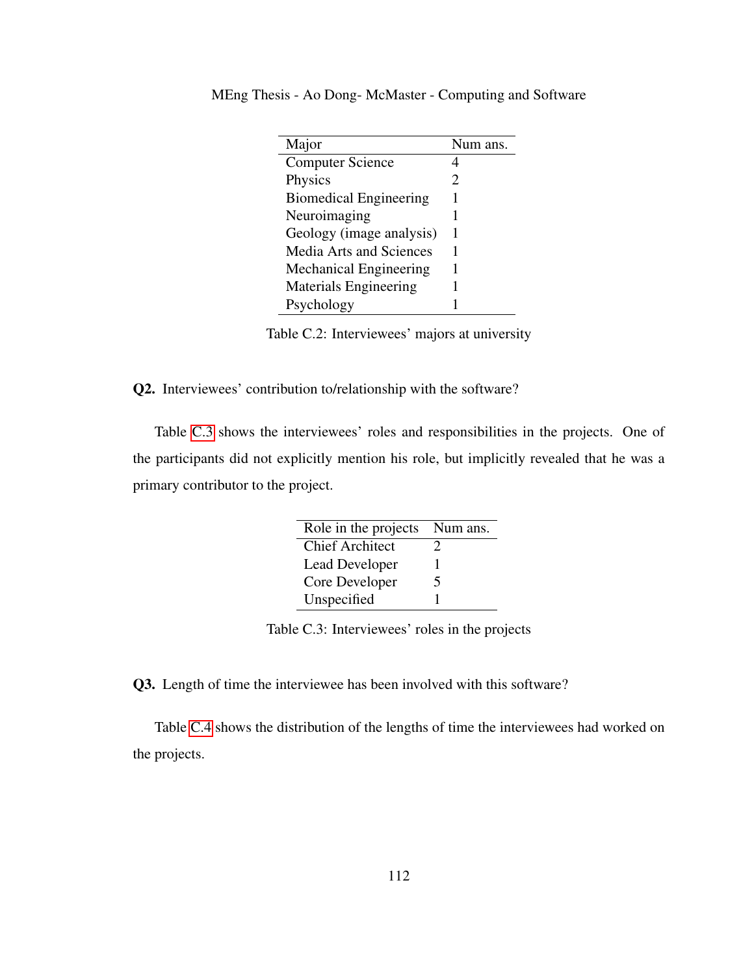<span id="page-121-0"></span>

| Major                          | Num ans. |
|--------------------------------|----------|
| <b>Computer Science</b>        |          |
| Physics                        | 2        |
| <b>Biomedical Engineering</b>  |          |
| Neuroimaging                   |          |
| Geology (image analysis)       |          |
| <b>Media Arts and Sciences</b> |          |
| <b>Mechanical Engineering</b>  |          |
| <b>Materials Engineering</b>   |          |
| Psychology                     |          |

MEng Thesis - Ao Dong- McMaster - Computing and Software

Table C.2: Interviewees' majors at university

Q2. Interviewees' contribution to/relationship with the software?

Table [C.3](#page-121-1) shows the interviewees' roles and responsibilities in the projects. One of the participants did not explicitly mention his role, but implicitly revealed that he was a primary contributor to the project.

<span id="page-121-1"></span>

| Role in the projects   | Num ans.      |
|------------------------|---------------|
| <b>Chief Architect</b> | $\mathcal{L}$ |
| <b>Lead Developer</b>  |               |
| Core Developer         | 5             |
| Unspecified            |               |

Table C.3: Interviewees' roles in the projects

Q3. Length of time the interviewee has been involved with this software?

Table [C.4](#page-122-0) shows the distribution of the lengths of time the interviewees had worked on the projects.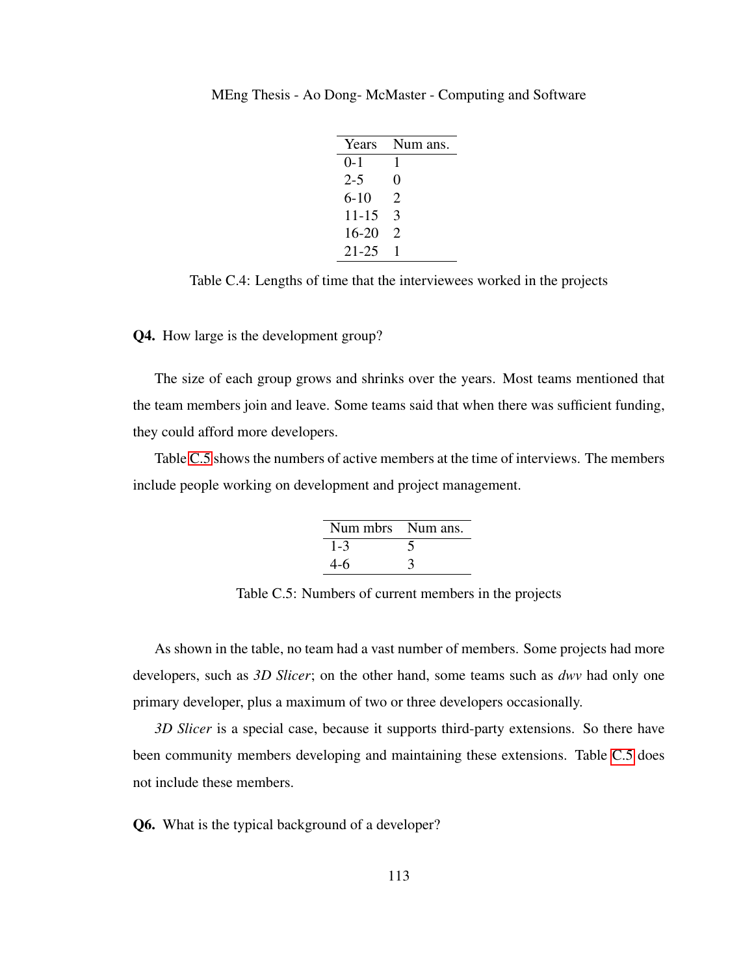<span id="page-122-0"></span>

| Years     | Num ans.               |
|-----------|------------------------|
| $0 - 1$   | 1                      |
| $2 - 5$   | 0                      |
| $6 - 10$  | $\mathfrak{D}_{\cdot}$ |
| $11 - 15$ | 3                      |
| $16 - 20$ | $\mathcal{D}_{\cdot}$  |
| $21 - 25$ |                        |

MEng Thesis - Ao Dong- McMaster - Computing and Software

Table C.4: Lengths of time that the interviewees worked in the projects

Q4. How large is the development group?

The size of each group grows and shrinks over the years. Most teams mentioned that the team members join and leave. Some teams said that when there was sufficient funding, they could afford more developers.

Table [C.5](#page-122-1) shows the numbers of active members at the time of interviews. The members include people working on development and project management.

<span id="page-122-1"></span>

| Num mbrs Num ans. |  |
|-------------------|--|
| 1-3               |  |
| 4-6               |  |

Table C.5: Numbers of current members in the projects

As shown in the table, no team had a vast number of members. Some projects had more developers, such as *3D Slicer*; on the other hand, some teams such as *dwv* had only one primary developer, plus a maximum of two or three developers occasionally.

*3D Slicer* is a special case, because it supports third-party extensions. So there have been community members developing and maintaining these extensions. Table [C.5](#page-122-1) does not include these members.

Q6. What is the typical background of a developer?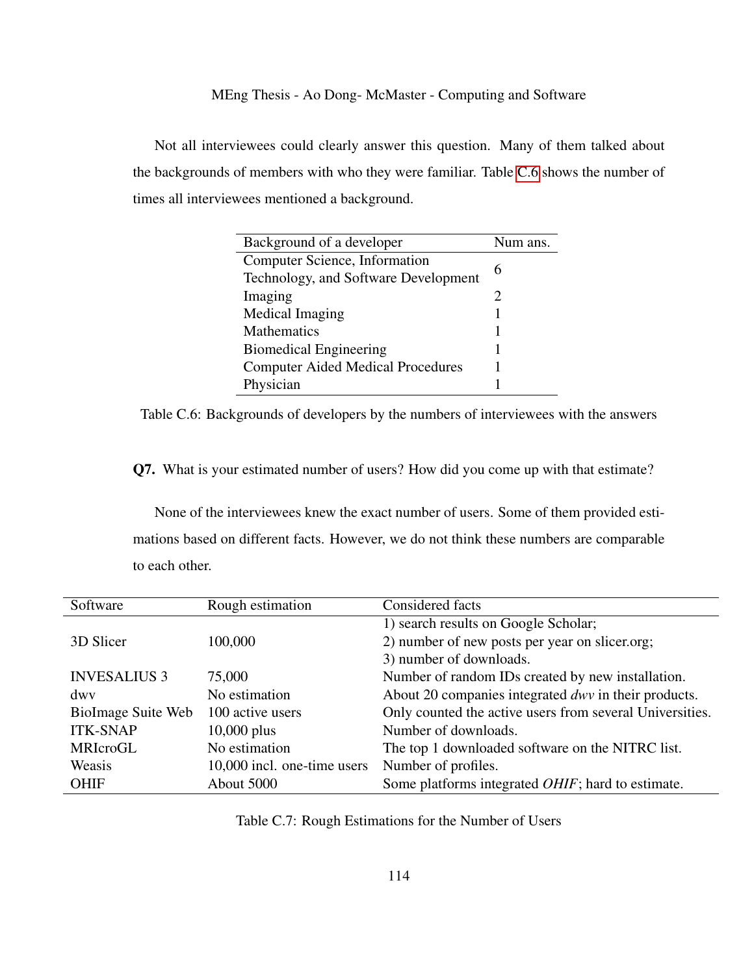Not all interviewees could clearly answer this question. Many of them talked about the backgrounds of members with who they were familiar. Table [C.6](#page-123-0) shows the number of times all interviewees mentioned a background.

<span id="page-123-0"></span>

| Background of a developer                | Num ans. |
|------------------------------------------|----------|
| Computer Science, Information            | 6        |
| Technology, and Software Development     |          |
| Imaging                                  | 2        |
| Medical Imaging                          |          |
| Mathematics                              |          |
| <b>Biomedical Engineering</b>            |          |
| <b>Computer Aided Medical Procedures</b> |          |
| Physician                                |          |

Table C.6: Backgrounds of developers by the numbers of interviewees with the answers

Q7. What is your estimated number of users? How did you come up with that estimate?

None of the interviewees knew the exact number of users. Some of them provided estimations based on different facts. However, we do not think these numbers are comparable to each other.

| Software            | Rough estimation            | Considered facts                                          |
|---------------------|-----------------------------|-----------------------------------------------------------|
|                     |                             | 1) search results on Google Scholar;                      |
| 3D Slicer           | 100,000                     | 2) number of new posts per year on slicer.org;            |
|                     |                             | 3) number of downloads.                                   |
| <b>INVESALIUS 3</b> | 75,000                      | Number of random IDs created by new installation.         |
| dwy                 | No estimation               | About 20 companies integrated dwv in their products.      |
| BioImage Suite Web  | 100 active users            | Only counted the active users from several Universities.  |
| <b>ITK-SNAP</b>     | $10,000$ plus               | Number of downloads.                                      |
| <b>MRIcroGL</b>     | No estimation               | The top 1 downloaded software on the NITRC list.          |
| Weasis              | 10,000 incl. one-time users | Number of profiles.                                       |
| <b>OHIF</b>         | About 5000                  | Some platforms integrated <i>OHIF</i> ; hard to estimate. |

<span id="page-123-1"></span>Table C.7: Rough Estimations for the Number of Users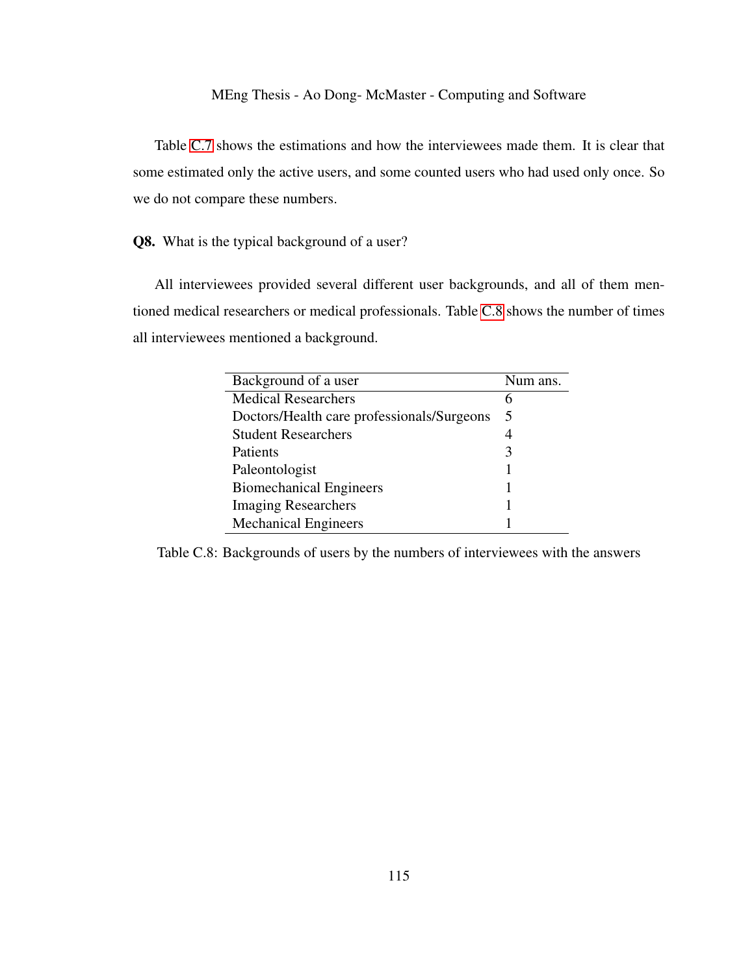Table [C.7](#page-123-1) shows the estimations and how the interviewees made them. It is clear that some estimated only the active users, and some counted users who had used only once. So we do not compare these numbers.

Q8. What is the typical background of a user?

All interviewees provided several different user backgrounds, and all of them mentioned medical researchers or medical professionals. Table [C.8](#page-124-0) shows the number of times all interviewees mentioned a background.

<span id="page-124-0"></span>

| Background of a user                       | Num ans. |
|--------------------------------------------|----------|
| <b>Medical Researchers</b>                 |          |
| Doctors/Health care professionals/Surgeons | 5        |
| <b>Student Researchers</b>                 |          |
| Patients                                   |          |
| Paleontologist                             |          |
| <b>Biomechanical Engineers</b>             |          |
| <b>Imaging Researchers</b>                 |          |
| <b>Mechanical Engineers</b>                |          |

Table C.8: Backgrounds of users by the numbers of interviewees with the answers